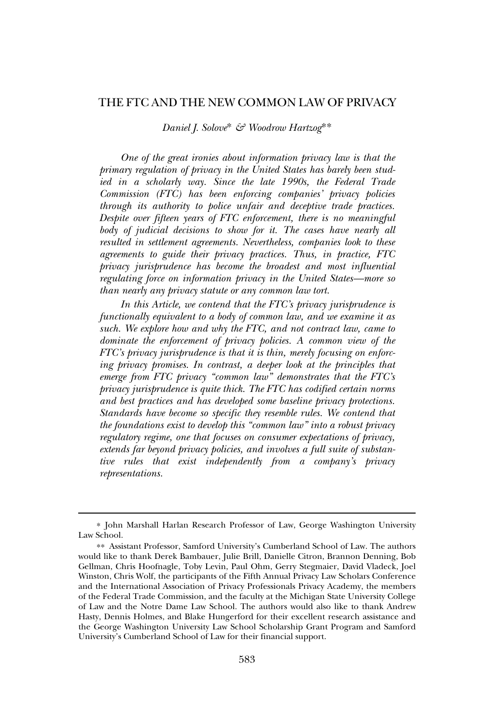*Daniel J. Solove*∗ *& Woodrow Hartzog*∗∗

*One of the great ironies about information privacy law is that the primary regulation of privacy in the United States has barely been studied in a scholarly way. Since the late 1990s, the Federal Trade Commission (FTC) has been enforcing companies' privacy policies through its authority to police unfair and deceptive trade practices. Despite over fifteen years of FTC enforcement, there is no meaningful body of judicial decisions to show for it. The cases have nearly all resulted in settlement agreements. Nevertheless, companies look to these agreements to guide their privacy practices. Thus, in practice, FTC privacy jurisprudence has become the broadest and most influential regulating force on information privacy in the United States—more so than nearly any privacy statute or any common law tort.*

*In this Article, we contend that the FTC's privacy jurisprudence is functionally equivalent to a body of common law, and we examine it as such. We explore how and why the FTC, and not contract law, came to dominate the enforcement of privacy policies. A common view of the FTC's privacy jurisprudence is that it is thin, merely focusing on enforcing privacy promises. In contrast, a deeper look at the principles that emerge from FTC privacy "common law" demonstrates that the FTC's privacy jurisprudence is quite thick. The FTC has codified certain norms and best practices and has developed some baseline privacy protections. Standards have become so specific they resemble rules. We contend that the foundations exist to develop this "common law" into a robust privacy regulatory regime, one that focuses on consumer expectations of privacy, extends far beyond privacy policies, and involves a full suite of substantive rules that exist independently from a company's privacy representations.*

<sup>∗</sup> John Marshall Harlan Research Professor of Law, George Washington University Law School.Law School.

University's Cumberland School of Law for their financial support. ∗∗ Assistant Professor, Samford University's Cumberland School of Law. The authors would like to thank Derek Bambauer, Julie Brill, Danielle Citron, Brannon Denning, Bob would like to thank Derek Bambauer, Julie Brill, Danielle Citron, Brannon Denning, Bob<br>Gellman, Chris Hoofnagle, Toby Levin, Paul Ohm, Gerry Stegmaier, David Vladeck, Joel Winston, Chris Wolf, the participants of the Fifth Annual Privacy Law Scholars Conference Winston, Chris Wolf, the participants of the Fifth Annual Privacy Law Scholars Conference Winston, Chris Wolf, the participants of the Fifth Annual Privacy Law Scholars Conference<br>and the International Association of Privacy Professionals Privacy Academy, the members<br>of the Federal Trade Commission, and the fac of the Federal Trade Commission, and the faculty at the Michigan State University College<br>of Law and the Notre Dame Law School. The authors would also like to thank Andrew of Law and the Notre Dame Law School. The authors would also like to thank Andrew<br>Hasty, Dennis Holmes, and Blake Hungerford for their excellent research assistance and Hasty, Dennis Holmes, and Blake Hungerford for their excellent research assistance and<br>the George Washington University Law School Scholarship Grant Program and Samford the George Washington University Law School Scholarship Grant<br>University's Cumberland School of Law for their financial support.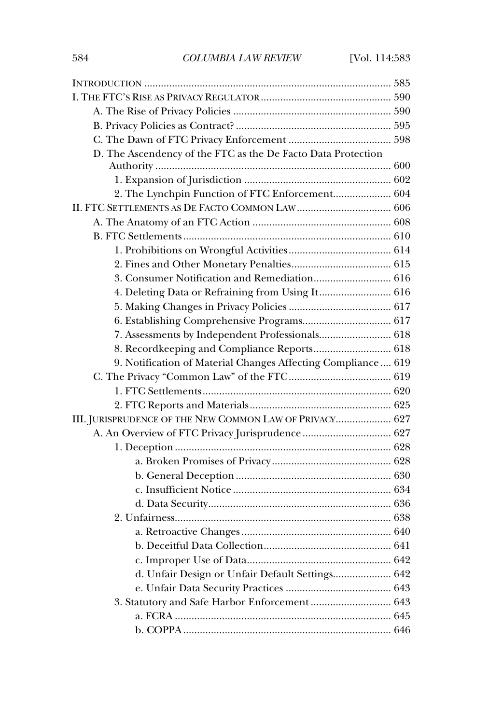| D. The Ascendency of the FTC as the De Facto Data Protection |  |
|--------------------------------------------------------------|--|
|                                                              |  |
|                                                              |  |
| 2. The Lynchpin Function of FTC Enforcement 604              |  |
|                                                              |  |
|                                                              |  |
|                                                              |  |
|                                                              |  |
|                                                              |  |
|                                                              |  |
| 4. Deleting Data or Refraining from Using It 616             |  |
|                                                              |  |
|                                                              |  |
| 7. Assessments by Independent Professionals 618              |  |
|                                                              |  |
| 9. Notification of Material Changes Affecting Compliance 619 |  |
|                                                              |  |
|                                                              |  |
|                                                              |  |
| III. JURISPRUDENCE OF THE NEW COMMON LAW OF PRIVACY 627      |  |
|                                                              |  |
|                                                              |  |
|                                                              |  |
|                                                              |  |
|                                                              |  |
|                                                              |  |
|                                                              |  |
|                                                              |  |
|                                                              |  |
|                                                              |  |
| d. Unfair Design or Unfair Default Settings 642              |  |
|                                                              |  |
| 3. Statutory and Safe Harbor Enforcement  643                |  |
|                                                              |  |
|                                                              |  |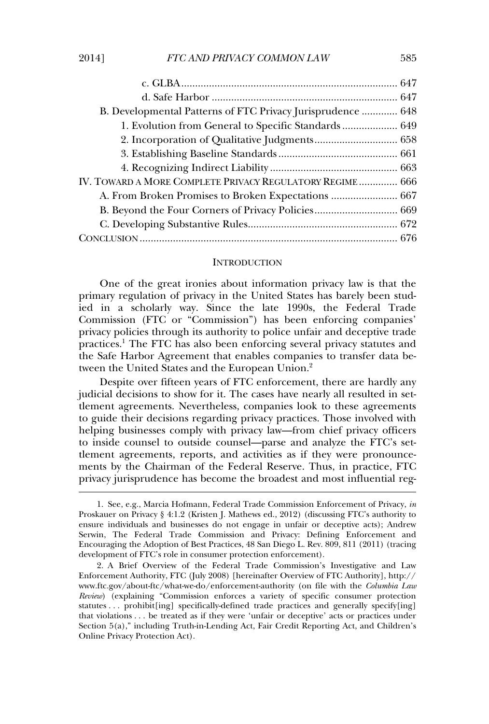| B. Developmental Patterns of FTC Privacy Jurisprudence  648 |  |
|-------------------------------------------------------------|--|
| 1. Evolution from General to Specific Standards 649         |  |
|                                                             |  |
|                                                             |  |
|                                                             |  |
| IV. TOWARD A MORE COMPLETE PRIVACY REGULATORY REGIME 666    |  |
| A. From Broken Promises to Broken Expectations  667         |  |
|                                                             |  |
|                                                             |  |
|                                                             |  |

## INTRODUCTION

One of the great ironies about information privacy law is that the primary regulation of privacy in the United States has barely been studprimary regulation of privacy in the United States has barely been stud-<br>ied in a scholarly way. Since the late 1990s, the Federal Trade primary regulation or privacy in the entities states has startly seen state<br>ied in a scholarly way. Since the late 1990s, the Federal Trade<br>Commission (FTC or "Commission") has been enforcing companies' private the sensitive of the late trees, the redefined rate<br>Commission (FTC or "Commission") has been enforcing companies'<br>privacy policies through its authority to police unfair and deceptive trade  $\frac{1}{2}$  The FTC has also been enforcing semplates by policies through its authority to police unfair and deceptive trade  $t_{\text{pred}}$  and  $t_{\text{pred}}$  are different that the enables compared privacy statutes and  $t_{\text{pred}}$  and  $t_{\text{pred}}$  are  $t_{\text{pred}}$  and  $t_{\text{pred}}$  are  $t_{\text{pred}}$  and  $t_{\text{pred}}$  are  $t_{\text{pred}}$  and  $t_{\text{pred}}$  are  $t_{\text{pred}}$  and  $t_{\text{pred}}$  the Safe Harbor Agreement that enables companies to transfer data ben the United States and the European Union. $^2$ 

tween the United States and the European Union.<sup>2</sup><br>Despite over fifteen years of FTC enforcement, there are hardly any<br>judicial decisions to show for it. The cases have nearly all resulted in setthe method of the cases have nearly all resulted in set-<br>tlement agreements. Nevertheless, companies look to these agreements the guide their decisions regarding privacy practices. Those involved with<br>to guide their decisions regarding privacy practices. Those involved with helping businesses comply with privacy practices. Those involved with helping businesses comply with privacy law—from chief privacy officers helping businesses comply with privacy law—from chief privacy officers to inside counsel to outside counsel—parse and analyze the FTC's set-<br>tlement agreements, reports, and activities as if they were pronouncement agreements, reports, and activities as if they were pronounce-<br>ments by the Chairman of the Federal Reserve. Thus, in practice, FTC ments by the Chairman of the Federal Reserve. Thus, in practice, FTC privacy jurisprudence has become the broadest and most influential reg-

1. See, e.g., Marcia Hofmann, Federal Hofmann, Federal Hofmann, Federal Hofmann, Federal Hofmann, Federal Hofman<br>1. September – Marcia Hofmann, Federal Hofmann, Federal Hofmann, Federal Hofmann, Federal Hofmann, Federal Ho

Trade Commission Enforcement of Privacy, *in*<br>1. See, e.g., Marcia Hofmann, Federal Trade Commission Enforcement of Privacy, *in* 1. See, e.g., Marcia Hofmann, Federal Trade Commission Enforcement of Privacy, *in*<br>Proskauer on Privacy § 4:1.2 (Kristen J. Mathews ed., 2012) (discussing FTC's authority to<br>ensure individuals and businesses do not engage Serwin, The Federal Trade Commission and Privacy: Defining Enforcement and Encouraging the Adoption of Best Practices, 48 San Diego L. Rev. 809, 811 (2011) (tracing Encouraging the Adoption of Best Practices, 48 San Diego L. Rev.<br>development of FTC's role in consumer protection enforcement). development of FTC's role in consumer protection enforcement).

development of FTC's role in consumer protection enforcement).<br>
2. A Brief Overview of the Federal Trade Commission's Investigative and Law<br>
Enforcement Authority, FTC (July 2008) [hereinafter Overview of FTC Authority], h Enforcement Authority, FTC (July 2008) [hereinafter Overview of FTC Authority], http:// www.ftc.gov/about-ftc/what-we-do/enforcement-authority (on file with the *Columbia Law* www.ftc.gov/about-ftc/what-we-do/enforcement-authority (on file with the *Columbia Law*<br>*Review*) (explaining "Commission enforces a variety of specific consumer protection<br>statutes ... prohibit[ing] specifically-defined t statutes . . . prohibit[ing] specifically-defined trade practices and generally specify[ing] that violations . . . be treated as if they were 'unfair or deceptive' acts or practices under that violations ... be treated as if they were 'unfair or deceptive' acts or practices under Section 5(a)," including Truth-in-Lending Act, Fair Credit Reporting Act, and Children's<br>Online Privacy Protection Act).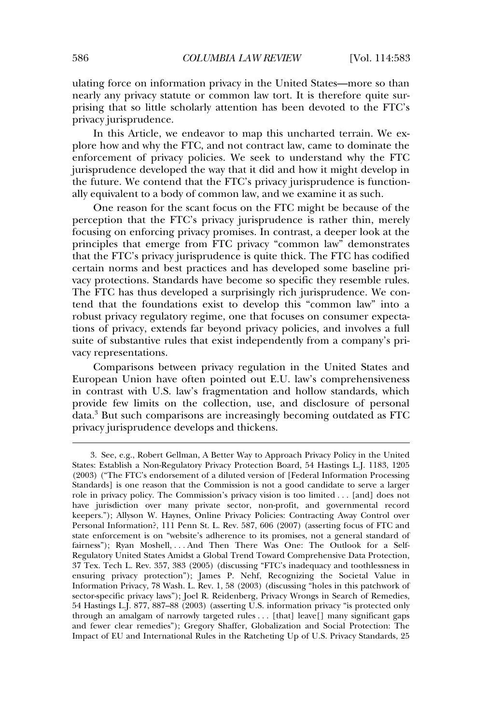ulating force on information privacy in the United States—more so than<br>nearly any privacy statute or common law tort. It is therefore quite surnearly any privacy statute or common law tort. It is therefore quite surprising that so little scholarly attention has been devoted to the FTC's icy jurisprudence. privacy jurisprudence.<br>In this Article, we endeavor to map this uncharted terrain. We ex-

enforcement of privacy policies. We seek to understand why the FTC and not contract law, came to dominate the procedulate the meaning the cost and the continuously called the way that it did and how it might develop in intervalsed the way that it did and how it might develop in jurisprudence developed the way that it did and how it might develop in ally equivalent to a body of common law, and we examine it as such.<br>ally equivalent to a body of common law, and we examine it as such. ally equivalent to a body of common law, and we examine it as such.

ally equivalent to a body of common law, and we examine it as such.<br>One reason for the scant focus on the FTC might be because of the<br>perception that the FTC's privacy jurisprudence is rather thin, merely perception that the FTC's privacy jurisprudence is rather thin, merely perception that the TTC's privacy jumperatures to rather thin, mercely<br>focusing on enforcing privacy promises. In contrast, a deeper look at the<br>principles that emerge from FTC privacy "common law" demonstrates that the FTC's privacy jurisprudence is quite thick. The FTC has codified<br>that the FTC's privacy iurisprudence is quite thick. The FTC has codified that the FTC's privacy jurisprudence is quite thick. The FTC has codified Figure 11 C C prince comprehensive to quite them. The 11 C has counted<br>certain norms and best practices and has developed some baseline pri-<br>vacy protections. Standards have become so specific they resemble rules. The FTC has thus developed a surprisingly rich jurisprudence. We con-<br>The FTC has thus developed a surprisingly rich jurisprudence. We conthe FTC has thus developed a surprisingly rich jurisprudence. We contend that the foundations exist to develop this "common law" into a tend that the foundations exist to develop this "common law" into a tions of privacy regulatory regime, one that focuses on consumer expecta-<br>tions of privacy, extends far beyond privacy policies, and involves a full suite privacy regalatory regime, one diac rocalises on constantor expectations of privacy, extends far beyond privacy policies, and involves a full suite of substantive rules that exist independently from a company's privacy of substantive representations. vacy representations. vacy representations.<br>
Comparisons between privacy regulation in the United States and

European Union have often pointed out E.U. law's comprehensiveness provide few limits on the collection, use, and disclosure of personal<br>provide few limits on the collection, use, and disclosure of personal  $\frac{1}{2}$  but such comparisons are increased as  $\frac{1}{2}$  and  $\frac{1}{2}$  and  $\frac{1}{2}$  and  $\frac{1}{2}$  and  $\frac{1}{2}$  and  $\frac{1}{2}$  and  $\frac{1}{2}$  and  $\frac{1}{2}$  and  $\frac{1}{2}$  and  $\frac{1}{2}$  and  $\frac{1}{2}$  and  $\frac{1}{2}$  and  $\frac{1$ provide fow minds on the concedent, take, and disclosure of personal<br>data.<sup>3</sup> But such comparisons are increasingly becoming outdated as FTC<br>privacy iurisprudence develops and thickens.

3. See, e.g., Robert Gellman, Robert Gellman, A Better Way to Better Way to Better Way to

Approach Privacy Policy in the United States: Establish a Non-Regulatory Privacy Protection Board, <sup>54</sup> Hastings L.J. 1183, 1205 (2003) ("The FTC's endorsement of a diluted version Board, 54 Hastings L.J. 1183, 1205<br>(2003) ("The FTC's endorsement of a diluted version of [Federal Information Processing (2003) ("The FTC's endorsement of a diluted version of [Federal Information Processing Standards] is one reason that the Commission is not a good candidate to serve a larger<br>role in privacy policy. The Commission's privacy vision is too limited . . . [and] does not role in privacy policy. The Commission's privacy vision is too limited . . . [and] does not<br>have jurisdiction over many private sector, non-profit, and governmental record have jurisdiction over many private sector, non-profit, and governmental record<br>keepers."): Allyson W. Haynes, Online Privacy Policies: Contracting Away Control over keepers."); Allyson W. Haynes, Online Privacy Policies: Contracting Away Control over<br>Personal Information?, 111 Penn St. L. Rev. 587, 606 (2007) (asserting focus of FTC and Personal Information?, 111 Penn St. L. Rev. 587, 606 (2007) (asserting focus of FTC and state enforcement is on "website's adherence to its promises, not a general standard of fairness"); Ryan Moshell, . . . And Then There Was One: The Outlook for a Selffairness"); Ryan Moshell, . . . And Then There Was One: The Outlook for a Self-<br>Regulatory United States Amidst a Global Trend Toward Comprehensive Data Protection, 37 Tex. Tech L. Rev. 357, 383 (2005) (discussing "FTC's inadequacy and toothlessness in 37 Tex. Tech L. Rev. 357, 383 (2005) (discussing "FTC's inadequacy and toothlessness in ensuring privacy protection"); James P. Nehf, Recognizing the Societal Value in Information Privacy, 78 Wash. L. Rev. 1, 58 (2003) (discussing "holes in this patchwork of Information Privacy, 78 Wash. L. Rev. 1, 58 (2003) (discussing "holes in this patchwork of sector-specific privacy laws"); Joel R. Reidenberg, Privacy Wrongs in Search of Remedies. sector-specific privacy laws"); Joel R. Reidenberg, Privacy Wrongs in Search of Remedies,<br>54 Hastings L.J. 877, 887–88 (2003) (asserting U.S. information privacy "is protected only 54 Hastings L.J. 877, 887–88 (2003) (asserting U.S. information privacy "is protected only and fewer clear remedies"); Gregory Shaffer, Globalization and Social Protection: The Impact of EU and International Rules in the Ratcheting Up of U.S. Privacy Standards, 25<br>Impact of EU and International Rules in the Ratcheting Up of U.S. Privacy Standards, 25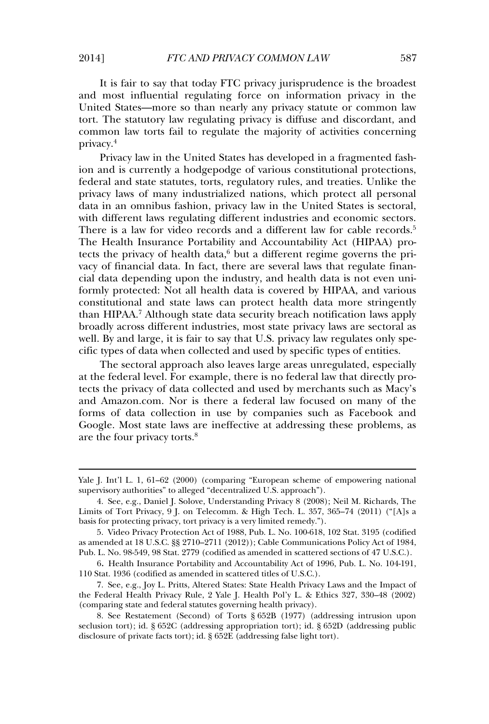It is fair to say that today FTC privacy jurisprudence is the broadest<br>and most influential regulating force on information privacy in the and most influential regulating force on information privacy in the tort. The statutory law regulating privacy statute or common law fort. The statutory law regulating privacy is diffuse and discordant, and tort. The statutory law regulating privacy is diffuse and discordant, and common law torts fail to regulate the majority of activities concerning  $\text{TCV.}^4$ privacy.<sup>4</sup><br>Privacy law in the United States has developed in a fragmented fash-

from and is currently a hodgepodge of various constitutional protections,<br>federal and state statutes, torts, regulatory rules, and treaties. Unlike the private a concerned in the age provided controlled containmental procedures,<br>federal and state statutes, torts, regulatory rules, and treaties. Unlike the<br>privacy laws of many industrialized nations, which protect all pers dentified the same statements, to any industrialized nations, which protect all personal data in an omnibus fashion, privacy law in the United States is sectoral. example and the many measurements makes. Where proceed an presentation data in an omnibus fashion, privacy law in the United States is sectoral, with different laws regulating different industries and economic sectors. There is a law for video records and a different law for cable records.<sup>5</sup><br>There is a law for video records and a different law for cable records.<sup>5</sup> There is a law for video records and a different law for cable records.<sup>5</sup><br>The Health Insurance Portability and Accountability Act (HIPAA) pro-The Health Insurance Portability and Accountability Act (HIPAA) pro-<br>tests the privacy of health data  $\stackrel{6}{\scriptstyle{0}}$  but a different regime governs the privacy of financial data. In fact, there are several laws that regulate finan-<br>vacy of financial data. In fact, there are several laws that regulate financial data depending upon the industry, and health data is not even uni-<br>cial data depending upon the industry, and health data is not even uniformly be extended to the matter of the server and the land egalistic extent of the cial data depending upon the industry, and health data is not even uniformly protected: Not all health data is covered by HIPAA, and vario can and acpentually appear the inducted y and actual mathematic state laws<br>formly protected: Not all health data is covered by HIPAA, and various<br>constitutional and state laws can protect health data more stringently than HIPAA.<sup>7</sup> Although state data security breach notification laws apply than HIPAA.<sup>7</sup> Although state data security breach notification laws apply broadly across different industries, most state privacy laws are sectoral as<br>broadly across different industries, most state privacy laws are sectoral as broadly across different industries, most state privacy laws are sectoral as<br>well. By and large, it is fair to say that U.S. privacy law regulates only specially the set all the distributions of the set of principal well. By and large, it is fair to say that U.S. privacy law regulates only s<br>cific types of data when collected and used by specific types of entities. cific types of data when collected and used by specific types of entities. cific types of data when collected and used by specific types of entities.<br>The sectoral approach also leaves large areas unregulated. especially

at the federal level. For example, there is no federal law that directly proand Amazon. There are the community of the state and the community of the privacy of data collected and used by merchants such as Macy's Forms of data collection in use by companies such as Facebook and<br>forms of data collection in use by companies such as Facebook and Google. Most state laws are ineffective at addressing these problems, as<br>Google. Most state laws are ineffective at addressing these problems, as Google. Most state laws a<br>are the four privacy torts.<sup>8</sup>

Yale J. Int'l L. 1, 61–62 (2000) (comparing "European scheme

of empowering national supervisory authorities" to alleged "decentralized U.S. approach"). supervisory authorities" to alleged "decentralized U.S. approach").

supervisory authorities" to alleged "decentralized U.S. approach").<br>4. See, e.g., Daniel J. Solove, Understanding Privacy 8 (2008); Neil M. Richards, The<br>Limits of Tort Privacy. 9 L. on Telecomm. & High Tech. L. 357, 365–7 Limits of Tort Privacy,  $9$  J. on Telecomm. & High Tech. L. 357, basis for protecting privacy, tort privacy is a very limited remedy."). basis for protecting privacy, tort privacy is a very limited remedy.").

basis for protecting privacy, tort privacy is a very limited remedy.").<br>5. Video Privacy Protection Act of 1988, Pub. L. No. 100-618, 102 Stat. 3195 (codified<br>as amended at 18 U.S.C. §§ 2710–2711 (2012)); Cable Communicati as amended at 18 U.S.C. §§ 2710–2711 (2012)); Cable Communications Policy Act of 1984<br>Pub. L. No. 98-549, 98 Stat. 2779 (codified as amended in scattered sections of 47 U.S.C.). Pub. L. No. 98-549, 98 Stat. 2779 (codified as amended in scattered sections of 47 U.S.C.). Pub. L. No. 98-549, 98 Stat. 2779 (codified as amended in scattered sections of 47 U.S.C.).<br>6. Health Insurance Portability and Accountability Act of 1996. Pub. L. No. 104-191.

 $\delta$ tat. 1936 (codified as amended in scattered titles of U.S.C.). 110 Stat. 1936 (codified as amended in scattered titles of U.S.C.).<br>7. See, e.g., Joy L. Pritts. Altered States: State Health Privacy Laws and the Impact of

the Federal Health Privacy Rule, 2 Yale J. Health Pol'y L. & Ethics 327, 330–48 (2002). paring state and federal statutes governing health privacy).

§ 652B (1977) (addressing intrusion upon seclusion tort); id. § 652C (addressing appropriation tort); id. § 652D (addressing public seclusion tort); id. § 652C (addressing appropriation tort); id. § 652D (addressing public disclosure of private facts tort); id. § 652E (addressing false light tort).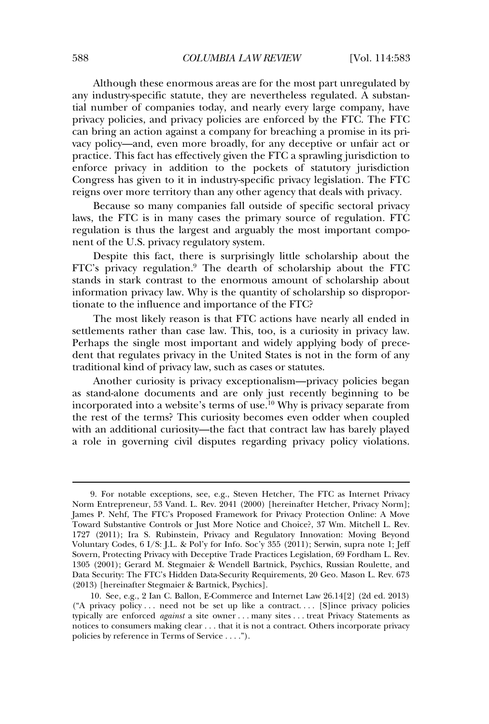a<br>Although these enormous areas are for the most part unregulated by any industry-specific statute, they are nevertheless regulated. A substanprivacy policies, and privacy policies are enforced by the FTC. The FTC<br>privacy policies, and privacy policies are enforced by the FTC. The FTC can bring an action against a company for the FTC. The FTC<br>can bring an action against a company for breaching a promise in its prican bring an action against a company for breaching a promise in its priprovided to the prediction and the term of the company of the set of the prediction in the prediction of the practice. This fact has effectively given the FTC a sprawling jurisdiction to enforce privacy in addition to the pockets of statutory jurisdiction to<br>enforce privacy in addition to the pockets of statutory jurisdiction enforce privacy in addition to the pockets of statutory jurisdiction<br>Congress has given to it in industry-specific privacy legislation. The FTC Einstee Friday in distribution of the poetical of statutery galaxies.<br>Congress has given to it in industry-specific privacy legislation. The FT<br>reigns over more territory than any other agency that deals with privacy.  $\tilde{\text{B}}$  over more territory than any other agency that deals with privacy.<br>Because so many companies fall outside of specific sectoral privacy

Because so many companies fall outside of specific sectoral privacy regulation is the largest and arguments of the most important constant constant process. nent, and the U.S. privacy regulation is thus the largest and arguat<br>nent of the U.S. privacy regulatory system. nent of the U.S. privacy regulatory system.

nent of the U.S. privacy regulatory system.<br>Despite this fact, there is surprisingly little scholarship about the<br>FTC's privacy regulation.<sup>9</sup> The dearth of scholarship about the FTC Exercis and the enormous stark contrast to the enormous amount of scholarship about the FTC<br>stands in stark contrast to the enormous amount of scholarship about If you privacy regulation. The statute of scholarship about<br>stands in stark contrast to the enormous amount of scholarship about<br>information privacy law. Why is the quantity of scholarship so disproporthe information privacy law. Why is the quantity of schotlonate to the influence and importance of the FTC? tionate to the influence and importance of the FTC?

The most likely reason is that FTC actions have nearly all ended in settlements rather than case law. This, too, is a curiosity in privacy law. Processor is that the academy have nearly an ended in<br>settlements rather than case law. This, too, is a curiosity in privacy law.<br>Perhaps the single most important and widely applying body of precedent that regulates privacy in the United States is not in the form of any<br>dent that regulates privacy in the United States is not in the form of any dent that regulates privacy in the United States is not in the form of any  $\alpha$  and  $\alpha$  induced in  $\alpha$  is privacy law, such as cases or statutes.

traditional kind of privacy law, such as cases or statutes.<br>Another curiosity is privacy exceptionalism—privacy policies began<br>as stand-alone documents and are only just recently beginning to be as stand-alone documents and are only just recently beginning to be as stand-alone documents and are only just recently beginning to be<br>incorporated into a website's terms of use.<sup>10</sup> Why is privacy separate from<br>the rest of the terms? This curiosity becomes even odder when coupled where the terms? This curiosity becomes even odder when coupled<br>with an additional curiosity—the fact that contract law has barely played and the contract law has barely states with an additional curiosity—the fact that contract law has barely played<br>a role in governing civil disputes regarding privacy policy violations.

9. For notable

exceptions, see, e.g., Steven Hetcher, The FTC as Internet Privacy Norm Entrepreneur, 53 Vand. L. Rev. 2041 (2000) [hereinafter Hetcher, Privacy Norm]; Norm Entrepreneur, 53 Vand. L. Rev. 2041 (2000) [hereinafter Hetcher, Privacy Norm];<br>James P. Nehf. The FTC's Proposed Framework for Privacy Protection Online: A Move Toward Substantive Controls or Just More Notice and Choice?, 37 Wm. Mitchell L. Rev. )<br>Toward Substantive Controls or Just More Notice and Choice?, 37 Wm. Mitchell L. Rev.<br>1727 (2011): Ira S. Rubinstein. Privacy and Regulatory Innovation: Moving Beyond 1727 (2011); Ira S. Rubinstein, Privacy and Regulatory Innovation: Moving Beyond<br>Voluntary Codes, 6 I/S: I.L. & Pol'y for Info. Soc'y 355 (2011); Serwin, supra note 1; Jeff Voluntary Codes, 6 I/S: J.L. & Pol'y for Info. Soc'y 355 (2011); Serwin, supra note 1; Jeff<br>Sovern, Protecting Privacy with Deceptive Trade Practices Legislation, 69 Fordham L. Rev. 1305 (2001); Gerard M. Stegmaier & Wendell Bartnick, Psychiation, 69 Fordham L. Rev.<br>1305 (2001): Gerard M. Stegmaier & Wendell Bartnick, Psychics, Russian Roulette, and 1305 (2001); Gerard M. Stegmaier & Wendell Bartnick, Psychics, Russian Roulette, and<br>Data Security: The FTC's Hidden Data-Security Requirements, 20 Geo. Mason L. Rev. 673 )<br>Data Security: The FTC's Hidden Data-Security Req<br>(2013) [hereinafter Stegmaier & Bartnick, Psychics]. (2013) [hereinafter Stegmaier & Bartnick, Psychics].

<sup>10.</sup> See, e.g., 2 Ian C. Ballon, E-Commerce and Internet Law  $26.14[2]$  (2d ed. 2013)<br>("A privacy policy . . . need not be set up like a contract. . . . [S]ince privacy policies ("A privacy policy... need not be set up like a contract.... [S] ince privacy policies ("A privacy policy ... need not be set up like a contract.... [S]ince privacy policies typically are enforced *against* a site owner ... many sites ... treat Privacy Statements as notices to consumers making clear ... that policies to consumers making clear . . . that it is<br>policies by reference in Terms of Service . . . .").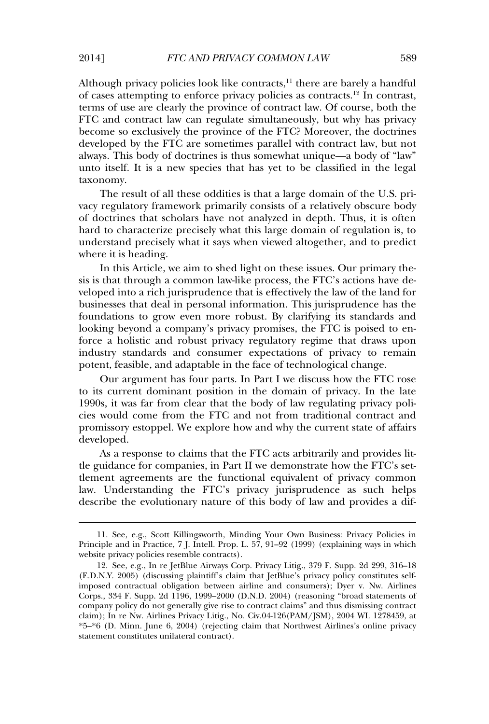Although privacy policies look like contracts,<sup>11</sup> there are barely a handful<br>of cases attempting to enforce privacy policies as contracts.<sup>12</sup> In contrast  $t_{\text{max}}$  of cases attempting to enforce privacy policies as contracts.<sup>12</sup> In contrast, Fraction and contract law can regulate simultaneously, but why has privacy FTC and contract law can regulate simultaneously, but why has privacy FTC and contract law can regulate simultaneously, but why has privacy decome so exclusively the province of the FTC? Moreover, the doctrines developed by the FTC are sometimes parallel with contract law, but not above pears y are 110 are somewhere paramer with contacte law, see not<br>always. This body of doctrines is thus somewhat unique—a body of "law"<br>unto itself. It is a new species that has vet to be classified in the legal unto itself. It is a new species that has yet to be classified in the legal taxonomy.  $T_{\text{max}}$  only the U.S. primarily of the U.S. primarily of the U.S. primarily of the U.S. primarily of the U.S. primarily of the U.S. primarily of the U.S. primarily of the U.S. primarily of the U.S. primarily of the U.S.

The result of all these oddities is that a large domain of the U.S. priof doctrines that scholars is that scholars that scholars in depth. Thus, it is one can be not provided in depth. Thus, it is only in depth. Thus, it is only in the scholars with the scholars with the scholars with the sch hard to characterize precisely when the characterize of a characterized precisely of doctrines that scholars have not analyzed in depth. Thus, it is often In the contract when the control of the control of the control of the control of the control of the understand precisely what it says when viewed altogether, and to predict understand precisely what it says when viewed altogether, and to predict  $\sum_{i=1}^{n}$  is heading.

In this Article, we aim to shed light on these issues. Our primary thesis is that through a common law-like process, the FTC's actions have desis is that through a common law-like process, the FTC's actions have debusiness that deal in personal information. The process, the ride is dealer in the defoundations to grow even more robust. By clarifying its standards and foundations to grow even more robust. By clarifying its standards and foundations to grow even more robust. By clarifying its standards and looking beyond a company's privacy promises, the FTC is poised to en- $\frac{1}{2}$  is the standard standard company of privacy regulatory regime that draws upon potent a holidary standards and consumer expectations of privacy to remain potent, feasible, and adaptable in the face of technological change. potent, feasible, and adaptable in the face of technological change.

Our argument has four parts. In Part I we discuss how the FTC rose to its current dominant position in the domain of privacy. In the late 1990s, it was far from clear that the body of law regulating privacy poli-<br>1990s, it was far from clear that the body of law regulating privacy poli-1990s, it was far from clear that the body of law regulating privacy polipromissory estoppel. We explore how and why the current state of affairs promissory estoppel. We explore how and why the current state of affairs  $looped.$ developed.<br>As a response to claims that the FTC acts arbitrarily and provides lit-

the guidance for companies, in Part II we demonstrate how the FTC's set-<br>tlement agreements are the functional equivalent of privacy common tlement agreements are the functional equivalent of privacy common describe the evolutionary natural experiments of provides a such helps describe the evolutionary nature of this body of law and provides a dif-

11. See, e.g., Scott Killingsworth, Mindingsworth, Mindingsworth, Mindingsworth, Mindingsworth, Mindingsworth,

Your Own Business: Privacy Policies in Principle and in Practice, 7 J. Intell. Prop. L. 57, 91–92 (1999) (explaining ways in which Principle and in Practice, 7 J. Intell. Prop. L. 57, 91-92 (1999) (explaining ways in which the privacy policies resemble contracts).

website privacy policies resemble contracts).<br>
12. See, e.g., In re JetBlue Airways Corp. Privacy Litig., 379 F. Supp. 2d 299, 316–18<br>
(E.D.N.Y. 2005) (discussing plaintiff's claim that JetBlue's privacy policy constitutes (E.D.N.Y. 2005) (discussing plaintiff's claim that JetBlue's privacy policy constitutes self-<br>imposed contractual obligation between airline and consumers); Dyer v. Nw. Airlines imposed contractual obligation between airline and consumers); Dyer v. Nw. Airlines Corps., 334 F. Supp. 2d 1196, 1999–2000 (D.N.D. 2004) (reasoning "broad statements of company policy do not generally give rise to contract claims" and thus dismissing contract company policy do not generally give rise to contract claims" and thus dismissing contract<br>claim): In re Nw. Airlines Privacy Litig., No. Civ.04-126(PAM/ISM), 2004 WL 1278459, at claim); In re Nw. Airlines Privacy Litig., No. Civ.04-126(PAM/JSM), 2004 WL 1278459, at<br>\*5–\*6 (D. Minn. June 6, 2004) (rejecting claim that Northwest Airlines's online privacy \*5-\*6 (D. Minn. June 6, 2004) (rejecting claim that Northwest Airlines's online privacy statement constitutes unilateral contract).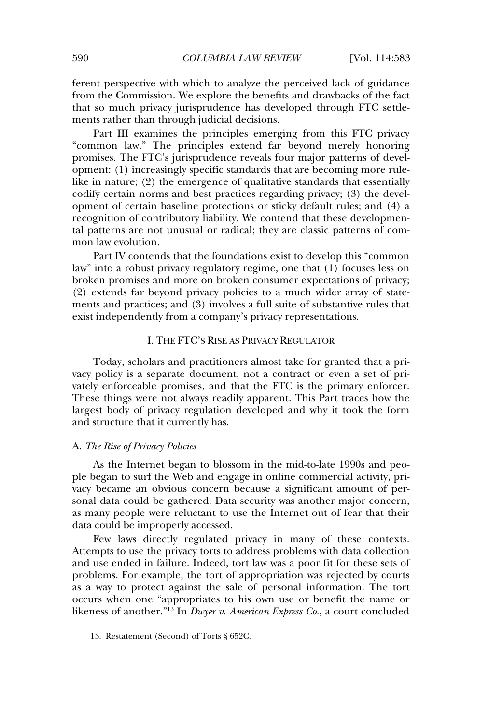ferent perspective with which to analyze the perceived lack of guidance<br>from the Commission. We explore the benefits and drawbacks of the fact from the Commission. We explore the benefits and drawbacks of the fact that so much privacy jurisprudence has developed through FTC settle- $\frac{1}{2}$  is rather than through judicial decisions. ments rather than through judicial decisions.<br>Part III examines the principles emerging from this FTC privacy

promises the FTC-state reveals for the second merely honoring. promises. The FTC's jurisprudence reveals four major patterns of development: (1) increasingly specific standards that are becoming more ruleopment: (1) increasingly specific standards that are becoming more rulecodify certain norms and best practices regarding privacy; (3) the devel-<br>codify certain norms and best practices regarding privacy; (3) the developtify certain norms and best practices regarding privacy; (3) the development of certain baseline protections or sticky default rules; and (4) a recognition of certain baseline protections or sticky default rules; and (4) a<br>recognition of contributory liability. We contend that these developmenthe patterns are not unusual or radical; they are classic patterns of com-<br>tal patterns are not unusual or radical; they are classic patterns of comrecognition of con-<br>tal patterns are no<br>mon law evolution. mon law evolution.

mon law evolution.<br>
Part IV contends that the foundations exist to develop this "common<br>
law" into a robust privacy regulatory regime, one that (1) focuses less on broken promises and more on broken consumer expectations of privacy;<br>broken promises and more on broken consumer expectations of privacy; (2) extends far beyond privacy policies to a much wider array of state-<br>(2) extends far beyond privacy policies to a much wider array of statements and promises and more on protein constanter expeditions of privacy,<br>(2) extends far beyond privacy policies to a much wider array of state-<br>ments and practices: and (3) involves a full suite of substantive rules that  $\left( \frac{1}{2} \right)$  enters and  $\left( \frac{3}{2} \right)$  involves a full suite of substantive exist independently from a company's privacy representations. exist independently from a company's privacy representations.

#### <sup>T</sup>HE FTC'<sup>S</sup> <sup>R</sup>ISE AS <sup>P</sup>RIVACY <sup>R</sup>EGULATOR

 scholars and practitioners almost take for granted that a pri-vacy policy is a separate document, not a contract or even a set of privacy policy is a separate document, not a contract or even a set of privately enforceable promises, and that the FTC is the primary enforcer. vately enforceable promises, and that the FTC is the primary enforcer. largest body of privacy regulation developed and why it took the form largest body of privacy regulation developed and why it took the form  $\sum_{i=1}^{n}$ 

#### *The Rise of Privacy Policies*

As the Internet began to blossom in the mid-to-late 1990s and people began to surf the Web and engage in online commercial activity, privacy became an obvious concern because a significant amount of peras many people were reluctant to use the Internet out of fear that their<br>as many people were reluctant to use the Internet out of fear that their as many people were reluctant to<br>data could be improperly accessed. data could be improperly accessed.

data could be improperly accessed.<br>Few laws directly regulated privacy in many of these contexts.<br>Attempts to use the privacy torts to address problems with data collection Attempts to use the privacy torts to address problems with data collection problems. For example, the tort of appropriation was rejected by courts<br>problems. For example, the tort of appropriation was rejected by courts and also shall in familier material, the familiar a post the lot antest season<br>problems. For example, the tort of appropriation was rejected by courts<br>as a way to protect against the sale of personal information. The tort as a way to protect against the sale of personal information. The tort Let a *nay* be proceed against the same or personal information. The corrections of another."<sup>13</sup> In *Dwyer v. American Express Co.*, a court concluded

<sup>13.</sup> Restaurant (Second) of Torts § 652C. Restaurant § 652C. Restaurant § 652C. Res 13. Restatement (Second) of Torts § 652C.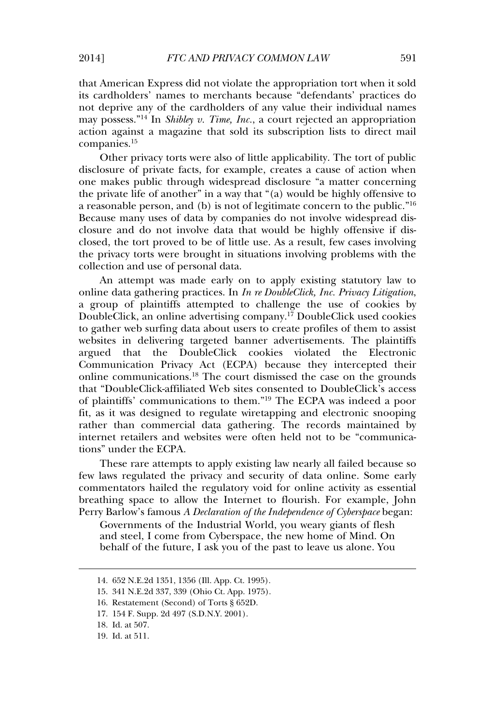Express did not violate the appropriation tort when it sold its cardholders' names to merchants because "defendants' practices do not deprive any of the cardholders of any value their individual names<br>not deprive any of the cardholders of any value their individual names may can different interests. <sup>12</sup> cardinately hanned to incremental security contribution and the most deprive any of the cardholders of any value their individual names may possess.<sup>"14</sup> In *Shibley v. Time, Inc.*, a court rejected an appropriation a action against a magazine that sold its subscription lists to direct mail  $panies.^{15}$ 

companies.<sup>15</sup><br>Other privacy torts were also of little applicability. The tort of public<br>disclosure of private facts, for example, creates a cause of action when disclosure of private facts, for example, creates a cause of action when<br>one makes public through widespread disclosure "a matter concerning the private life of another" in a way that "(a) would be highly offensive to<br>the private life of another" in a way that "(a) would be highly offensive to the private life of another" in a way that "(a) would be highly offensive to<br>a reasonable person, and (b) is not of legitimate concern to the public."<sup>16</sup> Because many uses of data by companies do not involve widespread dis-<br>Because many uses of data by companies do not involve widespread disconstruct person, and (s) state or ignuing controlled to the paster.<br>Because many uses of data by companies do not involve widespread dis-<br>closure and do not involve data that would be highly offensive if disclosure and do not involve data that would be highly offensive if disclosed, the tort proved to be of little use. As a result, few cases involving the privacy torts were brought in situations involving problems with the privacy torts were brought in situations involving problems with the the privacy torts were brought in situations involving problems with the  $\frac{1}{2}$  and use of personal data.

collection and use of personal data.<br>An attempt was made early on to apply existing statutory law to online data gathering practices. In *In re DoubleClick, Inc. Privacy Litigation*, Fin determine that the carry of the apply of statutes,  $\int$  and the condition of plaintiffs attempted to challenge the use of cookies by a group of plaintiffs attempted to challenge the use of cookies by<br>DoubleClick, an online advertising company.<sup>17</sup> DoubleClick used cookies  $\frac{1}{2}$  boubleClick, an online advertising company.<sup>17</sup> DoubleClick used cookies to gather web surfing data about users to create profiles of them to assist to gather web surfing data about users to create profiles of them to assist argued that the DoubleClick cookies violated the Electronic argued that the DoubleClick cookies violated the The district in the contract of the contract of the contract of the contract of the contract of the communication Privacy Act (ECPA) because they intercepted their  $t_{\text{min}}$   $\frac{1}{2}$   $\frac{1}{2}$   $\frac{1}{2}$   $\frac{1}{2}$   $\frac{1}{2}$   $\frac{1}{2}$   $\frac{1}{2}$   $\frac{1}{2}$   $\frac{1}{2}$   $\frac{1}{2}$   $\frac{1}{2}$   $\frac{1}{2}$   $\frac{1}{2}$   $\frac{1}{2}$   $\frac{1}{2}$   $\frac{1}{2}$   $\frac{1}{2}$   $\frac{1}{2}$   $\frac{1}{2}$   $\frac{1}{2}$   $\frac{1}{2}$  that "DoubleClick-affiliated Web sites consented to DoubleClick"<br>of plaintiffs' communications to them."<sup>19</sup> The ECPA was indeed that "DoubleClick-affiliated Web sites consented to DoubleClick's access<br>of plaintiffs' communications to them."<sup>19</sup> The ECPA was indeed a poor<br>fit, as it was designed to regulate wiretapping and electronic snooping rather than commercial data gathering. The records maintained by If the transmission of the second metal-particle internet retailers and websites were often held not to be "communicainternet retailers and websites were often held not to be "communications" under the ECPA.

tions" under the ECPA.<br>These rare attempts to apply existing law nearly all failed because so<br>few laws regulated the privacy and security of data online. Some early First rate attempts to apply entering fair nearly an interest security of the regulated the privacy and security of data online. Some early commentators hailed the regulatory void for online activity as essential beathing space to allow the Internet to flourish. For example, John<br>breathing space to allow the Internet to flourish. For example, John breathing space to allow the Internet to flourish. For example, John mentations mande are regulately for the string and the control at thing space to allow the Internet to flourish. For example, John y Barlow's famous *A Declaration of the Independence of Cyberspace* began:

France is the statement of the Industrial World, you weary giants of flesh<br>and steel, I come from Cyberspace, the new home of Mind. On behalf of the future. I ask you of the past to leave us alone. You behalf of the future. I ask you of the past to leave us alone. You

14. 652 N.E. 2d 1351, 1352, 1352, 1352, 1352, 1352, 1352, 1352, 1352, 1352, 1352, 1352, 1352, 1352, 1352, 1352

<sup>14. 652</sup> N.E.2d 1351, 1356 (Ill. App. Ct. 1995).

<sup>15. 341</sup> N.E.2d 337, 339 (Ohio Ct. App. 1975).

<sup>16.</sup> Restatement (Second) of Torts § 652D.<br>17. 154 F. Supp. 2d 497 (S.D.N.Y. 2001).

<sup>17. 154</sup> F. Supp. 2d 497 (S.D.N.Y. 2001).

<sup>18.</sup> Id. at 507.

<sup>19.</sup> Id. at 511.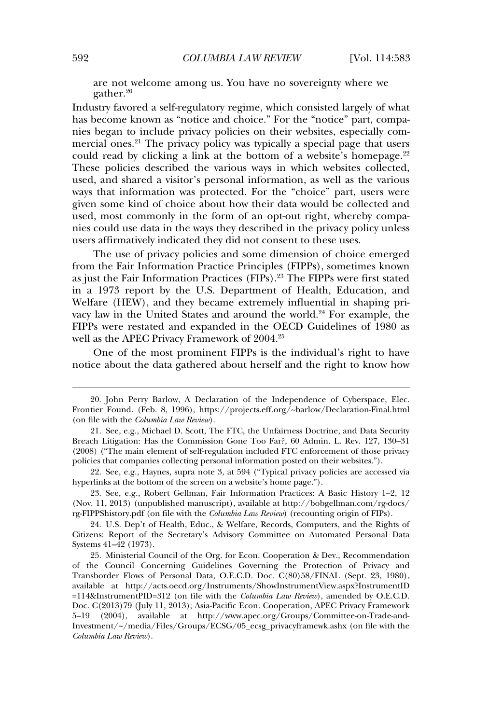we consider the contract of the process of the contract of the contract of the contract of the contract of the contract of the contract of the contract of the contract of the contract of the contract of the contract of the  $\sigma$ ather.<sup>20</sup> gather.<sup>20</sup><br>Industry favored a self-regulatory regime, which consisted largely of what

nies began to include privacy policies on their websites angle of mathematics began to include privacy policies on their websites, especially commercial ones.<sup>21</sup> The privacy policies on their websites, especially com-<br>mercial ones.<sup>21</sup> The privacy policy was typically a special page that users mercial ones.<sup>21</sup> The privacy policy was typically a special page that users<br>could read by clicking a link at the bottom of a website's homepage.<sup>22</sup> The principle mast operation as experiment process could read by clicking a link at the bottom of a website's homepage.<sup>22</sup><br>These policies described the various ways in which websites collected. These policies described the various ways in which websites collected, used, and shared a visitor's personal information, as well as the various used, and shared a visitor's personal information, as well as the various ways that information was protected. For the "choice" part, users were used, most commonly in the form of an opt-out right, whereby compa-<br>used, most commonly in the form of an opt-out right, whereby compaused, most commonly in the form of an opt-out right, whereby compaused, more commonly in the form of an ope our right, interesty comparies could use data in the ways they described in the privacy policy unless uses. users affirmatively indicated they did not consent to these uses. users affirmatively indicated they did not consent to these uses.<br>The use of privacy policies and some dimension of choice emerged

From the Fair Information Practice Principles (FIPPs), sometimes known<br>as just the Fair Information Practices (FIPs).<sup>23</sup> The FIPPs were first stated If the Fair Information Practices (FIPs).<sup>23</sup> The FIPPs were first stated<br>in a 1973 report by the U.S. Department of Health. Education, and in a 1973 report by the U.S. Department of Health, Education, and vacy law in the United States and around the world.<sup>24</sup> For example, the Vacy law in the United States and around the world.<sup>24</sup> For example, the FIFT (FIGURE), the state and around the world.<sup>24</sup> For example, the FIPPs were restated and expanded in the OECD Guidelines of 1980 as FIPPs were restated and expanded in the OI<br>well as the APEC Privacy Framework of 2004.<sup>25</sup> well as the APEC Privacy Framework of  $2004.^{25}$ 

One of the most prominent FIPPs is the individual's right to have notice about the data gathered about herself and the right to know how

20. John Perry Barlow, A Declaration

policies that companies collecting personal information posted on their websites.").<br>22. See, e.g., Haynes, supra note 3, at 594 ("Typical privacy policies are accessed via<br>hyperlinks at the bottom of the screen on a websi hyperlinks at the bottom of the screen on a website's home page.").

hyperlinks at the bottom of the screen on a website's home page.").<br>23. See, e.g., Robert Gellman, Fair Information Practices: A Basic History 1–2, 12<br>(Nov. 11, 2013) (unpublished manuscript), available at http://bobgellma rg-FIPPShistory.pdf (on file with the *Columbia Law Review*) (recounting origin of FIPs). PPShistory.pdf (on file with the *Columbia Law Review*) (recounting origin of FIPs).<br>24. U.S. Dep't of Health, Educ., & Welfare, Records, Computers, and the Rights of

24. U.S. Dep't of Health, Educ., & Welfare, Records, Computers, and the Rights of Gitizens: Report of the Secretary's Advisory Committee on Automated Personal Data Citizens: Report of t<br>Systems 41–42 (1973). Systems 41-42 (1973).

25. Ministerial Council of the Org. for Econ. Cooperation & Dev., Recommendation of the Council Concerning Guidelines Governing the Protection of Privacy and of the Council Concerning Guidelines Governing the Protection of Privacy and<br>Transborder Flows of Personal Data, O.E.C.D. Doc. C(80)58/FINAL (Sept. 23, 1980), Transborder Flows of Personal Data, O.E.C.D. Doc. C(80)58/FINAL (Sept. 23, 1980), =114&InstrumentPID=312 (on file with the *Columbia Law Review*), amended by O.E.C.D. =114&InstrumentPID=312 (on file with the *Columbia Law Review*), amended by O.E.C.D.<br>Doc. C(2013)79 (July 11, 2013); Asia-Pacific Econ. Cooperation, APEC Privacy Framework Doc. C(2013)79 (July 11, 2013); Asia-Pacific Econ. Cooperation, APEC Privacy Framework 5–19 (2004), available at http://www.apec.org/Groups/Committee-on-Trade-and-<br>Investment/~/media/Files/Groups/ECSG/05\_ecsg\_privacyframewk.ashx (on file with the *Columbia Law Review*).

<sup>20.</sup> John Perry Barlow, A Declaration of the Independence of Cyberspace, Elec. Frontier Found. (Feb. 8, 1996), https://projects.eff.org/~barlow/Declaration-Final.html<br>(on file with the *Columbia Law Review*). (on file with the *Columbia Law Review*).

<sup>(</sup>on file with the *Columbia Law Review*).<br>
21. See, e.g., Michael D. Scott, The FTC, the Unfairness Doctrine, and Data Security<br>
Breach Litigation: Has the Commission Gone Too Far?, 60 Admin. L. Rev. 127, 130–31 (2008) ("The main element of self-regulation included FTC enforcement of those privacy)<br>(2008) ("The main element of self-regulation included FTC enforcement of those privacy) (2008) ("The main element of self-regulation included FTC enforcement of those policies that companies collecting personal information posted on their websites."). policies that companies collecting personal information posted on their websites.").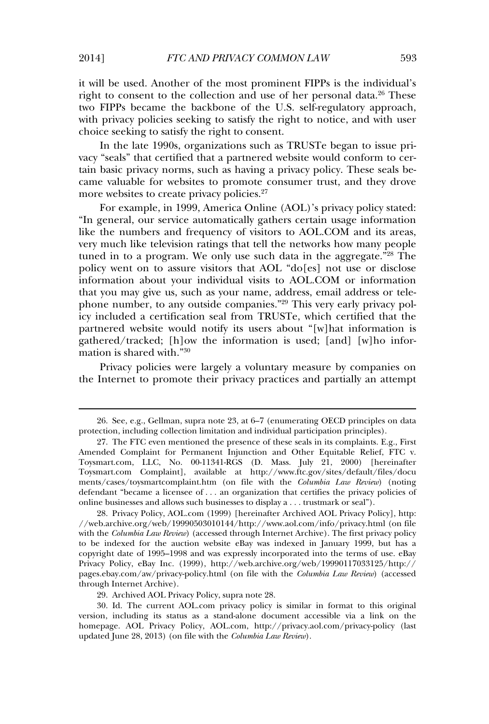it will be used. Another of the most prominent FIPPs is the individual's<br>right to consent to the collection and use of her personal data.<sup>26</sup> These to the second interface of the most profilement of the the mathematic right to consent to the collection and use of her personal data.<sup>26</sup> These two FIPPs became the backbone of the U.S. self-regulatory approach, where the backbone of the U.S. self-regulatory approach, with privacy policies seeking to satisfy the right to notice, and with user Figure 11115 Seeking to satisfy the right to consent.<br>
Seeking to satisfy the right to consent. choice seeking to satisfy the right to consent.

choice seeking to satisfy the right to consent.<br>
In the late 1990s, organizations such as TRUSTe began to issue pri-<br>
vacy "seals" that certified that a partnered website would conform to cervacy "seals" that certified that a partnered website would conform to cercally being the continuous matter that a parameter website website consumer trust. These seals became valuable for websites to promote consumer trust, and they drove came valuable for websites to promote<br>more websites to create privacy policies.<sup>27</sup> more websites to create privacy policies.<sup>27</sup>

For example, in 1999, America Online (AOL)'s privacy policy stated:<br>"In general, our service automatically gathers certain usage information If the numbers and frequency of visitors to AOL.COM and its areas,<br>like the numbers and frequency of visitors to AOL.COM and its areas, In general, our service differentiation, gainers certain tange information<br>like the numbers and frequency of visitors to AOL.COM and its areas,<br>very much like television ratings that tell the networks how many people tuned in the television ratings that  $\frac{1}{2}$  be a program. The aggregate of  $\frac{1}{2}$  tuned in the aggregate. The aggregate of  $\frac{1}{2}$  and  $\frac{1}{2}$  and  $\frac{1}{2}$  and  $\frac{1}{2}$  and  $\frac{1}{2}$  and  $\frac{1}{2}$  and  $\frac{1}{2}$ policy matrix are chosen ratings that can the network from many people<br>tuned in to a program. We only use such data in the aggregate.<sup>"28</sup> The<br>policy went on to assure visitors that AOL "do[es] not use or disclose ed area in the a program. The only also start data in the aggregate: The<br>policy went on to assure visitors that AOL "do[es] not use or disclose<br>information about your individual visits to AOL.COM or information that you may give us, such as your name, address, email address or tele-<br>that you may give us, such as your name, address, email address or tele- $\frac{1}{2}$  that is a summer number of  $\frac{1}{2}$  and  $\frac{1}{2}$  and  $\frac{1}{2}$  and  $\frac{1}{2}$  and  $\frac{1}{2}$  and  $\frac{1}{2}$  and  $\frac{1}{2}$  and  $\frac{1}{2}$  and  $\frac{1}{2}$  and  $\frac{1}{2}$  and  $\frac{1}{2}$  and  $\frac{1}{2}$  and  $\frac{1}{2}$  and  $\$ phone number, to any outside companies."<sup>29</sup> This very early privacy polprofit names, it any statute companies.<br>icy included a certification seal from TRUSTe, which certified that the<br>partnered website would notify its users about "[w]hat information is partnered website would notify its users about "[w]hat information is gathered/tracked; [h]ow the information is used; [and] [w]ho inforon is shared with.<sup>"30</sup>

Privacy policies were largely a voluntary measure by companies on<br>the Internet to promote their privacy practices and partially an attempt

26. See, e.g., Gellman, supra note 23, at 6–7 (enumerating OECD principles

<sup>26.</sup> See, e.g., Gellman, supra note 23, at 6–7 (enumerating OECD principles on data<br>protection, including collection limitation and individual participation principles). ection, including collection limitation and individual participation principles).<br>27. The FTC even mentioned the presence of these seals in its complaints. E.g., First

<sup>27.</sup> The FTC even mentioned the presence of these seals in its complaints. E.g., First<br>Amended Complaint for Permanent Injunction and Other Equitable Relief. FTC v. Amended Complaint for Permanent Injunction and Other Equitable Relief, FTC v.<br>Toysmart.com, LLC, No. 00-11341-RGS (D. Mass. July 21, 2000) [hereinafter Toysmart.com Complaint], available at http://www.ftc.gov/sites/default/files/docu Toysmart.com Complaint], available at http://www.ftc.gov/sites/default/files/docu<br>ments/cases/toysmartcomplaint.htm (on file with the *Columbia Law Review*) (noting ments/cases/toysmartcomplaint.htm (on file with the *Columbia Law Review*) (noting defendant "became a licensee of ... an organization that certifies the privacy policies of defendant "became a licensee of  $\dots$  an organization that certifies the privacy online businesses and allows such businesses to display a  $\dots$  trustmark or seal"). online businesses and allows such businesses to display a . . . trustmark or seal"). online businesses and allows such businesses to display a . . . trustmark or seal").<br>28. Privacy Policy, AOL com (1999) [hereinafter Archived AOL Privacy Policy], http:

<sup>//</sup>web.archive.org/web/19990503010144/http://www.aol.com/info/privacy.html (on file<br>with the *Columbia Law Review*) (accessed through Internet Archive). The first privacy policy with the *Columbia Law Review*) (accessed through Internet Archive). The first privacy policy<br>to be indexed for the auction website eBay was indexed in January 1999, but has a to be indexed for the auction website eBay was indexed in January 1999, but has a<br>copyright date of 1995–1998 and was expressly incorporated into the terms of use. eBay Privacy Policy, eBay Inc. (1999), http://web.archive.org/web/19990117033125/http:// Privacy Policy, eBay Inc. (1999), http://web.archive.org/web/19990117033125/http://<br>pages.ebay.com/aw/privacy-policy.html (on file with the *Columbia Law Review*) (accessed pages.ebay.com/aw/privac<br>through Internet Archive). through Internet Archive). ugh Internet Archive).<br>29. Archived AOL Privacy Policy, supra note 28.

<sup>29.</sup> Archived AOL Privacy Policy, supra note 28.<br>
30. Id. The current AOL com privacy policy is similar in format to this original<br>
version, including its status as a stand-alone document accessible via a link on the homepage. AOL Privacy Policy, AOL.com, http://privacy.aol.com/privacy-policy (last homepage. AOL Privacy Policy, AOL.com, http://privacy.aupdated June 28, 2013) (on file with the *Columbia Law Review*).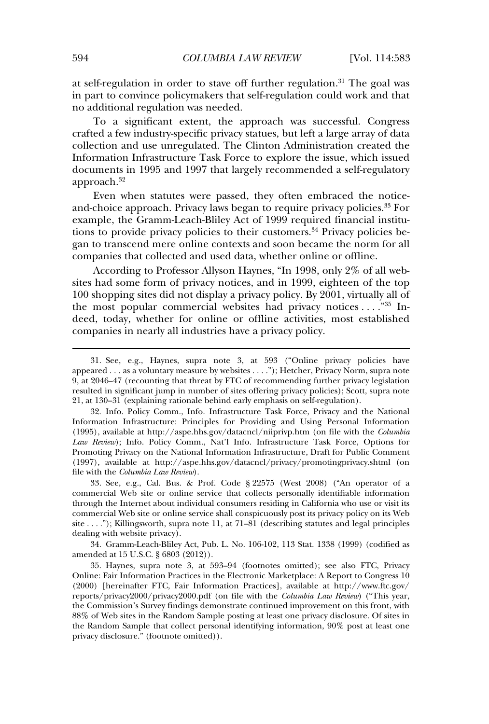at self-regulation in order to stave off further regulation. $31$  The goal was no additional regulation was needed.<br>The general regulation could work and that<br>no additional regulation was needed. no additional regulation was needed. no additional regulation was needed.<br>To a significant extent, the approach was successful. Congress

crafted a few industry-specific privacy statues, but left a large array of data Information Infrastructure Task Force to explore the issue, which issued<br>Information Infrastructure Task Force to explore the issue, which issued Information Infrastructure Task Force to explore the issue, which issued documents in 1995 and 1997 that largely recommended a self-regulatory  $\rm{each.^{32}}$ 

approach.<sup>32</sup><br>Even when statutes were passed, they often embraced the notice-<br>and-choice approach. Privacy laws began to require privacy policies.<sup>33</sup> For  $\frac{1}{2}$  and-choice approach. Privacy laws began to require privacy policies.<sup>33</sup> For the Gramm-Leach Time, and  $\frac{1}{2}$  and  $\frac{1}{2}$  of the primary policies in the example, the Gramm-Leach-Bliley Act of 1999 required financial institutions began to transcend mere online contexts and soon became the norm for all<br>gan to transcend mere online contexts and soon became the norm for all parties that collected and used data, whether online or offline. companies that collected and used data, whether online or offline. %<br>companies that collected and used data, whether online or offline.<br>According to Professor Allyson Haynes, "In 1998, only 2% of all web-

1100 shopping sites did not display a privacy policy. By 2001, virtually all of 100 shopping sites did not display a privacy policy. By 2001, virtually all of the mass mass point of privacy notices, and in recession of the most point of the shopping sites did not display a privacy policy. By 2001, virtually all of the most popular commercial websites had privacy notices....<sup>735</sup> Indeed, today, whether for online or offline activities, most established companies in nearly all industries have a privacy companies in nearly all industries have a privacy policy.

file with the *Columbia Law Review*).<br>
23. See, e.g., Cal. Bus. & Prof. Code § 22575 (West 2008) ("An operator of a<br>
commercial Web site or online service that collects personally identifiable information through the Internet about individual consumers residing in California who use or visit its<br>through the Internet about individual consumers residing in California who use or visit its through the Internet about individual consumers residing in California who use or visit its commercial Web site or online service shall conspicuously post its privacy policy on its Web commercial Web site or online service shall conspicuously post its privacy policy on its Web<br>site . . . ."); Killingsworth, supra note 11, at 71–81 (describing statutes and legal principles site ...."); Killingsworth, supra note 11, at  $71-81$  (describing statutes and legal principles  $\log$  with website privacy.

dealing with website privacy).<br>
34. Gramm-Leach-Bliley Act, Pub. L. No. 106-102, 113 Stat. 1338 (1999) (codified as<br>
amended at 15 U.S.C. § 6803 (2012)). amended at 15 U.S.C. § 6803 (2012)).

amended at 15 U.S.C. § 6803 (2012)).<br>35. Haynes, supra note 3, at 593–94 (footnotes omitted); see also FTC, Privacy<br>Online: Fair Information Practices in the Electronic Marketplace: A Report to Congress 10 (2000) [hereinafter FTC, Fair Information Practices], available at http://www.ftc.gov/<br>(2000) [hereinafter FTC, Fair Information Practices], available at http://www.ftc.gov/ reports/privacy2000/privacy2000.pdf (on file with the *Columbia Law Review*) ("This year, the Commission's Survey findings demonstrate continued improvement on this front, with the Commission's Survey findings demonstrate continued improvement on this front, with the Commission's Survey findings demonstrate continued improvement on this front, with<br>88% of Web sites in the Random Sample posting at least one privacy disclosure. Of sites in 88% of Web sites in the Random Sample posting at least one privacy disclosure. Of sites in<br>the Random Sample that collect personal identifying information. 90% post at least one the Random Sample that collect persor<br>privacy disclosure." (footnote omitted)).

31. See, e.g.,

Haynes, supra note 3, at 593 ("Online privacy policies have appeared . . . as a voluntary measure by websites . . . ."); Hetcher, Privacy Norm, supra note appeared . . . as a voluntary measure by websites . . . ."); Hetcher, Privacy Norm, supra note<br>9. at 2046–47 (recounting that threat by FTC of recommending further privacy legislation resulted in significant jump in number of sites offering privacy policies); Scott, supra note resulted in significant jump in number of sites offering privacy policies); Scot<br>21, at 130–31 (explaining rationale behind early emphasis on self-regulation). 21, at 130-31 (explaining rationale behind early emphasis on self-regulation).

<sup>21,</sup> at 130–31 (explaining rationale behind early emphasis on self-regulation).<br>
32. Info. Policy Comm., Info. Infrastructure Task Force, Privacy and the National<br>
Information Infrastructure: Principles for Providing and Us Information Infrastructure: Principles for Providing and Using Personal Information (1995), available at http://aspe.hhs.gov/datacncl/niiprivp.htm (on file with the *Columbia* (1995), available at http://aspe.hhs.gov/datacncl/niiprivp.htm (on file with the *Columbia Law Review*); Info. Policy Comm., Nat'l Info. Infrastructure Task Force, Options for Promoting Privacy on the National Information Promoting Privacy on the National Information Infrastructure, Draft for Public Comment (1997), available at http://aspe.hhs.gov/datacncl/privacy/promotingprivacy.shtml (on file with the *Columbia Law Review*). file with the Columbia Law Review).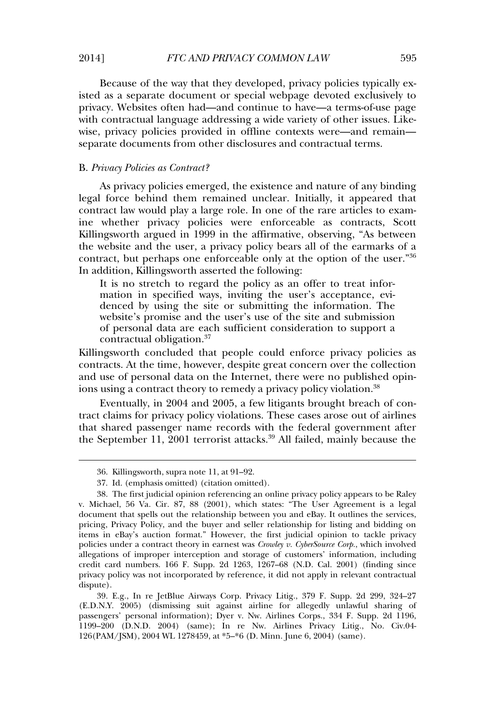Because of the way that they developed, privacy policies typically exprivacy. Because of the may make they developed, privacy penetre eypreally on privacy. Websites often had—and continue to have—a terms-of-use page<br>with contractual language addressing a wide variety of other issues. Likewith contractual language addressing a wide variety of other issues. Likewise, privacy policies provided in offline contexts were—and remain wise, privacy policies provided in offline contexts were—and remain separate abentificial from outer and constant contractant terms.

### *Privacy Policies as Contract?*

As privacy policies emerged, the existence and nature of any binding. contract law would play a large role. In one of the rare articles to exam-<br>contract law would play a large role. In one of the rare articles to examingularities whether privacy policies were enforceable as contracts. Scott<br>ine whether privacy policies were enforceable as contracts. Scott Exercise fact we see pay a large 1999. In the or the rate at active to enant<br>ine whether privacy policies were enforceable as contracts, Scott<br>Killingsworth argued in 1999 in the affirmative, observing, "As between the whence privacy polices were embrecasied as contracts, been<br>Killingsworth argued in 1999 in the affirmative, observing, "As between<br>the website and the user, a privacy policy bears all of the earmarks of a the website and the user, a privacy policy bears all of the earmarks of a In a measure and the aser, a printey policy sears an or the carminal or a<br>contract, but perhaps one enforceable only at the option of the user."<sup>36</sup><br>In addition, Killingsworth asserted the following: In addition, Killingsworth asserted the following:

dition, Killingsworth asserted the following:<br>It is no stretch to regard the policy as an offer to treat infor-<br>mation in specified ways, inviting the user's acceptance, evimation in specified ways, inviting the user's acceptance, evimation in specified ways, inviting the user's acceptance, evidenced by using the site or submitting the information. The deficed by using the site of subfiniting the information. The<br>website's promise and the user's use of the site and submission<br>of personal data are each sufficient consideration to support a website s promise and the<br>of personal data are ead<br>contractual obligation.<sup>37</sup> contractual obligation.<sup>37</sup> contractual obligation.<sup>37</sup><br>Killingsworth concluded that people could enforce privacy policies as

Framison and use of personal data on the Internet, there were no published opin-<br>and use of personal data on the Internet, there were no published opinand use of personal data on the Internet, there were no published opinusing a contract theory to remedy a privacy policy violation.<sup>38</sup>

ions using a contract theory to remedy a privacy policy violation.<sup>38</sup><br>Eventually, in 2004 and 2005, a few litigants brought breach of con-<br>tract claims for privacy policy violations. These cases arose out of airlines that shared passenger name records with the federal government after<br>that shared passenger name records with the federal government after that shared passenger name records with the federal government after<br>the September 11, 2001 termorist attacks.<sup>39</sup> All failed, mainly because the the September 11, 2001 terrorist attacks.<sup>39</sup> All failed, mainly because the

36. Killingsworth, supra note

<sup>36.</sup> Killingsworth. supra note 11. at 91–92.

<sup>37.</sup> Id. (emphasis omitted) (citation omitted).

<sup>37.</sup> Id. (emphasis omitted) (citation omitted).<br>38. The first judicial opinion referencing an online privacy policy appears to be Raley 38. The first judicial opinion referencing an online privacy policy appears to be Raley<br>v. Michael, 56 Va. Cir. 87, 88 (2001), which states: "The User Agreement is a legal<br>document that spells out the relationship between document that spells out the relationship between you and eBay. It outlines the services, pricing, Privacy Policy, and the buyer and seller relationship for listing and bidding on pricing, Privacy Policy, and the buyer and seller relationship for listing and bidding on<br>items in eBay's auction format." However, the first judicial opinion to tackle privacy items in eBay's auction format." However, the first judicial opinion to tackle privacy<br>policies under a contract theory in earnest was *Crowley v. CyberSource Corp.*, which involved policies under a contract theory in earnest was *Crowley v. CyberSource Corp.*, which involved allegations of improper interception and storage of customers' information, including allegations of improper interception and storage of customers' information, including predit card numbers. 166 F. Supp. 2d 1263, 1267–68 (N.D. Cal. 2001) (finding since<br>privacy policy was not incorporated by reference, it did not apply in relevant contractual privacy policy was not incorporated by reference, it did not apply in relevant contractual  $\alpha$  i.e.,  $\alpha$ 

dispute).<br>39. E.g., In re JetBlue Airways Corp. Privacy Litig., 379 F. Supp. 2d 299, 324–27<br>(E.D.N.Y. 2005) (dismissing suit against airline for allegedly unlawful sharing of passengers' personal information); Dyer v. Nw. Airlines Corps., 334 F. Supp. 2d 1196, passengers' personal information); Dyer v. Nw. Airlines Corps., 334 F. Supp. 2d 1196,<br>1199–200 (D.N.D. 2004) (same): In re Nw. Airlines Privacy Litig., No. Civ.04-1199–200 (D.N.D. 2004) (same); In re Nw. Airlines Privacy Litig.,<br>126(PAM/ISM), 2004 WL 1278459, at \*5–\*6 (D. Minn. June 6, 2004) (same).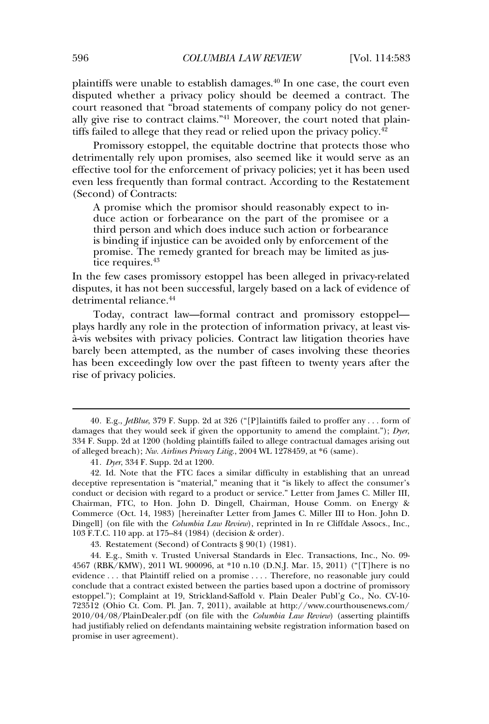plaintiffs were unable to establish damages.<sup>40</sup> In one case, the court even<br>disputed whether a privacy policy should be deemed a contract. The plantation were analyzed to exact that almaysed. In one case, are court over<br>disputed whether a privacy policy should be deemed a contract. The<br>court reasoned that "broad statements of company policy do not generally give respect that  $\alpha$  is the contract contract contract that  $\alpha$  is the court noted that  $\alpha$  is a company policy do not general plane  $\alpha$ . the contract data of the statements of company policy as the gally give rise to contract claims.<sup> $n_{41}$ </sup> Moreover, the court noted that priffs failed to allege that they read or relied upon the privacy policy.<sup>42</sup> tiffs failed to allege that they read or relied upon the privacy policy.<sup>42</sup>

Promissory estoppel, the equitable doctrine that protects those who detrimentally rely upon promises, also seemed like it would serve as an effective tool for the enforcement of privacy policies; yet it has been used<br>effective tool for the enforcement of privacy policies; yet it has been used effective tool for the enforcement of privacy policies; yet it has been used even less frequently than formal contract. According to the Restatement<br>(Second) of Contracts: (Second) of Contracts:

ond) of Contracts:<br>A promise which the promisor should reasonably expect to in-<br>duce action or forbearance on the part of the promisee or a The promise which the promisor should reasonably expect to in-<br>duce action or forbearance on the part of the promisee or a<br>third person and which does induce such action or forbearance is binding if injustice can be avoided only by enforcement of the binding if injustice can be avoided only by enforcement of the promise. The remedy granted for breach may be limited as ius-<br>promise. The remedy granted for breach may be limited as juspromise. The remedy granted for breach may be limited as jus- $\frac{1}{2}$  tice requires.<sup>43</sup> tice requires.<sup>43</sup><br>In the few cases promissory estoppel has been alleged in privacy-related

disputes, it has not been successful, largely based on a lack of evidence of<br>detrimental reliance.<sup>44</sup> detrimental reliance.<sup>44</sup>

Today, contract law—formal contract and promissory estoppel—<br>plays hardly any role in the protection of information privacy, at least visplays hardly any role in the protection of information privacy, at least vis-<br>
in websites with privacy policies. Contract law litigation theories have barely the map and the procedure of matematical pressures, as the number of cases involving these theories have<br>barely been attempted, as the number of cases involving these theories barely been attempted, as the number of cases involving these theories has been exceedingly low over the past fifteen to twenty years after the rise of privacy policies.

40

43. Restatement (Second) of Contracts  $\S 90(1)$  (1981).

43. Restatement (Second) of Contracts § 90(1) (1981).<br>44. E.g., Smith v. Trusted Universal Standards in Elec. Transactions, Inc., No. 09-<br>4567 (RBK/KMW), 2011 WL 900096, at \*10 n.10 (D.N.J. Mar. 15, 2011) ("[T]here is no 4567 (RBK/KMW), 2011 WL 900096, at \*10 n.10 (D.N.J. Mar. 15, 2011) ("[T]here is no revidence ... that Plaintiff relied on a promise ... Therefore, no reasonable jury could evidence . . . that Plaintiff relied on a promise . . . . Therefore, no reasonable jury could<br>conclude that a contract existed between the parties based upon a doctrine of promissory estoppel."); Complaint at 19, Strickland-Saffold v. Plain Dealer Publ'g Co., No. CV-10estoppel."); Complaint at 19, Strickland-Saffold v. Plain Dealer Publ'g Co., No. CV-10-723512 (Ohio Ct. Com. Pl. Jan. 7, 2011), available at http://www.courthousenews.com/<br>2010/04/08/PlainDealer.pdf (on file with the *Columbia Law Review*) (asserting plaintiffs  $\frac{2010}{04}$ /08/PlainDealer.pdf (on file with the *Columbia Law Review*) (asserting plaintiffs<br>had justifiably relied on defendants maintaining website registration information based on had justifiably relied on defer<br>promise in user agreement).

*<sup>.</sup>* E.g., *JetBlue*, 379 F. Supp. 2d at 326 ("[P]laintiffs failed to proffer any . . . form of damages that they would seek if given the opportunity to amend the complaint."); *Dyer*, damages that they would seek if given the opportunity to amend the complaint."); Dyer, 334 F. Supp. 2d at 1200 (holding plaintiffs failed to allege contractual damages arising out 334 F. Supp. 2d at 1200 (holding plaintiffs failed to allege contractual damage of alleged breach); *Nw. Airlines Privacy Litig.*, 2004 WL 1278459, at \*6 (same). of alleged breach); Nw. Airlines Privacy Litig., 2004 WL 1278459, at \*6 (same). eged breach); Nw. Airlines Privacy<br>41. Dyer, 334 F. Supp. 2d at 1200.

<sup>41.</sup> *Dyer*, 334 F. Supp. 2d at 1200.<br>42. Id. Note that the FTC faces a similar difficulty in establishing that an unread<br>deceptive representation is "material." meaning that it "is likely to affect the consumer's deceptive representation is "material," meaning that it "is likely to affect the consumer's<br>conduct or decision with regard to a product or service." Letter from James C. Miller III. conduct or decision with regard to a product or service." Letter from James C. Miller III,<br>Chairman, FTC, to Hon. John D. Dingell, Chairman, House Comm. on Energy & Chairman, FTC, to Hon. John D. Dingell, Chairman, House Comm. on Energy &<br>Commerce (Oct. 14, 1983) [hereinafter Letter from James C. Miller III to Hon. John D. Commerce (Oct. 14, 1983) [hereinafter Letter from James C. Miller III to Hon. John D. *Commerce* (Oct. 14, 1983) [hereinafter Letter from James C. Miller III to Hon. John D. Dingell] (on file with the *Columbia Law Review*), reprinted in In re Cliffdale Assocs., Inc., 103 F.T.C. 110 app. at 175–84 (1984) (d 103 F.T.C. 110 app. at 175-84 (1984) (decision & order).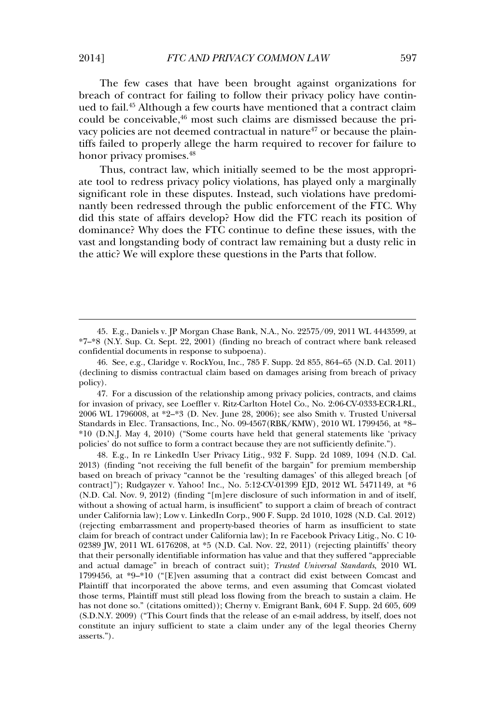Few cases that have been brought against organizations for The few cases that have been brought against organizations for  $\frac{1}{2}$  and to fail the state of the failing to follow their privacy policy have continued to fail. The contract claim could be conceivable,<sup>46</sup> most such claims are dismissed because the pri-<br>could be conceivable,<sup>46</sup> most such claims are dismissed because the pri- $\frac{1}{2}$  could be conceivable,  $\frac{46}{2}$  most such claims are dismissed because the pri $t$  the property allege the harm required to recover for failure to the plain-<br>tiffs failed to properly allege the harm required to recover for failure to tiffs failed to properly allege the harm required to recover for failure to or privacy promises.  $48^\circ$ honor privacy promises.<sup>48</sup><br>Thus, contract law, which initially seemed to be the most appropri-

significant role in these disputes. Instead, such violations have predomi-<br>significant role in these disputes. Instead, such violations have predomisignificant role in these disputes. Instead, such violations have predomidid this state of affairs develop? How did the FTC reach its position of the function of the FTC. Why did this state of affairs develop? How did the FTC reach its position of did this state of affairs develop? How did the FTC reach its position of dominance? Why does the FTC continue to define these issues, with the the attitude the attitude the attitude the second the parts that follows when the Parts that follows with the Parts that follows with the Parts that follows with the Parts that follows with the Parts that follows with the the attic? We will explore these questions in the Parts that follow.

policy).<br>47. For a discussion of the relationship among privacy policies, contracts, and claims<br>for invasion of privacy, see Loeffler v. Ritz-Carlton Hotel Co., No. 2:06-CV-0333-ECR-LRL 2006 WL 1796008, at \*2–\*3 (D. Nev. June 28, 2006); see also Smith v. Trusted Universal 2006 WL 1796008, at \*2–\*3 (D. Nev. June 28, 2006); see also Smith v. Trusted Universal<br>Standards in Elec. Transactions, Inc., No. 09-4567(RBK/KMW), 2010 WL 1799456, at \*8– % Standards in Elec. Transactions, Inc., No. 09-4567(RBK/KMW), 2010 WL 1799456, at \*8-<br>\*10 (D.N.L. May 4, 2010) ("Some courts have held that general statements like 'privacy policies' do not suffice to form <sup>a</sup> contract because they are not sufficiently definite."). 48. E.g., In re LinkedIn User Privacy Litig., 932 F. Supp. 2d 1089, 1094 (N.D. Cal.

<sup>2</sup> 48. E.g., In re LinkedIn User Privacy Litig.,  $932$  F. Supp. 2d 1089, 1094 (N.D. Cal. 2013) (finding "not receiving the full benefit of the bargain" for premium membership 2013) (finding "not receiving the full benefit of the bargain" for premium membership<br>based on breach of privacy "cannot be the 'resulting damages' of this alleged breach [of based on breach of privacy "cannot be the 'resulting damages' of this alleged breach [of<br>contract]"); Rudgayzer v. Yahoo! Inc., No. 5:12-CV-01399 EID, 2012 WL 5471149, at \*6  $\text{contract}$ "); Rudgayzer v. Yahoo! Inc., No. 5:12-CV-01399 EJD, 2012 WL 5471149, at  $*6$ <br>(N.D. Cal. Nov. 9, 2012) (finding "[m]ere disclosure of such information in and of itself, (N.D. Cal. Nov. 9, 2012) (finding "[m]ere disclosure of such information in and of itself, without a showing of actual harm, is insufficient" to support a claim of breach of contract without a showing of actual harm, is insufficient" to support a claim of breach of contract<br>under California law): Low v. LinkedIn Corp., 900 F. Supp. 2d 1010, 1028 (N.D. Cal. 2012) under California law); Low v. LinkedIn Corp., 900 F. Supp. 2d 1010, 1028 (N.D. Cal. 2012) (rejecting embarrassment and property-based theories of harm as insufficient to state<br>claim for breach of contract under California law); In re Facebook Privacy Litig., No. C 10claim for breach of contract under California law); In re Facebook Privacy Litig., No. C 10-<br>02389 IW, 2011 WL 6176208, at \*5 (N.D. Cal. Nov. 22, 2011) (rejecting plaintiffs' theory 02389 JW, 2011 WL 6176208, at  $*5$  (N.D. Cal. Nov. 22, 2011) (rejecting plaintiffs' theory that their personally identifiable information has value and that they suffered "appreciable" that their personally identifiable information has value and that they suffered "appreciable and actual damage" in breach of contract suit); *Trusted Universal Standards*, 2010 WL that their personally identifiable information has value and that they suffered "appreciable" 1799456, at  $*9-*10$  ("[E]ven assuming that a contract did exist between Comcast and Plaintiff that incorporated the above terms, and even assuming that Comcast violated Plaintiff that incorporated the above terms, and even assuming that Comcast violated<br>those terms. Plaintiff must still plead loss flowing from the breach to sustain a claim. He those terms, Plaintiff must still plead loss flowing from the breach to sustain a claim. He<br>has not done so." (citations omitted)); Cherny v. Emigrant Bank, 604 F. Supp. 2d 605, 609 has not done so." (citations omitted)); Cherny v. Emigrant Bank, 604 F. Supp. 2d 605, 609 (S.D.N.Y. 2009) ("This Court finds that the release of an e-mail address, by itself, does not constitute an injury sufficient to sta has not done so." (citations omitted)); Cherny v. Emigrant Bank, 604 F. Supp. 2d 605, 609 constitute an injury sufficient to state a claim under any of the legal theories Cherny asserts.").

45. E.g.,

<sup>45.</sup> E.g., Daniels v. JP Morgan Chase Bank, N.A., No. 22575/09, 2011 WL 4443599, at<br>\*7–\*8 (N.Y. Sup. Ct. Sept. 22, 2001) (finding no breach of contract where bank released  $*7-*8$  (N.Y. Sup. Ct. Sept. 22, 2001) (finding no confidential documents in response to subpoena). confidential documents in response to subpoena).

confidential documents in response to subpoena).<br>46. See, e.g., Claridge v. RockYou, Inc., 785 F. Supp. 2d 855, 864–65 (N.D. Cal. 2011)<br>(declining to dismiss contractual claim based on damages arising from breach of privac (declining to dismiss contractual claim based on damages arising from breach of privacy  $(y)$ .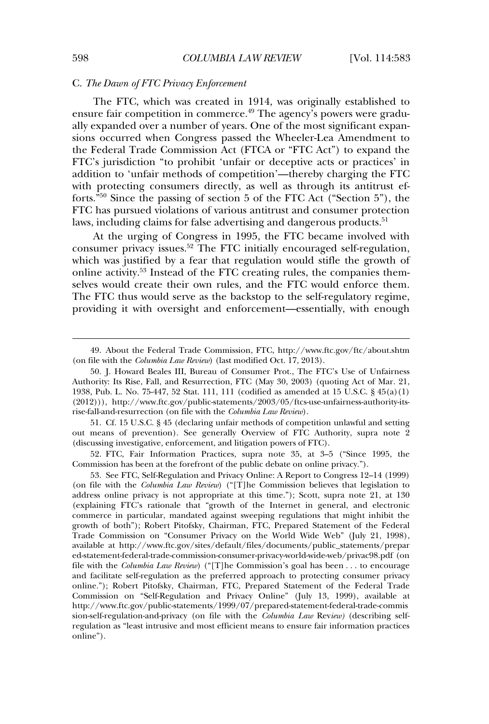#### *The Dawn of FTC Privacy Enforcement*

49. About the Federal Trade Commission,

The FTC, which was created in 1914, was originally established to The FTC, which was created in 1914, was originally established to ensure fair competition in commerce.<sup>49</sup> The agency's powers were gradually expanded over a number of years. One of the most significant expanthe Federal Trade Commission Act (FTCA or "FTC Act") to expand the the Federal Trade Commission Act (FTCA or "FTC Act") to expand the and Federal Frace commission receptive acts of the engines are<br>FTC's jurisdiction "to prohibit 'unfair or deceptive acts or practices' in<br>addition to 'unfair methods of competition'—thereby charging the FTC and addition to 'unfair methods of competition'—thereby charging the FTC with protecting consumers directly, as well as through its antitrust efforts. The passion of section  $\frac{1}{2}$  of the FTC Act ("Section 5"), the section  $\frac{1}{2}$  of the FTC Act ("Section 5"), the For  $\frac{1}{2}$  is the mass of section 5 of the FTC Act ("Section 5"), the FTC has pursued violations of various antitrust and consumer protection FTC has pursued violations of various antitrust and consumer protection including claims for false advertising and dangerous products.<sup>51</sup>

laws, including claims for false advertising and dangerous products.<sup>51</sup><br>At the urging of Congress in 1995, the FTC became involved with  $\frac{1}{2}$  consumer privacy issues.<sup>52</sup> The FTC initially encouraged self-regulation, which was justified by a fear that regulation would stifle the growth of online activity.<sup>53</sup> Instead of the FTC creating rules, the companies them-<br>online activity.<sup>53</sup> Instead of the FTC creating rules, the companies them- $\frac{1}{2}$  selves would create their own rules, and the FTC would enforce them. The FTC thus would serve as the backstop to the self-regulatory regime.<br>The FTC thus would serve as the backstop to the self-regulatory regime. providing it with oversight and enforcement—essentially, with enough<br>providing it with oversight and enforcement—essentially, with enough

51. Cf. 15 U.S.C. § 45 (declaring unfair methods of competition unlawful and setting means of prevention). See generally Overview of FTC Authority, supra note 2 out means of prevention). See generally Overview of FTC Authority, supra note 2 ussing investigative, enforcement, and litigation powers of FTC).

(discussing investigative, enforcement, and litigation powers of FTC).<br>
52. FTC, Fair Information Practices, supra note 35, at 3–5 ("Since 1995, the<br>
Commission has been at the forefront of the public debate on online priv mission has been at the forefront of the public debate on online privacy.").<br>53. See FTC, Self-Regulation and Privacy Online: A Report to Congress 12–14 (1999)

53. See FTC, Self-Regulation and Privacy Online: A Report to Congress 12–14 (1999) (on file with the *Columbia Law Review*) ("[T]he Commission believes that legislation to (on file with the *Columbia Law Review*) ("[T]he Commission believes that legislation to address online privacy is not appropriate at this time."): Scott, supra note 21, at 130 (on file with the *Columbia Law Review*) ("[T]he Commission believes that legislation to  $\overline{\text{cr}}$  (explaining FTC's rationale that "growth of the Internet in general, and electronic commerce in particular, mandated against sweeping regulations that might inhibit the<br>growth of both"): Robert Pitofsky, Chairman, FTC, Prepared Statement of the Federal growth of both"); Robert Pitofsky, Chairman, FTC, Prepared Statement of the Federal<br>Trade Commission on "Consumer Privacy on the World Wide Web" (July 21, 1998), Trade Commission on "Consumer Privacy on the World Wide Web" (July 21, 1998), available at http://www.ftc.gov/sites/default/files/documents/public\_statements/prepar ed-statement-federal-trade-commission-consumer-privacy-world-wide-web/privac98.pdf (on ed-statement-federal-trade-commission-consumer-privacy-world-wide-web/privac98.pdf (on<br>file with the *Columbia Law Review*) ("[T]he Commission's goal has been . . . to encourage<br>and facilitate self-regulation as the prefer and facilitate self-regulation as the preferred approach to protecting consumer privacy<br>online."): Robert Pitofsky, Chairman, FTC, Prepared Statement of the Federal Trade online."); Robert Pitofsky, Chairman, FTC, Prepared Statement of the Federal Trade Commission on "Self-Regulation and Privacy Online" (July 13, 1999), available at sion-self-regulation-and-privacy (on file with the *Columbia Law* Rev*iew)* (describing selfsion-self-regulation-and-privacy (on file with the *Columbia Law Review*) (describing self-<br>regulation as "least intrusive and most efficient means to ensure fair information practices regulation as "least intrusive and most efficient means to ensure fair information practices online").

<sup>49.</sup> About the Federal Trade Commission. FTC. http://www.ftc.gov/ftc/about.shtm 49. About the Federal Trade Commission, FTC, http://www.i<br>ile with the *Columbia Law Review*) (last modified Oct. 17, 2013).

<sup>(</sup>on file with the *Columbia Law Review*) (last modified Oct. 17, 2013).<br>
50. J. Howard Beales III, Bureau of Consumer Prot., The FTC's Use of Unfairness<br>
Authority: Its Rise, Fall, and Resurrection, FTC (May 30, 2003) (qu 1938, Pub. L. No. 75-447, 52 Stat. 111, 111 (codified as amended at 15 U.S.C. § 45(a)(1). All 1938, Pub. L. No. 75-447, 52 Stat. 111, 111 (codified as amended at 15 U.S.C. § 45(a)(1) 1938, Pub. L. No. 75-447, 52 Stat. 111, 111 (codified as amended at 15 U.S.C. §  $45(a)(1)$  $(2012))$ , http://www.ftc.gov/public-statements/2003/05/ftcs-use-unfairness-authority-its-2))), http://www.ftc.gov/public-statements/2003/05/ftcs-<br>all-and-resurrection (on file with the *Columbia Law Review*). % on (on file with the *Columbia Law Review*).<br>§ 45 (declaring unfair methods of competition unlawful and setting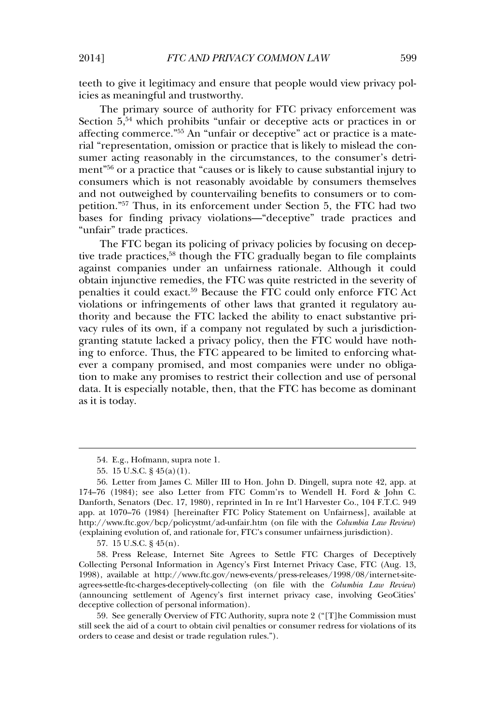and ensure that people would view privacy pol-icies as meaningful and trustworthy. icies as meaningful and trustworthy.

icies as meaningful and trustworthy.<br>
The primary source of authority for FTC privacy enforcement was<br>
Section 5.<sup>54</sup> which prohibits "unfair or deceptive acts or practices in or Section  $5.54$  which prohibits "unfair or deceptive" acts or practices in or affecting commerce."<sup>55</sup> An "unfair or deceptive" act or practice is a material "representation, omission or practice that is likely to mislead the conent interpresentation, contained by private and a many to interact are con-<br>sumer acting reasonably in the circumstances, to the consumer's detri-<br>ment"<sup>56</sup> or a practice that "causes or is likely to cause substantial inju consumers which is not reasonably avoidable by consumers themselves<br>consumers which is not reasonably avoidable by consumers themselves consumers which is not reasonably avoidable by consumers themselves performance when the technology average a) consumers increases and not outweighed by countervailing benefits to consumers or to competition."<sup>57</sup> Thus, in its enforcement under Section 5, the FTC had two petition."<sup>57</sup> Thus, in its enforcement under Section 5, the FTC had two bases for finding privacy violations—"deceptive" trade practices and  $\alpha$  air" trade practices.

"unfair" trade practices.<br>
The FTC began its policing of privacy policies by focusing on decep-<br>
tive trade practices  $^{58}$  though the FTC gradually began to file completes the  $\frac{1}{2}$  and  $\frac{1}{2}$  and  $\frac{1}{2}$  and  $\frac{1}{2}$  and  $\frac{1}{2}$  and  $\frac{1}{2}$  and  $\frac{1}{2}$  and  $\frac{1}{2}$  and  $\frac{1}{2}$  and  $\frac{1}{2}$  and  $\frac{1}{2}$  and  $\frac{1}{2}$  and  $\frac{1}{2}$  and  $\frac{1}{2}$  and  $\frac{1}{2}$  and  $\frac{1}{2$ are dude practices, through the FTC gradually segan to the complaints against companies under an unfairness rationale. Although it could penalties it could exact.<sup>59</sup> Because the FTC could only enforce FTC Act penalties it could exact.<sup>59</sup> Because the FTC could only enforce FTC Act penalties it could exact.<sup>59</sup> Because the FTC could only enforce FTC Act penanties to estimation and because the FTC lacked the ability to enact substantive pri-<br>thority and because the FTC lacked the ability to enact substantive privacuus of internal of states and states of eigenvalues of its own, if a company not regulated by such a jurisdictionexactly and sounds are the matter are always to characterize privacy rules of its own, if a company not regulated by such a jurisdiction-<br>granting statute lacked a privacy policy, then the FTC would have noth-In the FIC appeared to be limited to enforce.<br>Thus, the FIC appeared to be limited to enforcing whatevening statute and the relative of promised.<br>
The FTC appeared to be limited to enforcing what-<br>
ever a company promised, and most companies were under no obligathe company promised, and most companies were under no obliga-<br>tion to make any promises to restrict their collection and use of personal deals a bun-pair promises to restrict their collection and use of personal<br>data. It is especially notable, then, that the FTC has become as dominant data. It is especially notable, then, that the FTC has become as dominant as it is today.

57. 15 U.S.C.  $\S$  45(n).

57. 15 U.S.C. § 45(n).<br>58. Press Release, Internet Site Agrees to Settle FTC Charges of Deceptively<br>Collecting Personal Information in Agency's First Internet Privacy Case, FTC (Aug. 13, Collecting Personal Information in Agency's First Internet Privacy Case, FTC (Aug. 13, 1998), available at http://www.ftc.gov/news-events/press-releases/1998/08/internet-site-1998), available at http://www.ftc.gov/news-events/press-releases/1998/08/internet-site-agrees-settle-ftc-charges-deceptively-collecting (on file with the *Columbia Law Review*) (announcing settlement of Agency's first int (announcing settlement of Agency's first is<br>deceptive collection of personal information). deceptive collection of personal information).

deceptive collection of personal information).<br>59. See generally Overview of FTC Authority, supra note 2 ("[T]he Commission must<br>still seek the aid of a court to obtain civil penalties or consumer redress for violations of still seek the aid of a court to obtain civil penalties or<br>orders to cease and desist or trade regulation rules.").

<sup>54.</sup> E.g., Hofmann, supra note 1.54. E.g., Hofmann, supra note 1.

<sup>55. 15</sup> U.S.C.  $\S$  45(a)(1).

C. Miller III to Hon. John D. Dingell, supra note 42, app. at 174–76 (1984); see also Letter from FTC Comm'rs to Wendell H. Ford & John C. 174–76 (1984); see also Letter from FTC Comm'rs to Wendell H. Ford & John C.<br>Danforth, Senators (Dec. 17, 1980), reprinted in In re Int'l Harvester Co., 104 F.T.C. 949 Danforth, Senators (Dec. 17, 1980), reprinted in In re Int'l Harvester Co., 104 F.T.C. 949<br>app. at 1070–76 (1984) [hereinafter FTC Policy Statement on Unfairness], available at app. at 1070–76 (1984) [hereinafter FTC Policy Statement on Unfairness], available at<br>http://www.ftc.gov/bcp/policystmt/ad-unfair.htm (on file with the *Columbia Law Review*) (http://www.ftc.gov/bcp/policystmt/ad-unfair.htm (on file with the *Columbia Law I*<br>(explaining evolution of, and rationale for, FTC's consumer unfairness jurisdiction). (explaining evolution of, and rationale for, FTC's consumer unfairness jurisdiction).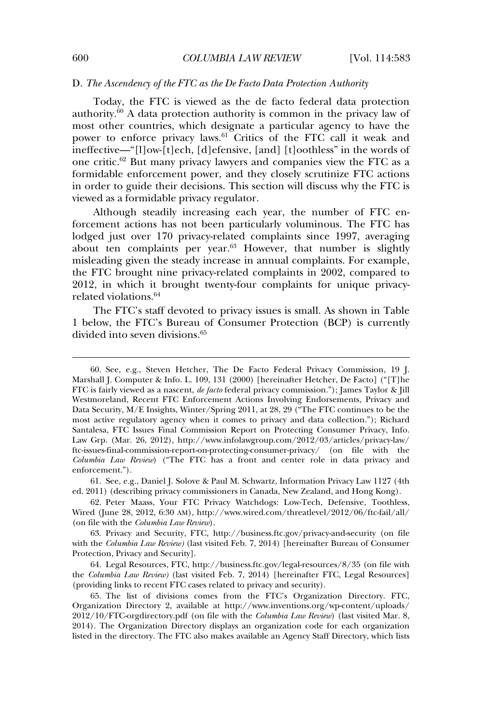#### The Ascendency of the FTC as the De Facto Data Protection Authority

D. *The Ascendency of the FTC as the De Facto Data Protection Authority*<br>Today, the FTC is viewed as the de facto federal data protection<br>authority.<sup>60</sup> A data protection authority is common in the privacy law of authority.<sup>60</sup> A data protection authority is common in the privacy law of most other countries, which designate a particular agency to have the most other countries, which designate a particular agency to have the most other countries, which designate a particular agency to have the power to enforce privacy laws.<sup>61</sup> Critics of the FTC call it weak and ineffective—"[1] ow-[t] ech, [d] efensive, [and] [t] oothless" in the words of one critic.<sup>62</sup> But many privacy lawyers and companies view the FTC as a formidable enforcement power, and they closely scrutinize FTC actions formidable enforcement power, and they closely scrutinize FTC actions In the critic. The many privacy hargers and companies from the FTC as a<br>formidable enforcement power, and they closely scrutinize FTC actions<br>in order to guide their decisions. This section will discuss why the FTC is Formalistic empressions power, and also<br>in order to guide their decisions. This se<br>viewed as a formidable privacy regulator. viewed as a formidable privacy regulator.

viewed as a formidable privacy regulator.<br>
Although steadily increasing each year, the number of FTC en-<br>
forcement actions has not been particularly voluminous. The FTC has logical straining interesting their years, are inherent actions has not been particularly voluminous. The FTC has<br>lodged just over 170 privacy-related complaints since 1997, averaging about ten complaints per year.<sup>63</sup> However, that number is slightly about ten complaints per year.<sup>63</sup> However, that number is slightly mode ten complaints per year.<sup>63</sup> However, that number is slightly misleading given the steady increase in annual complaints. For example, the FTC brought nine privacy-related complaints in 2002, compared to<br>the FTC brought nine privacy-related complaints in 2002, compared to the FTC brought nine privacy-related complaints in 2002, compared to 2012, in which it brought twenty-four complaints for unique privacyed violations. $^{64}$  $\frac{1}{2}$  related violations.<sup>64</sup><br>The FTC's staff devoted to privacy issues is small. As shown in Table

divided in the seven divided in the seven divided in the seven divided in the seven of Consumer Protection (BCP) is currently divided into seven divisions.<sup>65</sup>

60. See, e.g.,

<sup>60.</sup> See. e.g., Steven Hetcher, The De Facto Federal Privacy Commission, 19 J. Marshall J. Computer & Info. L. 109, 131 (2000) [hereinafter Hetcher, De Facto] ("[T]he<br>FTC is fairly viewed as a nascent, *de facto* federal privacy commission."); James Taylor & Jill FTC is fairly viewed as a nascent, *de facto* federal privacy commission."); James Taylor & Jill<br>Westmoreland, Recent FTC Enforcement Actions Involving Endorsements, Privacy and Westmoreland, Recent FTC Enforcement Actions Involving Endorsements, Privacy and<br>Data Security, M/E Insights, Winter/Spring 2011, at 28, 29 ("The FTC continues to be the Data Security, M/E Insights, Winter/Spring 2011, at 28, 29 ("The FTC continues to be the most active regulatory agency when it comes to privacy and data collection."): Richard most active regulatory agency when it comes to privacy and data collection."); Richard<br>Santalesa, FTC Issues Final Commission Report on Protecting Consumer Privacy, Info. Santalesa, FTC Issues Final Commission Report on Protecting Consumer Privacy, Info.<br>Law Grp. (Mar. 26, 2012), http://www.infolawgroup.com/2012/03/articles/privacy-law/ ftc-issues-final-commission-report-on-protecting-consumer-privacy/ (on file with the ftc-issues-final-commission-report-on-protecting-consumer-privacy/ (on file with the *Columbia Law Review*) ("The FTC has a front and center role in data privacy and  $\alpha$  seement.").

enforcement.").<br>61. See, e.g., Daniel J. Solove & Paul M. Schwartz, Information Privacy Law 1127 (4th<br>ed. 2011) (describing privacy commissioners in Canada, New Zealand, and Hong Kong). ed. 2011) (describing privacy commissioners in Canada, New Zealand, and Hong Kong).

Wired (June 28, 2012, 6:30 AM), http://www.wired.com/threatlevel/2012/06/ftc-fail/all/ Wired (June 28, 2012, 6:30 AM), http:<br>(on file with the *Columbia Law Review*). (on file with the *Columbia Law Review*).

<sup>(</sup>on file with the *Columbia Law Review*).<br>
63. Privacy and Security, FTC, http://business.ftc.gov/privacy-and-security (on file<br>
with the *Columbia Law Review*) (last visited Feb. 7, 2014) [hereinafter Bureau of Consumer with the *Columbia Law Review*) (last visited Feb. 7, 2014) [hereinafter Bureau of Consumer  $\text{Fction}, \text{Privacy}$  and  $\text{Security}$ .

<sup>64.</sup> Legal Resources, FTC, http://business.ftc.gov/legal-resources/8/35 (on file with *Columbia Law Review)* (last visited Feb. 7, 2014) [hereinafter FTC, Legal Resources] (providing links to recent FTC cases related to privacy and security). (providing links to recent FTC cases related to privacy and security).

<sup>(</sup>providing links to recent FTC cases related to privacy and security).<br>
65. The list of divisions comes from the FTC's Organization Directory. FTC,<br>
Organization Directory 2, available at http://www.inventions.org/wp-conte *Columbia Corganization Directory 2, available at http://www.inventions.org/wp-content/uploads/<br>2012/10/FTC-orgalirectory.pdf (on file with the <i>Columbia Law Review*) (last visited Mar. 8, Organization Directory 2, available at http://www.inventions.org/wp-content/uploads/  $2014$ ). The Organization Directory displays an organization code for each organization listed in the directory. The FTC also makes available an Agency Staff Directory, which lists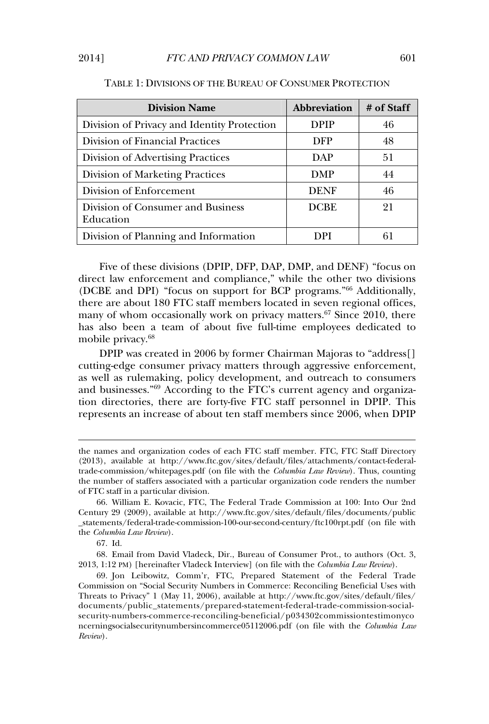| <b>Division Name</b>                           | Abbreviation | # of Staff |
|------------------------------------------------|--------------|------------|
| Division of Privacy and Identity Protection    | <b>DPIP</b>  | 46         |
| Division of Financial Practices                | <b>DFP</b>   | 48         |
| Division of Advertising Practices              | <b>DAP</b>   | 51         |
| Division of Marketing Practices                | <b>DMP</b>   | 44         |
| Division of Enforcement                        | <b>DENF</b>  | 46         |
| Division of Consumer and Business<br>Education | <b>DCBE</b>  | 21         |
| Division of Planning and Information           | DPI          | 61         |

#### TABLE 1: DIVISIONS OF THE BUREAU OF CONSUMER PROTECTION

Five of these divisions (DPIP, DFP, DAP, DMP, and DENF) "focus on direct law enforcement and compliance," while the other two divisions (DCBE and DPI) "focus on support for BCP programs."<sup>66</sup> Additionally, there are about 180 FTC staff members located in seven regional offices,<br>there are about 180 FTC staff members located in seven regional offices. there are about 180 FTC staff members located in seven regional offices,<br>there are about 180 FTC staff members located in seven regional offices, many of whom occasionally work on privacy matters.<sup>67</sup> Since 2010, there has also been a team of about five full-time employees dedicated to has also been a team of about five full-time employees dedicated to ile privacy.<sup>68</sup>

mobile privacy.<sup>68</sup><br>DPIP was created in 2006 by former Chairman Majoras to "address[]<br>cutting-edge consumer privacy matters through aggressive enforcement. extra the created in 2000 by former chairman highers to "didn't both"<br>cutting-edge consumer privacy matters through aggressive enforcement,<br>as well as rulemaking, policy development, and outreach to consumers and businesses."<sup>69</sup> According to the FTC's current agency and organiza-<br>and businesses."<sup>69</sup> According to the FTC's current agency and organizaand businesses."<sup>69</sup> According to the FTC's current agency and organizarepresents an increase of about ten staff members since 2006, when DPIP represents an increase of about ten staff members since 2006, when DPIP

the names and organization

mediates the names and organization codes of each FTC staff member. FTC, FTC Staff Directory  $(2013)$ , available at http://www.ftc.gov/sites/default/files/attachments/contact-federal-(2013), available at http://www.ftc.gov/sites/default/files/attachments/contact-federal-<br>trade-commission/whitepages.pdf (on file with the *Columbia Law Review*). Thus, counting<br>the number of staffers associated with a par the number of staffers associated w<br>of FTC staff in a particular division. of FTC staff in a particular division. of FTC staff in a particular division.<br>66. William E. Kovacic. FTC. The Federal Trade Commission at 100: Into Our 2nd

Century 29 (2009), available at http://www.ftc.gov/sites/default/files/documents/public statements/federal-trade-commission-100-our-second-century/ftc100rpt.pdf (on file with the *Columbia Law Review*). the Columbia Law Review).

<sup>67.</sup> Id.

from David Vladeck, Dir., Bureau of Consumer Prot., to authors (Oct. 3, 2013, 1:12 PM) [hereinafter Vladeck Interview] (on file with the *Columbia Law Review*). 2013, 1:12 PM) [hereinafter Vladeck Interview] (on file with the *Columbia Law Review*).

<sup>2013, 1:12</sup> PM) [hereinafter Vladeck Interview] (on file with the *Columbia Law Review*).<br>69. Jon Leibowitz, Comm'r, FTC, Prepared Statement of the Federal Trade<br>Commission on "Social Security Numbers in Commerce: Reconcili Threats to Privacy" 1 (May 11, 2006), available at http://www.ftc.gov/sites/default/files/ Threats to Privacy" 1 (May 11, 2006), available at http://www.ftc.gov/sites/default/files/ documents/public\_statements/prepared-statement-federal-trade-commission-social- $\frac{1}{2}$ security-numbers-commerce-reconciling-beneficial/p034302commissiontestimonyco ncerningsocialsecuritynumbersincommerce05112006.pdf (on file with the *Columbia Law*<br>*Review*).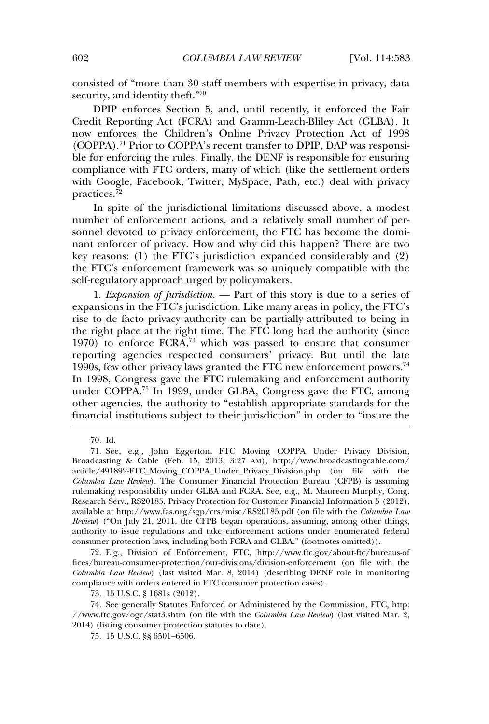consisted of "more than 30 staff members with expertise in privacy, data rity, and identity theft." $^{70}$ 

security, and identity theft."<sup>70</sup><br>DPIP enforces Section 5, and, until recently, it enforced the Fair<br>Credit Reporting Act (FCRA) and Gramm-Leach-Bliley Act (GLBA). It Credit Reporting Act (FCRA) and Gramm-Leach-Bliley Act (GLBA). It From the partial and Countries and Countries and Countries of the Countries of the Copper COPPA).<sup>71</sup> Prior to COPPA's recent transfer to DPIP, DAP was responsi-(COPPA).<sup>71</sup> Prior to COPPA's recent transfer to DPIP, DAP was responsicompliance with FTC orders, many of which (like the settlement orders)<br>compliance with FTC orders, many of which (like the settlement orders) compliance with FTC orders, many of which (like the settlement orders<br>with Google, Facebook, Twitter, MySpace, Path, etc.) deal with privacy with Google, Facebook, Twitter, MySpace, Path, etc.) deal with privacy  $\sum_{i=1}^{\infty}$  in spite of the jurisdictions discussed by  $\sum_{i=1}^{\infty}$ practices.<sup> $\frac{72}{2}$ </sup><br>In spite of the jurisdictional limitations discussed above, a modest

In spite of the januarization minimized the district above, a model<br>number of enforcement actions, and a relatively small number of per-<br>sonnel devoted to privacy enforcement, the FTC has become the domisonnel devoted to privacy enforcement, the FTC has become the domikey reasons: (1) the FTC's jurisdiction expanded considerably and (2) key reasons: (1) the FTC's jurisdiction expanded considerably and  $(2)$ self-regulatory approach urged by policymakers.<br>self-regulatory approach urged by policymakers. self-regulatory approach urged by policymakers.

self-regulatory approach urged by policymakers.<br>
1. *Expansion of Jurisdiction*. — Part of this story is due to a series of<br>
expansions in the FTC's jurisdiction. Like many areas in policy, the FTC's rise to de facto privacy authority can be partially attributed to being in<br>rise to de facto privacy authority can be partially attributed to being in the right place at the right time. The FTC long had the authority (since<br>the right place at the right time. The FTC long had the authority (since The constraint plane at the right time. The FTC long had the authority (since  $1070$ ) to enforce  $FCPA$ <sup>73</sup> which was passed to ensure that cultority (since reproduce the report and report interest respected to ensure that consumer<br>reporting agencies respected consumers' privacy. But until the late 1990s, few other privacy laws granted the FTC new enforcement powers.<sup>74</sup><br>1990s, few other privacy laws granted the FTC new enforcement powers.<sup>74</sup> In 1998, few other privacy laws granted the FTC new enforcement powers.<sup>74</sup><br>In 1998, Congress gave the FTC rulemaking and enforcement authority  $\frac{10000 \text{ N}}{1998}$ , Congress gave the FTC rulemaking and  $\frac{1998}{1000}$ , when  $\frac{1000 \text{ N}}{1000}$  and  $\frac{1000 \text{ N}}{1000}$  and  $\frac{1000 \text{ N}}{1000}$ From 98, Congress gave the FTC rulemaking and enforcement authority<br>
under COPPA.<sup>75</sup> In 1999, under GLBA, Congress gave the FTC, among<br>
other agencies, the authority to "establish appropriate standards for the financial institutions subject to their jurisdiction" in order to "insure the<br>financial institutions subject to their jurisdiction" in order to "insure the

72. E.g., Division of Enforcement, FTC, http://www.ftc.gov/about-ftc/bureaus-of fices/bureau-consumer-protection/our-divisions/division-enforcement (on file with the *Columbia Law Review*) (last visited Mar. 8, 2014) (describing DENF role in monitoring Columbia Law Review) (last visited Mar. 8, 2014) (describing DEN compliance with orders entered in FTC consumer protection cases). compliance with orders entered in FTC consumer protection cases).

73. 15 U.S.C. § 1681s (2012).

<sup>70.</sup> Id.70. Id.

e.g., John Eggerton, FTC Moving COPPA Under Privacy Division, Broadcasting & Cable (Feb. 15, 2013, 3:27 AM), http://www.broadcastingcable.com/ Broadcasting & Cable (Feb. 15, 2013, 3:27 AM), http://www.broadcastingcable.com/ *Columbia Law Review*). The Consumer Financial Protection Bureau (CFPB) is assuming *Columbia Law Review*). The Consumer Financial Protection Bureau (CFPB) is assuming rulemaking responsibility under GLBA and FCRA. See, e.g., M. Maureen Murphy, Cong. rulemaking responsibility under GLBA and FCRA. See, e.g., M. Maureen Murphy, Cong. rulemaking responsibility under GLBA and FCRA. See, e.g., M. Maureen Murphy, Cong.<br>Research Serv., RS20185, Privacy Protection for Customer Financial Information 5 (2012),<br>available at http://www.fas.org/sgp/crs/misc/RS201 *available at http://www.fas.org/sgp/crs/misc/RS20185.pdf (on file with the Columbia Law* Review) ("On July 21, 2011, the CFPB began operations, assuming, among other things, authority to issue regulations and take enforcement actions under enumerated federal<br>consumer protection laws, including both FCRA and GLBA." (footnotes omitted)). consumer protection laws, including both FCRA and GLBA." (footnotes omitted)).

generally Statutes Enforced or Administered by the Commission, FTC, http: //www.ftc.gov/ogc/stat3.shtm (on file with the *Columbia Law Review*) (last visited Mar. 2, //www.ftc.gov/ogc/stat3.shtm (on file with the *Col*.<br>2014) (listing consumer protection statutes to date). ) (listing consumer protection)<br>75. 15 U.S.C. 88 6501–6506.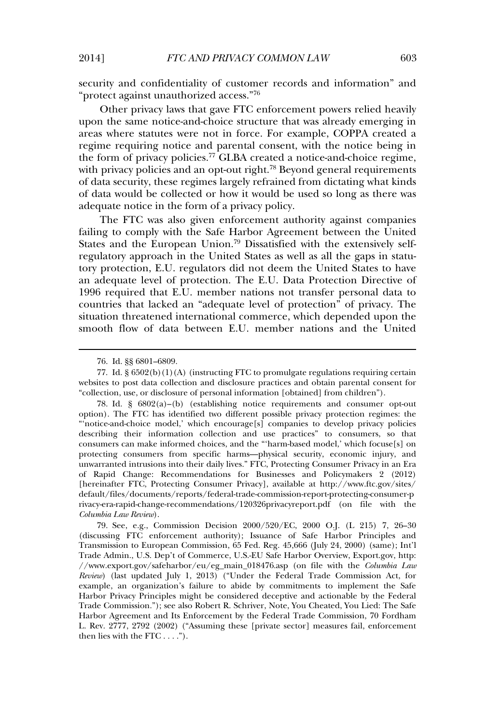security and confidentiality of customer records and information" and "protect against unauthorized access."<sup>76</sup> "protect against unauthorized access."76

"protect against unauthorized access."<sup>76</sup><br>Other privacy laws that gave FTC enforcement powers relied heavily<br>upon the same notice-and-choice structure that was already emerging in and the same notice-and-choice structure that was already emerging in<br>areas where statutes were not in force. For example, COPPA created a regime requiring notice and parental consent, with the notice being in regime requiring notice and parental consent, with the notice being in the form of privacy policies.<sup>77</sup> GLBA created a notice-and-choice regime, the form of privacy policies.<sup>77</sup> GLBA created a notice-and-choice regime, where the form of privacy policies.<sup>77</sup> GLBA created a notice-and-choice regime,<br>with privacy policies and an opt-out right.<sup>78</sup> Beyond general requirements of data security, these regimes largely refrained from dictating what kinds<br>of data security, these regimes largely refrained from dictating what kinds of data security, these regimes largely refrained from dictating what kinds<br>of data would be collected or how it would be used so long as there was and security, and regimes in get premium of data would be collected or how it would be adequate notice in the form of a privacy policy. adequate notice in the form of a privacy policy.

adequate notice in the form of a privacy policy.<br>The FTC was also given enforcement authority against companies<br>failing to comply with the Safe Harbor Agreement between the United Fire TTC was also given emercement attaining against companies<br>
States and the European Union.<sup>79</sup> Dissatisfied with the extensively selfregulatory approach in the United States as well as all the gaps in statu-<br>regulatory approach in the United States as well as all the gaps in statuto the the Calendary of the United States as well as all the gaps in statu-<br>tory protection. E.U. regulators did not deem the United States to have tory protection, E.U. regulators did not deem the United States to have 1996 required that E.U. member of protection. The E.U. Data Protection Directive of an adequate force of protection. The first plata recovering preceding of<br>1996 required that E.U. member nations not transfer personal data to<br>countries that lacked an "adequate level of protection" of privacy. The countries that lacked an "adequate level of protection" of privacy. The situation threatened international commerce, which depended upon the smooth flow of data between E.U. member nations and the United

76. Id. §§

 (discussing FTC enforcement authority); Issuance of Safe Harbor Principles and (discussing FTC enforcement authority); Issuance of Safe Harbor Principles and Transmission to European Commission, 65 Fed. Reg. 45,666 (July 24, 2000) (same); Int'l Transmission to European Commission, 65 Fed. Reg. 45,666 (July 24, 2000) (same); Int'l<br>Trade Admin., U.S. Dep't of Commerce, U.S.-EU Safe Harbor Overview, Export.gov, http: Trade Admin., U.S. Dep't of Commerce, U.S.-EU Safe Harbor Overview, Export.gov, http: *Columbia Law Review*) (last updated July 1, 2013) ("Under the Federal Trade Commission Act, for *Review*) (last updated July 1, 2013) ("Under the Federal Trade Commission Act, for example, an organization's failure to abide by commitments to implement the Safe example, an organization's failure to abide by commitments to implement the Safe<br>Harbor Privacy Principles might be considered deceptive and actionable by the Federal Trade Commission."); see also Robert R. Schriver, Note, You Cheated, You Lied: The Safe Trade Commission."); see also Robert R. Schriver, Note, You Cheated, You Lied: The Safe<br>Harbor Agreement and Its Enforcement by the Federal Trade Commission, 70 Fordham Harbor Agreement and Its Enforcement by the Federal Trade Commission, 70 Fordham<br>L. Rev. 2777, 2792 (2002) ("Assuming these [private sector] measures fail, enforcement L. Rev. 2777, 2792 (2002) ("<br>then lies with the FTC . . . .").

 $76.$  Id.  $$86801–6809$ .

<sup>77.</sup> Id.  $\S 6502(b)(1)(A)$  (instructing FTC to promulgate regulations requiring certain websites to post data collection and disclosure practices and obtain parental consent for websites to post data collection and disclosure practices and obtain parental complete that collection. use, or disclosure of personal information [obtained] from children"). "collection, use, or disclosure of personal information [obtained] from children").

<sup>78.</sup> Id.  $\S$  6802(a)-(b) (establishing notice requirements and consumer opt-out option). The FTC has identified two different possible privacy protection regimes: the option). The FTC has identified two different possible privacy protection regimes: the "notice-and-choice model,' which encourage[s] companies to develop privacy policies "notice-and-choice model,' which encourage s companies to develop privacy policies<br>describing their information collection and use practices" to consumers, so that describing their information collection and use practices" to consumers, so that protecting consumers from specific harms—physical security, economic injury, and protecting consumers from specific harms—physical security, economic injury, and<br>unwarranted intrusions into their daily lives." FTC, Protecting Consumer Privacy in an Era unwarranted intrusions into their daily lives." FTC, Protecting Consumer Privacy in an Era of Rapid Change: Recommendations for Businesses and Policymakers 2 (2012)<br>[hereinafter FTC, Protecting Consumer Privacy], available at http://www.ftc.gov/sites/ [hereinafter FTC, Protecting Consumer Privacy], available at http://www.ftc.gov/sites/ rivacy-era-rapid-change-recommendations-recommendation-report-protecting-consumer-pdf (or file and file with the with the set of metal-trade-commission-report-protecting-consumer-p *Columbia Law Review*). Columbia Law Review).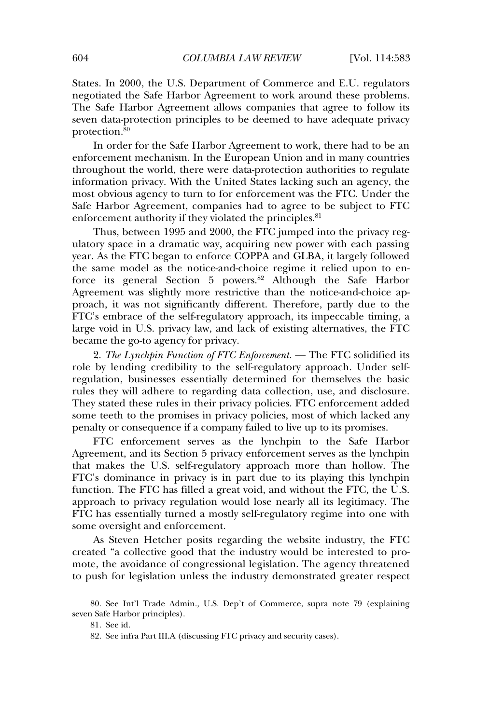States. In 2000, the U.S. Department of Commerce and E.U. regulators<br>negotiated the Safe Harbor Agreement to work around these problems. negotiated the Safe Harbor Agreement to work around these problems. sexered and seven data-protection principles to be deemed to have adequate privacy<br>seven data-protection principles to be deemed to have adequate privacy seven data-protection principles to be deemed to have adequate privacy  $\text{ection.}^{\mathfrak{z}_0}$  and the Safe Harbor Agreement to work, we work, where  $\mathfrak{z}_0$  $\begin{array}{c} \text{protection.}^{\hat{\text{80}}} \end{array} \quad \text{In order for the Safe Harbor Agreement to work, there had to be an}$ 

the case of the case of the world.<br>
The forcement mechanism. In the European Union and in many countries<br>
throughout the world, there were data-protection authorities to regulate throughout the world, there were data-protection authorities to regulate most obvious and the forms, and the form the formation privacy. With the United States lacking such an agency, the Safe Harbor Agreement, companies had to agree to be subject to FTC.<br>Safe Harbor Agreement, companies had to agree to be subject to FTC. Safe Harbor Agreement, companies had to agree to<br>enforcement authority if they violated the principles.<sup>81</sup> enforcement authority if they violated the principles. $81$ 

enforcement authority if they violated the principles.<sup>81</sup><br>Thus, between 1995 and 2000, the FTC jumped into the privacy reg-<br>ulatory space in a dramatic way, acquiring new power with each passing Friday search Tool and Tool, and Togan pear and the priday regulatory space in a dramatic way, acquiring new power with each passing vear. As the FTC began to enforce COPPA and GLBA, it largely followed the same model as the notice-and-choice regime it relied upon to en-<br>the same model as the notice-and-choice regime it relied upon to enforce its general Section 5 powers.<sup>82</sup> Although the Safe Harbor<br>force its general Section 5 powers.<sup>82</sup> Although the Safe Harbor Agreement was slightly more restrictive than the notice-and-choice ap-<br>Agreement was slightly more restrictive than the notice-and-choice approced the general section of powers. Therefore, the same can<br>depend that the active than the notice-and-choice ap-<br>proach, it was not significantly different. Therefore, partly due to the For the self-regulatory approach, it was not significantly different. Therefore, partly due to the FTC's embrace of the self-regulatory approach, its impeccable timing, a Frame, a was the eigenmancy and the transferred parameters.<br>FTC's embrace of the self-regulatory approach, its impeccable timing, a<br>large void in U.S. privacy law, and lack of existing alternatives, the FTC became the go-to agency law, and l<br>became the go-to agency for privacy. became the go-to agency for privacy.

became the go-to agency for privacy.<br>
2. The Lynchpin Function of FTC Enforcement. — The FTC solidified its<br>
role by lending credibility to the self-regulatory approach. Under selfrole by lending credibility to the self-regulatory approach. Under selfrefer to the addition, businesses essentially determined for themselves the basic They stated these rules in their privacy policies. FTC enforcement added<br>They stated these rules in their privacy policies. FTC enforcement added They stated these rules in their privacy policies. FTC enforcement added perfect that the promises in the promises in the promises.<br>Some teeth to the promises in privacy policies, most of which lacked any<br>penalty or consequence if a company failed to live up to its promises. penalty or consequence if a company failed to live up to its promises.

FTC enforcement serves as the lynchpin to the Safe Harbor<br>Agreement, and its Section 5 privacy enforcement serves as the lynchpin Agreement, and its Section 5 privacy enforcement serves as the lynchpin that makes the U.S. self-regulatory approach more than hollow. The that makes the U.S. self-regulatory approach more than hollow. The FTC's dominance in privacy is in part due to its playing this lynchpin Figure according to the privacy of the privacy can provide the privacy contribution. The FTC has filled a great void, and without the FTC, the U.S. approach to privacy regulation would lose nearly all its legitimacy. The approach to privacy regulation would lose nearly all its legitimacy. The FTC has essentially turned a mostly self-regulatory regime into one with e oversight and enforcement. some oversight and enforcement.<br>As Steven Hetcher posits regarding the website industry, the FTC

created "a collective good that the industry would be interested to proto push the avoidance of congressional legislation. The agency threatened<br>to push for legislation unless the industry demonstrated greater respect

80. See Int'l

Trade Admin., U.S. Dep't of Commerce, supra note <sup>79</sup> (explaining seven Safe Harbor principles). seven Safe Harbor principles).

<sup>81.</sup> See id.

<sup>82.</sup> See infra Part III.A (discussing FTC privacy and security cases).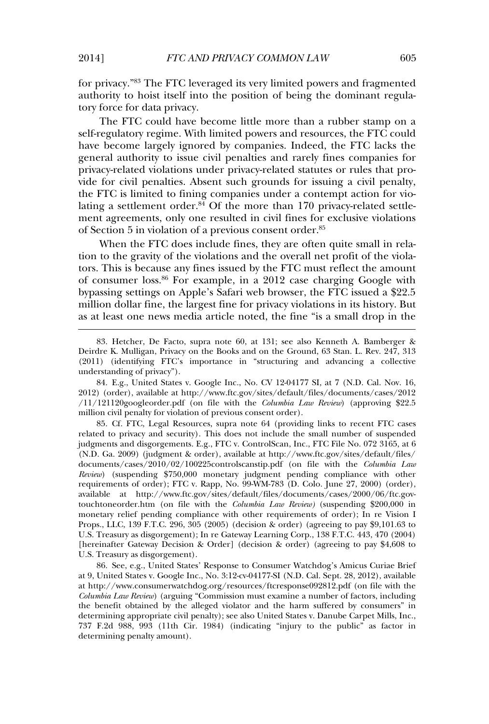$\frac{1}{2}$  for privacy." $^{83}$  The FTC leveraged its very limited powers and fragmented authority to hoist itself into the position of being the dominant regula- $\frac{1}{100}$  force for data privacy.

tory force for data privacy.<br>
The FTC could have become little more than a rubber stamp on a<br>
self-regulatory regime. With limited powers and resources, the FTC could self-regulatory regime. With limited powers and resources, the FTC could<br>have become largely ignored by companies. Indeed, the FTC lacks the have become largely ignored by companies. Indeed, the FTC lacks the private a vector ingery-gravitation promptime indeed, the 115 metal line<br>general authority to issue civil penalties and rarely fines companies for<br>privacy-related violations under privacy-related statutes or rules that pro vide for civil penalties. Absent such grounds for issuing a civil penalty, which grounds for issuing a civil penalty, vide for civil penalties. Absent such grounds for issuing a civil penalty, the FTC is limited to fining companies under a contempt action for violent processes  $\frac{170}{2}$  private  $\frac{170}{2}$  private velocity of the more than 170 private velocity of the more than 170 private velocity of the more ment agreements of the more than 170 privacy-related settlement agreements, only one resulted in civil fines for exclusive violations ment agreements, only one resulted in civil fines for<br>of Section 5 in violation of a previous consent order.<sup>85</sup> of Section 5 in violation of a previous consent order.<sup>85</sup> of Section 5 in violation of a previous consent order.<sup>85</sup><br>When the FTC does include fines, they are often quite small in rela-

then the FTC stock metals mest, they are still quite small in Feartion to the gravity of the violations and the overall net profit of the violations.<br>This is because any fines issued by the FTC must reflect the amount from the distribution of the constants and the FTC must reflect the anount of some case case case charging Google with  $\frac{86}{100}$  For example, in a 2012 case charging Google with by the FTC index setting as setting  $\frac{1}{2}$  and  $\frac{1}{2}$  and FTC index reflect the amount of consumer loss.<sup>86</sup> For example, in a 2012 case charging Google with by balance following the largest fine for privacy case onlying the sound a \$22.5<br>million dollar fine, the largest fine for privacy violations in its history. But million dollar fine, the largest fine for privacy violations in its history. But as at least one news media article noted, the fine "is a small drop in the

83. Hetcher, De Facto, supra note 60, at 131; see also Kenneth, supra note 60, at 131; see also Kenneth Kennet<br>1983: See also Kenneth Kenneth Kenneth Kenneth Kenneth Kenneth Kenneth Kenneth Kenneth Kenneth Kenneth Kenneth

85. Cf. FTC, Legal Resources, supra note  $64$  (providing links to recent FTC cases related to privacy and security). This does not include the small number of suspended<br>indements and disgorgements. E.g., FTC v. ControlScan, Inc., FTC File No. 072 3165, at 6 judgments and disgorgements. E.g., FTC v. ControlScan, Inc., FTC File No. 072 3165, at 6 judgments and disgorgements. E.g., FTC v. ControlScan, Inc., FTC File No. 072 3165, at 6<br>(N.D. Ga. 2009) (judgment & order). available at http://www.ftc.gov/sites/default/files/ documents/cases/2010/02/100225controlscanstip.pdf (on file with the *Columbia Law Review*) (suspending \$750,000 monetary judgment pending compliance with other<br>*Review*) (suspending \$750,000 monetary judgment pending compliance with other<br>requirements of order); FTC v. Rapp, No. 99-WM-783 (D. Colo. Jun requirements of order); FTC v. Rapp, No. 99-WM-783 (D. Colo. June 27, 2000) (order), available at http://www.ftc.gov/sites/default/files/documents/cases/2000/06/ftc.gov-*Columbia Law Review)* (suspending the state of the visit of the Columbia Law Review) (suspending \$200,000 in monetary relief pending compliance with other requirements of order); In re Vision I monetary relief pending compliance with other requirements of order); In re Vision I<br>Props., LLC, 139 F.T.C. 296, 305 (2005) (decision & order) (agreeing to pay \$9,101.63 to Props., LLC, 139 F.T.C. 296, 305 (2005) (decision & order) (agreeing to pay \$9,101.63 to U.S. Treasury as disgorgement): In re Gateway Learning Corp., 138 F.T.C. 443, 470 (2004) U.S. Treasury as disgorgement); In re Gateway Learning Corp., 138 F.T.C. 443, 470 (2004)<br>[hereinafter Gateway Decision & Order] (decision & order) (agreeing to pay \$4,608 to [hereinafter Gateway Decision & Order] (decision & order) (agreeing to pay \$4,608 to  $T$ reasury as disgorgement). U.S. Treasury as disgorgement).<br>86. See, e.g., United States' Response to Consumer Watchdog's Amicus Curiae Brief

at 9, United States v. Google Inc., No. 3:12-cv-04177-SI (N.D. Cal. Sept. 28, 2012), available at http://www.consumerwatchdog.org/resources/ftcresponse092812.pdf (on file with the *Columbia Law Review*) (arguing "Commission must examine a number of factors, including  $Columbia Law Review)$  (arguing "Commission must examine a number of factors, including the benefit obtained by the alleged violator and the harm suffered by consumers" in the benefit obtained by the alleged violator and the harm suffered by consumers" in<br>determining appropriate civil penalty); see also United States v. Danube Carpet Mills, Inc.,<br>737 F.2d 988, 993 (11th Cir. 1984) (indicatin the benefit obtained by the alleged violator and the harm suffered by consumers" in 737 F.2d 988, 993 (11th Cir. 1984) (indicating "injury to the public" as factor in determining penalty amount).

A. Bamberger & Deirdre K. Mulligan, Privacy on the Books and on the Ground, 63 Stan. L. Rev. 247, 313 Deirdre K. Mulligan, Privacy on the Books and on the Ground, 63 Stan. L. Rev.  $247$ , 313<br>(2011) (identifying FTC's importance in "structuring and advancing a collective (2011) (identifying FTC's importance in "structuring and advancing a collective  $\frac{1}{2}$  erstanding of privacy").

understanding of privacy").<br>84. E.g., United States v. Google Inc., No. CV 12-04177 SI, at 7 (N.D. Cal. Nov. 16,<br>2012) (order), available at http://www.ftc.gov/sites/default/files/documents/cases/2012 /11/121120googleorder.pdf (on file with the *Columbia Law Review*) (approving \$22.5  $/11/121120$ googleorder.pdf (on file with the *Columbia L* million civil penalty for violation of previous consent order). million civil penalty for violation of previous consent order).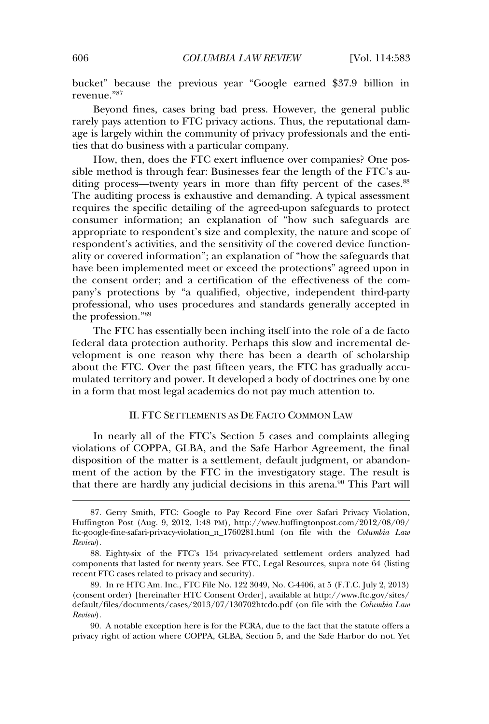t<br>bucket" because the previous vear "Google earned \$37.9 billion in  $\mathrm{nue.}^{^{987}}$ 

revenue."<sup>87</sup><br>Beyond fines, cases bring bad press. However, the general public<br>rarely pays attention to FTC privacy actions. Thus, the reputational damrarely pays attention to FTC privacy actions. Thus, the reputational damthree functions of the extension of privacy and the community of privacy is<br>ties that do business with a particular company. ties that do business with a particular company.

ties that do business with a particular company.<br>
How, then, does the FTC exert influence over companies? One pos-<br>
sible method is through fear: Businesses fear the length of the FTC's ausible method is through fear: Businesses fear the length of the FTC's auditing process—twenty years in more than fifty percent of the cases.<sup>88</sup> The auditing process—twenty years in more than fifty percent of the cases.<sup>88</sup><br>The auditing process is exhaustive and demanding. A typical assessment requires the specific detailing of the agreed-upon safeguards to protect<br>requires the specific detailing of the agreed-upon safeguards to protect consumer information: an explanation of "how such safeguards to protect<br>consumer information: an explanation of "how such safeguards are requires the specific detailing of the agreed applicating the protect<br>consumer information; an explanation of "how such safeguards are<br>appropriate to respondent's size and complexity, the nature and scope of respondent's activities, and the sensitivity of the covered device function-<br>respondent's activities, and the sensitivity of the covered device functionrespondent's activities, and the sensitivity of the covered device functionresponsions is detailed to the sensitivity of the sovered device random<br>ality or covered information"; an explanation of "how the safeguards that<br>have been implemented meet or exceed the protections" agreed upon in the consent order; and a certification of the effectiveness of the com-<br>the consent order; and a certification of the effectiveness of the commate seen impremented meet of energy and protections agreed apon in<br>the consent order; and a certification of the effectiveness of the com-<br>pany's protections by "a qualified, objective, independent third-party pany's protections by "a qualified, objective, independent third-party<br>professional, who uses procedures and standards generally accepted in professional, who uses procedures and standards generally accepted in  $\Gamma$ 

the profession."<sup>89</sup><br>The FTC has essentially been inching itself into the role of a de facto<br>federal data protection authority. Perhaps this slow and incremental defederal data protection authority. Perhaps this slow and incremental debetween the FTC. Over the FTC. Over the FTC. Over the FTC. Over the FTC. The FTC. The FTC has been a dearth of scholarship mulated territory and power. It developed a body of doctrines one by one<br>mulated territory and power. It developed a body of doctrines one by one in a form that most legal academics do not pay much attention to.<br>in a form that most legal academics do not pay much attention to. in a form that most legal academics do not pay much attention to.

# FORM CHARGINGS AS ASSAULTED AS THE FACTO COMMON LAW

In nearly all of the FTC's Section 5 cases and complaints alleging<br>violations of COPPA, GLBA, and the Safe Harbor Agreement, the final violations of COPPA, GLBA, and the Safe Harbor Agreement, the final disposition of the matter is a settlement, default judgment, or abandonthat there are hardly any judicial decisions in this arena.<sup>90</sup> This Part will that there are hardly any judicial decisions in this arena.<sup>90</sup> This Part will

87. German Smith, FTC: Google to Pay Records to Pay Records the Pay Records to Pay Records the Pay Records to

Review).<br>
90. A notable exception here is for the FCRA, due to the fact that the statute offers a<br>
privacy right of action where COPPA, GLBA, Section 5, and the Safe Harbor do not. Yet

<sup>87.</sup> Gerry Smith, FTC: Google to Pay Record Fine over Safari Privacy Violation,<br>Huffington Post (Aug. 9, 2012, 1:48 PM), http://www.huffingtonpost.com/2012/08/09/ Huffington Post (Aug. 9, 2012, 1:48 PM), http://www.huffingtonpost.com/2012/08/09/ ftc-google-fine-safari-privacy-violation\_n\_1760281.html (on file with the *Columbia Law*<br>*Review*). Review).

Review).<br>88. Eighty-six of the FTC's 154 privacy-related settlement orders analyzed had<br>components that lasted for twenty years. See FTC, Legal Resources, supra note 64 (listing recent FTC cases related to privacy and security). recent FTC cases related to privacy and security).

recent FTC cases related to privacy and security).<br>
89. In re HTC Am. Inc., FTC File No. 122 3049, No. C-4406, at 5 (F.T.C. July 2, 2013)<br>
(consent order) [hereinafter HTC Consent Order], available at http://www.ftc.gov/si (consent order) [hereinafter HTC Consent Order], available at http://www.ftc.gov/sites/ default/files/documents/cases/2013/07/130702htcdo.pdf (on file with the *Columbia Law*<br>*Review*). Review).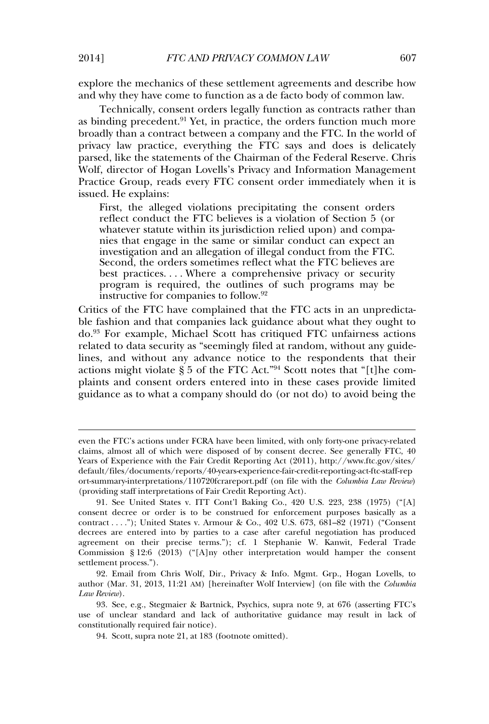even the FTC's actions under FCRA actions under FCRA

explore the mechanics of these settlement agreements and describe how ore the mechanics of these settlement agreements and describe he<br>why they have come to function as a de facto body of common law.

and why they have come to function as a de facto body of common law.<br>Technically, consent orders legally function as contracts rather than<br>as binding precedent.<sup>91</sup> Yet, in practice, the orders function much more as binding precedent.<sup>91</sup> Yet, in practice, the orders function much more procedure the privacy are sensed in the FTC. In the world of broadly than a contract between a company and the FTC. In the world of privacy law practice, everything the FTC says and does is delicately parsed. like the statements of the Chairman of the Federal Reserve. Chris parsed, like the statements of the Chairman of the Federal Reserve. Chris Practice Group, reads every FTC consent order immediately when it is Practice Group, reads every FTC consent order immediately when it is  $F_{\rm eff}$  the explains:

First, the alleged violations precipitating the consent orders<br>reflect conduct the FTC believes is a violation of Section 5 (or reflect conduct the FTC believes is a violation of Section 5 (or reflect conduct the FTC beneves is a violation of section 5 (or<br>whatever statute within its jurisdiction relied upon) and compa-<br>nies that engage in the same or similar conduct can expect an nies that engage in the same or similar conduct can expect an Incs that engage in the saint of similar conduct can expect an<br>investigation and an allegation of illegal conduct from the FTC.<br>Second, the orders sometimes reflect what the FTC believes are Second, the orders sometimes reflect what the FTC believes are myesugation and an ancgation of megal conduct from the PTC.<br>Second, the orders sometimes reflect what the FTC believes are<br>best practices....Where a comprehensive privacy or security<br>program is required, the outlines of su best practices.... where a compre<br>program is required, the outlines<br>instructive for companies to follow.<sup>92</sup> instructive for companies to follow.<sup>92</sup>

instructive for companies to follow.<sup>92</sup><br>Critics of the FTC have complained that the FTC acts in an unpredicta-<br>ble fashion and that companies lack guidance about what they ought to do.93 For example, Michael Scott has critiqued FTC unfairness actions do.<sup>93</sup> For example, Michael Scott has critiqued FTC unfairness actions related to data security as "seemingly filed at random, without any guide-<br>related to data security as "seemingly filed at random, without any guiderelated to data security as "seemingly filed at random, without any guide-<br>lines, and without any advance notice to the respondents that their Folded to data seeding as seedingly med at random, while any galaxies lines, and without any advance notice to the respondents that their actions might violate  $\frac{8}{5}$  of the FTC Act."<sup>94</sup> Scott notes that "[t]he complants and consent and consent orders entered into in these cases provide limited<br>plaints and consent orders entered into in these cases provide limited guidance as to what a company should do (or not do) to avoid being the guidance as to what a company should do (or not do) to avoid being the

ween the FTC's actions under FCRA have been limited, with only forty-one privacy-related<br>claims, almost all of which were disposed of by consent decree. See generally FTC, 40 claims, almost all of which were disposed of by consent decree. See generally FTC, 40<br>Years of Experience with the Fair Credit Reporting Act (2011), http://www.ftc.gov/sites/ Years of Experience with the Fair Credit Reporting Act (2011), http://www.ftc.gov/sites/ default/files/documents/reports/40-years-experience-fair-credit-reporting-act-ftc-staff-rep<br>ort-summary-interpretations/110720fcrareport.pdf (on file with the *Columbia Law Review*) ort-summary-interpretations/110720fcrareport.pdf (on file w<br>(providing staff interpretations of Fair Credit Reporting Act). (providing staff interpretations of Fair Credit Reporting Act).

<sup>(</sup>providing staff interpretations of Fair Credit Reporting Act).<br>
91. See United States v. ITT Cont'l Baking Co., 420 U.S. 223, 238 (1975) ("[A]<br>
consent decree or order is to be construed for enforcement purposes basically consent decree or order is to be construed for enforcement purposes basically as a contract . . . ."): United States v. Armour & Co., 402 U.S. 673, 681–82 (1971) ("Consent contract . . . ."); United States v. Armour & Co., 402 U.S. 673, 681–82 (1971) ("Consent<br>decrees are entered into by parties to a case after careful negotiation has produced decrees are entered into by parties to a case after careful negotiation has produced<br>agreement on their precise terms."): cf. 1 Stephanie W. Kanwit, Federal Trade agreement on their precise terms."); cf. 1 Stephanie W. Kanwit, Federal Trade<br>Commission § 12:6 (2013) ("[A]ny other interpretation would hamper the consent Commission § 12:6 (2013) ("[A] ny other interpretation would hamper the consent  $\check{e}$  ment process.").

ettlement process.").<br>
92. Email from Chris Wolf, Dir., Privacy & Info. Mgmt. Grp., Hogan Lovells, to<br>
author (Mar. 31, 2013, 11:21 AM) [hereinafter Wolf Interview] (on file with the *Columbia* author (Mar. 31, 2013, 11:21 AM) [hereinafter Wolf Interview] (on file with the *Columbia Law Review*).  $\mathit{Review}$ ). 676 (asserting FTC's

<sup>93.</sup> See, e.g., Stegmaier & Bartnick, Psychics, supra note 9, at 676 (asserting FTC's of unclear standard and lack of authoritative guidance may result in lack of use of unclear standard and lack<br>constitutionally required fair notice). constitutionally required fair notice).

<sup>94.</sup> Scott, supra note 21, at 183 (footnote omitted).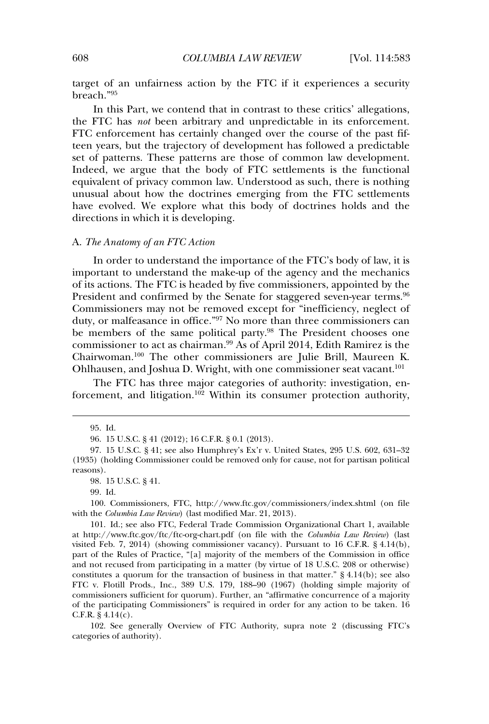target of an unfairness action by the FTC if it experiences a security  $\ch.^{''95}$ 

breach."<sup>95</sup><br>In this Part, we contend that in contrast to these critics' allegations,<br>the FTC has *not* been arbitrary and unpredictable in its enforcement. FIGURE 2014, the CERTAIN and unpredictable in its enforcement.<br>FTC enforcement has certainly changed over the course of the past fif-The trajectory and the trajectory of development has followed a predictable<br>teen years, but the trajectory of development has followed a predictable teen years, but the trajectory of development has followed a predictable Indeed, we argue that the body of FTC settlements is the functional<br>Indeed, we argue that the body of FTC settlements is the functional ever a pureless control in the privacy common law. Understood as such, there is nothing<br>equivalent of privacy common law. Understood as such, there is nothing equivalent of privacy common law. Understood as such, there is nothing have evaluated by the exploration of the third states and the explorers and the explorers and the explorers and the explorers and the explorers and the explorers and the explorers and the explorers and the explorers and th have evolved. We explore what this body of doctrines holds and the an ecasis in which is a deteroping.

#### *The Anatomy of an FTC Action*

In order to understand the importance of the FTC's body of law, it is of its actions. The FTC is headed by five commissioners, appointed by the set is actions. The FTC is headed by five commissioners, appointed by the President and confirmed by the Senate for staggered seven-year terms.<sup>96</sup><br>President and confirmed by the Senate for staggered seven-year terms.<sup>96</sup> President and confirmed by the Senate for staggered seven-year terms.<sup>96</sup>  $\sum_{n=1}^{\infty}$  commissioners may not be removed except for "inefficiency, neglect of  $\frac{1}{2}$ ". be members of the same political party.<sup>98</sup> The President chooses can be members of the same political party.<sup>98</sup> The President chooses one commissioner to act as chairman.<sup>99</sup> As of April 2014, Edith Ramirez is the Commissioner to act as chairman.<sup>99</sup> As of April 2014, Edith Ramirez is the Chairwoman.<sup>100</sup> The other commissioners are Julie Brill, Maureen K. Chairwoman.<sup>100</sup> The other commissioners are Julie Brill, Maureen K<br>Ohlhausen, and Joshua D. Wright, with one commissioner seat vacant.<sup>101</sup> nausen, and Joshua D. Wright, with one commissioner seat vacant.<sup>101</sup><br>The FTC has three major categories of authority: investigation, en-

The FTC has three major categories of authority: investigation, enforcement, and litigation.<sup>102</sup> Within its consumer protection authority,

categories of authority).

<sup>95.</sup> Id.95. Id.

<sup>95.</sup> Id.<br>96. 15 U.S.C. § 41 (2012): 16 C.F.R. § 0.1 (2013).

<sup>96. 15</sup> U.S.C. § 41 (2012); 16 C.F.R. § 0.1 (2013).<br>97. 15 U.S.C. § 41; see also Humphrey's Ex'r v. United States, 295 U.S. 602, 631–32<br>(1935) (holding Commissioner could be removed only for cause, not for partisan politica (1935) (holding Commissioner could be removed only for cause, not for partisan political  $\sinh$ .

<sup>98. 15</sup> U.S.C. § 41.

 $100$  and  $100$  commissioners,  $100$  commissioners, index.shtml (on  $100$  commissioners)  $100$ 

<sup>100.</sup> Commissioners, FTC, http://www.ftc.gov/commissioners/index.shtml (on file with the *Columbia Law Review*) (last modified Mar. 21, 2013). with the *Columbia Law Review*) (last modified Mar. 21, 2013).

with the *Columbia Law Review*) (last modified Mar. 21, 2013).<br>101. Id.; see also FTC, Federal Trade Commission Organizational Chart 1, available<br>at http://www.ftc.gov/ftc/ftc-org-chart.pdf (on file with the *Columbia Law* at http://www.ftc.gov/ftc/ftc-org-chart.pdf (on file with the *Columbia Law Review*) (last<br>visited Feb. 7, 2014) (showing commissioner vacancy). Pursuant to 16 C.F.R. § 4.14(b), visited Feb. 7, 2014) (showing commissioner vacancy). Pursuant to 16 C.F.R. § 4.14(b), part of the Rules of Practice, "[a] majority of the members of the Commission in office part of the Rules of Practice, "[a] majority of the members of the Commission in office<br>and not recused from participating in a matter (by virtue of 18 U.S.C. 208 or otherwise) and not recused from participating in a matter (by virtue of 18 U.S.C. 208 or otherwise) constitutes a quorum for the transaction of business in that matter." § 4.14(b); see also FIC v. Flotill Prods., Inc., 389 U.S. 179, 188–90 (1967) (holding simple majority of  $\overline{FTC}$  v. Flotill Prods., Inc., 389 U.S. 179, 188–90 (1967) (holding simple majority of FTC v. Flotill Prods., Inc., 389 U.S. 179, 188–90 (1967) (holding simple majority of commissioners sufficient for quorum). Further, an "affirmative concurrence of a majority commissioners sufficient for quorum). Further, an "affirmative concurrence of a majority<br>of the participating Commissioners" is required in order for any action to be taken. 16 of the participating Commissioners" is required in order for any action to be taken. 16  $3.4.14(c)$ .  $C.F.R. \hat{\S}$  4.14(c).<br>102. See generally Overview of FTC Authority, supra note 2 (discussing FTC's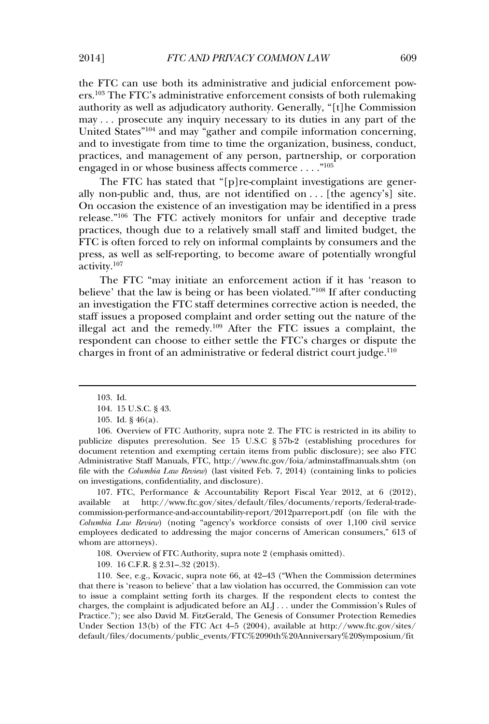the FTC can use both its administrative and judicial enforcement pow-<br>ers.<sup>103</sup> The FTC's administrative enforcement consists of both rulemaking and 110 can also been as administrative and Jacketti empression powers.<sup>103</sup> The FTC's administrative enforcement consists of both rulemaking authority as well as adjudicatory authority. Generally, "[t] he Commission may ... prosecute any inquiry necessary to its duties in any part of the United States"<sup>104</sup> and may "gather and compile information concerning. and to investigate from time to time the organization, business, conduct, and to investigate from time to time the organization, business, conduct, and to investigate from time to time the organization, business, conduct, end to investigate from time to time the organization, statistics, contacts,<br>practices, and management of any person, partnership, or corporation<br>engaged in or whose business affects commerce .....<sup>"105</sup> engaged in or whose business affects commerce...."<sup>105</sup>

The FTC has stated that "[p]re-complaint investigations are generon occasion the existence of an investigation may be identified in a press.<br>On occasion the existence of an investigation may be identified in a press  $\sigma_0$  recasion the existence of an investigation may be identified in a press.<br>  $\sigma_0$  hocasion the existence of an investigation may be identified in a press. present the transferred of the transferred may be considered presented the present relatively monitors for unfair and deceptive trade practices, though due to a relatively small staff and limited budget, the FTC is often forced to rely on informal complaints by consumers and the presences, as well as self-reporting, to become aware of potentially wrongful<br>press, as well as self-reporting, to become aware of potentially wrongful press, as well as self-reporting, to become aware of potentially wrongful  $\frac{1}{\text{tr}}$   $\frac{107}{\text{tr}}$ 

activity.<sup>107</sup><br>
The FTC "may initiate an enforcement action if it has 'reason to<br>
believe' that the law is being or has been violated."<sup>108</sup> If after conducting believe' that the law is being or has been violated.<sup>"108</sup> If after conducting<br>an investigation the FTC staff determines corrective action is needed, the state of the line in the start of the state of the nature of the staff issues a proposed complaint and order setting out the nature of the Interacting and the remedy.<sup>109</sup> After the FTC issues a complaint, the illegal act and the remedy.<sup>109</sup> After the FTC issues a complaint, the illegal act and the remedy.<sup>109</sup> After the FTC issues a complaint, the charges in the and the charges. The administrative or temperature, and the respondent can choose to either settle the FTC's charges or dispute the charges in front of an administrative or federal district court judge.<sup>110</sup>

105. Id. § 46(a).<br>106. Overview of FTC Authority, supra note 2. The FTC is restricted in its ability to<br>publicize disputes preresolution. See 15 U.S.C. § 57b-2 (establishing procedures for publicize disputes preresolution. See  $15$  U.S.C  $\S 57b-2$  (establishing procedures for Administrative Staff Manuals, FTC, http://www.ftc.gov/foia/adminstaffmanuals.shtm (on Administrative Staff Manuals, FTC, http://www.ftc.gov/foia/adminstaffmanuals.shtm (on file with the *Columbia Law Review*) (last visited Feb. 7, 2014) (containing links to policies file with the *Columbia Law Review*) (last visited For investigations, confidentiality, and disclosure). on investigations, confidentiality, and disclosure).

107. FTC, Performance & Accountability Report Fiscal Year 2012, at 6 (2012), available at http://www.ftc.gov/sites/default/files/documents/reports/federal-trade-*Columbia Law Review*) (noting "agency's workforce consists of over 1,100 civil service *Columbia Law Review*) (noting "agency's workforce consists of over  $1,100$  civil service employees dedicated to addressing the major concerns of American consumers," 613 of employees dedicated<br>whom are attorneys). whom are attorneys). n are attorneys).<br>108. Overview of FTC Authority, supra note 2 (emphasis omitted).

109.  $16$  C.F.R. §  $2.31-32$  ( $2013$ ).

110. See, e.g., Kovacic, supra note  $66$ , at  $42-43$  ("When the Commission determines that there is 'reason to believe' that a law violation has occurred, the Commission can vote that there is 'reason to believe' that a law violation has occurred, the Commission can vote to issue a complaint setting forth its charges. If the respondent elects to contest the charges, the complaint is adjudicated before an ALJ . . . under the Commission's Rules of charges, the complaint is adjudicated before an ALJ . . . under the Commission's Rules of Practice."): see also David M. FitzGerald. The Genesis of Consumer Protection Remedies Practice."); see also David M. FitzGerald, The Genesis of Consumer Protection Remedies Under Section 13(b) of the FTC Act 4–5 (2004), available at http://www.ftc.gov/sites/ default/files/documents/public\_events/FTC%2090th%20Anniversary%20Symposium/fit

<sup>103.</sup> Id.103. Id.

<sup>104. 15</sup> U.S.C. § 43.<br>105. Id. § 46(a).

<sup>105.</sup> Id.  $§$  46(a).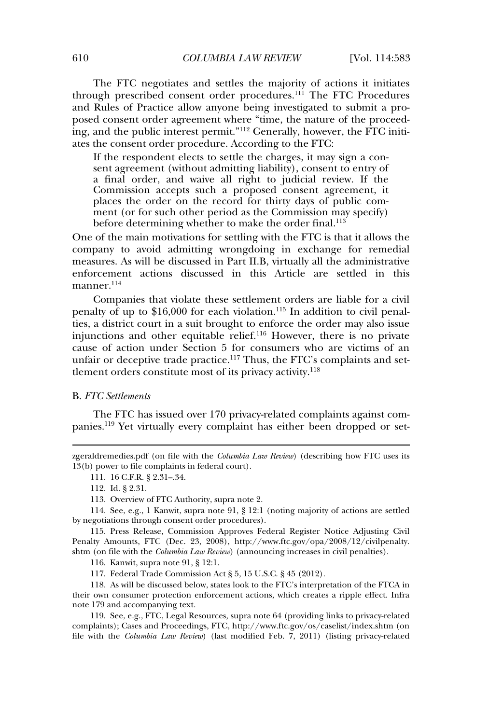The FTC negotiates and settles the majority of actions it initiates<br>through prescribed consent order procedures.<sup>111</sup> The FTC Procedures and Rules of Practice allow anyone being investigated to submit a pro-<br>and Rules of Practice allow anyone being investigated to submit a proand Rules of Practice allow anyone being investigated to submit a pro-<br>posed consent order agreement where "time, the nature of the proceeding rands of Tradice and any one song investigated to submit a pro-<br>posed consent order agreement where "time, the nature of the proceed-<br>ing, and the public interest permit."<sup>112</sup> Generally, however, the FTC initiing, and the public interest permit."<sup>112</sup> Generally, however, the FTC initithe consent order procedure. According to the FTC: the consent order procedure. According to the FTC:<br>If the respondent elects to settle the charges, it may sign a con-

a final order as following the charges, a final sign a consent agreement (without admitting liability), consent to entry of a final order, and waive all right to judicial review. If the<br>Commission accepts such a proposed consent agreement, it a final order, and waive an right to judicial review. If the<br>Commission accepts such a proposed consent agreement, it<br>places the order on the record for thirty days of public comcommission accepts such a proposed consent agreement, it<br>places the order on the record for thirty days of public com-<br>ment (or for such other period as the Commission may specify) places the order of the record for thirty days of pu<br>ment (or for such other period as the Commission may<br>before determining whether to make the order final.<sup>113</sup> before determining whether to make the order final.<sup>113</sup>

One of the main motivations for settling with the FTC is that it allows the company to avoid admitting wrongdoing in exchange for remedial end of the main meanwards for setting with the 110 s that it allows the<br>company to avoid admitting wrongdoing in exchange for remedial<br>measures. As will be discussed in Part II.B, virtually all the administrative enforcement actions discussed in Part II.B, virtually all the administrative<br>enforcement actions discussed in this Article are settled in this enforcement actions discussed in this Article are settled in this  $manner<sup>114</sup>$  $mer.$ <sup>114</sup>

Companies that violate these settlement orders are liable for a civil<br>penalty of up to  $$16,000$  for each violation.<sup>115</sup> In addition to civil penalpenalty of up to \$16,000 for each violation.<sup>115</sup> In addition to civil penalties, a district court in a suit brought to enforce the order may also issue injunctions and other equitable relief.<sup>116</sup> However, there is no private<br>injunctions and other equitable relief.<sup>116</sup> However, there is no private injunctions and other equitable relief.<sup>116</sup> However, there is no private cause of action under Section 5 for consumers who are victims of an cause of action under Section 5 for consumers who are victims of an unfair or deceptive trade practice.<sup>117</sup> Thus, the FTC's complaints and setthe second of the most constitute most of its privacy activity.<sup>118</sup><br>tlement orders constitute most of its privacy activity.<sup>118</sup> tlement orders constitute most of its privacy activity.<sup>118</sup>

#### *FTC* Settlements

B. *FTC Settlements*<br>The FTC has issued over 170 privacy-related complaints against com-<br>panies.<sup>119</sup> Yet virtually every complaint has either been dropped or set-

zgeraldremedies.pdf (on file with the

116. Kanwit, supra note 91, § 12:1.

116. Kanwit, supra note 91, § 12:1.<br>117. Federal Trade Commission Act § 5, 15 U.S.C. § 45 (2012).

117. Federal Trade Commission Act  $\S 5$ , 15 U.S.C.  $\S 45$  (2012).<br>118. As will be discussed below, states look to the FTC's interpretation of the FTCA in their own consumer protection enforcement actions, which creates a ripple effect. Infra<br>note 179 and accompanying text. note 179 and accompanying text.

note 179 and accompanying text.<br>119. See, e.g., FTC, Legal Resources, supra note 64 (providing links to privacy-related<br>complaints); Cases and Proceedings, FTC, http://www.ftc.gov/os/caselist/index.shtm (on complaints); Cases and Proceedings, FTC, http://www.ftc.gov/os/caselist/index.shtm (on *Columbia Law Review*) (last modified Feb. 7, 2011) (listing privacy-related

*Columbia Law Review*) (describing how FTC uses its 13(b) power to file complaints in federal court). 13(b) power to file complaints in federal court).

<sup>111. 16</sup> C.F.R. § 2.31-.34.

<sup>112.</sup> Id.  $\S$  2.31.

<sup>112.</sup> Id. § 2.31.<br>113. Overview of FTC Authority, supra note 2.

<sup>114.</sup> See, e.g., 1 Kanwit, supra note 91, § 12:1 negotiations through consent order procedures). by negotiations through consent order procedures). by negotiations through consent order procedures).<br>115. Press Release. Commission Approves Federal Register Notice Adjusting Civil

Penalty Amounts, FTC (Dec. 23, 2008), http://www.ftc.gov/opa/2008/12/civilpenalty.<br>shtm (on file with the *Columbia Law Review*) (announcing increases in civil penalties). (on file with the *Columbia Law Rev* 116. Kanwit, supra note  $91, 8, 12:1$ .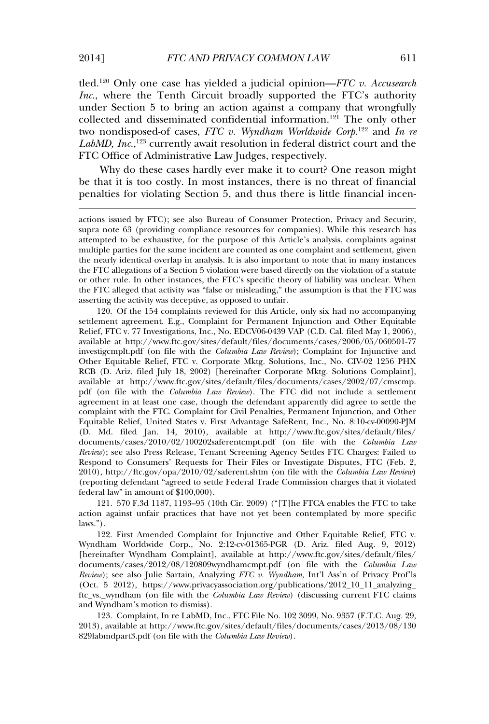Only one case has yielded a judicial opinion—*FTC v. Accusearch* tled.<sup>120</sup> Only one case has yielded a judicial opinion—*FTC v. Accusearch Inc.*, where the Tenth Circuit broadly supported the FTC's authority *Inc.*, where the Tenth Circuit broadly supported the FTC's authority under Section 5 to bring an action against a company that wrongfully collected and disseminated and disseminated and disseminated confidential information.<sup>121</sup> The only other the collected and disseminated confidential information.<sup>121</sup> The only other two nondisposed-of cases, *FTC v. Wyndham Worldwide Corp.*<sup>122</sup> and *In re* two nondisposed-of cases, *FTC v. Wyndham Worldwide Corp*<sup>122</sup> and *In re LabMD, Inc.*,<sup>123</sup> currently await resolution in federal district court and the *LabMD, Inc.*,<sup>123</sup> currently await resolution in federal different Coffice of Administrative Law Judges, respectively. FTC Office of Administrative Law Judges, respectively.

FTC Office of Administrative Law Judges, respectively.<br>
Why do these cases hardly ever make it to court? One reason might<br>
be that it is too costly. In most instances, there is no threat of financial be that it is too costly. In most instances, there is no threat of financial penalties for violating Section 5, and thus there is little financial incen-

asserting the activity was deceptive, as opposed to unfair.<br>120. Of the 154 complaints reviewed for this Article, only six had no accompanying<br>settlement agreement. E.g., Complaint for Permanent Injunction and Other Equita settlement agreement. E.g., Complaint for Permanent Injunction and Other Equitable<br>Relief, FTC v. 77 Investigations, Inc., No. EDCV06-0439 VAP (C.D. Cal. filed May 1, 2006), Relief, FTC v. 77 Investigations, Inc., No. EDCV06-0439 VAP (C.D. Cal. filed May 1, 2006), available at http://www.ftc.gov/sites/default/files/documents/cases/2006/05/060501-77<br>investigcmplt.pdf (on file with the *Columbia Law Review*); Complaint for Injunctive and investigcmplt.pdf (on file with the *Columbia Law Review*); Complaint for Injunctive and<br>Other Equitable Relief, FTC v. Corporate Mktg. Solutions, Inc., No. CIV-02 1256 PHX Other Equitable Relief, FTC v. Corporate Mktg. Solutions, Inc., No. CIV-02 1256 PHX<br>RCB (D. Ariz. filed July 18, 2002) [hereinafter Corporate Mktg. Solutions Complaint]. RCB (D. Ariz. filed July 18, 2002) [hereinafter Corporate Mktg. Solutions Complaint], available at http://www.ftc.gov/sites/default/files/documents/cases/2002/07/cmscmp.<br>pdf (on file with the *Columbia Law Review*). The FTC did not include a settlement pdf (on file with the *Columbia Law Review*). The FTC did not include a settlement<br>agreement in at least one case, though the defendant apparently did agree to settle the rangement in at least one case, though the defendant apparently did agree to settle the complaint with the FTC. Complaint for Civil Penalties, Permanent Injunction, and Other Equitable Relief, United States v. First Advantage SafeRent, Inc., No. 8:10-cv-00090-PJM Equitable Relief, United States v. First Advantage SafeRent, Inc., No. 8:10-cv-00090-PJM<br>(D. Md. filed Jan. 14, 2010), available at http://www.ftc.gov/sites/default/files/ (D. Md. filed Jan. 14, 2010), available at http://www.ftc.gov/sites/default/files/ documents/cases/2010/02/100202saferentcmpt.pdf (on file with the *Columbia Law*<br>*Review*); see also Press Release, Tenant Screening Agency Settles FTC Charges: Failed to Review); see also Press Release, Tenant Screening Agency Settles FTC Charges: Failed to Respond to Consumers' Requests for Their Files or Investigate Disputes, FTC (Feb. 2, Respond to Consumers' Requests for Their Files or Investigate Disputes, FTC (Feb. 2, 2010), http://ftc.gov/opa/2010/02/saferent.shtm (on file with the *Columbia Law Review*) (reporting defendant "agreed to settle Federal Trade Commission charges that it violated (reporting defendant "agreed to settle Federal Trade Commission charges that it violated federal law" in amount of \$100,000). federal law" in amount of \$100,000). ederal law" in amount of \$100,000).<br>121, 570 F.3d 1187, 1193–95 (10th Cir. 2009) ("[T]he FTCA enables the FTC to take

action against unfair practices that have not yet been contemplated by more specific  $laws."$ ).  $\binom{22}{1}$ 

laws.").<br>122. First Amended Complaint for Injunctive and Other Equitable Relief, FTC v.<br>122. Wyndham Worldwide Corp., No. 2:12-cv-01365-PGR (D. Ariz. filed Aug. 9, 2012) Wyndham Worldwide Corp., No. 2:12-cv-01365-PGR (D. Ariz. filed Aug. 9, 2012)<br>[hereinafter Wyndham Complaint], available at http://www.ftc.gov/sites/default/files/ [hereinafter Wyndham Complaint], available at http://www.ftc.gov/sites/default/files/ documents/cases/2012/08/120809wyndhamcmpt.pdf (on file with the *Columbia Law* documents/cases/2012/08/120809wyndhamcmpt.pdf (on file with the *Columbia Law*<br>*Review*); see also Julie Sartain, Analyzing *FTC v. Wyndham*, Int'l Ass'n of Privacy Prof'ls (Oct. 5 2012), https://www.privacyassociation.org/publications/2012\_10\_11\_analyzing\_<br>ftc\_vs.\_wyndham (on file with the *Columbia Law Review*) (discussing current FTC claims ftc\_vs.\_wyndham (on file with the<br>and Wyndham's motion to dismiss). and Wyndham's motion to dismiss).

and Wyndham's motion to dismiss).<br>123. Complaint, In re LabMD, Inc., FTC File No. 102 3099, No. 9357 (F.T.C. Aug. 29,<br>2013), available at http://www.ftc.gov/sites/default/files/documents/cases/2013/08/130 829labmdpart3.pdf (on file with the *Columbia Law Review*).

actions is the FTC see also in the following see also in the following see also

wations issued by FTC); see also Bureau of Consumer Protection. Privacy and Security,<br>actions issued by FTC); see also Bureau of Consumer Protection. Privacy and Security, supra note 63 (providing compliance resources for companies). While this research has<br>attempted to be exhaustive, for the purpose of this Article's analysis, complaints against attempted to be exhaustive, for the purpose of this Article's analysis, complaints against<br>multiple parties for the same incident are counted as one complaint and settlement, given multiple parties for the same incident are counted as one complaint and settlement, given<br>the nearly identical overlap in analysis. It is also important to note that in many instances the nearly identical overlap in analysis. It is also important to note that in many instances<br>the FTC allegations of a Section 5 violation were based directly on the violation of a statute the FTC allegations of a Section 5 violation were based directly on the violation of a statute or other rule. In other instances, the FTC's specific theory of liability was unclear. When or other rule. In other instances, the FTC's specific theory of liability was unclear. When the FTC alleged that activity was "false or misleading," the assumption is that the FTC was asserting the activity was deceptive, asserting the activity was deceptive, as opposed to unfair.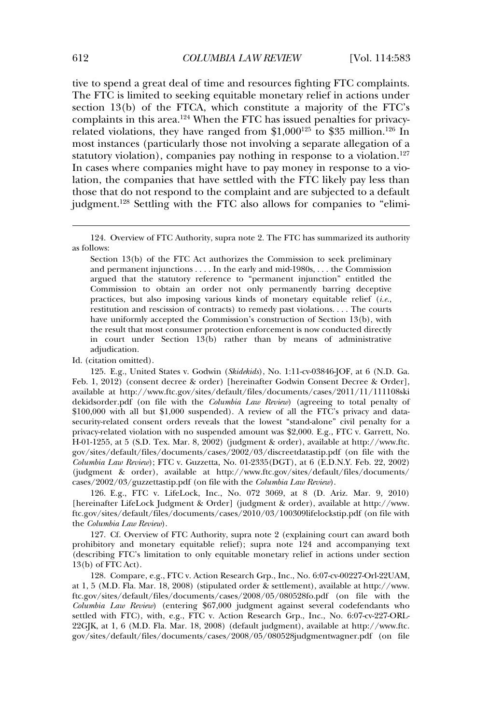tive to spend a great deal of time and resources fighting FTC complaints.<br>The FTC is limited to seeking equitable monetary relief in actions under section 13(b) of the FTCA, which constitute a majority of the FTC's complaints in this area.<sup>124</sup> When the FTC has issued penalties for privacy-<br>complaints in this area.<sup>124</sup> When the FTC has issued penalties for privacyrelated violations, they have related the magnitude of  $\frac{124}{100}$  When the FTC has issued penalties for privacymost instances (particularly those not involving a separate allegation of a most instances (particularly those not involving a separate allegation of a most instances (particularly those not involving a separate allegation of a  $\frac{1}{2}$  in cases when  $\frac{1}{2}$  and  $\frac{1}{2}$  and  $\frac{1}{2}$  and  $\frac{1}{2}$  in response to a violation  $\frac{1}{2}$ In cases where companies might have to pay money in response to a violation.<br>In cases where companies might have to pay money in response to a violation, the companies that have settled with the FTC likely pay less than lation, the companies that have settled with the FTC likely pay less than fusion, the companies that have settled with the FTC meap  $\frac{1}{\sqrt{2}}$  base that the companies to a default the complaint and are subjected to a default

llows:<br>Section 13(b) of the FTC Act authorizes the Commission to seek preliminary<br>and permanent injunctions . . . . In the early and mid-1980s, . . . the Commission and permanent injunctions  $\dots$  In the early and mid-1980s,  $\dots$  the Commission argued that the statutory reference to "permanent injunction" entitled the argued that the statutory reference to "permanent injunction" entitled the<br>Commission to obtain an order not only permanently barring deceptive practices, but also imposing various kinds of monetary equitable relief (*i.e.*, practices, but also imposing various kinds of monetary equitable relief  $(i.e.,$ restitution and rescission of contracts) to remedy past violations. . . . The courts<br>have uniformly accepted the Commission's construction of Section 13(b), with have uniformly accepted the Commission's construction of Section 13(b), with the result that most consumer protection enforcement is now conducted directly in court under Section  $13(b)$  rather than by means of administrative adjudication. adjudication.<br>
(citation omitted).

124. Overview

Id. (citation omitted).<br>125. E.g., United States v. Godwin (*Skidekids*), No. 1:11-cv-03846-JOF, at 6 (N.D. Ga. Feb. 1, 2012) (consent decree & order) [hereinafter Godwin Consent Decree & Order], available at http://www.ftc.gov/sites/default/files/documents/cases/2011/11/111108ski<br>dekidsorder.pdf (on file with the *Columbia Law Review*) (agreeing to total penalty of dekidsorder.pdf (on file with the *Columbia Law Review*) (agreeing to total penalty of \$100,000 with all but \$1,000 suspended). A review of all the FTC's privacy and data-\$100,000 with all but \$1,000 suspended). A review of all the FTC's privacy and data-<br>security-related consent orders reveals that the lowest "stand-alone" civil penalty for a security-related consent orders reveals that the lowest "stand-alone" civil penalty for a<br>privacy-related violation with no suspended amount was \$2,000. E.g., FTC v. Garrett, No. privacy-related violation with no suspended amount was \$2,000. E.g., FTC v. Garrett, No. privacy-related violation with no suspended amount was \$2,000. E.g., FTC v. Garrett, No.<br>H-01-1255. at 5 (S.D. Tex. Mar. 8, 2002) (judgment & order), available at http://www.ftc. *Columbia Law Review*); FTC v. Guzzetta, No. 01-2335(DGT), at 6 (E.D.N.Y. Feb. 22, 2002) Columbia Law Review); FTC v. Guzzetta, No. 01-2335(DGT), at 6 (E.D.N.Y. Feb. 22, 2002)<br>(judgment & order), available at http://www.ftc.gov/sites/default/files/documents/ (judgment & order), available at http://www.ftc.gov/sites/defaul cases/2002/03/guzzettastip.pdf (on file with the *Columbia Law Review*).  $\cos\left(\frac{2002}{03}\right)$  guzzettastip.pdf (on file with the *Columbia Law Review*).

cases/2002/03/guzzettastip.pdf (on file with the *Columbia Law Review*).<br>126. E.g., FTC v. LifeLock, Inc., No. 072 3069, at 8 (D. Ariz. Mar. 9, 2010)<br>[hereinafter LifeLock Judgment & Order] (judgment & order), available at [hereinafter LifeLock Judgment & Order] (judgment & order), available at http://www. ftc.gov/sites/default/files/documents/cases/2010/03/100309lifelockstip.pdf (on file with the *Columbia Law Review*). the Columbia Law Review).

the *Columbia Law Review*).<br>
127. Cf. Overview of FTC Authority, supra note 2 (explaining court can award both<br>
prohibitory and monetary equitable relief): supra note 124 and accompanying text prohibitory and monetary equitable relief); supra note 124 and accompanying text (describing FTC's limitation to only equitable monetary relief in actions under section (describing FTC's limitation to only equitable monetary relief in actions under section ) of  $\overline{FTC}$  Act).

 v. Action Research Grp., Inc., No. 6:07-cv-00227-Orl-22UAM, at 1, 5 (M.D. Fla. Mar. 18, 2008) (stipulated order & settlement), available at http://www. at 1, 5 (M.D. Fla. Mar. 18, 2008) (stipulated order & settlement), available at http://www. *Columbia Law Review*) (entering \$67,000 judgment against several codefendants who Solumbia Law Review) (entering \$67,000 judgment against several codefendants who contributed with FTC), with, e.g., FTC v. Action Research Grp., Inc., No. 6:07-cv-227-ORL-22GJK, at 1, 6 (M.D. Fla. Mar. 18, 2008) (default judgment), available at http://www.ftc. 22GJK, at 1, 6 (M.D. Fla. Mar. 18, 2008) (default judgment), available at http://www.ftc. gov/sites/default/files/documents/cases/2008/05/080528judgmentwagner.pdf (on file

<sup>124.</sup> Overview of FTC Authority, supra note 2. The FTC has summarized its authority as follows: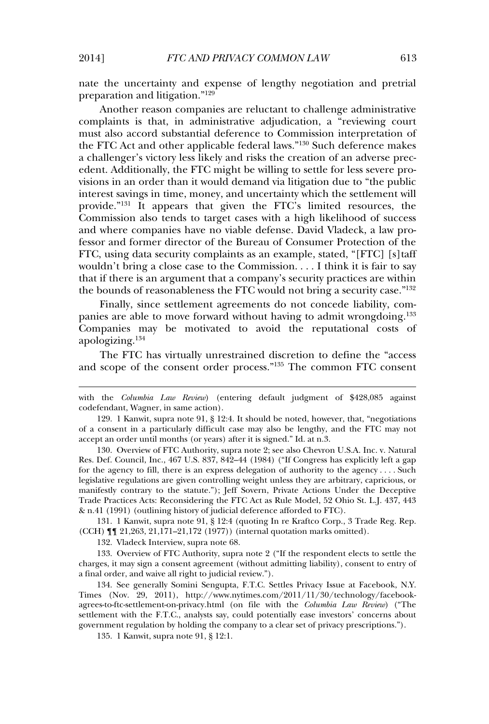of length<br>the uncertainty and expense of lengthy negotiation and pretrial aration and litigation." $129$ 

Another reason companies are reluctant to challenge administrative<br>complaints is that, in administrative adjudication, a "reviewing court complaints is that, in administrative adjudication, a "reviewing court the FTC Act and other applicable federal laws."<sup>130</sup> Such deference makes and the FTC Act and other applicable federal laws.<sup>"130</sup> Such deference makes<br>a challenger's victory less likely and risks the creation of an adverse preca challenger's victory less likely and risks the creation of an adverse precedent. Additionally, the FTC might be willing to settle for less severe provisions in an order than it would demand via litigation due to "the public" provide."<sup>131</sup> It appears that given the FTC's limited resources, the provide.<sup>"131</sup> It appears that given the FTC's limited resources, the provide.<sup>"131</sup> It appears that given the FTC's limited resources, the<br>Commission also tends to target cases with a high likelihood of success France Terms and Secure the France extended the Commission also tends to target cases with a high likelihood of success<br>and where companies have no viable defense. David Vladeck, a law proand where companies have no viable defense. David Vladeck, a law pro-Frame where computed the two to the Bureau of Consumer Protection of the FTC, using data security complaints as an example, stated, "[FTC] [s]taff FTC, using data security complaints as an example, stated, "[FTC] [s] taff wouldn't bring a close case to the Commission.... I think it is fair to say that if there is an argument that a company's security practices are within<br>that if there is an argument that a company's security practices are within that if there is an argument that a company's security practices are within<br>the bounds of reasonableness the FTC would not bring a security case."<sup>132</sup> the bounds of reasonableness the FTC would not bring a security case." $132$ 

the bounds of reasonableness the FTC would not bring a security case."<sup>132</sup><br>Finally, since settlement agreements do not concede liability, com-<br>panies are able to move forward without having to admit wrongdoing.<sup>133</sup> panies are able to move forward without having to admit wrongdoing.<sup>133</sup><br>Companies may be motivated to avoid the reputational costs of Companies may be motivated to avoid the reputational costs of  $\rm \dot{\rm}$ ogizing. $^{134}$ 

apologizing.<sup>134</sup><br>The FTC has virtually unrestrained discretion to define the "access"<br>and scope of the consent order process."<sup>135</sup> The common FTC consent and scope of the consent order process."135 The common FTC consent

& n.41 (1991) (outlining history of judicial deference afforded to FTC).<br>
131. 1 Kanwit, supra note 91, § 12:4 (quoting In re Kraftco Corp., 3 Trade Reg. Rep.<br>
(CCH) ¶¶ 21.263. 21.171–21.172 (1977)) (internal quotation mar (132. Vladeck Interview, supra note 68.<br>132. Vladeck Interview, supra note 68.

132. Vladeck Interview, supra note 68.

132. Vladeck Interview, supra note 68.<br>
133. Overview of FTC Authority, supra note 2 ("If the respondent elects to settle the<br>
charges, it may sign a consent agreement (without admitting liability), consent to entry of charges, it may sign a consent agreement (without a<br>a final order, and waive all right to judicial review."). a final order, and waive all right to judicial review."). a final order, and waive all right to judicial review.").<br>134. See generally Somini Sengupta, F.T.C. Settles Privacy Issue at Facebook, N.Y.

Times (Nov. 29, 2011), http://www.nytimes.com/2011/11/30/technology/facebook-agrees-to-ftc-settlement-on-privacy.html (on file with the *Columbia Law Review*) ("The agrees-to-ftc-settlement-on-privacy.html (on file with the *Columbia Law Review*) ("The settlement with the F.T.C., analysts say, could potentially ease investors' concerns about settlement with the F.T.C., analysts say, could potentially ease investors' concerns abovernment regulation by holding the company to a clear set of privacy prescriptions."). of the regulation by holding the comparent regulation by holding the comparent regular to 135.1.

with the second second second second second second second second second second second second second second second second second second second second second second second second second second second second second second sec

*Columbia Law Review*) (entering default judgment of \$428,085 against codefendant, Wagner, in same action). codefendant, Wagner, in same action).

<sup>129. 1</sup> Kanwit, supra note  $91, 8, 12:4$ . It should be noted, however, that, "negotiations of a consent in a particularly difficult case may also be lengthy, and the FTC may not of a consent in a particularly difficult case may also be lengthy, accept an order until months (or years) after it is signed." Id. at n.3. accept an order until months (or years) after it is signed." Id. at n.3.

accept an order until months (or years) after it is signed." Id. at n.3.<br>130. Overview of FTC Authority, supra note 2; see also Chevron U.S.A. Inc. v. Natural<br>Res. Def. Council. Inc., 467 U.S. 837, 842–44 (1984) ("If Congr Res. Def. Council, Inc., 467 U.S. 837, 842–44 (1984) ("If Congress has explicitly left a gap for the agency to fill, there is an express delegation of authority to the agency . . . . Such for the agency to fill, there is an express delegation of authority to the agency.... Such legislative regulations are given controlling weight unless they are arbitrary, capricious, or legislative regulations are given controlling weight unless they are arbitrary, capricious, or<br>manifestly contrary to the statute."): Jeff Sovern, Private Actions Under the Deceptive manifestly contrary to the statute."); Jeff Sovern, Private Actions Under the Deceptive<br>Trade Practices Acts: Reconsidering the FTC Act as Rule Model, 52 Ohio St. L.J. 437, 443 Trade Practices Acts: Reconsidering the FTC Act as Rule Model, 52 Oh.<br>& n.41 (1991) (outlining history of judicial deference afforded to FTC). & n.41 (1991) (outlining history of judicial deference afforded to FTC).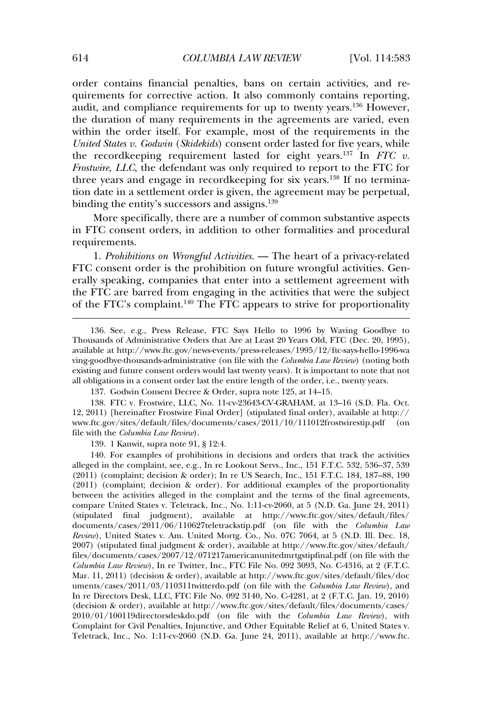order contains financial penalties, bans on certain activities, and re-<br>quirements for corrective action. It also commonly contains reporting. and common mandal penalties, same on certain accrudes, and requirements for corrective action. It also commonly contains reporting, audit, and compliance requirements for up to twenty years.<sup>136</sup> However, quiements for corrective dedom to due commonly condities reporting,<br>audit, and compliance requirements for up to twenty years.<sup>136</sup> However,<br>the duration of many requirements in the agreements are varied, even which, and completed requirements for up to them, years. Thenever,<br>the duration of many requirements in the agreements are varied, even<br>within the order itself. For example, most of the requirements in the within the order itself. For example, most of the requirements in the the recording requirement of  $\chi$  is the requirement of the requirement  $U$ ,  $U$  and  $U$  and  $U$  are  $\chi$  is the recording position of  $\chi$  is the requirement of  $\chi$  is the requirement of  $\chi$  is  $\chi$ . *Frostwire, LLC*, the defendant was only required to report to the FTC *v.*<br>*Frostwire, LLC*, the defendant was only required to report to the FTC for the recording requirement have the eight years. In the composition of the FTC for three years and engage in recordkeeping for six years.<sup>138</sup> If no terminathe eyears and engage in recordkeeping for six years.<sup>138</sup> If no termination date in a settlement order is given, the agreement may be perpetual. ance years and engage in recording the eight<br>tion date in a settlement order is given, the a<br>binding the entity's successors and assigns.<sup>139</sup> binding the entity's successors and assigns.<sup>139</sup>

binding the entity's successors and assigns.<sup>139</sup><br>More specifically, there are a number of common substantive aspects<br>in FTC consent orders, in addition to other formalities and procedural in FTC consent orders, in addition to other formalities and procedural irements.

requirements.<br> *Prohibitions on Wrongful Activities*. — The heart of a privacy-related<br>
FTC consent order is the prohibition on future wrongful activities. Gen-FTC consent order is the prohibition on future wrongful activities. Genthe FTC are barrel from engagement from engaging in the activities that engagement with of the FTC are barred from engaging in the activities that were the subject<br>of the FTC's complaint.<sup>140</sup> The FTC appears to strive for proportionality

136. See, e.g., Press Release, FTC Says Hellow Hellow Hellow Hellow Hellow Hellow Hellow Hellow Hellow Hellow

139. 1 Kanwit, supra note 91, § 12:4.<br>140. For examples of prohibitions in decisions and orders that track the activities<br>alleged in the complaint, see, e.g., In re Lookout Servs., Inc., 151 F.T.C. 532, 536–37, 539 alleged in the complaint, see, e.g., In re Lookout Servs., Inc., 151 F.T.C. 532, 536–37, 539<br>(2011) (complaint: decision & order): In re US Search, Inc., 151 F.T.C. 184, 187–88, 190 (2011) (complaint; decision & order); In re US Search, Inc., 151 F.T.C. 184, 187–88, 190 (2011) (complaint: decision & order). For additional examples of the proportionality  $b$ (2011) (complaint; decision & order). For additional examples of the proportionality between the activities alleged in the complaint and the terms of the final agreements, between the activities alleged in the complaint and the terms of the final agreements, compare United States v. Teletrack, Inc., No. 1:11-cv-2060, at 5 (N.D. Ga. June 24, 2011) compare United States v. Teletrack, Inc., No. 1:11-cv-2060, at 5 (N.D. Ga. June 24, 2011) (stipulated final judgment), available at http://www.ftc.gov/sites/default/files/ documents/cases/2011/06/110627teletrackstip.pdf (on file with the *Columbia Law*<br>*Review*), United States v. Am. United Mortg. Co., No. 07C 7064, at 5 (N.D. Ill. Dec. 18, *Review*), United States v. Am. United Mortg. Co., No. 07C 7064, at 5 (N.D. Ill. Dec. 18, 2007) (stipulated final judgment & order), available at http://www.ftc.gov/sites/default/ 2007) (stipulated final judgment & order), available at http://www.ftc.gov/sites/default/ files/documents/cases/2007/12/071217americanunitedmrtgstipfinal.pdf (on file with the files/documents/cases/2007/12/071217americanunitedmrtgstipfinal.pdf (on file with the *Columbia Law Review*), In re Twitter, Inc., FTC File No. 092 3093, No. C-4316, at 2 (F.T.C. Mar. 11, 2011) (decision & order), availabl Mar. 11, 2011) (decision & order), available at http://www.ftc.gov/sites/default/files/documents/cases/2011/03/110311twitterdo.pdf (on file with the *Columbia Law Review*), and uments/cases/2011/03/110311twitterdo.pdf (on file with the *Columbia Law Review*), and<br>In re Directors Desk, LLC, FTC File No. 092 3140, No. C-4281, at 2 (F.T.C. Jan. 19, 2010) (decision & order), available at http://www.ftc.gov/sites/default/files/documents/cases/<br>(decision & order), available at http://www.ftc.gov/sites/default/files/documents/cases/ (decision & order), available at http://www.ftc.gov/sites/default/files/documents/cases/ (decision & order), available at http://www.ftc.gov/sites/default/files/documents/cases/<br>2010/01/100119directorsdeskdo.pdf (on file with the *Columbia Law Review*), with<br>Complaint for Civil Penalties. Injunctive, and Other Teletrack, Inc., No. 1:11-cv-2060 (N.D. Ga. June 24, 2011), available at http://www.ftc.

<sup>136.</sup> See, e.g., Press Release, FTC Says Hello to 1996 by Waving Goodbye to<br>Thousands of Administrative Orders that Are at Least 20 Years Old, FTC (Dec. 20, 1995). Thousands of Administrative Orders that Are at Least 20 Years Old, FTC (Dec. 20, 1995), available at http://www.ftc.gov/news-events/press-releases/1995/12/ftc-says-hello-1996-wa<br>ving-goodbye-thousands-administrative (on file with the *Columbia Law Review*) (noting both ving-goodbye-thousands-administrative (on file with the *Columbia Law Review*) (noting both<br>existing and future consent orders would last twenty years). It is important to note that not existing and future consent orders would last twenty years). It is important to note the entire length of the order, i.e., twenty years. bligations in a consent order last the entire length of the order, i.e<br>137. Godwin Consent Decree & Order, supra note 125, at 14–15.

<sup>137.</sup> Godwin Consent Decree & Order, supra note 125, at 14-15.

<sup>137.</sup> Godwin Consent Decree & Order, supra note 125, at 14–15.<br>138. FTC v. Frostwire, LLC, No. 11-cv-23643-CV-GRAHAM, at 13–16 (S.D. Fla. Oct.<br>12. 2011) [hereinafter Frostwire Final Order] (stipulated final order), availabl 12, 2011) [hereinafter Frostwire Final Order] (stipulated final order), available at http:// file with the *Columbia Law Review*). file with the Columbia Law Review). ith the *Columbia Law Review*).<br>139. 1 Kanwit, supra note 91, 8 12:4.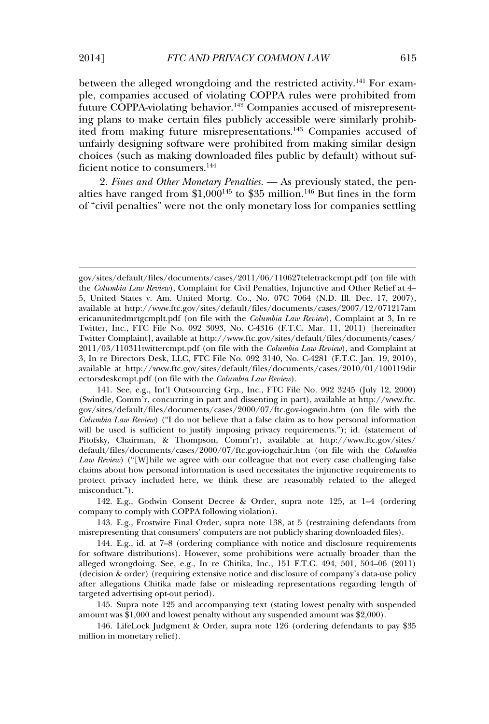between the alleged wrongdoing and the restricted activity.<sup>141</sup> For exam-<br>ple, companies accused of violating COPPA rules were prohibited from future COPPA-violating behavior.<sup>142</sup> Companies accused of misrepresent-<br>future COPPA-violating behavior.<sup>142</sup> Companies accused of misrepresentplans to make certain files publicly accessible were promoted from<br>ing plans to make certain files publicly accessible were similarly prohib-Final plans to make certain files publicly accessible were similarly prohibited from make certain files publicly accessible were similarly prohibited from making future. ited from making future misrepresentations.<sup>143</sup> Companies accused of choices (such as making downloaded files public by default) without suf-<br>choices (such as making downloaded files public by default) without sufchoices (such as making downloaded files public by default) without sufnt notice to consumers. $144$ 

ficient notice to consumers.<sup>144</sup><br>
2. *Fines and Other Monetary Penalties.* — As previously stated, the pen-<br>
alties have ranged from \$1,000<sup>145</sup> to \$35 million.<sup>146</sup> But fines in the form alties have ranged from  $$1,000^{145}$  to \$35 million.<sup>146</sup> But fines in the form<br>of "civil penalties" were not the only monetary loss for companies settling

 $\overline{\phantom{a}}$  and  $\overline{\phantom{a}}$  and  $\overline{\phantom{a}}$  and  $\overline{\phantom{a}}$  and  $\overline{\phantom{a}}$  and  $\overline{\phantom{a}}$  and  $\overline{\phantom{a}}$  with  $\overline{\phantom{a}}$ 

misconduct.").<br>
142. E.g., Godwin Consent Decree & Order, supra note 125, at 1–4 (ordering<br>
company to comply with COPPA following violation). company to comply with COPPA following violation).

company to comply with COPPA following violation).<br>
143. E.g., Frostwire Final Order, supra note 138, at 5 (restraining defendants from<br>
misrepresenting that consumers' computers are not publicly sharing downloaded files). misrepresenting that consumers' computers are not publicly sharing downloaded files).

misrepresenting that consumers' computers are not publicly sharing downloaded files).<br>144. E.g., id. at 7–8 (ordering compliance with notice and disclosure requirements<br>for software distributions). However, some prohibitio for software distributions). However, some prohibitions were actually broader than the alleged wrongdoing. See, e.g., In re Chitika, Inc., 151 F.T.C. 494, 501, 504–06 (2011) (decision & order) (requiring extensive notice and disclosure of company's data-use policy<br>(decision & order) (requiring extensive notice and disclosure of company's data-use policy (decision & order) (requiring extensive notice and disclosure of company's data-use policy<br>after allegations Chitika made false or misleading representations regarding length of after allegations Chitika made false<br>targeted advertising opt-out period). targeted advertising opt-out period).

targeted advertising opt-out period).<br>
145. Supra note 125 and accompanying text (stating lowest penalty with suspended<br>
amount was \$1,000 and lowest penalty without any suspended amount was \$2,000). amount was  $$1,000$  and lowest penalty without any suspended amount was  $$2,000$ .

amount was \$1,000 and lowest penalty without any suspended amount was \$2,000).<br>146. LifeLock Judgment & Order, supra note 126 (ordering defendants to pay \$35<br>million in monetary relief).

gov/sites/default/files/documents/cases/2011/06/110627teletrackcmpt.pdf (on file with gov/sites/default/files/documents/cases/2011/06/110627teletrackcmpt.pdf (on file with<br>the *Columbia Law Review*), Complaint for Civil Penalties, Injunctive and Other Relief at 4–<br>5. United States v. Am. United Mort*g*. Co. 5, United States v. Am. United Mortg. Co., No. 07C 7064 (N.D. Ill. Dec. 17, 2007), available at http://www.ftc.gov/sites/default/files/documents/cases/2007/12/071217am<br>ericanunitedmrtgcmplt.pdf (on file with the *Columbia Law Review*), Complaint at 3, In re ericanunitedmrtgcmplt.pdf (on file with the *Columbia Law Review*), Complaint at 3, In re<br>Twitter, Inc., FTC File No. 092 3093, No. C-4316 (F.T.C. Mar. 11, 2011) [hereinafter Twitter, Inc., FTC File No. 092 3093, No. C-4316 (F.T.C. Mar. 11, 2011) [hereinafter Twitter Complaint], available at http://www.ftc.gov/sites/default/files/documents/cases/<br>2011/03/110311twittercmpt.pdf (on file with the *Columbia Law Review*), and Complaint at 2011/03/110311twittercmpt.pdf (on file with the *Columbia Law Review*), and Complaint at 3. In re Directors Desk, LLC, FTC File No. 092 3140, No. C-4281 (F.T.C. Jan. 19, 2010), 3, In re Directors Desk, LLC, FTC File No. 092 3140, No. C-4281 (F.T.C. Jan. 19, 2010), extends to the extendion of the system of the system of the system of the system of the system of the system of the wilder of the system of the system of the system of the system of the system of the system of the system o able at http://www.ftc.gov/sites/default/files/docum<br>sdeskcmpt.pdf (on file with the *Columbia Law Review*).

ectorsdeskcmpt.pdf (on file with the *Columbia Law Review*).<br>
141. See, e.g., Int'l Outsourcing Grp., Inc., FTC File No. 992 3245 (July 12, 2000)<br>
(Swindle, Comm'r, concurring in part and dissenting in part), available at (Swindle, Comm'r, concurring in part and dissenting in part), available at http://www.ftc. gov/sites/default/files/documents/cases/2000/07/ftc.gov-iogswin.htm (on file with the gov/sites/default/files/documents/cases/2000/07/ftc.gov-iogswin.htm (on file with the *Columbia Law Review*) ("I do not believe that a false claim as to how personal information will be used is sufficient to justify imposi will be used is sufficient to justify imposing privacy requirements."); id. (statement of<br>Pitofsky, Chairman, & Thompson, Comm'r), available at http://www.ftc.gov/sites/ Pitofsky, Chairman, & Thompson, Comm'r), available at http://www.ftc.gov/sites/<br>default/files/documents/cases/2000/07/ftc.gov-iogchair.htm (on file with the *Columbia* default/files/documents/cases/2000/07/ftc.gov-iogchair.htm (on file with the *Columbia* Law Review) ("[W]hile we agree with our colleague that not every case challenging false<br>claims about how personal information is used necessitates the injunctive requirements to claims about how personal information is used necessitates the injunctive requirements to protect privacy included here, we think these are reasonably related to the alleged protect privacy included here, we think these are reasonably related to the alleged misconduct.").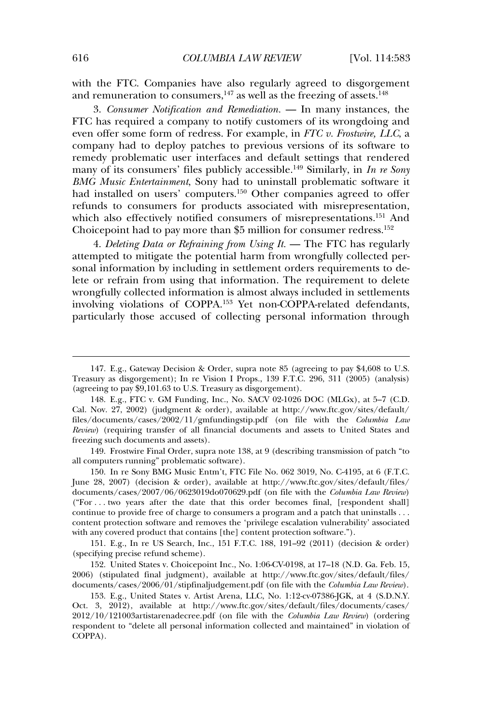with the FTC. Companies have also regularly agreed to disgorgement<br>and remuneration to consumers.<sup>147</sup> as well as the freezing of assets.<sup>148</sup> and remuneration to consumers,  $147$  as well as the freezing of assets.  $148$ and remuneration to consumers,  $147$  as well as the freezing of assets.  $148$ <br>3. Consumer Notification and Remediation. — In many instances, the

even offer some form of redress. For example, in *FTC v. Frostwire, LLC*, a general form of redress. For example, in *FTC v. Frostwire, LLC*, a company had to deploy patches to previous versions of its software to company had to deploy patches to previous versions of its software to remedy problematic user interfaces and default settings that rendered<br>remedy problematic user interfaces and default settings that rendered many of its consumers' files publicly accessible.<sup>149</sup> Similarly, in *In re Sony* many of its consumers' files publicly accessible.<sup>149</sup> Similarly, in *In re Sony*  $HMS$  Music Entertainment, Solv had to uninstall problematic software if refunds to consumers for products associated with misrepresentation,<br>refunds to consumers for products associated with misrepresentation, Figure 1 and  $\frac{1}{2}$  also effectively notified consumers of misrepresentations. which also effectively notified consumers of misrepresentations.<sup>151</sup> And<br>Choicepoint had to pay more than \$5 million for consumer redress.<sup>152</sup> 4. *Deleting Data or Refraining from Using It.* — The FTC has regularly

4. Deleting Data or Refraining from Using  $It.$  – The FTC has regularly attempted to mitigate the potential harm from wrongfully collected permediate or refrain from using that information. The requirements to delete or refrain from using that information. The requirement to delete words information by including in settlement orders requirement to delete<br>lete or refrain from using that information. The requirement to delete<br>wrongfully collected information is almost always included in settlements Fraction of Copenham and the Copenham of Copenham and the Copenham of Copenham and the contract of COPPA-153 Yet non-COPPA-related defendants, particularly conceted information and almost analysimetrical in section through<br>involving violations of COPPA.<sup>153</sup> Yet non-COPPA-related defendants,<br>particularly those accused of collecting personal information through

freezing such documents and assets).<br>149. Frostwire Final Order, supra note 138, at 9 (describing transmission of patch "to<br>all computers running" problematic software). all computers running" problematic software). all computers running" problematic software).<br>150. In re Sony BMG Music Entm't, FTC File No. 062 3019, No. C-4195, at 6 (F.T.C.

June 28, 2007) (decision & order), available at http://www.ftc.gov/sites/default/files/<br>documents/cases/2007/06/0623019do070629.pdf (on file with the *Columbia Law Review*) documents/cases/2007/06/0623019do070629.pdf (on file with the *Columbia Law Review*)<br>("For . . . two years after the date that this order becomes final. [respondent shall] ("For  $\dots$  two years after the date that this order becomes final, [respondent shall] continue to provide free of charge to consumers a program and a patch that uninstalls  $\dots$ continue to provide free of charge to consumers a program and a patch that uninstalls . . .<br>content protection software and removes the 'privilege escalation vulnerability' associated content protection software and removes the 'privilege escalation vulnerabi<br>with any covered product that contains [the] content protection software."). with any covered product that contains [the] content protection software."). with any covered product that contains [the] content protection software.").<br>151. E.g., In re US Search, Inc., 151 F.T.C. 188, 191–92 (2011) (decision & order)

 $152.$  Unit external States v. Choice inc., No. 1:06-Citying precise refund scheme). (specifying precise refund scheme).<br>152, United States v. Choicepoint Inc., No. 1:06-CV-0198, at 17–18 (N.D. Ga. Feb. 15,

2006) (stipulated final judgment), available at http://www.ftc.gov/sites/default/files/<br>documents/cases/2006/01/stipfinaljudgement.pdf (on file with the *Columbia Law Review*). ments/cases/2006/01/stipfinaljudgement.pdf (on file with the *Columbia Law Review*).<br>153. E.g., United States v. Artist Arena, LLC, No. 1:12-cv-07386-IGK, at 4 (S.D.N.Y.

147. E.g.,

Gateway Decision & Order, supra note <sup>85</sup> (agreeing to pay \$4,608 to U.S. Treasury as disgorgement); In re Vision I Props., 139 F.T.C. 296, 311 (2005) (analysis) Treasury as disgorgement); In re Vision I Props.,  $139 \text{ F.T.}$  (agreeing to pay \$9,101.63 to U.S. Treasury as disgorgement). (agreeing to pay \$9,101.63 to U.S. Treasury as disgorgement). ay \$9,101.63 to U.S. Treasury as disgorgement).<br>FTC v. GM Funding, Inc., No. SACV 02-1026 DOC (MLGx), at 5–7 (C.D.

 $\overline{a}$ 148. E.g., FTC v. GM Funding, Inc., No. SACV 02-1026 DOC (MLGx), at 5–7 (C.D.<br>Nov. 27, 2002) (judgment & order), available at http://www.ftc.gov/sites/default/ Cal. Nov. 27, 2002) (judgment & order), available at http://www.ftc.gov/sites/default/ files/documents/cases/2002/11/gmfundingstip.pdf (on file with the *Columbia Law*<br>*Review*) (requiring transfer of all financial documents and assets to United States and Review) (requiring transfer of all financial documents and assets to United States and ing such documents and assets).

<sup>153.</sup> E.g., United States v. Artist Arena, LLC, No. 1:12-cv-07386-JGK, at 4 (S.D.N.Y. Oct. 3, 2012), available at http://www.ftc.gov/sites/default/files/documents/cases/ Oct. 3, 2012), available at http://www.ftc.gov/sites/default/files/documents/cases/<br>2012/10/121003artistarenadecree.pdf (on file with the *Columbia Law Review*) (ordering<br>respondent to "delete all personal information coll respondent to "delete all personal information collected and maintained" in violation of COPPA).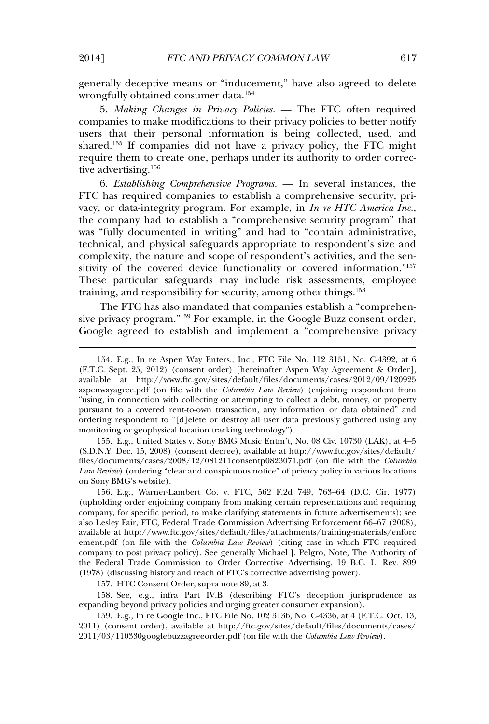generally deceptive means or "inducement," have also agreed to delete<br>wrongfully obtained consumer data.<sup>154</sup> wrongfully obtained consumer data.<sup>154</sup>

Making Changes in Privacy Policies. — The FTC often required<br>
S. Making Changes in Privacy Policies. — The FTC often required<br>
companies to make modifications to their privacy policies to better notify companies to make modifications to their privacy policies to better notify star-parties to make the anticident of the person policies of sector treaty<br>users that their personal information is being collected, used, and<br>shared.<sup>155</sup> If companies did not have a privacy policy, the FTC might shared.<sup>155</sup> If companies did not have a privacy policy, the FTC might<br>require them to create one, perhaps under its authority to order correcrequire them to create one, perhaps under its authority to order correcadvertising.<sup>156</sup> tive advertising.<sup>156</sup><br>6. Establishing Comprehensive Programs. — In several instances, the

FTC has required companies to establish a comprehensive security, privacy, or data-integrity program. For example, in *In re HTC America Inc.*, vacy, or data-integrity program. For example, in  $In$  re HTC America Inc., the company had to establish a "comprehensive security program" that the company had to collability and physical safeguards appropriate to respondent's size and<br>technical, and physical safeguards appropriate to respondent's size and complexity, the nature and scope of respondent's activities, and the sen-<br>complexity, the nature and scope of respondent's activities, and the sensitivity, the nature and scope of respondent's activities, and the sensitivity of the covered device functionality or covered information."<sup>157</sup> sitivity of the covered device functionality or covered information."<sup>157</sup> training of the esternal device randicularity of esternal information.<br>These particular safeguards may include risk assessments, employee  $T$  has an also responsibility for security, among other things.<sup>158</sup>

The FTC has also mandated that companies establish a "comprehensive privacy program."<sup>159</sup> For example, in the Google Buzz consent order. sive privacy program."<sup>159</sup> For example, in the Google Buzz consent order, Google agreed to establish and implement a "comprehensive privacy

154. E.g., In re Aspen Way Enters., Inc., FTC File No. 112 3151, No. 112 3151, No. 112 3151, No. 112 3151, No.<br>2004. The Company Enters., Inc., FTC File No. 112 3151, No. 21392, at a street of the Company Enters. In the C

 (S.D.N.Y. Dec. 15, 2008) (consent decree), available at http://www.ftc.gov/sites/default/  $f(S.D.N.Y. Dec. 15, 2008)$  (consent decree), available at http://www.ftc.gov/sites/default/ files/documents/cases/2008/12/081211consentp0823071.pdf (on file with the *Columbia* files/documents/cases/2008/12/081211consentp0823071.pdf (on file with the *Columbia*<br> *Law Review*) (ordering "clear and conspicuous notice" of privacy policy in various locations<br>
on Sony BMG's website). on Sony BMG's website).

on Sony BMG's website).<br>
156. E.g., Warner-Lambert Co. v. FTC, 562 F.2d 749, 763–64 (D.C. Cir. 1977)<br>
(upholding order enjoining company from making certain representations and requiring (upholding order enjoining company from making certain representations and requiring<br>company, for specific period, to make clarifying statements in future advertisements); see company, for specific period, to make clarifying statements in future advertisements); see<br>also Lesley Fair, FTC, Federal Trade Commission Advertising Enforcement 66–67 (2008), also Lesley Fair, FTC, Federal Trade Commission Advertising Enforcement 66-67 (2008), available at http://www.ftc.gov/sites/default/files/attachments/training-materials/enforc<br>ement.pdf (on file with the *Columbia Law Review*) (citing case in which FTC required ement.pdf (on file with the *Columbia Law Review*) (citing case in which FTC required<br>company to post privacy policy). See generally Michael I. Pelgro, Note, The Authority of the Federal Trade Commission to Order Corrective Advertising, 19 B.C. L. Rev. 899<br>The Federal Trade Commission to Order Corrective Advertising, 19 B.C. L. Rev. 899 the Federal Trade Commission to Order Corrective Advertising, 19 B.<br>(1978) (discussing history and reach of FTC's corrective advertising power). 8) (discussing history and reach of FTC's corre<br>157. HTC Consent Order, supra note 89, at 3.

157. HTC Consent Order, supra note 89, at 3.

157. HTC Consent Order, supra note 89, at 3.<br>158. See, e.g., infra Part IV.B (describing FTC's deception jurisprudence as<br>expanding beyond privacy policies and urging greater consumer expansion). expanding beyond privacy policies and urging greater consumer expansion). expanding beyond privacy policies and urging greater consumer expansion).<br>159. E.e., In re Google Inc., FTC File No. 102 3136, No. C-4336, at 4 (F.T.C. Oct. 13,

2011) (consent order), available at http://ftc.gov/sites/default/files/documents/cases/<br>2011/03/110330googlebuzzagreeorder.pdf (on file with the *Columbia Law Review*).

6 (F.T.C. Sept. 25, 2012) (consent order) [hereinafter Aspen Way Agreement & Order], (F.T.C. Sept. 25, 2012) (consent order) [hereinafter Aspen Way Agreement & Order], available at http://www.ftc.gov/sites/default/files/documents/cases/2012/09/120925<br>aspenwayagree.pdf (on file with the *Columbia Law Review*) (enjoining respondent from aspenwayagree.pdf (on file with the *Columbia Law Review*) (enjoining respondent from<br>"using, in connection with collecting or attempting to collect a debt, money, or property pursuant to a covered rent-to-own transaction, any information or data obtained" and pursuant to a covered rent-to-own transaction, any information or data obtained" and<br>ordering respondent to "[d]elete or destroy all user data previously gathered using any ordering respondent to "[d]elete or destroy all user dat<br>monitoring or geophysical location tracking technology"). monitoring or geophysical location tracking technology").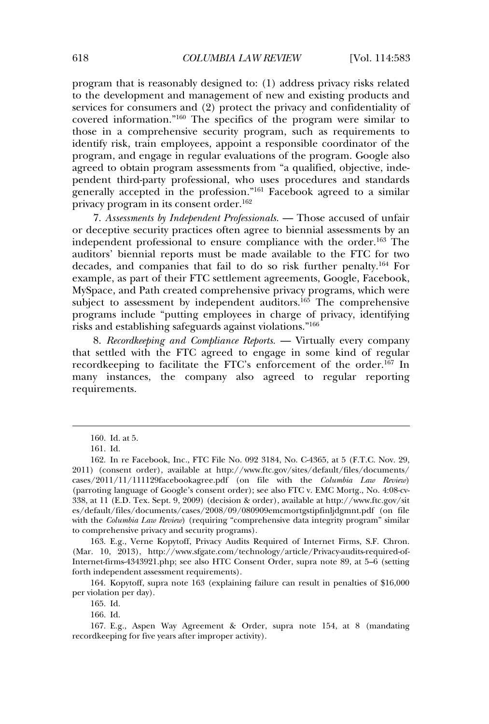$t$  or the development and  $\epsilon$  or  $t$  or  $\epsilon$  or  $t$  or  $\epsilon$  or  $\epsilon$  or  $\epsilon$  or  $\epsilon$  or  $\epsilon$  or  $\epsilon$  or  $\epsilon$  or  $\epsilon$  or  $\epsilon$  or  $\epsilon$  or  $\epsilon$  or  $\epsilon$  or  $\epsilon$  or  $\epsilon$  or  $\epsilon$  or  $\epsilon$  or  $\epsilon$  or  $\epsilon$  or  $\epsilon$  or  $\epsilon$  or  $\epsilon$ services for consumers and (2) protect the privacy and confidentiality of services for consumers and (2) protect the privacy and confidentiality of covered information. The specifics of the private interaction.<br>Services for consumers and  $(2)$  protect the privaty and confidentiality of these is constants and  $(2)$  proceed the program were similar to covered information.<sup>"160</sup> The specifics of the program were similar to those in a comprehensive security program, such as requirements to those in a comprehensive security program, such as requirements to program, and emperience of the program, and is requirements to identify risk, train employees, appoint a responsible coordinator of the agreed to obtain program, and engage in regular evaluations of the program. Google also agreed to obtain program assessments from "a qualified, objective, indegreed to obtain program assessments from a quantiest, objective, made<br>pendent third-party professional, who uses procedures and standards<br>generally accepted in the profession."<sup>161</sup> Facebook agreed to a similar pendent and party processionally accepted in the profession.'<br>privacy program in its consent order.<sup>162</sup> privacy program in its consent order.<sup>162</sup>

privacy program in its consent order.<sup>162</sup><br> *Assessments by Independent Professionals.* — Those accused of unfair<br>
or deceptive security practices often agree to biennial assessments by an or deceptive security practices often agree to biennial assessments by an independent professional to ensure compliance with the order.<sup>163</sup> The independent professional to ensure compliance with the order.<sup>163</sup> The<br>auditors' biennial reports must be made available to the FTC for two and comparison processes that the comparison of the FTC for two decades, and companies that fail to do so risk further penalty.<sup>164</sup> For example, as part of their FTC settlement agreements, Google, Facebook, example, as part of their FTC settlement agreements, Google, Facebook, MySpace, and Path created comprehensive privacy programs, which were  $\frac{1}{2}$ subject, and Path created comprehensive privacy programs, which were<br>subject to assessment by independent auditors.<sup>165</sup> The comprehensive  $p_{\text{target}}$ , and that connect compressions  $p_{\text{target}}$ ,  $p_{\text{target}}$ ,  $p_{\text{target}}$ ,  $p_{\text{target}}$ ,  $p_{\text{target}}$ ,  $p_{\text{target}}$ ,  $p_{\text{target}}$ ,  $p_{\text{target}}$ ,  $p_{\text{target}}$ ,  $p_{\text{target}}$ ,  $p_{\text{target}}$ ,  $p_{\text{target}}$ ,  $p_{\text{target}}$ ,  $p_{\text{target}}$ ,  $p_{\text{target}}$ ,  $p_{\text{target}}$ ,  $p_{\$ programs include "putting employees in charge of privacy, identifying and establishing safeguards against violations." $166$ 

risks and establishing safeguards against violations."<sup>166</sup><br>8. *Recordkeeping and Compliance Reports.* — Virtually every company<br>that settled with the FTC agreed to engage in some kind of regular that settled with the FTC agreed to engage in some kind of regularity to facilitate the FTC agreed to engage in some kind of regularity record looping to facilitate the  $\text{ETC's representation}$  of the order.<sup>167</sup> In many instances, the company also agreed to regular reporting<br>many instances, the company also agreed to regular reporting many instances, the company also agreed to regular reporting requirements.

to comprehensive privacy and security programs).<br>
163. E.g., Verne Kopytoff, Privacy Audits Required of Internet Firms, S.F. Chron.<br>
(Mar. 10, 2013), http://www.sfgate.com/technology/article/Privacy-audits-required-of-Internet-firms-4343921.php; see also HTC Consent Order, supra note 89, at 5–6 (setting Internet-firms-4343921.php; see also HTC Consent Order, supra note 89, at 5–6 (setting  $\frac{1}{2}$  independent assessment requirements). forth independent assessment requirements).<br>164. Kopytoff, supra note 163 (explaining failure can result in penalties of \$16,000

 $\frac{1}{2}$ iolation per day).

166. Id.

 $166.$  Id.

166. Id.<br>167. E.g., Aspen Way Agreement & Order, supra note 154, at 8 (mandating<br>recordkeeping for five years after improper activity).

<sup>160.</sup> Id. at 5.160. Id. at 5.

 $161.$  Id.

<sup>161.</sup> Id.<br>162. In re Facebook, Inc., FTC File No. 092 3184, No. C-4365, at 5 (F.T.C. Nov. 29,<br>2011) (consent order), available at http://www.ftc.gov/sites/default/files/documents/ 2011) (consent order), available at http://www.ftc.gov/sites/default/files/documents/ 2011) (consent order), available at http://www.ftc.gov/sites/default/files/documents/<br>cases/2011/11/111129facebookagree.pdf (on file with the *Columbia Law Review*)<br>(parroting language of Google's consent order): see also (parroting language of Google's consent order); see also FTC v. EMC Mortg., No. 4:08-cv-<br>338, at 11 (E.D. Tex. Sept. 9, 2009) (decision & order), available at http://www.ftc.gov/sit 338, at 11 (E.D. Tex. Sept. 9, 2009) (decision & order), available at http://www.ftc.gov/sit es/default/files/documents/cases/2008/09/080909emcmortgstipfinlidgmnt.pdf (on file es/default/files/documents/cases/2008/09/080909emcmortgstipfinljdgmnt.pdf (on file with the *Columbia Law Review*) (requiring "comprehensive data integrity program" similar to comprehensive privacy and security programs). to comprehensive privacy and security programs).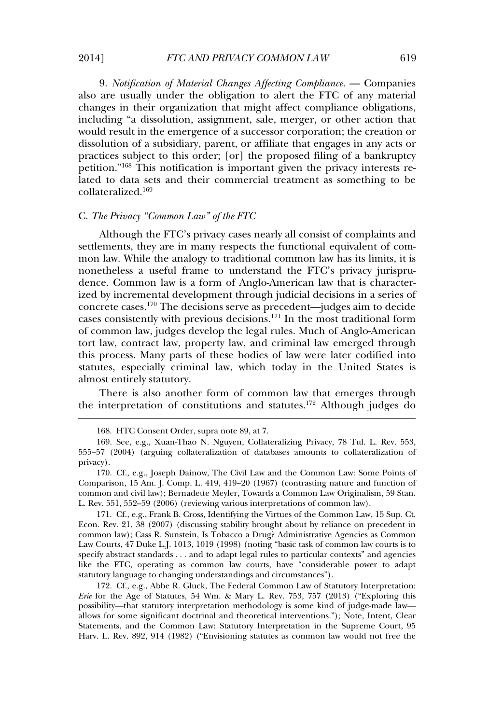also are usually under the original Changes Affecting Compliance. — Companies<br>and Material Changes Affecting Compliance. — Companies changes in their organization that might affect compliance obligations, disc are assain, and the conglator to discuss the TTC of any material<br>changes in their organization that might affect compliance obligations,<br>including "a dissolution, assignment, sale, merger, or other action that enarges in their eigenmation that ingits arece computates esignators,<br>including "a dissolution, assignment, sale, merger, or other action that<br>would result in the emergence of a successor corporation; the creation or meading a dissolution, assignment, sare, merger, or other detect that<br>would result in the emergence of a successor corporation; the creation or<br>dissolution of a subsidiary, parent, or affiliate that engages in any acts or product to the emergence of a subsessor corporation, the creation of<br>dissolution of a subsidiary, parent, or affiliate that engages in any acts or<br>practices subject to this order: [or] the proposed filing of a bankruptcy  $\frac{1}{2}$  also the state of the state different given the proposed filing of a bankruptcy practices subject to this order; [or] the proposed filing of a bankruptcy procedured to data sets and their commercial treatment as something to be<br>lated to data sets and their commercial treatment as something to be lated to data sets and their commercial treatment as something to be collateralized.<sup>169</sup>  $\ddot{\phantom{0}}$ 

### *The Privacy* "Common Law" of the FTC

C. *The Privacy* "Common Law" of the FTC<br>Although the FTC's privacy cases nearly all consist of complaints and<br>settlements, they are in many respects the functional equivalent of comsettlements, they are in many respects the functional equivalent of comnonetheless and full frame to understand the FTC-s and the FTC's private the FTC's private the FTC's private in dence. Common law is a form of Anglo-American law that is character-<br>dence. Common law is a form of Anglo-American law that is characterdence. Common law is a form of Anglo-American law that is character- $\frac{170 \text{ T}}{200 \text{ N}}$  incremental development through judicial decisions in a series of  $\frac{1}{2}$  concrete cases.<sup>170</sup> The decisions serve as precedent—judges aim to decide cases consistently with previous decisions.<sup>171</sup> In the most traditional form of common law, judges develop the legal rules. Much of Anglo-American<br>of common law, judges develop the legal rules. Much of Anglo-American the law contract law, judges develop the legal rules. Much of Anglo-American<br>tort law, contract law, property law, and criminal law emerged through tort law, contract law, property law, and criminal law emerged through statutes, especially criminal law, which today in the United States is<br>statutes, especially criminal law, which today in the United States is statutes, especially criminal law, which today in the United States is  $\frac{1}{10}$  statutory.

almost entirely statutory.<br>
There is also another form of common law that emerges through<br>
the interpretation of constitutions and statutes.<sup>172</sup> Although judges do the interpretation of constitutions and statutes.<sup>172</sup> Although judges do

168. HTC Conservation of the Conservation of the Conservation of the Conservation of the Conservation of the C

171. Cf., e.g., Frank B. Cross, Identifying the Virtues of the Common Law, 15 Sup. Ct. Econ. Rev. 21, 38 (2007) (discussing stability brought about by reliance on precedent in common law); Cass R. Sunstein, Is Tobacco a Drug? Administrative Agencies as Common<br>Law Courts, 47 Duke L.J. 1013, 1019 (1998) (noting "basic task of common law courts is to Law Courts, 47 Duke L.J. 1013, 1019 (1998) (noting "basic task of common law courts is to specify abstract standards . . . and to adapt legal rules to particular contexts" and agencies<br>like the FTC, operating as common law courts, have "considerable power to adapt statutory language to changing understandings and circumstances"). statutory language to changing understandings and circumstances").

172. Cf., e.g., Abbe R. Gluck, The Federal Common Law of Statutory Interpretation: 172. Cf., e.g., Abbe R. Gluck, The Federal Common Law of Statutory Interpretation:<br>*Erie* for the Age of Statutes, 54 Wm. & Mary L. Rev. 753, 757 (2013) ("Exploring this *Erie* for the Age of Statutes, 54 Wm. & Mary L. Rev. 753, 757 (2013) ("Exploring this possibility—that statutory interpretation methodology is some kind of judge-made law—allows for some significant doctrinal and theoreti allows for some significant doctrinal and theoretical interventions."); Note, Intent, Clear<br>Statements, and the Common Law: Statutory Interpretation in the Supreme Court, 95 Statements, and the Common Law: Statutory Interpretation in the Supreme Court, 95<br>Harv. L. Rev. 892, 914 (1982) ("Envisioning statutes as common law would not free the

<sup>168.</sup> HTC Consent Order, supra note 89, at 7.

555–57 (2004) (arguing collateralization of databases amounts to collateralization of 555-57 (2004) (arguing collateralization of databases amounts to collateralization of  $\alpha$ <sub>cy</sub>).

privacy).<br>170. Cf., e.g., Joseph Dainow, The Civil Law and the Common Law: Some Points of<br>Comparison, 15 Am. J. Comp. L. 419, 419–20 (1967) (contrasting nature and function of common and civil law); Bernadette Meyler, Towards a Common Law Originalism, 59 Stan. common and civil law); Bernadette Meyler, Towards a Common Law Originali<br>L. Rev. 551, 552–59 (2006) (reviewing various interpretations of common law). e. 551, 552–59 (2006) (reviewing various interpretations of common law).<br>171. Cf., e.g., Frank B. Cross, Identifying the Virtues of the Common Law, 15 Sup. Ct.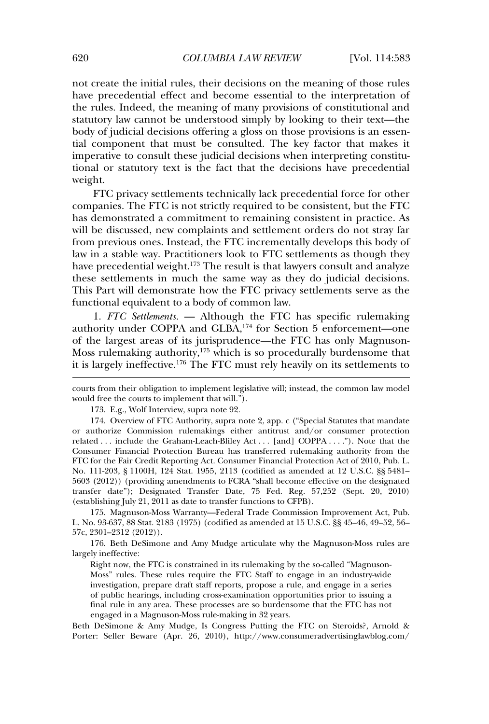not create the initial rules, their decisions on the meaning of those rules the rules are multi-rules, then decisions of the meaning of those rules.<br>have precedential effect and become essential to the interpretation of<br>the rules. Indeed, the meaning of many provisions of constitutional and statutory law cannot be understood simply by looking to their text—the statutory law cannot be understood simply by looking to their text—the body of judicial decisions offering a gloss on those provisions is an essen-<br>body of judicial decisions offering a gloss on those provisions is an essenbody of judicial decisions offering a gloss on those provisions is an essen-Figure that the consulted. The key factor that makes it<br>imperative to consult these judicial decisions when interpreting constituthat component that mass be considered. The key haven interpreting constitu-<br>tional or statutory text is the fact that the decisions have precedential tional or statutory text is the fact that the decisions have precedential weight. ht.  $\mathbb{R}$  extending the set of  $\mathbb{R}$ 

weight.<br>FTC privacy settlements technically lack precedential force for other<br>companies. The FTC is not strictly required to be consistent, but the FTC companies. The FTC is not strictly required to be consistent, but the FTC will be discussed, new complaints and settlement orders do not stray far<br>will be discussed, new complaints and settlement orders do not stray far from previous ones. Instead, the FTC incrementally develops this body of from previous ones. Instead, the FTC incrementally develops this body of law is a stable way. Instead, the FTC incrementally develops this body of<br>law in a stable way. Practitioners look to FTC settlements as though they have precedential weight.<sup>173</sup> The result is that lawyers consult and analyze<br>have precedential weight.<sup>173</sup> The result is that lawyers consult and analyze these settlements in much the same way as they do judicial decisions. This Presentation respect that the same way as they do judicial decisions.<br>This Part will demonstrate how the FTC privacy settlements serve as the This Part will demonstrate how the FTC privacy settlements serve as the tional equivalent to a body of common law. functional equivalent to a body of common law.<br>
1. *FTC Settlements*. — Although the FTC has specific rulemaking

1. FTC Settlements. — Although the FTC has specific rulemaking authority under COPPA and GLBA.<sup>174</sup> for Section 5 enforcement—one of the largest areas of its jurisprudence—the FTC has only Magnuson-<br>Moss rulemaking outhority,<sup>175</sup> which is so procedurally burdensome that  $\frac{1}{100}$  is largely ineffective.<sup>176</sup> The FTC must rely heavily on its settlements to it is largely ineffective.<sup>176</sup> The FTC must rely heavily on its settlements to

courts from their obligation to implement legislative

(establishing July 21, 2011 as date to transfer functions to CFPB).<br>175. Magnuson-Moss Warranty—Federal Trade Commission Improvement Act, Pub.<br>L. No. 93-637, 88 Stat. 2183 (1975) (codified as amended at 15 U.S.C. §§ 45–46, L. No. 93-637, 88 Stat. 21<br>57c. 2301–2312 (2012)). 57c, 2301-2312 (2012)).

57c, 2301–2312 (2012)).<br>
176. Beth DeSimone and Amy Mudge articulate why the Magnuson-Moss rules are<br>
largely ineffective: largely ineffective:

ly ineffective:<br>Right now, the FTC is constrained in its rulemaking by the so-called "Magnuson-<br>Moss" rules. These rules require the FTC Staff to engage in an industry-wide Moss" rules. These rules require the FTC Staff to engage in an industry-wide investigation, prepare draft staff reports, propose a rule, and engage in a series<br>of public hearings, including cross-examination opportunities prior to issuing a of public hearings, including cross-examination opportunities prior to issuing a final rule in any area. These processes are so burdensome that the FTC has not engaged in a Magnuson-Moss rule-making in 32 years. engaged in a Magnuson-Moss rule-making in 32 years.

engaged in a Magnuson-Moss rule-making in 32 years.<br>Beth DeSimone & Amy Mudge, Is Congress Putting the FTC on Steroids?, Arnold &<br>Porter: Seller Beware (Apr. 26, 2010), http://www.consumeradvertisinglawblog.com/

courts from their obligation to implement legislative will; instead, the common law model<br>would free the courts to implement that will."). d free the courts to implement that will.<sup>7</sup><br>173. E.g., Wolf Interview, supra note 92.

<sup>173.</sup> E.g., Wolf Interview, supra note 92.

<sup>173.</sup> E.g., Wolf Interview, supra note 92.<br>174. Overview of FTC Authority, supra note 2, app. c ("Special Statutes that mandate<br>or authorize Commission rulemakings either antitrust and/or consumer protection or authorize Commission rulemakings either antitrust and/or consumer protection related ... include the Graham-Leach-Bliley Act ... [and]  $COPPA$  ..."). Note that the related  $\ldots$  include the Graham-Leach-Bliley Act $\ldots$  [and] COPPA $\ldots$ ."). Note that the For the Fair Credit Reporting Act. Consumer Financial Protection Act of 2010, Pub. L.<br>FTC for the Fair Credit Reporting Act. Consumer Financial Protection Act of 2010, Pub. L. FTC for the Fair Credit Reporting Act. Consumer Financial Protection Act of 2010, Pub. L.<br>No. 111-203, § 1100H, 124 Stat. 1955, 2113 (codified as amended at 12 U.S.C. §§ 5481– No. 111-203, § 1100H, 124 Stat. 1955, 2113 (codified as amended at 12 U.S.C. §§ 5481–<br>5603 (2012)) (providing amendments to FCRA "shall become effective on the designated the transfer date"); (providing amendments to FCRA "shall become effective on the designated transfer date"); Designated Transfer Date, 75 Fed. Reg. 57,252 (Sept. 20, 2010) (establishing July 21, 2011 as date to transfer functions to CFPB).<br>(establishing July 21, 2011 as date to transfer functions to CFPB). (establishing July 21, 2011 as date to transfer functions to CFPB).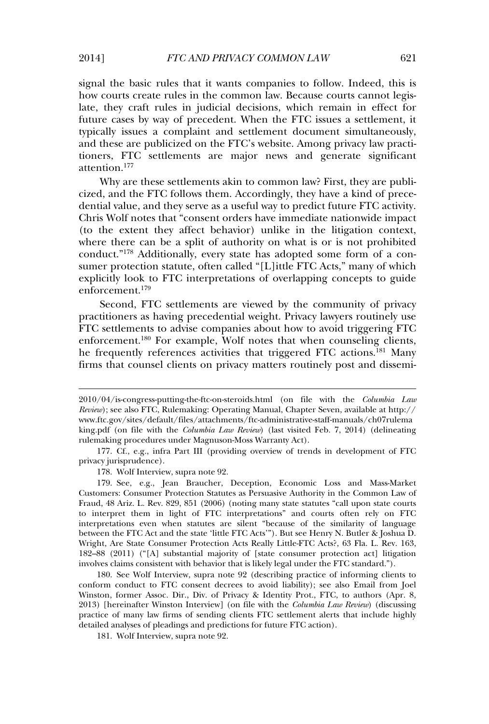is<br>signal the basic rules that it wants companies to follow. Indeed, this is<br>how courts create rules in the common law. Because courts cannot legishow courts create rules in the common law. Because courts cannot legisfuture cases by way of precedent. When the FTC issues a settlement, it future cases by way of precedent. When the FTC issues a settlement, it  $a_1$  and the cases  $a_1$  and  $a_2$  is presedent. After the FTC assets a section only, to typically issues a complaint and settlement document simultaneously, and these are publicized on the FTC's website. Among privacy law practitioners, FTC settlements are major news and generate significant  $\mu$  are the theory  $177$ 

attention.<sup>177</sup><br>Why are these settlements akin to common law? First, they are publi-<br>cized, and the FTC follows them. Accordingly, they have a kind of prececized, and the FTC follows them. Accordingly, they have a kind of precedential value, and they serve as a useful way to predict future FTC activity. (the extent they affect behavior) unlike in the litigation context,<br>(to the extent they affect behavior) unlike in the litigation context, (to the extent they affect behavior) unlike in the litigation context,<br>where there can be a split of authority on what is or is not prohibited where there can be a split of authority on what is or is not prohibited<br>and the  $2^{178}$  Additionally, every state has adopted some form of a conconduct."<sup>178</sup> Additionally, every state has adopted some form of a con- $\frac{1}{2}$  such that the first of  $\frac{1}{2}$  and  $\frac{1}{2}$  and  $\frac{1}{2}$  and  $\frac{1}{2}$  and  $\frac{1}{2}$  and  $\frac{1}{2}$  and  $\frac{1}{2}$  such that  $\frac{1}{2}$  and  $\frac{1}{2}$  and  $\frac{1}{2}$  and  $\frac{1}{2}$  and  $\frac{1}{2}$  and  $\frac{1}{2}$  and  $\epsilon$  explicitly look to FTC interpretations of overlapping concepts to guide  $\sum_{n=1}^{\infty}$  settlement,  $179$ 

enforcement.<sup>179</sup><br>Second, FTC settlements are viewed by the community of privacy<br>practitioners as having precedential weight. Privacy lawyers routinely use FIGURES TO SUBDIVISE THE REFREE BY THE COMMUNITY OF FIGURES<br>FTC settlements to advise companies about how to avoid triggering FTC FTC settlements to abse companies about how to avoid triggering FTC settlements to advise companies about how to avoid triggering FTC enforcement.<sup>180</sup> For example, Wolf notes that when counseling clients,<br>the frequently references estimities that triggered FTC actions.<sup>181</sup> Many firms that counsel counsel counsel counsel counsel counsel counsel counsel with the frequently references activities that triggered FTC actions.<sup>181</sup> Many firms that counsel clients on privacy matters routinely post and dissemi-

 $2010$  is constraint the ftc-on-steroids. Hence  $\alpha$  is the future on  $\alpha$  is the steroids.

rulemaking procedures under Magnuson-Moss Warranty Act).<br>177. Cf., e.g., infra Part III (providing overview of trends in development of FTC<br>privacy jurisprudence). privacy jurisprudence). cy jurisprudence).<br>178. Wolf Interview, supra note 92.

178. Wolf Interview, supra note 92.<br>179. See, e.g., Jean Braucher, Deception, Economic Loss and Mass-Market<br>Customers: Consumer Protection Statutes as Persuasive Authority in the Common Law of Fraud, <sup>48</sup> Ariz. L. Rev. 829, 851 (2006) (noting many state statutes "call upon state courts Fraud, 48 Ariz. L. Rev. 829, 851 (2006) (noting many state statutes "call upon state courts<br>to interpret them in light of FTC interpretations" and courts often rely on FTC to interpret them in light of FTC interpretations" and courts often rely on FTC between the FTC Act and the state 'little FTC Acts'"). But see Henry N. Butler & Joshua D. between the FTC Act and the state 'little FTC Acts'"). But see Henry N. Butler & Joshua D.<br>Wright, Are State Consumer Protection Acts Really Little-FTC Acts?, 63 Fla. L. Rev. 163, Wright, Are State Consumer Protection Acts Really Little-FTC Acts?, 63 Fla. L. Rev. 163, involves claims consistent with behavior that is likely legal under the FTC standard."). the set of interview. See Wolf Interview, supra note 92 (describing practice of informing clients to 180. See Wolf Interview, supra note 92 (describing practice of informing clients to

180. See Wolf Interview, supra note 92 (describing practice of informing clients to conform conduct to FTC consent decrees to avoid liability); see also Email from Joel e also Email from conduct to FTC consent decrees to avoid liability); see also Email from Joel Winston, former Assoc. Dir., Div. of Privacy & Identity Prot., FTC, to authors (Apr. 8, Winston, former Assoc. Dir., Div. of Privacy & Identity Prot., FTC, to authors (Apr. 8,<br>2013) [hereinafter Winston Interview] (on file with the *Columbia Law Review*) (discussing 2013) [hereinafter Winston Interview] (on file with the *Columbia Law Review*) (discussing<br>practice of many law firms of sending clients FTC settlement alerts that include highly practice of many law firms of sending clients FTC settlement alert<br>detailed analyses of pleadings and predictions for future FTC action). led analyses of pleadings and predictional and the 181. Wolf Interview, supra note 92.

*Columbia Law Review*); see also FTC, Rulemaking: Operating Manual, Chapter Seven, available at http:// *Review*); see also FTC, Rulemaking: Operating Manual, Chapter Seven, available at http:// www.ftc.gov/sites/default/files/attachments/ftc-administrative-staff-manuals/ch07rulema www.ftc.gov/sites/default/files/attachments/ftc-administrative-staff-manuals/ch07rulema<br>king.pdf (on file with the *Columbia Law Review*) (last visited Feb. 7, 2014) (delineating .<br>naking procedures under Magnuson-Moss Warranty Act).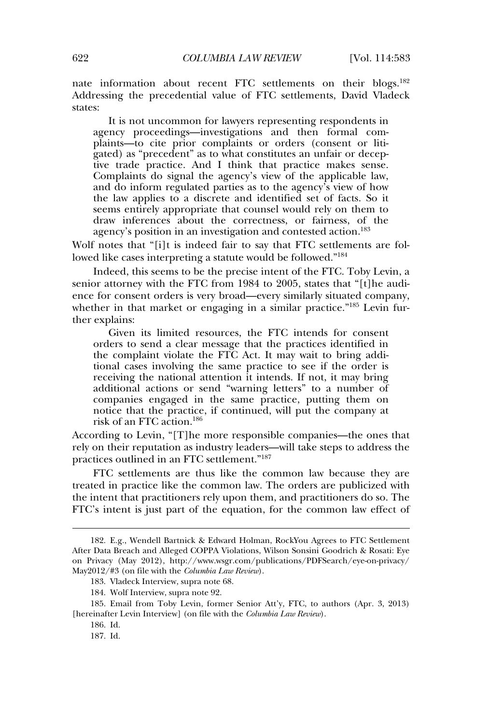nate information about recent FTC settlements on their blogs.<sup>182</sup><br>Addressing the precedential value of FTC settlements, David Vladeck Addressing the precedential value of FTC settlements, David Vladeck states:  $\overline{0}$  is not uncommon for  $\overline{1}$ 

s:<br>
It is not uncommon for lawyers representing respondents in<br>
agency proceedings—investigations and then formal comagency proceedings—investigations and then formal comgency proceedings—investigations and their formal com-<br>plaints—to cite prior complaints or orders (consent or liti-<br>gated) as "precedent" as to what constitutes an unfair or decepgated) as "precedent" as to what constitutes an unfair or decepgated) as precedent as to what constitutes an unian or decep-<br>tive trade practice. And I think that practice makes sense. and do informal regulation regulation regulation and produce makes sense.<br>Complaints do signal the agency's view of the applicable law, complaints to signal the agency's view of the applicable law,<br>and do inform regulated parties as to the agency's view of how<br>the law applies to a discrete and identified set of facts. So it and do miorm regulated parties as to the agency's view of how<br>the law applies to a discrete and identified set of facts. So it<br>seems entirely appropriate that counsel would rely on them to seems entirely appropriate that counsel would rely on them to draw inferences about the correctness, or fairness, of the agency's position in an investigation and contested action.<sup>183</sup> agency's position in an investigation and contested action.<sup>183</sup><br>Wolf notes that "[i]t is indeed fair to say that FTC settlements are fol-

Wolf notes that "[i]t is indeed fair to say that FTC settlements are fold like cases interpreting a statute would be followed." $^{\rm 184}$ lowed like cases interpreting a statute would be followed."<sup>184</sup><br>Indeed, this seems to be the precise intent of the FTC. Toby Levin, a

senior attorney with the FTC from 1984 to 2005, states that "[t]he audiwhere the interest or engagement of  $\frac{1}{2}$  and  $\frac{1}{2}$  and  $\frac{1}{2}$  and  $\frac{1}{2}$  and  $\frac{1}{2}$  and  $\frac{1}{2}$  where the similar property similarly situated company, whether in that market or engaging in a similar practice."<sup>185</sup> Levin fur- $\frac{1}{2}$ s lains:

explains:<br>
Given its limited resources, the FTC intends for consent<br>
orders to send a clear message that the practices identified in orders to send a clear message that the practices identified in the complaint violate the FTC Act. It may wait to bring addiof the complaint violate the FTC Act. It may wait to bring additional cases involving the same practice to see if the order is tional cases involving the same practice to see if the order is about a cases involving the same practice to see if the order is<br>receiving the national attention it intends. If not, it may bring<br>additional actions or send "warning letters" to a number of receiving the national attention it intends. If not, it may bring<br>additional actions or send "warning letters" to a number of<br>companies engaged in the same practice, putting them on additional actions of send warning retters to a number of<br>companies engaged in the same practice, putting them on<br>notice that the practice, if continued, will put the company at notice that the practice, if continued, will put the company at risk of an FTC action.  $186$ 

risk of an FTC action.<sup>186</sup><br>According to Levin, "[T]he more responsible companies—the ones that<br>rely on their reputation as industry leaders—will take steps to address the proceduring to meeting the price meteor deep state<br>practices outlined in an FTC settlement."<sup>187</sup> practices outlined in an FTC settlement."187

practices outlined in an FTC settlement."<sup>187</sup><br>FTC settlements are thus like the common law because they are<br>treated in practice like the common law. The orders are publicized with treated in practice like the common law. The orders are publicized with the intent that practitioners rely upon them, and practitioners do so. The FICT IN THE CALL THE STATE OF THE PLANSIS CONSIDERED THE EXAMPLE THE EXAMPLE THE EXAMPLE THE EXAMPLE THE FTC's intent is just part of the equation, for the common law effect of

182. E.G., Wendell Bartnick & Edward Holman, Wendell Bartnick & Edward Holman, Wendell Bartnick & Edward Holman,

<sup>182.</sup> E.g., Wendell Bartnick & Edward Holman, RockYou Agrees to FTC Settlement<br>After Data Breach and Alleged COPPA Violations, Wilson Sonsini Goodrich & Rosati: Eve After Data Breach and Alleged COPPA Violations, Wilson Sonsini Goodrich & Rosati: Eye<br>on Privacy (May 2012), http://www.wsgr.com/publications/PDFSearch/eye-on-privacy/ on Privacy (May 2012), http://www.wsgr.com/pu<br>May2012/#3 (on file with the *Columbia Law Review*).  $\frac{18012}{43}$  (on file with the *Columbia Law*<br>183. Vladeck Interview, supra note 68.

<sup>183.</sup> Vladeck Interview, supra note<br>184. Wolf Interview, supra note 92.

<sup>184.</sup> Wolf Interview, supra note 92.

<sup>184.</sup> Wolf Interview, supra note 92.<br>
185. Email from Toby Levin, former Senior Att'y, FTC, to authors (Apr. 3, 2013)<br>
[hereinafter Levin Interview] (on file with the *Columbia Law Review*). [hereinafter Levin Interview] (on file with the Columbia Law Review).

<sup>186.</sup> Id.

<sup>187.</sup> Id.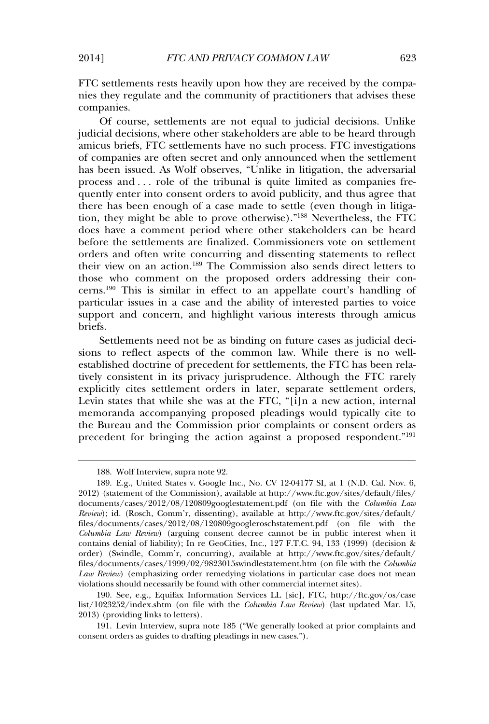FTC settlements rests heavily upon how they are received by the companies they regulate and the community of practitioners that advises these  $\sum_{\rm panies.}$ 

 settlements are not equal to judicial decisions. Unlike judicial decisions, where other stakeholders are able to be heard through judicial decisions, where other stakeholders are able to be heard through of companies are often secret and only announced when the settlement<br>of companies are often secret and only announced when the settlement has been issued. As Wolf observes, "Unlike in litigation, the adversarial process and . . . role of the tribunal is quite limited as companies fre-<br>process and . . . role of the tribunal is quite limited as companies freprocess and . . . role of the tribunal is quite limited as companies frequently enter into consent orders to avoid publicity, and thus agree that there has been enough of a case made to settle (even though in litiga-<br>there has been enough of a case made to settle (even though in litigathere has been enough of a case made to settle (even though in litiga-<br>tion, they might be able to prove otherwise)."<sup>188</sup> Nevertheless, the FTC does have a comment period where other stakeholders can be heard<br>does have a comment period where other stakeholders can be heard before the settlements are finalized. Commissioners vote on settlement<br>before the settlements are finalized. Commissioners vote on settlement before the settlements are finalized. Commissioners vote on settlement<br>orders and often write concurring and dissenting statements to reflect orders and often write concurring and dissenting statements to reflect<br>their view on an action.<sup>189</sup> The Commission also sends direct letters to their view on an action.<sup>189</sup> The Commission also sends direct letters to those who comment on the proposed orders addressing their conthose who comment on the proposed orders addressing their con-<br>corns.<sup>190</sup> This is similar in effect to an appellate court's handling of provide the proposed states and cases and the ability of interested parties to voice<br>particular issues in a case and the ability of interested parties to voice supportion and concern, and highlight various interested parties to voice<br>support and concern, and highlight various interests through amicus support and concern, and highlight various interests through amicus briefs.  $\mathcal{S}_{\mathbf{S}}$ .

Settlements need not be as binding on future cases as judicial deciestablished doctrine of precedent for settlements, the FTC has been rela-<br>established doctrine of precedent for settlements, the FTC has been relaestablished doctrine of precedent for settlements, the FTC has been relaexplicitly consistent in its privacy jurisprudence. Although the FTC rarely<br>explicitly cites settlement orders in later, separate settlement orders. explicitly cites settlement orders in later, separate settlement orders, memoranda accompanying proposed pleadings would typically cite to<br>memoranda accompanying proposed pleadings would typically cite to the Bureau and the Commission prior complaints or consent orders as<br>the Bureau and the Commission prior complaints or consent orders as memorantal accompanying proposed predaings would syptemy exercise<br>the Bureau and the Commission prior complaints or consent orders as<br>precedent for bringing the action against a proposed respondent."<sup>191</sup>

188.

<sup>188.</sup> Wolf Interview, supra note 92.

<sup>188.</sup> Wolf Interview, supra note 92.<br>189. E.g., United States v. Google Inc., No. CV 12-04177 SI, at 1 (N.D. Cal. Nov. 6,<br>2012) (statement of the Commission), available at http://www.ftc.gov/sites/default/files/ 2012) (statement of the Commission), available at http://www.ftc.gov/sites/default/files/ documents/cases/2012/08/120809googlestatement.pdf (on file with the *Columbia Law*<br>*Review*); id. (Rosch, Comm'r, dissenting), available at http://www.ftc.gov/sites/default/ *Review*); id. (Rosch, Comm'r, dissenting), available at http://www.ftc.gov/sites/default/<br>files/documents/cases/2012/08/120809googleroschstatement.pdf (on file with the files/documents/cases/2012/08/120809googleroschstatement.pdf (on file with the Columbia Law Review) (arguing consent decree cannot be in public interest when it contains denial of liability); In re GeoCities, Inc., 127 F.T.C. 94, 133 (1999) (decision & contains denial of liability); In re GeoCities, Inc., 127 F.T.C. 94, 133 (1999) (decision & order) (Swindle, Comm'r, concurring), available at http://www.ftc.gov/sites/default/ order) (Swindle, Comm'r, concurring), available at http://www.ftc.gov/sites/default/ files/documents/cases/1999/02/9823015swindlestatement.htm (on file with the *Columbia*<br> *Law Review*) (emphasizing order remedying violations in particular case does not mean Law Review) (emphasizing order remedying violations in particular case dividations should necessarily be found with other commercial internet sites). violations should necessarily be found with other commercial internet sites).

violations should necessarily be found with other commercial internet sites).<br>190. See, e.g., Equifax Information Services LL [sic], FTC, http://ftc.gov/os/case<br>list/1023252/index.shtm (on file with the *Columbia Law Revie*  $\frac{1}{2013}$  (providing links to letters). 2013) (providing links to letters).

<sup>2013) (</sup>providing links to letters).<br>
191. Levin Interview, supra note 185 ("We generally looked at prior complaints and<br>
consent orders as guides to drafting pleadings in new cases.").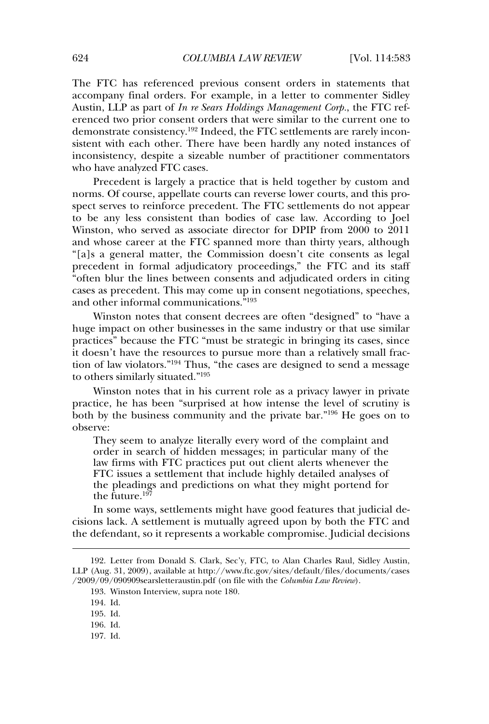The FTC has referenced previous consent orders in statements that<br>accompany final orders. For example, in a letter to commenter Sidley accompany final orders. For example, in a letter to commenter Sidley accompany final orders. For example, in a letter to commenter Sidley Austin, LLP as part of *In re Sears Holdings Management Corp.*, the FTC referenced two prior consent orders that were similar to the current one to demonstrate consistency.<sup>192</sup> Indeed, the FTC settlements are rarely incon-<br>demonstrate consistency.<sup>192</sup> Indeed, the FTC settlements are rarely inconsistent with each other. There have been hardly any noted instances of<br>sistent with each other. There have been hardly any noted instances of sistent with each other. There have been hardly any noted instances of inconsistency, despite a sizeable number of practitioner commentators have analyzed FTC cases.

who have analyzed FTC cases.<br>Precedent is largely a practice that is held together by custom and<br>norms. Of course, appellate courts can reverse lower courts, and this pronorms. Of course, appellate courts can reverse lower courts, and this pro $t_{\text{Spects}}$  is bodies, equality than bodies can be considered to  $\mu$ , and the  $\mu$ -We are the served as a consistent than bodies of case law. According to Joel and whose career at the FTC spanned more than thirty years, although<br>and whose career at the FTC spanned more than thirty years, although and whose career at the FTC spanned more than thirty years, although "[als a general matter, the Commission doesn't cite consents as legal precedent in formal adjudicatory proceedings," the FTC and its staff precedent in formal adjudicatory proceedings," the FTC and its staff<br>"often blur the lines between consents and adjudicated orders in citing "often blur the lines between consents and adjudicated orders in citing cases as precedent. This may come up in consent negotiations, speeches, other informal communications. $^{193}$ 

and other informal communications.<sup>5193</sup><br>Winston notes that consent decrees are often "designed" to "have a<br>huge impact on other businesses in the same industry or that use similar present the case of the strategic in the same industry or that use similar practices" because the FTC "must be strategic in bringing its cases, since it doesn't have the resources to pursue more than a relatively small frac-<br>it doesn't have the resources to pursue more than a relatively small frac $t_{\text{total}}$  tides to the case of the case of the cases of the cases of the cases of the case of  $t_{\text{final}}$  and  $t_{\text{final}}$  are the cases of  $t_{\text{final}}$  and  $t_{\text{final}}$  are  $t_{\text{final}}$ to about the discussion of law violators."<sup>194</sup> Thus, "the cases are designed to send a message hers similarly situated." $^{195}$ 

to others similarly situated."<sup>195</sup><br>Winston notes that in his current role as a privacy lawyer in private<br>practice, he has been "surprised at how intense the level of scrutiny is  $\frac{1}{2}$  by the business community and the private delected of scrutiny is  $\frac{1}{2}$ . both by the business community and the private bar."<sup>196</sup> He goes on to observe:

rve:<br>They seem to analyze literally every word of the complaint and<br>order in search of hidden messages: in particular many of the FILEY SECIN TO analyze incrainy every word of the complaint and<br>order in search of hidden messages; in particular many of the<br>law firms with FTC practices put out client alerts whenever the law firms with FTC practices put out client alerts whenever the the place place planet and the place of the planet the predictions of FTC issues a settlement that include highly detailed analyses of The states a settlement that include highly detailed analyses of<br>the pleadings and predictions on what they might portend for<br>the future.<sup>197</sup> the future. $197$ 

the future.<sup>197</sup><br>In some ways, settlements might have good features that judicial de-<br>cisions lack. A settlement is mutually agreed upon by both the FTC and cisions lack. A settlement is mutually agreed upon by both the FTC and the defendant, so it represents a workable compromise. Judicial decisions

192. Letter from

Donald S. Clark, Sec'y, FTC, to Alan Charles Raul, Sidley Austin, LLP (Aug. 31, 2009), available at http://www.ftc.gov/sites/default/files/documents/cases /2009/09/090909searsletteraustin.pdf (on file with the *Columbia Law Review*). e 1930. 1990. 1990. 1990. 1990. 1990. 1990. 1990. 1990. 1990. 1990. 1990. 1991. 1991. 1992. 1992. 1993. 1992. 1<br>1993. Winston Interview, supra note 180.

<sup>193.</sup> Winston Interview, supra note 180.

<sup>194.</sup> Id.

196. Id.

<sup>196.</sup> Id.

<sup>197.</sup> Id.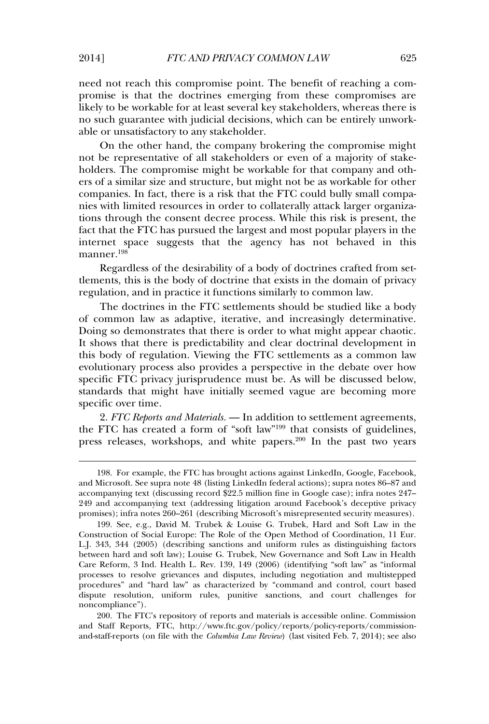need not reach this compromise point. The benefit of reaching a com-<br>promise is that the doctrines emerging from these compromises are likely to be workable for at least several key stakeholders, whereas there is likely to be workable for at least several key stakeholders, whereas there is able or unsatisfactory to an ideal server in<br>able or unsatisfactory to any stakeholder. able or unsatisfactory to any stakeholder.

able or unsatisfactory to any stakeholder.<br>
On the other hand, the company brokering the compromise might<br>
not be representative of all stakeholders or even of a majority of stakeholders. The compromise might be workable for that company and oth-<br>holders. The compromise might be workable for that company and others of a similar size and structure, but might not be as workable for other<br>ers of a similar size and structure, but might not be as workable for other constant the compensation inger the normalise for them competed on the companies. In fact, there is a risk that the FTC could bully small compano a measure with limited resources in order to collaterally attack larger organiza-<br>nies with limited resources in order to collaterally attack larger organizathe complete through the consent decree process. While this risk is present, the consent decree process. While this risk is present, the tions through the consent decree process. While this risk is present, the Fract that the FTC has pursued the largest and most popular players in the internet space suggests that the agency has not behaved in this internet space suggests that the agency has not behaved in this  $ner.^{198}$ 

manner.<sup>198</sup><br>Regardless of the desirability of a body of doctrines crafted from set-<br>tlements, this is the body of doctrine that exists in the domain of privacy regulation is the body of doctrine that exists in the domain of regulation, and in practice it functions similarly to common law. regulation, and in practice it functions similarly to common law. regulation, and in practice it functions similarly to common law.<br>The doctrines in the FTC settlements should be studied like a body

Fire assumes in the 110 setatements thout so statica the a soci-<br>of common law as adaptive, iterative, and increasingly determinative.<br>Doing so demonstrates that there is order to what might appear chaotic. It shows that there is predictability and clear doctrinal development in<br>It shows that there is predictability and clear doctrinal development in E only so demonstrates that there is stated to what ingite appear entirely<br>It shows that there is predictability and clear doctrinal development in<br>this body of regulation. Viewing the FTC settlements as a common law this body of regulation. Viewing the FTC settlements as a common law specific FTC private must be discussed by the second must be discussed by evolutionary process also provides a perspective in the debate over how standards that might have initially seemed vague are becoming more<br>specific FTC privacy jurisprudence must be. As will be discussed below,<br>standards that might have initially seemed vague are becoming more standards that might have initially seemed vague are becoming more ific over time.

specific over time.<br> *FTC Reports and Materials.* — In addition to settlement agreements,<br>
the FTC has created a form of "soft law"<sup>199</sup> that consists of guidelines, the FTC has created a form of "soft law"<sup>199</sup> that consists of guidelines, press releases, workshops, and white papers.<sup>200</sup> In the past two years

and Staff Reports, FTC, http://www.ftc.gov/policy/reports/policy-reports/commission-<br>and-staff-reports (on file with the *Columbia Law Review*) (last visited Feb. 7, 2014); see also

198.

For example, the FTC has brought actions against LinkedIn, Google, Facebook. and Microsoft. See supra note 48 (listing LinkedIn federal actions); supra notes 86–87 and<br>accompanying text (discussing record \$22.5 million fine in Google case); infra notes 247– 249 and accompanying text (discussing record \$22.5 million fine in Google case); infra notes 247–<br>249 and accompanying text (addressing litigation around Facebook's deceptive privacy promises); infra notes 260–261 (describing Microsoft's misrepresented security measures). nises); infra notes 260–261 (describing Microsoft's misrepresented security measures).<br>199. See, e.g., David M. Trubek & Louise G. Trubek, Hard and Soft Law in the

<sup>199.</sup> See, e.g., David M. Trubek & Louise G. Trubek, Hard and Soft Law in the Construction of Social Europe: The Role of the Open Method of Coordination, 11 Eur. Construction of Social Europe: The Role of the Open Method of Coordination, 11 Eur.<br>L.J. 343, 344 (2005) (describing sanctions and uniform rules as distinguishing factors L.J. 343, 344 (2005) (describing sanctions and uniform rules as distinguishing factors<br>between hard and soft law); Louise G. Trubek, New Governance and Soft Law in Health between hard and soft law); Louise G. Trubek, New Governance and Soft Law in Health Care Reform. 3 Ind. Health L. Rev. 139, 149 (2006) (identifying "soft law" as "informal" Care Reform, 3 Ind. Health L. Rev. 139, 149 (2006) (identifying "soft law" as "informal processes to resolve grievances and disputes, including negotiation and multistepped<br>procedures" and "hard law" as characterized by "command and control, court based procedures" and "hard law" as characterized by "command and control, court based<br>dispute resolution, uniform rules, punitive sanctions, and court challenges for dispute resolution, uniform rules, punitive sanctions, and court challenges for noncompliance"). noncompliance").<br>200. The FTC's repository of reports and materials is accessible online. Commission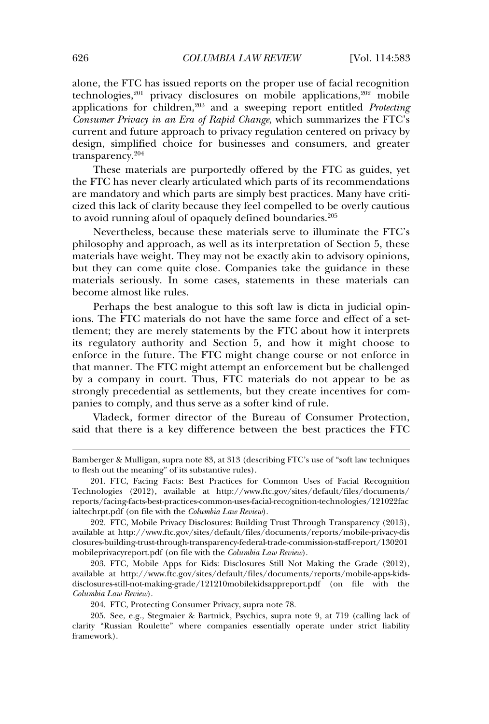alone, the FTC has issued reports on the proper use of facial recognition<br>technologies.<sup>201</sup> privacy disclosures on mobile applications.<sup>202</sup> mobile  $\frac{1}{2}$  and  $\frac{1}{2}$  children  $\frac{1}{2}$  children,  $\frac{203}{2}$  and es on mobile applications,<sup>202</sup> mobile<br>a sweeping report entitled *Protecting Consumer Privacy in an Era of Rapid Change*, which summarizes the FTC's consumer Privacy in an Era of Rapid Change, which summarizes the FTC's<br>current and future approach to privacy regulation centered on privacy by current and future approach to privacy regulation centered on privacy by design, simplified choice for businesses and consumers, and greater  $T_{\text{S} \text{parameter}}^2$  are purpose matrix of the FTC as guides, yet the FTC as guides, yet the FTC as guides, yet the FTC as guides, yet the FTC as guides, yet the FTC as guides, yet the FTC as guides, yet the FTC as guides, ye

These materials are purportedly offered by the FTC as guides, yet the FTC has never clearly articulated which parts of its recommendations the FTC has never clearly articulated which parts of its recommendations. cized this lack of clarity because they feel compelled to be overly cautious<br>cized this lack of clarity because they feel compelled to be overly cautious cized this lack of clarity because they feel compelled to be overly cautious. oid running afoul of opaquely defined boundaries. $^{205}$   $\hskip10mm$   $\hskip10mm$   $\hskip10mm$ 

Nevertheless, because these materials serve to illuminate the FTC's<br>philosophy and approach, as well as its interpretation of Section 5, these materials have weight. They may not be exactly akin to advisory opinions,<br>materials have weight. They may not be exactly akin to advisory opinions. purses provided a suppressed as well as the meet prediction of section e, and<br>materials have weight. They may not be exactly akin to advisory opinions,<br>but they can come quite close. Companies take the guidance in these but they can come quite close. Companies take the guidance in these but they can come quite crosser companies and the guitalities in these materials can become almost like rules. become almost like rules.<br>Perhaps the best analogue to this soft law is dicta in judicial opin-

ions. The FTC materials do not have the same force and effect of a setits regulatory and the summer and section  $\frac{1}{2}$  and  $\frac{1}{2}$  and  $\frac{1}{2}$  and  $\frac{1}{2}$  and  $\frac{1}{2}$  and  $\frac{1}{2}$  and  $\frac{1}{2}$  and  $\frac{1}{2}$  and  $\frac{1}{2}$  and  $\frac{1}{2}$  and  $\frac{1}{2}$  and  $\frac{1}{2}$  and  $\frac{1}{2}$  an enforce in the future. The FTC might change course or not enforce in the future. The FTC might change course or not enforce in that manner. The FTC might change course or not enforce in<br>that manner. The FTC might attempt an enforcement but be challenged but a company in court. Thus, FTC materials do not appear to be as<br>by a company in court. Thus, FTC materials do not appear to be as strongly a company in court. Thus, FTC materials do not appear to be as<br>strongly precedential as settlements, but they create incentives for comparticular to company in countries that, the materials as not<br>strongly precedential as settlements, but they create in<br>panies to comply, and thus serve as a softer kind of rule. panies to comply, and thus serve as a softer kind of rule.

Vladeck, former director of the Bureau of Consumer Protection,<br>said that there is a key difference between the best practices the FTC

available at http://www.ftc.gov/sites/default/files/documents/reports/mobile-apps-kids-*Columbia Law Review*). Columbia Law Review). nbia Law Review).<br>204. FTC. Protecting Consumer Privacy, supra note 78.

Bander (1986)

& Mulligan, supra note 83, at 313 (describing FTC's use of "soft law techniques to flesh out the meaning" of its substantive rules). to flesh out the meaning" of its substantive rules).

to flesh out the meaning" of its substantive rules).<br>
201. FTC, Facing Facts: Best Practices for Common Uses of Facial Recognition<br>
Technologies (2012), available at http://www.ftc.gov/sites/default/files/documents/ Technologies (2012), available at http://www.ftc.gov/sites/default/files/documents/ reports/facing-facts-best-practices-common-uses-facial-recognition-technologies/121022fac rts/facing-facts-best-practices-common-uses-facia<br>
chrpt.pdf (on file with the *Columbia Law Review*). ialtechrpt.pdf (on file with the *Columbia Law Review*).<br>202. FTC. Mobile Privacy Disclosures: Building Trust Through Transparency (2013).

available at http://www.ftc.gov/sites/default/files/documents/reports/mobile-privacy-dis closures-building-trust-through-transparency-federal-trade-commission-staff-report/130201 res-building-trust-through-transparency-federal-trade-comr<br>lleprivacyreport.pdf (on file with the *Columbia Law Review*). mobileprivacyreport.pdf (on file with the *Columbia Law Review*).<br>203. FTC. Mobile Apps-for-Kids: Disclosures Still Not Making the Grade (2012).

& Bartnick, Psychics, supra note 9, at 719 (calling lack of clarity "Russian Roulette" where companies essentially operate under strict liability clarity "Russian Roulette" where companies essentially operate under strict liability framework).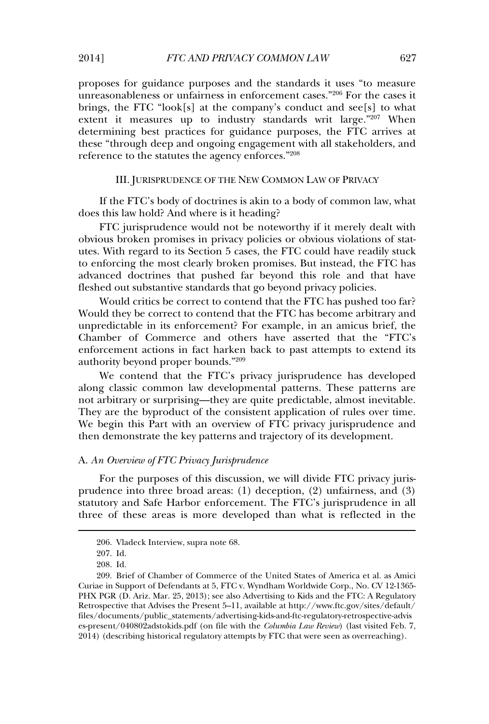proposes for guidance purposes and the standards it uses "to measure<br>unreasonableness or unfairness in enforcement cases."<sup>206</sup> For the cases it unreasonableness or unfairness in enforcement cases."206 For the cases it extending the FTC "look[s] at the company's conduct and see [s] to what<br>brings, the FTC "look[s] at the company's conduct and see [s] to what extent it measures up to industry standards writ large." $207$  When these "through deep and ongoing engagement with all stakeholders, and these "through deep and ongoing engagement with all stakeholders, and these "through deep and ongoing engagement with all stakeholders, and  $t_{\rm eff}$  and ongoing engagement is III. JURISPRUDENCE OF THE

# III. JURISPRUDENCE OF THE NEW COMMON LAW OF PRIVACY

If the FTC's body of doctrines is akin to a body of common law, what does this law hold? And where is it heading? does this law hold? And where is it heading?

does this law hold? And where is it heading?<br>FTC jurisprudence would not be noteworthy if it merely dealt with<br>obvious broken promises in privacy policies or obvious violations of statobvious broken promises in privacy policies or obvious violations of statures. With regard to its Section 5 cases, the FTC could have readily stuck to enforcing the most clearly broken promises. But instead, the FTC has<br>to enforcing the most clearly broken promises. But instead, the FTC has and the regime is no security that pushed the security contributed to enforcing the most clearly broken promises. But instead, the FTC has advanced doctrines that pushed far beyond this role and that have Franced doctrines that pushed far beyond this role and the fleshed out substantive standards that go beyond privacy policies. fleshed out substantive standards that go beyond privacy policies.

fleshed out substantive standards that go beyond privacy policies.<br>Would critics be correct to contend that the FTC has pushed too far?<br>Would they be correct to contend that the FTC has become arbitrary and Would they be correct to contend that the FTC has become arbitrary and  $\frac{1}{2}$ Chamber of Commercial and the  $\frac{1}{2}$  C mass second and  $\frac{1}{2}$  and  $\frac{1}{2}$  unpredictable in its enforcement? For example, in an amicus brief, the enforcement actions in fact harken back to past attempts to extend its<br>enforcement actions in fact harken back to past attempts to extend its enforcement actions in fact harken back to past attempts to extend its rement actions in fact harken<br>ority beyond proper bounds."<sup>209</sup> authority beyond proper bounds." $209$ <br>We contend that the FTC's privacy jurisprudence has developed

not arbitrary or surprising—they are quite predictable, almost inevitable. They are the byproduct of the consistent application of rules over time.<br>They are the byproduct of the consistent application of rules over time. They are the byproduct of the consistent application of rules over time. Frey are the byproduct of the consistent application of rules over time.<br>They are the byproduct of the consistent application of rules over time.<br>We begin this Part with an overview of FTC privacy jurisprudence and<br>then de then demonstrate the key patterns and trajectory of its development.

### An Overview of FTC Privacy Jurisprudence

For the purposes of this discussion, we will divide FTC privacy juris-<br>prudence into three broad areas: (1) deception. (2) unfairness, and (3) prudence into three broad areas:  $(1)$  deception,  $(2)$  unfairness, and  $(3)$ three of these areas is more developed than what is reflected in the three of these areas is more developed than what is reflected in the

206. Vladeck Interview, supra supra supra supra supra supra supra supra supra supra supra supra supra supra su<br>2008. Vladeck Interview, supra supra supra supra supra supra supra supra supra supra supra supra supra supra s

<sup>&</sup>lt;u>.</u><br>206. Vladeck Interview. supra note 68.

<sup>207.</sup> Id.

<sup>208.</sup> Id.

<sup>208.</sup> Id.<br>209. Brief of Chamber of Commerce of the United States of America et al. as Amici<br>Curiae in Support of Defendants at 5, FTC v. Wyndham Worldwide Corp., No. CV 12-1365-PHX PGR (D. Ariz. Mar. 25, 2013); see also Advertising to Kids and the FTC: <sup>A</sup> Regulatory PHX PGR (D. Ariz. Mar. 25, 2013); see also Advertising to Kids and the FTC: A Regulatory<br>Retrospective that Advises the Present 5–11, available at http://www.ftc.gov/sites/default/ Retrospective that Advises the Present 5–11, available at http://www.ftc.gov/sites/default/ files/documents/public\_statements/advertising-kids-and-ftc-regulatory-retrospective-advis files/documents/public\_statements/advertising-kids-and-ftc-regulatory-retrospective-advis<br>es-present/040802adstokids.pdf (on file with the *Columbia Law Review*) (last visited Feb. 7,<br>2014) (describing historical regulator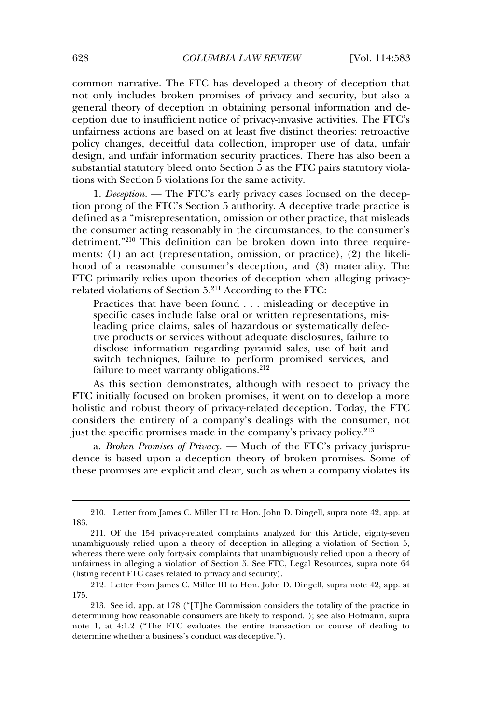common narrative. The FTC has developed a theory of deception that<br>not only includes broken promises of privacy and security, but also a not only includes broken promises of privacy and security, but also a ception due to insufficient notice of privacy-invasive activities. The FTC's<br>ception due to insufficient notice of privacy-invasive activities. The FTC's ception due to insufficient notice of privacy-invasive activities. The FTC's property changes computed to the distribution of deceiver unfairness actions are based on at least five distinct theories: retroactive design, and unfair information security practices. There has also been a design, and unfair information security practices. There has also been a substantial statutory bleed onto Section 5 as the FTC pairs statutory viola-<br>substantial statutory bleed onto Section 5 as the FTC pairs statutory violasubstantial statutory bleed onto Section 5 as the F1 tions with Section 5 violations for the same activity. tions with Section 5 violations for the same activity. tions with Section 5 violations for the same activity.<br>
1. *Deception*. — The FTC's early privacy cases focused on the decep-

defined as a "mislead as a "mislead" of the practice is that mislead practice is that mislead practice, that misleads are practice, that misleads are practice, that misleads are practice, that misleads are practice, the pr the consumer acting reasonably in the circumstances, to the consumer's the consumer acting reasonably in the circumstances, to the consumer's deterministic consumer acting reasonably in the circumstances, to the consumer's deterministic definition can be broken down into three requirements: (1) an act (representation, omission, or practice), (2) the likeli-<br>ments: (1) an act (representation, omission, or practice), (2) the likeliments: (1) an act (representation, omission, or practice), (2) the likelihood of a reasonable consumer's deception, and (3) materiality. The France (2) an arc (experimentally summarily or private), (2) the linear<br>hood of a reasonable consumer's deception, and (3) materiality. The<br>FTC primarily relies upon theories of deception when alleging privacy-FTC primarily relies upon theories of deception where<br>related violations of Section 5.<sup>211</sup> According to the FTC: related violations of Section 5.<sup>211</sup> According to the FTC:

ed violations of Section 5.<sup>211</sup> According to the FTC:<br>Practices that have been found . . . misleading or deceptive in<br>specific cases include false oral or written representations, mis-Fractices that have been found . . . insteading of deceptive in<br>specific cases include false oral or written representations, mis-<br>leading price claims, sales of hazardous or systematically defecspecific cases include tase or at or written representations, ins-<br>leading price claims, sales of hazardous or systematically defec-<br>tive products or services without adequate disclosures, failure to tive products or services without adequate disclosures, failure to and products of services without adequate disclosures, failure to<br>disclose information regarding pyramid sales, use of bait and<br>switch techniques. failure to perform promised services, and switch techniques, failure to perform promised services, and  $\frac{1}{2}$  failure to meet warranty obligations.<sup>212</sup>

failure to meet warranty obligations.<sup>212</sup><br>As this section demonstrates, although with respect to privacy the<br>FTC initially focused on broken promises, it went on to develop a more FTC initially focused on broken promises, it went on to develop a more considers the entirety of a company's dealings with the consumer, not<br>considers the entirety of a company's dealings with the consumer, not considers the entirety of a company's dealings with the consumer, not the specific promises made in the company's privacy policy.  $2^{13}$ just the specific promises made in the company's privacy policy.<sup>213</sup><br>a. *Broken Promises of Privacy*. — Much of the FTC's privacy jurispru-

these promises are explicit and clear, such as when a company violates its<br>these promises are explicit and clear, such as when a company violates its

210. Letter from

<sup>210.</sup> Letter from James C. Miller III to Hon. John D. Dingell, supra note 42, app. at  $\frac{1}{2}$ 183.

<sup>183.&</sup>lt;br>
211. Of the 154 privacy-related complaints analyzed for this Article, eighty-seven<br>
unambiguously relied upon a theory of deception in alleging a violation of Section 5. unambiguously relied upon a theory of deception in alleging a violation of Section 5,<br>whereas there were only forty-six complaints that unambiguously relied upon a theory of whereas there were only forty-six complaints that unambiguously relied upon a theory of unfairness in alleging a violation of Section 5. See FTC, Legal Resources, supra note 64<br>(listing recent FTC cases related to privacy and security). (listing recent FTC cases related to privacy and security).

*<sup>.</sup>* Letter from James C. Miller III to Hon. John D. Dingell, supra note 42, app. at  $\overline{\phantom{a}}$ 175

<sup>175.&</sup>lt;br>
213. See id. app. at 178 ("[T]he Commission considers the totality of the practice in<br>
determining how reasonable consumers are likely to respond."); see also Hofmann, supra determining how reasonable consumers are likely to respond."); see also Hofmann, supra<br>note 1, at 4:1.2 ("The FTC evaluates the entire transaction or course of dealing to note 1, at  $4:1.2$  ("The FTC evaluates the entire transletermine whether a business's conduct was deceptive.").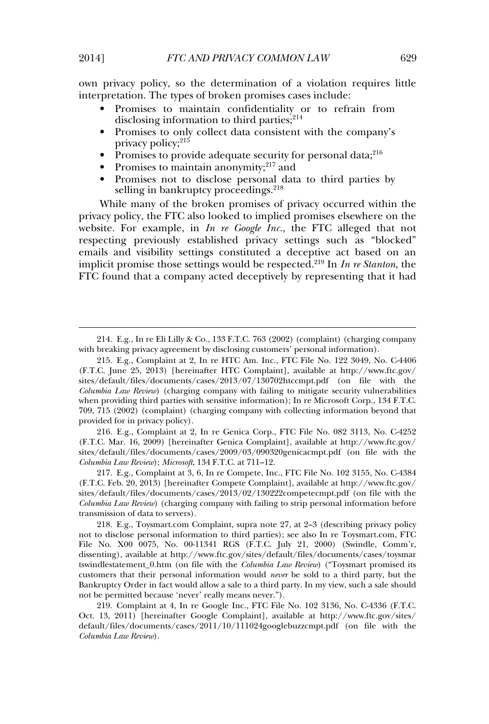own privacy policy, so the determination of a violation requires little interpretation. The types of broken promises cases include: interpretation. The types of broken promises cases include:

- Promises to maintain confidentiality or to refrain from • Promises to maintain confidentiality or to refrain from<br>disclosing information to third parties:<sup>214</sup>
- alserosing information to time parties,<br>Promises to only collect data consistent with the company's  $\frac{1}{2}$  romses to  $\frac{9}{215}$ privacy policy;<sup>215</sup><br>• Promises to provide adequate security for personal data;<sup>216</sup><br>• Promises to maintain anonymity;<sup>217</sup> and
- 
- Promises to maintain anonymity; $^{217}$  and

214. E.G., In re Eli Lilly, In re Eli Lilly, In re Eli Lilly, In re Eli Li

Promises to provide adequate seeding for personal data,<br>Promises to maintain anonymity;<sup>217</sup> and<br>Promises not to disclose personal data to third parties by selling in bankruptcy proceedings.  $218$ selling in bankruptcy proceedings.<sup>218</sup><br>While many of the broken promises of privacy occurred within the

privacy policy, the FTC also looked to implied promises elsewhere on the website. For example, in *In re Google Inc.*, the FTC alleged that not principly presents are the contract to implied promised elements on the website. For example, in *In re Google Inc.*, the FTC alleged that not respecting previously established privacy settings such as "blocked" research for enample, in the color constituted a deceptive such as "blocked"<br>emails and visibility settings constituted a deceptive act based on an implicit promise those settings constituted a deceptive act based on an implicit promise those settings would be respected.<sup>219</sup> In *In re Stanton*, the implicit promise those settings voluing that a company acted deceptively by representing that it had FTC found that a company acted deceptively by representing that it had

(F.T.C. Mar. 16, 2009) [hereinafter Genica Complaint], available at http://www.ftc.gov/<br>sites/default/files/documents/cases/2009/03/090320genicacmpt.pdf (on file with the sites/default/files/documents/cases/2009/03/090320genicacmpt.pdf (on file with the Columbia Law Review); Microsoft, 134 F.T.C. at 711-12.

Columbia Law Review); Microsoft, 134 F.T.C. at 711–12.<br>217. E.g., Complaint at 3, 6, In re Compete, Inc., FTC File No. 102 3155, No. C-4384<br>(F.T.C. Feb. 20, 2013) [hereinafter Compete Complaint], available at http://www.ft (F.T.C. Feb. 20, 2013) [hereinafter Compete Complaint], available at http://www.ftc.gov/ sites/default/files/documents/cases/2013/02/130222competecmpt.pdf (on file with the *Columbia Law Review*) (charging company with failing to strip personal information before Columbia Law Review) (charging company with failing to strip personal information before  $2.818$  mission of data to servers). transmission of data to servers).<br>218. E.g., Toysmart.com, Complaint, supra note 27, at 2–3 (describing privacy policy

 File No. X00 0075, No. 00-11341 RGS (F.T.C. July 21, 2000) (Swindle, Comm'r, File No. X00 0075, No. 00-11341 RGS (F.T.C. July 21, 2000) (Swindle, Comm'r, dissenting), available at http://www.ftc.gov/sites/default/files/documents/cases/toysmar dissenting), available at http://www.ftc.gov/sites/default/files/documents/cases/toysmart swindlestatement\_0.htm (on file with the *Columbia Law Review*) ("Toysmart promised its *newerally two statement* <u>o</u>.htm (on file with the *Columbia Law Review*) ("Toysmart promised its customers that their personal information would *never* be sold to a third party, but the Bankruptcy Order in fact would al not be permitted because 'never' really means never.").<br>Not be permitted because 'never' really means never."). not be permitted because 'never' really means never.").

not be permitted because 'never' really means never.").<br>219. Complaint at 4, In re Google Inc., FTC File No. 102 3136, No. C-4336 (F.T.C.<br>Oct. 13, 2011). [hereinafter Google Complaint], available at http://www.ftc.gov/site Oct. 13, 2011) [hereinafter Google Complaint], available at http://www.ftc.gov/sites/ *Columbia Law Review*).

& Co., 133 F.T.C. 763 (2002) (complaint) (charging company with breaking privacy agreement by disclosing customers' personal information). with breaking privacy agreement by disclosing customers' personal information). with breaking privacy agreement by disclosing customers' personal information).<br>215. E.g., Complaint at 2. In re HTC Am. Inc., FTC File No. 122 3049, No. C-4406

 $(F.T.C.$  June 25, 2013) [hereinafter HTC Complaint], available at http://www.ftc.gov/ sites/default/files/documents/cases/2013/07/130702htccmpt.pdf (on file with the sites/default/files/documents/cases/2013/07/130702htccmpt.pdf (on file with the *Columbia Law Review*) (charging company with failing to mitigate security vulnerabilities when providing third parties with sensitive informa when providing third parties with sensitive information); In re Microsoft Corp., 134 F.T.C.<br>709, 715 (2002) (complaint) (charging company with collecting information beyond that 709, 715 (2002) (complaint) (charging company with collecting information beyond that  $\frac{1}{2}$  ded for in privacy policy). provided for in privacy policy).<br>
216. E.g., Complaint at 2, In re Genica Corp., FTC File No. 082 3113, No. C-4252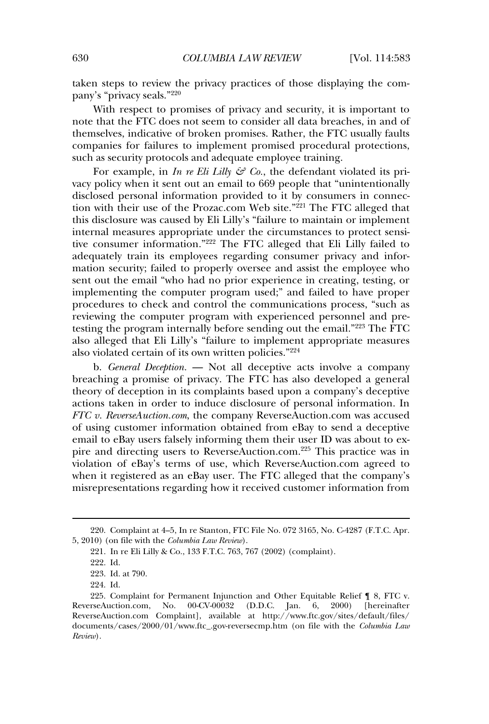taken steps to review the privacy practices of those displaying the com-<br>pany's "privacy seals."<sup>220</sup> pany's "privacy seals."220

pany's "privacy seals."<sup>220</sup><br>With respect to promises of privacy and security, it is important to<br>note that the FTC does not seem to consider all data breaches, in and of themselves, indicative of broken promises. Rather, the FTC usually faults themselves, indicative of broken promises. Rather, the FTC usually faults companies for failures to implement promises. Rather, the FTC usually faults companies for failures to implement promised procedural protections, such as security protocols and adequate employee training.<br>Such as security protocols and adequate employee training. such as security protocols and adequate employee training.

such as security protocols and adequate employee training.<br>
For example, in *In re Eli Lilly & Co.*, the defendant violated its pri-<br>
vacy policy when it sent out an email to 669 people that "unintentionally  $\alpha$  personal information provided to it by consumers in connec-<br>disclosed personal information provided to it by consumers in connecthey poly mean test of the matrix of the Properties. The extension of the Properties of the Properties of the Progress of the FTC alleged that the use of the Prozac.com Web site. $r^{221}$  The FTC alleged that this disclosure was caused by Eli Lilly's "failure to maintain or implement Internal measures appropriate under the circumstances to protect sensi-<br>internal measures appropriate under the circumstances to protect sensithe discussive was caused by En Emy by Tandre to maintain or impromented<br>internal measures appropriate under the circumstances to protect sensi-<br>tive consumer information."<sup>222</sup> The FTC alleged that Eli Lilly failed to meethal measures appropriate and the encambrances to protect sensitive consumer information."<sup>222</sup> The FTC alleged that Eli Lilly failed to adequately train its employees regarding consumer privacy and inforare consumer information. The 110 angles and En Employment of adequately train its employees regarding consumer privacy and information security: failed to properly oversee and assist the employee who state plates) want to employee regarding consumer privacy and more<br>mation security; failed to properly oversee and assist the employee who<br>sent out the email "who had no prior experience in creating, testing, or indicate became, and if properly because the comproyee and sent out the email "who had no prior experience in creating, testing, or implementing the computer program used:" and failed to have proper procedures to check and control the communications process. "such as<br>procedures to check and control the communications process. "such as metalling the computer program assay and taked to that proper<br>procedures to check and control the communications process, "such as<br>reviewing the computer program with experienced personnel and pretextures to check and conduct are communicated process, seen as<br>texting the computer program with experienced personnel and pre-<br>testing the program internally before sending out the email."<sup>223</sup> The FTC Fortung are computer program want enpercised personnel and pro-<br>testing the program internally before sending out the email."<sup>223</sup> The FTC<br>also alleged that Eli Lilly's "failure to implement appropriate measures also alleged that Eli Lilly's "failure to implement appropriate measures violated certain of its own written policies." $^{224}$ also violated certain of its own written policies."<sup>224</sup><br>
b. *General Deception*. — Not all deceptive acts involve a company

theory of deception in its complaints based upon a company's deceptive<br>theory of deception in its complaints based upon a company's deceptive actions taken in order to induce disclosure of personal information. In actions taken in order to induce disclosure of personal information. In actions taken in order to induce disclosure of personal information. In of using customer information company ReverseAuction.com was accused<br>of using customer information obtained from eBay to send a deceptive examples are contracted to example them their user ID was about to ex-<br>email to eBay users falsely informing them their user ID was about to exprovided users to ReverseAuction.com<sup>225</sup> This practice was in<br>pire and directing users to ReverseAuction.com<sup>225</sup> This practice was in pire and directing users to ReverseAuction.com.<sup>225</sup> This practice was in violation of eBay's terms of use, which ReverseAuction.com agreed to when it registered as an eBay user. The FTC alleged that the company's when it registered as an eBay user. The FTC alleged that the company's when it registered as an eBay user. The FTC alleged that the company's misrepresentations regarding how it received customer information from

220. Complete at 4–5, In re Stanton, FTC, In re Stanton, FTC, In re Stanton, FTC, In re Stanton, FTC, In re S

 $224.$  Id.

File No. 072 3165, No. C-4287 (F.T.C. Apr. 5, 2010) (on file with the *Columbia Law Review*). 5, 2010) (on file with the *Columbia Law Review*). 10) (on file with the *Columbia Law Review*).<br>221. In re Eli Lilly & Co., 133 F.T.C. 763, 767 (2002) (complaint).

<sup>222.</sup> Id.

<sup>223.</sup> Id. at 790.

<sup>224.</sup> Id.<br>225. Complaint for Permanent Injunction and Other Equitable Relief ¶ 8, FTC v.<br>ReverseAuction.com, No. 00-CV-00032 (D.D.C. Jan. 6, 2000) [hereinafter ReverseAuction.com, No.  $00$ -CV-00032 (D.D.C. Jan. 6, 2000) ReverseAuction.com, No. 00-CV-00032 (D.D.C. Jan. 6, 2000) [hereinafter<br>ReverseAuction.com Complaint] available at http://www.ftc.gov/sites/default/files/ documents/cases/2000/01/www.ftc\_.gov-reversecmp.htm (on file with the *Columbia Law*<br>Review).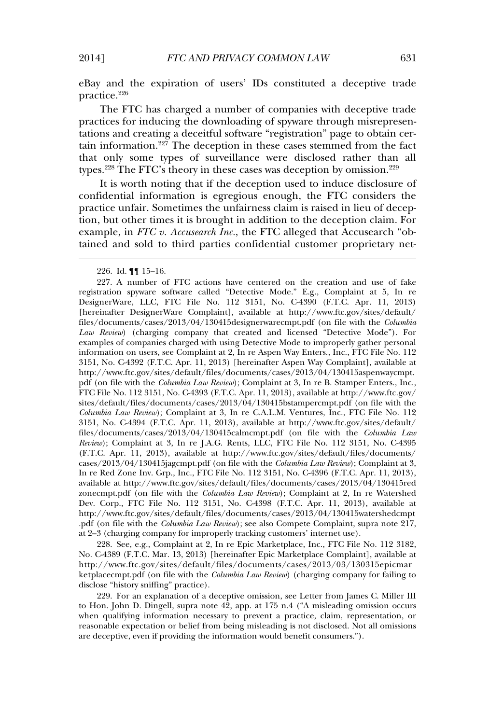e<br>Bay and the expiration of users' IDs constituted a deceptive trade tice. $2^{26}$ practice.<sup>226</sup><br>The FTC has charged a number of companies with deceptive trade

practices for inducing the downloading of spyware through misrepresentations and creating a deceitful software "registration" page to obtain cer $t_{\text{ations}}$  and creating a deceitful software "registration" page to obtain cer-<br>tain information  $^{227}$ . The deception in the factor and from the factor that only some types of surveillance were disclosed rather than all<br>that only some types of surveillance were disclosed rather than all that only some types of surveillance were disclosed rather than types.<sup>228</sup> The FTC's theory in these cases was deception by omission.<sup>229</sup> types.<sup>228</sup> The FTC's theory in these cases was deception by omission.<sup>229</sup>

It is worth noting that if the deception used to induce disclosure of practice unfair. Sometimes the unfairness claim is raised in lieu of decep-<br>practice unfair. Sometimes the unfairness claim is raised in lieu of decepthe times it is brought in addition to the deception.<br>
but other times it is brought in addition to the deception claim. For example, in *FTC v. Accusearch Inc.*, the FTC alleged that Accusearch "ob-<br>example, in *FTC v. Accusearch Inc.*, the FTC alleged that Accusearch "obtained and sold to third parties confidential customer proprietary net-<br>tained and sold to third parties confidential customer proprietary net-

at 2–3 (charging company for improperly tracking customers' internet use).<br>228. See, e.g., Complaint at 2, In re Epic Marketplace, Inc., FTC File No. 112 3182,<br>No. C-4389 (F.T.C. Mar. 13, 2013) [hereinafter Epic Marketplac No. C-4389 (F.T.C. Mar. 13, 2013) [hereinafter Epic Marketplace Complaint], available at http://www.ftc.gov/sites/default/files/documents/cases/2013/03/130315epicmar http://www.ftc.gov/sites/default/files/documents/cases/2013/03/130315epicmar<br>ketplacecmpt.pdf (on file with the *Columbia Law Review*) (charging company for failing to ose "history sniffing" practice). disclose "history sniffing" practice).<br>229. For an explanation of a deceptive omission, see Letter from James C. Miller III

to Hon. John D. Dingell, supra note 42, app. at 175 n.4 ("A misleading omission occurs<br>when qualifying information necessary to prevent a practice, claim, representation, or when qualifying information necessary to prevent a practice, claim, representation, or<br>reasonable expectation or belief from being misleading is not disclosed. Not all omissions reasonable expectation or belief from being misleading is not disclosed. No<br>are deceptive, even if providing the information would benefit consumers.").

<sup>226.</sup> Id. ¶¶ 15–16.226. Id.  $\P\P$  15-16.

<sup>226.</sup> Id.  $\P$  15–16.<br>227. A number of FTC actions have centered on the creation and use of fake<br>registration spyware software called "Detective Mode." E.g., Complaint at 5. In re registration spyware software called "Detective Mode." E.g., Complaint at 5, In re<br>DesignerWare, LLC, FTC File No. 112 3151, No. C-4390 (F.T.C. Apr. 11, 2013) DesignerWare, LLC, FTC File No. 112 3151, No. C-4390 (F.T.C. Apr. 11, 2013) [hereinafter DesignerWare Complaint], available at http://www.ftc.gov/sites/default/ with the *Columbia Law Review*) (charging company that created and licensed "Detective Mode"). For *Law Review*) (charging company that created and licensed "Detective Mode"). For examples of companies charged with using Detective Mode to improperly gather personal examples of companies charged with using Detective Mode to improperly gather personal<br>information on users, see Complaint at 2. In re Aspen Way Enters., Inc., FTC File No. 112 information on users, see Complaint at 2, In re Aspen Way Enters., Inc., FTC File No. 112<br>3151, No. C-4392 (F.T.C. Apr. 11, 2013) [hereinafter Aspen Way Complaint], available at 3151, No. C-4392 (F.T.C. Apr. 11, 2013) [hereinafter Aspen Way Complaint], available at http://www.ftc.gov/sites/default/files/documents/cases/2013/04/130415aspenwaycmpt. *Columbia Law Review*); Complaint at 3, In re B. Stamper Enters., Inc., http://www.ftc.gov/sites/default/files/documents/cases/2013/04/130415aspenwaycmpt.<br>http://www.ftc.gov/sites/default/files/documents/cases/2013/04/1304 FTC File No. 112 3151, No. C-4393 (F.T.C. Apr. 11, 2013), available at http://www.ftc.gov/ sites/default/files/documents/cases/2013/04/130415bstampercmpt.pdf (on file with the *Columbia Law Review*); Complaint at 3, In re C.A.L.M. Ventures, Inc., FTC File No. 112 Columbia Law Review); Complaint at 3, In re C.A.L.M. Ventures, Inc., FTC File No. 112 3151, No. C-4394 (F.T.C. Apr. 11, 2013), available at http://www.ftc.gov/sites/default/ files/documents/cases/2013/04/130415calmcmpt.pdf (on file with the *Columbia Law*<br>*Review*); Complaint at 3, In re J.A.G. Rents, LLC, FTC File No. 112 3151, No. C-4395  $Review$ ); Complaint at 3, In re J.A.G. Rents, LLC, FTC File No. 112 3151, No. C-4395<br>(F.T.C. Apr. 11, 2013), available at http://www.ftc.gov/sites/default/files/documents/ cases/2013/04/130415jagcmpt.pdf (on file with the *Columbia Law Review*); Complaint at 3, .<br>cases/2013/04/130415jagcmpt.pdf (on file with the *Columbia Law Review*); Complaint at 3,<br>In re Red Zone Inv. Grp., Inc., FTC File No. 112 3151, No. C-4396 (F.T.C. Apr. 11, 2013), In re Red Zone Inv. Grp., Inc., FTC File No. 112 3151, No. C-4396 (F.T.C. Apr. 11, 2013),<br>available at http://www.ftc.gov/sites/default/files/documents/cases/2013/04/130415red zonecmpt.pdf (on file with the *Columbia Law Review*); Complaint at 2, In re Watershed zonecmpt.pdf (on file with the *Columbia Law Review*); Complaint at 2, In re Watershed<br>Dev. Corp., FTC File No. 112 3151, No. C-4398 (F.T.C. Apr. 11, 2013), available at http://www.forp., FTC File No. 112 3151, No. C-4398 (F.T.C. Apr. 11, 2013), available at http://www.ftc.gov/sites/default/files/documents/cases/2013/04/130415watershedcmpt http://www.ftc.gov/sites/default/files/documents/cases/2013/04/130415watershedcmpt.pdf (on file with the *Columbia Law Review*); see also Compete Complaint, supra note 217, at 2–3 (charging company for improperly tracking at 2-3 (charging company for improperly tracking customers' internet use).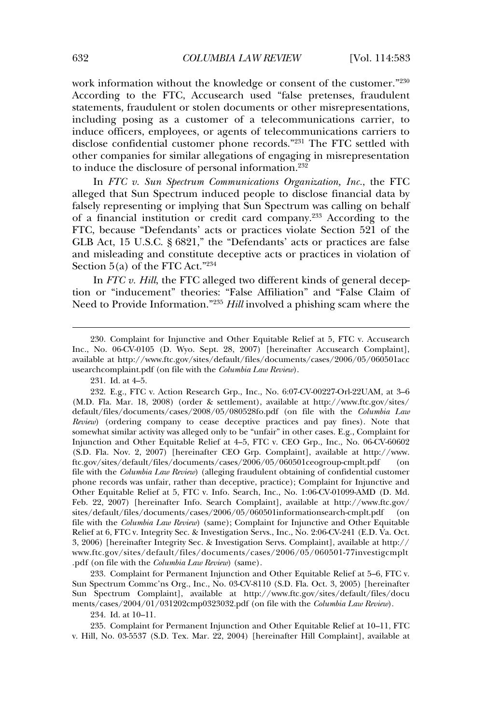work information without the knowledge or consent of the customer."<sup>230</sup><br>According to the FTC, Accusearch used "false pretenses, fraudulent statements, fraudulent or stolen documents or other misrepresentations,<br>statements, fraudulent or stolen documents or other misrepresentations. statements, fraudulent or stolen documents or other misrepresentations, including posing as a customer of a telecommunications carrier, to disclose confidential customer phone records."<sup>231</sup> The FTC settled with disclose confidential customer phone records."231 The FTC settled with the TTC section with<br>other companies for similar allegations of engaging in misrepresentation<br>to induce the disclosure of personal information.<sup>232</sup> to induce the disclosure of personal information.<sup>232</sup>

to induce the disclosure of personal information.<sup>232</sup><br>
In *FTC v. Sun Spectrum Communications Organization, Inc.*, the FTC<br>
alleged that Sun Spectrum induced people to disclose financial data by alleged that Sun Spectrum induced people to disclose financial data by of a financial institution or credit card company.<sup>233</sup> According to the diffusion of a financial institution or credit card company.<sup>233</sup> According to the of a financial institution or credit card company.<sup>233</sup> According to the  $ETC$ , because "Defendants' acts or practices violate Section 521 of the and misleading and misleading acts of products and constitute and constitution of the GLB Act, 15 U.S.C. § 6821," the "Defendants' acts or practices are false and misleading and constitute deceptive acts or practices in violation of on  $5(a)$  of the FTC Act."234

Section 5(a) of the FTC Act."<sup>234</sup><br>In *FTC v. Hill*, the FTC alleged two different kinds of general deception or "inducement" theories: "False Affiliation" and "False Claim of Need to Provide Information.<sup>"235</sup> *Hill* involved a phishing scam where the Need to Provide Information."<sup>235</sup> *Hill* involved a phishing scam where the

230. Complaint for Injunctive and Other Equitable Relief at 5, FTC v. Accusearch

Sun Spectrum Commc'ns Org., Inc., No. 03-CV-8110 (S.D. Fla. Oct. 3, 2005) [hereinafter<br>Sun Spectrum Complaint], available at http://www.ftc.gov/sites/default/files/docu Sun Spectrum Complaint], available at http://www.ftc.gov/sites/default/files/c<br>ments/cases/2004/01/031202cmp0323032.pdf (on file with the *Columbia Law Review*). ments/cases/2004/01/031202cmp0323032.pdf (on file with the Columbia Law Review).

 $234.$  Id. at  $10-11.$ 

234. Id. at 10–11.<br>235. Complaint for Permanent Injunction and Other Equitable Relief at 10–11, FTC<br>235. W. Hill, No. 03-5537 (S.D. Tex. Mar. 22, 2004) [hereinafter Hill Complaint], available at

<sup>230.</sup> Complaint for Injunctive and Other Equitable Relief at 5, FTC v. Accusearch Inc., No. 06-CV-0105 (D. Wyo. Sept. 28, 2007) [hereinafter Accusearch Complaint], Inc., No. 06-CV-0105 (D. Wyo. Sept. 28, 2007) [hereinafter Accusearch Complaint], available at http://www.ftc.gov/sites/default/files/documents/cases/2006/05/060501acc<br>usearchcomplaint.pdf (on file with the *Columbia Law Review*). usearchcomplaint.pdf (on file with the Columbia Law Review).

<sup>231.</sup> Id. at  $4-5$ .

FTC v. Action Research Grp., Inc., No. 6:07-CV-00227-Orl-22UAM, at 3–6 (M.D. Fla. Mar. 18, 2008) (order & settlement), available at http://www.ftc.gov/sites/ (M.D. Fla. Mar. 18, 2008) (order & settlement), available at http://www.ftc.gov/sites/ default/files/documents/cases/2008/05/080528fo.pdf (on file with the *Columbia Law*<br>*Review*) (ordering company to cease deceptive practices and pay fines). Note that  $Review$  (ordering company to cease deceptive practices and pay fines). Note that somewhat similar activity was alleged only to be "unfair" in other cases. E.g., Complaint for Instruction and Other Equitable Relief at 4–5, FTC v. CEO Grp., Inc., No. 06-CV-60602<br>Injunction and Other Equitable Relief at 4–5, FTC v. CEO Grp., Inc., No. 06-CV-60602 (S.D. Fla. Nov. 2, 2007) [hereinafter CEO Grp. Complaint], available at http://www. (S.D. Fla. Nov. 2, 2007) [hereinafter CEO Grp. Complaint], available at http://www. ftc.gov/sites/default/files/documents/cases/2006/05/060501ceogroup-cmplt.pdf *Columbia Law Review*) (alleging fraudulent obtaining of confidential customer<br>file with the *Columbia Law Review*) (alleging fraudulent obtaining of confidential customer<br>phone records was unfair, rather than deceptive, p phone records was unfair, rather than deceptive, practice); Complaint for Injunctive and Other Equitable Relief at 5, FTC v. Info. Search, Inc., No. 1:06-CV-01099-AMD (D. Md. Feb. 22, 2007) [hereinafter Info. Search Complaint], available at http://www.ftc.gov/ Feb. 22, 2007) [hereinafter Info. Search Complaint], available at http://www.ftc.gov/  $($ on file with the *Columbia Law Review*) (same); Complaint for Injunctive and Other Equitable file with the *Columbia Law Review*) (same); Complaint for Injunctive and Other Equitable<br>Relief at 6, FTC v. Integrity Sec. & Investigation Servs., Inc., No. 2:06-CV-241 (E.D. Va. Oct. 3, 2006) [hereinafter Integrity Sec. & Investigation Servs. Complaint], available at http:// 3, 2006) [hereinafter Integrity Sec. & Investigation Servs. Complaint], available at  $http://$ www.ftc.gov/sites/default/files/documents/cases/2006/05/060501-77investigcmplt 7.ftc.gov/sites/default/files/documents/cas<br>(on file with the *Columbia Law Review*) (same). pdf (on file with the *Columbia Law Review*) (same).<br>233. Complaint for Permanent Injunction and Other Equitable Relief at 5–6. FTC v.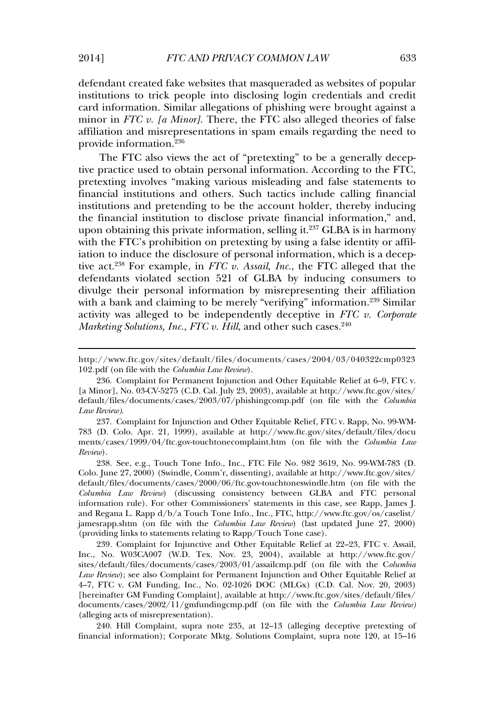in<br>defendant created fake websites that masqueraded as websites of popular defendant created fake websites that masqueraded as websites of popular institutions to trick people into disclosing login credentials and credit card information. Similar allegations of phishing were brought against a misated information. Similar allegations of phishing were brought against a minor in *FTC v. [a Minor]*. There, the FTC also alleged theories of false minor in FTC v. [a Minor]. There, the FTC also alleged theories of false affiliation and misrepresentations in spam emails regarding the need to  $\rm{t}$  ide information.<sup>236</sup>

provide information.<sup>236</sup><br>The FTC also views the act of "pretexting" to be a generally decep-<br>tive practice used to obtain personal information. According to the FTC, pretexting in the term is the complete the control of the second information. According to the FTC, pretexting involves "making various misleading and false statements to pretexting involves "making various misleading and false statements to Freeding institutions and others. Such tactics include calling financial<br>institutions and pretending to be the account holder, thereby inducing the financial institution to disclose private financial information," and, the financial institution to disclose private financial information," and,<br>upon obtaining this private information, selling it.<sup>237</sup> GLBA is in harmony upon obtaining this private information, selling it. $237$  GLBA is in harmony with the FTC's prohibition on pretexting by using a false identity or affilthe act.<sup>238</sup> For example, in *FTC v. Assail, Inc.*, the FTC alleged that the act.<sup>238</sup> For example, in *FTC v. Assail, Inc.*, the FTC alleged that the tive act.<sup>238</sup> For example, in *FTC v. Assail, Inc.*, the FTC alleged that the defendants violated section 521 of GLBA by inducing consumers to defendants violated section 521 of GLBA by inducing consumers to<br>divulge their personal information by misrepresenting their affiliation divulge their personal information by misrepresenting their affiliation<br>with a bank and claiming to be merely "verifying" information.<sup>239</sup> Similar with a bank and claiming to be merely "verifying" information.<sup>239</sup> Similar *FIC v. Corporate*<br> *FTC v. Corporate*<br> *Marketing Solutions, Inc., FTC v. Hill,* and other such cases.<sup>240</sup> Marketing Solutions, Inc., FTC v. Hill, and other such cases.<sup>240</sup>

(alleging acts of misrepresentation).<br>
240. Hill Complaint, supra note 235, at 12–13 (alleging deceptive pretexting of<br>
financial information): Corporate Mktg. Solutions Complaint, supra note 120, at 15–16

http://www.ftc.gov/sites/documents/cases/2004/03/04032222cmp03232cmp03232cmp03232cm http://www.ftc.gov/sites/default/files/documents/cases/2004/03/040322cmp0323<br>102.pdf (on file with the *Columbia Law Review*). 102.pdf (on file with the Columbia Law Review).

For Permanent Injunction and Other Equitable Relief at 6–9, FTC v.<br>
102.pdf (on file with the *Columbia Law Review*).<br>
<sup>[a Minor], No. 03-CV-5275 (C.D. Cal. July 23, 2003), available at http://www.ftc.gov/sites/</sup> [a Minor], No. 03-CV-5275 (C.D. Cal. July 23, 2003), available at http://www.ftc.gov/sites/ default/files/documents/cases/2003/07/phishingcomp.pdf (on file with the *Columbia* Law Review). Law Review).

Law Review).<br>
237. Complaint for Injunction and Other Equitable Relief, FTC v. Rapp, No. 99-WM-<br>
783 (D. Colo. Apr. 21, 1999), available at http://www.ftc.gov/sites/default/files/docu 783 (D. Colo. Apr. 21, 1999), available at http://www.ftc.gov/sites/default/files/docu ments/cases/1999/04/ftc.gov-touchtonecomplaint.htm (on file with the *Columbia Law*<br>Review). Review).

Review).<br>238. See, e.g., Touch Tone Info., Inc., FTC File No. 982 3619, No. 99-WM-783 (D.<br>Colo. June 27, 2000) (Swindle, Comm'r, dissenting), available at http://www.ftc.gov/sites/ Colo. June 27, 2000) (Swindle, Comm'r, dissenting), available at http://www.ftc.gov/sites/ default/files/documents/cases/2000/06/ftc.gov-touchtoneswindle.htm (on file with the default/files/documents/cases/2000/06/ftc.gov-touchtoneswindle.htm (on file with the *Columbia Law Review*) (discussing consistency between GLBA and FTC personal information rule). For other Commissioners' statements in th information rule). For other Commissioners' statements in this case, see Rapp, James J.<br>and Regana L. Rapp d/b/a Touch Tone Info., Inc., FTC, http://www.ftc.gov/os/caselist/ and Regana L. Rapp  $d/b/a$  Touch Tone Info., Inc., FTC, http://www.ftc.gov/os/caselist/ and Regana L. Rapp d/b/a Touch Tone Info., Inc., FTC, http://www.ftc.gov/os/caselist/<br>jamesrapp.shtm (on file with the *Columbia Law Review*) (last updated June 27, 2000)  $\frac{1}{2}$  inks to statements relating to Rapp/Touch Tone case).

For a Sigmulting Units to statements relating to Rapp/Touch Tone case).<br>
1999. Complaint for Injunctive and Other Equitable Relief at 22–23, FTC v. Assail,<br>
1999. Inc., No. W03CA007 (W.D. Tex. Nov. 23, 2004), available at Inc., No. W03CA007 (W.D. Tex. Nov. 23, 2004), available at http://www.ftc.gov/ sites/default/files/documents/cases/2003/01/assailcmp.pdf (on file with the Columbia *Law Review*); see also Complaint for Permanent Injunction and Other Equitable Relief at 4–7, FTC v. GM Funding, Inc., No. 02-1026 DOC (MLGx) (C.D. Cal. Nov. 20, 2003) 4–7, FTC v. GM Funding, Inc., No. 02-1026 DOC (MLGx) (C.D. Cal. Nov. 20, 2003)<br>[hereinafter GM Funding Complaint], available at http://www.ftc.gov/sites/default/files/ [hereinafter GM Funding Complaint], available at http://www.ftc.gov/sites/default/files/ *Columbia Law Review)* (alleging acts of misrepresentation). (alleging acts of misrepresentation).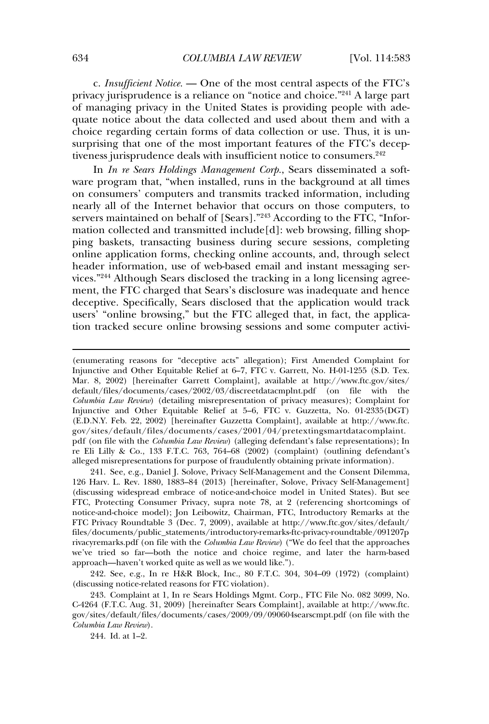*Insufficient Notice.* — One of the most central aspects of the FTC's<br>primar invigandance is a reliance on "notice and choice."<sup>241</sup> A large part privacy jurisprudence is a reliance on "notice and choice."<sup>241</sup> A large part<br>of managing privacy in the United States is providing people with adeprinciply and process is a collected and entired. The data collected and used about them and with a dequate notice about the data collected and used about them and with a quate notice about the data collected and used about them and with a surprising that one of the most important features of the FTC's decep-<br>surprising that one of the most important features of the FTC's decepsurprising that one of the most important features of the FTC's decep- $\epsilon$  is essimilar intervals in the set of the set of the set of the set of the set of the set of the set of  $2^{42}$ 

*III In re Sears Holdings Management Corp.*, Sears disseminated a soft-<br>In *In re Sears Holdings Management Corp.*, Sears disseminated a soft-<br>ware program that, "when installed, runs in the background at all times on consumers' computers and transmits tracked information, including<br>on consumers' computers and transmits tracked information, including nearly program and, where instances, rank in the satisfied information, including<br>nearly all of the Internet behavior that occurs on those computers, to servers maintained on behalf of [Sears]."<sup>243</sup> According to the FTC, "Information collected and transmitted include<sup>[d]</sup>: web browsing, filling shop-<br>mation collected and transmitted include<sup>[d]</sup>: web browsing, filling shopmation collected and transmitted include[d]: web browsing, filling shoponline application forms demonstration for the method paper secure sessions, completing ping baskets, transacting business during secure sessions, completing header information, use of web-based email and instant messaging ser-<br>header information, use of web-based email and instant messaging services."<br>
Reader information, use of web-based email and instant messaging services."<br>
Nices."<sup>244</sup> Although Sears disclosed the tracking in a long licensing agreement and the FTC charged that Sears's disclosure was inadequate and hence<br>ment, the FTC charged that Sears's disclosure was inadequate and hence deceptive. Specifically, Sears disclosed that the application would track<br>deceptive. Specifically, Sears disclosed that the application would track users, the PP changed that concern the material the application would track<br>deceptive. Specifically, Sears disclosed that the application would track<br>users' "online browsing." but the FTC alleged that, in fact, the applica the experience procession.<br>
The secure online browsing sessions and some computer activi-<br>
tion tracked secure online browsing sessions and some computer activi-

alleged misrepresentations for purpose of fraudulently obtaining private information).<br>241. See, e.g., Daniel J. Solove, Privacy Self-Management and the Consent Dilemma,<br>126 Harv. L. Rev. 1880. 1883–84 (2013) [hereinafter. 126 Harv. L. Rev. 1880, 1883–84 (2013) [hereinafter, Solove, Privacy Self-Management]<br>(discussing widespread embrace of notice-and-choice model in United States). But see (discussing widespread embrace of notice-and-choice model in United States). But see (discussing widespread embrace of notice-and-choice model in United States). But see<br>FTC, Protecting Consumer Privacy, supra note 78, at 2 (referencing shortcomings of<br>notice-and-choice model): Ion Leibowitz, Chairman, FTC notice-and-choice model); Jon Leibowitz, Chairman, FTC, Introductory Remarks at the<br>FTC Privacy Roundtable 3 (Dec. 7, 2009), available at http://www.ftc.gov/sites/default/ FTC Privacy Roundtable 3 (Dec. 7, 2009), available at http://www.ftc.gov/sites/default/ files/documents/public\_statements/introductory-remarks-ftc-privacy-roundtable/091207p<br>rivacyremarks.pdf (on file with the *Columbia Law Review*) ("We do feel that the approaches rivacyremarks.pdf (on file with the *Columbia Law Review*) ("We do feel that the approaches<br>we've tried so far—both the notice and choice regime, and later the harm-based we've tried so far—both the notice and choice regim<br>approach—haven't worked quite as well as we would like."). approach-haven't worked quite as well as we would like.").

approach—haven't worked quite as well as we would like.").<br>242. See, e.g., In re H&R Block, Inc., 80 F.T.C. 304, 304–09 (1972) (complaint)<br>(discussing notice-related reasons for FTC violation). (discussing notice-related reasons for FTC violation).

(discussing notice-related reasons for FTC violation).<br>
243. Complaint at 1, In re Sears Holdings Mgmt. Corp., FTC File No. 082 3099, No.<br>
C-4264 (F.T.C. Aug. 31, 2009) [hereinafter Sears Complaint], available at http://ww C-4264 (F.T.C. Aug. 31, 2009) [hereinafter Sears Complaint], available at http://www.ftc. *Columbia Law Review*). Columbia Law Review).

244. Id. at 1-2.

(enumerating reasons for "deceptive

<sup>(</sup>enumerating reasons for "deceptive acts" allegation); First Amended Complaint for<br>Injunctive and Other Equitable Relief at 6–7, FTC v. Garrett, No. H-01-1255 (S.D. Tex. Injunctive and Other Equitable Relief at 6-7, FTC v. Garrett, No. H-01-1255 (S.D. Tex. Mar. 8, 2002) [hereinafter Garrett Complaint], available at http://www.ftc.gov/sites/ default/files/documents/cases/2002/03/discreetdatacmplnt.pdf (on file with the default/files/documents/cases/2002/03/discreetdatacmplnt.pdf (on file with the<br>*Columbia Law Review*) (detailing misrepresentation of privacy measures); Complaint for<br>Injunctive and Other Equitable Relief at 5–6, FTC v. Gu Injunctive and Other Equitable Relief at 5–6, FTC v. Guzzetta, No. 01-2335(DGT) (E.D.N.Y. Feb. 22, 2002) [hereinafter Guzzetta Complaint], available at http://www.ftc. (E.D.N.Y. Feb. 22, 2002) [hereinafter Guzzetta Complaint], available at http://www.ftc. gov/sites/default/files/documents/cases/2001/04/pretextingsmartdatacomplaint.<br>pdf (on file with the *Columbia Law Review*) (alleging defendant's false representations); In pdf (on file with the *Columbia Law Review*) (alleging defendant's false representations); In<br>re Eli Lilly & Co., 133 F.T.C. 763, 764–68 (2002) (complaint) (outlining defendant's re Eli Lilly & Co., 133 F.T.C. 763, 764–68 (2002) (complaint) (outlining defendantle alleged misrepresentations for purpose of fraudulently obtaining private information). alleged misrepresentations for purpose of fraudulently obtaining private information).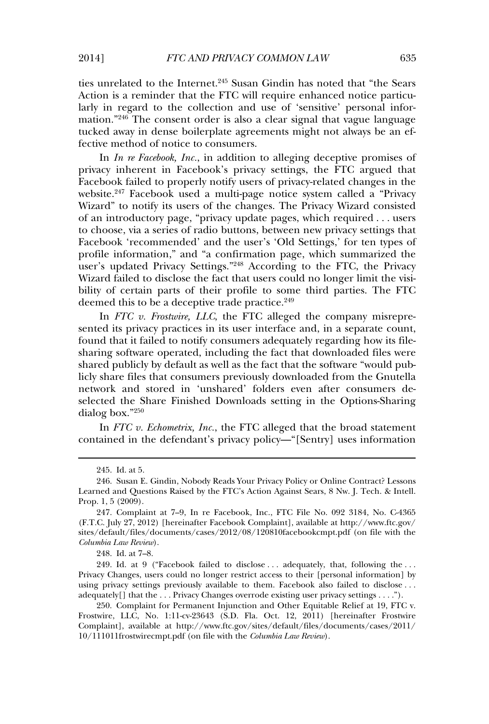$\frac{1}{2}$  ties unrelated to the Internet.<sup>245</sup> Susan Gindin has noted that "the Sears Action is a reminder that the FTC will require enhanced notice particumation."<sup>246</sup> The consent order is also a clear signal that vague language<br>mation."<sup>246</sup> The consent order is also a clear signal that vague language mation."<sup>246</sup> The consent order is also a clear signal that vague language fucked away in dense boilerplate agree<br>fective method of notice to consumers. fective method of notice to consumers. *In In re Facebook, Inc.*, in addition to alleging deceptive promises of

privacy inherent in Facebook's privacy-relatings, the FTC argued that France and the content of the principle system of privacy-related changes in the website.<sup>247</sup> Facebook used a multi-page notice system called a "Privacy website.<sup>247</sup> Facebook used a multi-page notice system called a "Privacy"<br>Wizard" to notify its users of the changes. The Privacy Wizard consisted Wizard" to notify its users of the changes. The Privacy Wizard consisted<br>of an introductory page, "privacy update pages, which required . . . users to choose, via a series of radio buttons, between new privacy settings that<br>to choose, via a series of radio buttons, between new privacy settings that Facebook 'recommended' and the user's 'Old Settings,' for ten types of Facebook 'recommended' and the user's 'Old Settings,' for ten types of profile information," and "a confirmation page, which summarized the profile information," and "a confirmation page, which summarized the profile information," and "a confirmation page, which summarized the user's updated Privacy Settings."<sup>248</sup> According to the FTC, the Privacy Wizard failed to disclose the fact that users could no longer limit the visi-<br>Wizard failed to disclose the fact that users could no longer limit the visi-Wizard failed to disclose the fact that users could no longer limit the visibility of certain parts of their profile to some third parties. The FTC ned this to be a deceptive trade practice.<sup>249</sup>

deemed this to be a deceptive trade practice.<sup>249</sup><br>
In *FTC v. Frostwire, LLC*, the FTC alleged the company misrepre-<br>
sented its privacy practices in its user interface and, in a separate count. found that it failed to notify consumers adequately regarding how its file-<br>found that it failed to notify consumers adequately regarding how its filesomed has printely practices in her deer internate and, in a separate count,<br>found that it failed to notify consumers adequately regarding how its file-<br>sharing software operated, including the fact that downloaded files w sharing software operated, including the fact that downloaded files were shared publicly by default as well as the fact that the software "would pubnetwork and store in the store in the store in the store when  $\frac{1}{2}$  in the store in the store in the Gnutella Folders even after consumers previously downloaded from the Gnutella<br>network and stored in 'unshared' folders even after consumers de-<br>selected the Share Finished Downloads setting in the Options-Sharing selected the Share Finished Downloads setting in the Options-Sharing  $\log$  box."<sup>250</sup> dialog box."<sup>250</sup><br>In *FTC v. Echometrix, Inc.*, the FTC alleged that the broad statement

contained in the defendant's privacy policy—"[Sentry] uses information

248. Id. at  $7-8$ .

248. Id. at 7–8.<br>249. Id. at 9 ("Facebook failed to disclose . . . adequately, that, following the . . .<br>Privacy Changes, users could no longer restrict access to their [personal information] by Privacy Changes, users could no longer restrict access to their [personal information] by using privacy settings previously available to them. Facebook also failed to disclose . . . using privacy settings previously available to them. Facebook also failed to disclose adequately[] that the . . . Privacy Changes overrode existing user privacy settings . . . ."). adequately[] that the  $\dots$  Privacy Changes overrode existing user privacy settings  $\dots$ ").

<sup>245.</sup> Id. at 5.245. Id. at 5.

Nobody Reads Your Privacy Policy or Online Contract? Lessons Learned and Questions Raised by the FTC's Action Against Sears, 8 Nw. J. Tech. & Intell. Learned and Que<br>Prop. 1, 5 (2009). Prop. 1, 5 (2009).

Prop. 1, 5 (2009).<br>247. Complaint at 7–9, In re Facebook, Inc., FTC File No. 092 3184, No. C-4365<br>(F.T.C. July 27, 2012) [hereinafter Facebook Complaint], available at http://www.ftc.gov/ (F.T.C. July 27, 2012) [hereinafter Facebook Complaint], available at http://www.ftc.gov/ *Columbia Law Review*). Columbia Law Review).

adequately[] that the . . . Privacy Changes overrode existing user privacy settings . . . .").<br>250. Complaint for Permanent Injunction and Other Equitable Relief at 19, FTC v.<br>Frostwire, LLC, No. 1:11-cv-23643 (S.D. Fla. O Frostwire, LLC, No. 1:11-cv-23643 (S.D. Fla. Oct. 12, 2011) [hereinafter Frostwire 10/111011frostwirecmpt.pdf (on file with the *Columbia Law Review*).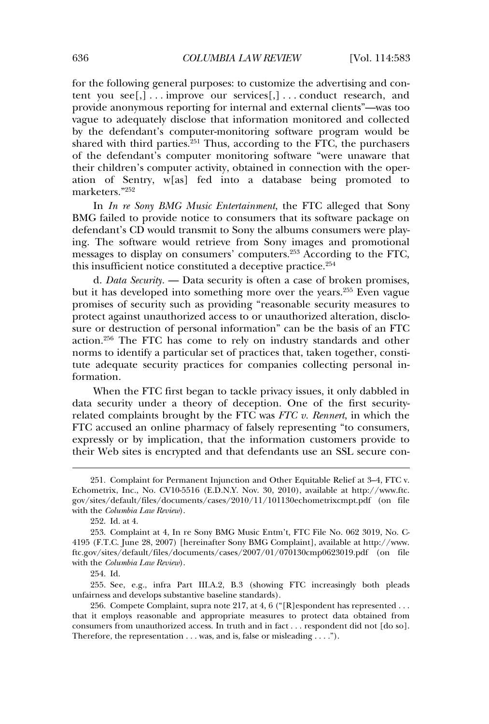for the following general purposes: to customize the advertising and con-<br>tent\_vou\_see[,] . . . improve\_our\_services[,] . . . conduct\_research,\_and tent you see[,]... improve our services[,]... conduct research, and variety of the control of the control of the control of the provide anonymous reporting for internal and external clients"—was too vague to adequately disclose that information monitored and collected vague to adequately disclose that information monitored and collected shared with third parties.<sup>251</sup> Thus, according to the FTC, the purchasers<br>shared with third parties.<sup>251</sup> Thus, according to the FTC, the purchasers shared with third parties. $251$  Thus, according to the FTC, the purchasers the defendant's computer monitoring software "were unaware that<br>their children's computer activity, obtained in connection with the opertheir children's computer activity, obtained in connection with the operation of Sentry, w[as] fed into a database being promoted to  $\text{ceters.}$ " $^{252}$ 

marketers."<sup>252</sup><br>In *In re Sony BMG Music Entertainment*, the FTC alleged that Sony<br>BMG failed to provide notice to consumers that its software package on BMG failed to provide notice to consumers that its software package on defendant's CD would transmit to Sony the albums consumers were play-Interactive retrieve the software consumers and the software play-<br>ing. The software would retrieve from Sony images and promotional ing. The software would retrieve from Sony images and promotional proposes to display on consumers' computers.<sup>253</sup> According to the FTC this insufficient notice constituted a deceptive practice.<sup>254</sup><br>this insufficient notice constituted a deceptive practice.<sup>254</sup> this insufficient notice constituted a deceptive practice.<sup>254</sup>

this insufficient notice constituted a deceptive practice.<sup>254</sup><br>d. *Data Security*. — Data security is often a case of broken promises,<br>but it has developed into something more over the years.<sup>255</sup> Even vague promises of security such as providing more over the years.<sup>255</sup> Even vague<br>promises of security such as providing "reasonable security measures to promises of security such as providing "reasonable security measures to protect against unauthorized access to or unauthorized alteration, discloprotect against unauthorized access to or unauthorized alteration, discloaction.<sup>256</sup> The FTC has come to rely on industry standards and other action.<sup>256</sup> The FTC has come to rely on industry standards and other norms to identify a particular set of practices that, taken together, constitute and the security of the security practices that, taken together, constitute adequate security practices for companies collecting personal intute adequate security practices for companies collecting personal in- $\frac{1}{1}$  ation. formation.<br>When the FTC first began to tackle privacy issues, it only dabbled in

data security under a theory of deception. One of the first security-*FTC interested* and the *FTC was FTC v. Rennert*, in which the FTC accused an online pharmacy of falsely representing "to consumers. expressive complements of expressively the FFC accused an online pharmacy of falsely representing "to consumers, expressly or by implication, that the information customers provide to the decased an online prairingly of takes, representing to constanters,<br>expressly or by implication, that the information customers provide to<br>their Web sites is encrypted and that defendants use an SSL secure con-

251. Complaint

254. Id.

254. Id.<br>255. See, e.g., infra Part III.A.2, B.3 (showing FTC increasingly both pleads<br>unfairness and develops substantive baseline standards). unfairness and develops substantive baseline standards).

for Permanent Injunction and Other Equitable Relief at 3–4, FTC v. Echometrix, Inc., No. CV10-5516 (E.D.N.Y. Nov. 30, 2010), available at http://www.ftc. Echometrix, Inc., No. CV10-5516 (E.D.N.Y. Nov. 30, 2010), available at http://www.ftc.<br>gov/sites/default/files/documents/cases/2010/11/101130echometrixcmpt.pdf (on file with the *Columbia Law Review*). with the Columbia Law Review).

<sup>252.</sup> Id. at 4,

Sony BMG Music Entm't, FTC File No. <sup>062</sup> 3019, No. C-4195 (F.T.C. June 28, 2007) [hereinafter Sony BMG Complaint], available at http://www. 4195 (F.T.C. June 28, 2007) [hereinafter Sony BMG Complaint], available at http://www. ftc.gov/sites/default/files/documents/cases/2007/01/070130cmp0623019.pdf (on file with the *Columbia Law Review*). with the Columbia Law Review).

unfairness and develops substantive baseline standards).<br>
256. Compete Complaint, supra note 217, at 4, 6 ("[R]espondent has represented . . .<br>
that it employs reasonable and appropriate measures to protect data obtained f that it employs reasonable and appropriate measures to protect data obtained from<br>consumers from unauthorized access. In truth and in fact . . . respondent did not [do so].  $\begin{split} \text{consumes from unauthorized access. In truth and in fact . . . responde} \text{Therefore, the representation . . . was, and is, false or misleading . . . .".} \end{split}$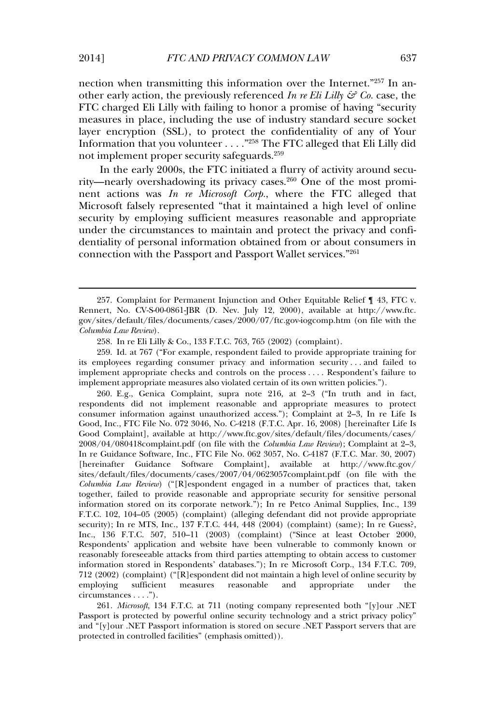nection when transmitting this information over the Internet."<sup>257</sup> In an-<br>other early action, the previously referenced *In re Eli Lilly & Co*. case, the Following the main manner of the method.<br>
The charged Eli Lilly with failing to honor a promise of having "security<br>
FTC charged Eli Lilly with failing to honor a promise of having "security extracting action, the previously referenced in to the ling C core case, the<br>FTC charged Eli Lilly with failing to honor a promise of having "security<br>measures in place, including the use of industry standard secure socket layer encryption (SSL), to protect the confidentiality of any of Your<br>layer encryption (SSL), to protect the confidentiality of any of Your In the same in place, including the tase of matter  $\frac{1}{258}$  The confidentiality of any of Your V  $\frac{1}{258}$  The FTC alleged that Eli Lilly did Information that you volunteer  $\ldots$ .<sup>258</sup> The FTC alleged that Eli Lilly did mplement proper security safeguards. $259$ 

not implement proper security safeguards.<sup>259</sup><br>In the early 2000s, the FTC initiated a flurry of activity around secu-<br>with prophet curreled curing its primary cases.<sup>260</sup> One of the most prominent actions was *In re Microsoft Corp.*, where the FTC alleged that nent actions was In re Microsoft Corp., where the FTC alleged that  $\frac{1}{2}$  security by employing sufficient measures reasonable and appropriate  $\frac{1}{2}$  and  $\frac{1}{2}$  and  $\frac{1}{2}$  and  $\frac{1}{2}$  and  $\frac{1}{2}$  and  $\frac{1}{2}$  and  $\frac{1}{2}$  and  $\frac{1}{2}$  and  $\frac{1}{2}$  and  $\frac{1}{2}$  and  $\$ example control control of the circumstances to maintain and protect the privacy and confi-<br>under the circumstances to maintain and protect the privacy and confiunder the circumstances to maintain and protect the privacy and conficonnection with the Passport and Passport Wallet services."<sup>261</sup><br>connection with the Passport and Passport Wallet services."<sup>261</sup>

258. In re Eli Lilly & Co., 133 F.T.C. 763, 765 (2002) (complaint).<br>259. Id. at 767 ("For example, respondent failed to provide appropriate training for<br>its employees regarding consumer privacy and information security ... its employees regarding consumer privacy and information security...and failed to<br>implement appropriate checks and controls on the process .... Respondent's failure to implement appropriate measures also violated certain of its own written policies."). implement appropriate measures also violated certain of its own written policies."). implement appropriate measures also violated certain of its own written policies.").<br>260. E.g., Genica Complaint, supra note 216, at 2–3 ("In truth and in fact,

respondents did not implement reasonable and appropriate measures to protect<br>consumer information against unauthorized access."): Complaint at 2–3, In re Life Is consumer information against unauthorized access."); Complaint at 2–3, In re Life Is<br>Good, Inc., FTC File No. 072 3046, No. C-4218 (F.T.C. Apr. 16, 2008) [hereinafter Life Is Good, Inc., FTC File No. 072 3046, No. C-4218 (F.T.C. Apr. 16, 2008) [hereinafter Life Is<br>Good Complaint], available at http://www.ftc.gov/sites/default/files/documents/cases/ *Cood Complaint], available at http://www.ftc.gov/sites/default/files/documents/cases/*<br>2008/04/080418complaint.pdf (on file with the *Columbia Law Review*); Complaint at 2–3,<br>In re Guidance Software, Inc., FTC File No. 06 Good Complaint], available at http://www.ftc.gov/sites/default/files/documents/cases/ In re Guidance Software, Inc., FTC File No. 062 3057, No. C-4187 (F.T.C. Mar. 30, 2007)<br>[hereinafter Guidance Software Complaint], available at http://www.ftc.gov/ [hereinafter Guidance Software Complaint], available at http://www.ftc.gov/ *Columbia Law Review*) ("[R]espondent engaged in a number of practices that, taken  $Columbia$   $Law$   $Review$ ) ( $*($ R]espondent engaged in a number of practices that, taken together, failed to provide reasonable and appropriate security for sensitive personal together, failed to provide reasonable and appropriate security for sensitive personal<br>information stored on its corporate network."): In re Petco Animal Supplies, Inc., 139 F.T.C. 102, 104–05 (2005) (complaint) (alleging defendant did not provide appropriate security); In re MTS, Inc., 137 F.T.C. 444, 448 (2004) (complaint) (same); In re Guess?, security); In re MTS, Inc., 137 F.T.C. 444, 448 (2004) (complaint) (same); In re Guess?,<br>Inc., 136 F.T.C. 507, 510–11 (2003) (complaint) ("Since at least October 2000, Inc., 136 F.T.C. 507, 510–11 (2003) (complaint) ("Since at least October 2000, Respondents' application and website have been vulnerable to commonly known or Respondents' application and website have been vulnerable to commonly known or<br>reasonably foreseeable attacks from third parties attempting to obtain access to customer information stored in Respondents' databases."); In re Microsoft Corp., 134 F.T.C. 709, information stored in Respondents' databases."); In re Microsoft Corp., 134 F.T.C. 709,<br>712 (2002) (complaint) ("[R]espondent did not maintain a high level of online security by 712 (2002) (complaint) ("[R]espondent did not maintain a high level of online security by measures employing sufficient reasonable and appropriate under  $circumstances \ldots$ ").

*. Microsoft*, 134 F.T.C. at 711 (noting company represented both "[y]our .NET Passport is protected by powerful online security technology and a strict privacy policy" Passport is protected by powerful online security technology and a strict privacy policy"<br>and "[v]our .NET Passport information is stored on secure .NET Passport servers that are and "[y]our .NET Passport information is stored on se<br>protected in controlled facilities" (emphasis omitted)).

257. Complaint

for Permanent Injunction and Other Equitable Relief ¶ 43, FTC v. Rennert, No. CV-S-00-0861-JBR (D. Nev. July 12, 2000), available at http://www.ftc. Rennert, No. CV-S-00-0861-JBR (D. Nev. July 12, 2000), available at http://www.ftc. *Columbia Law Review*). Columbia Law Review). nbia Law Review).<br>258. In re Eli Lilly & Co., 133 F.T.C. 763, 765 (2002) (complaint).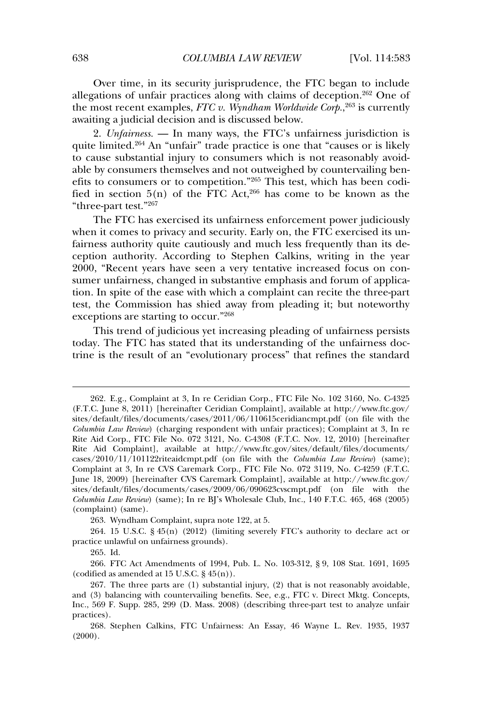Over time, in its security jurisprudence, the FTC began to include<br>allegations of unfair practices along with claims of deception.<sup>262</sup> One of allegations of unfair practices along with claims of deception.<sup>262</sup> One of the most recent examples, *FTC v. Wyndham Worldwide Corp.*,<sup>263</sup> is currently and the most recent examples, FTC v. Wyndham Worldwide Corp.,<sup>263</sup> is currently a indicial decision and is discussed below. awaiting a judicial decision and is discussed below.

awaiting a judicial decision and is discussed below.<br>
2. *Unfairness.* — In many ways, the FTC's unfairness jurisdiction is<br>
quite limited.<sup>264</sup> An "unfair" trade practice is one that "causes on is likely quite limited.<sup>264</sup> An "unfair" trade practice is one that "causes or is likely to cause substantial injury to consumers which is not reasonably avoideffects to consumers themselves and not outweighed by countervailing benefits to consumers or to competition."<sup>265</sup> This test, which has been codifield in section  $5(n)$  of the FTC Act,<sup>266</sup> has come to be known as the field in section  $5(n)$  of the FTC Act,<sup>266</sup> has come to be known as the fied in section 5(<br>"three-part test."<sup>267</sup> "three-part test."267 "three-part test." $^{267}$ <br>The FTC has exercised its unfairness enforcement power judiciously

First Figure cause and security. Early on, the FTC exercised its un-<br>fairness authority quite cautiously and much less frequently than its defairness authority quite cautiously and much less frequently than its de-2000. "Recent years have seen a very tentative increased focus on con-<br>2000. "Recent years have seen a very tentative increased focus on consupplied dialectry. These tangents is excepted to candidary, which gain the year 2000, "Recent years have seen a very tentative increased focus on consumer unfairness, changed in substantive emphasis and forum of applicathe ease, the ease matter of the exercise of the ease with which a complaint can recite the three-part<br>tion. In spite of the ease with which a complaint can recite the three-part tion. In spite of the ease with which a complaint can recite the three-part<br>test, the Commission has shied away from pleading it; but noteworthy test, the Commission has shied away from pleading it; but noteworthy  $\frac{1}{2}$  of  $\frac{1}{2}$  increases the starting to occur.<sup>"268</sup>

 $\overline{\text{This trend of }i}$  increasing pleading of unfairness persists trine is the result of an "evolutionary process" that refines the standard<br>trine is the result of an "evolutionary process" that refines the standard

262. E.g., Complaint at 3, In re

Ceridian Corp., FTC File No. 102 3160, No. C-4325 (F.T.C. June 8, 2011) [hereinafter Ceridian Complaint], available at http://www.ftc.gov/ (F.T.C. June 8, 2011) [hereinafter Ceridian Complaint], available at http://www.ftc.gov/ sites/default/files/documents/cases/2011/06/110615ceridiancmpt.pdf (on file with the *Columbia Law Review*) (charging respondent with unfair practices); Complaint at 3, In re Columbia Law Review) (charging respondent with unfair practices); Complaint at 3, In re<br>Rite Aid Corp., FTC File No. 072 3121, No. C-4308 (F.T.C. Nov. 12, 2010) [hereinafter Rite Aid Corp., FTC File No. 072 3121, No. C-4308 (F.T.C. Nov. 12, 2010) [hereinafter<br>Rite Aid Complaint], available at http://www.ftc.gov/sites/default/files/documents/ Rite Aid Complaint], available at http://www.ftc.gov/sites/default/files/documents/<br>cases/2010/11/101122riteaidcmpt.pdf (on file with the *Columbia Law Review*) (same); cases/2010/11/101122riteaidcmpt.pdf (on file with the *Columbia Law Review*) (same);<br>Complaint at 3, In re CVS Caremark Corp., FTC File No. 072 3119, No. C-4259 (F.T.C. Complaint at 3, In re CVS Caremark Corp., FTC File No. 072 3119, No. C-4259 (F.T.C.)<br>June 18, 2009) [hereinafter CVS Caremark Complaint], available at http://www.ftc.gov/ June 18, 2009) [hereinafter CVS Caremark Complaint], available at http://www.ftc.gov/ sites/default/files/documents/cases/2009/06/090623cvscmpt.pdf (on file with the sites/default/files/documents/cases/2009/06/090623cvscmpt.pdf (on file with the Columbia Law Review) (same); In re BJ's Wholesale Club, Inc., 140 F.T.C. 465, 468 (2005)  $\text{hplain}$  (same). plaint) (same).<br>263. Wyndham Complaint, supra note 122, at 5.

<sup>263.</sup> Wyndham Complaint, supra note 122, at 5.<br>
264. 15 U.S.C. § 45(n) (2012) (limiting severely FTC's authority to declare act or practice unlawful on unfairness grounds). practice unlawful on unfairness grounds).

<sup>265.</sup> Id.

<sup>265.</sup> Id.<br>266. FTC Act Amendments of 1994. Pub. L. No. 103-312, § 9, 108 Stat. 1691, 1695 ified as amended at  $15$  U.S.C.  $\S$   $45(n)$ ).

<sup>(</sup>codified as amended at 15 U.S.C.  $\S$  45(n)).<br>
267. The three parts are (1) substantial injury, (2) that is not reasonably avoidable,<br>
267. The three parts are (1) substantial injury, (2) that is not reasonably avoidable, and (3) balancing with countervailing benefits. See, e.g., FTC v. Direct Mktg. Concepts,<br>Inc., 569 F. Supp. 285, 299 (D. Mass. 2008) (describing three-part test to analyze unfair Inc., 569 F. Supp. 285, 299 (D. Mass. 2008) (describing three-part test to analyze unfair practices).  $\frac{1}{2}$  stephen Calcins, FTC Units, FTC Units, FTC Units, FTC Units, FTC Units, FTC Units, FTC Units, FTC Units, FTC Units, FTC Units, FTC Units, FTC Units, FTC Units, FTC Units, FTC Units, FTC Units, FTC Units, FTC Uni practices).<br>268. Stephen Calkins. FTC Unfairness: An Essay. 46 Wayne L. Rev. 1935. 1937

 $(2000).$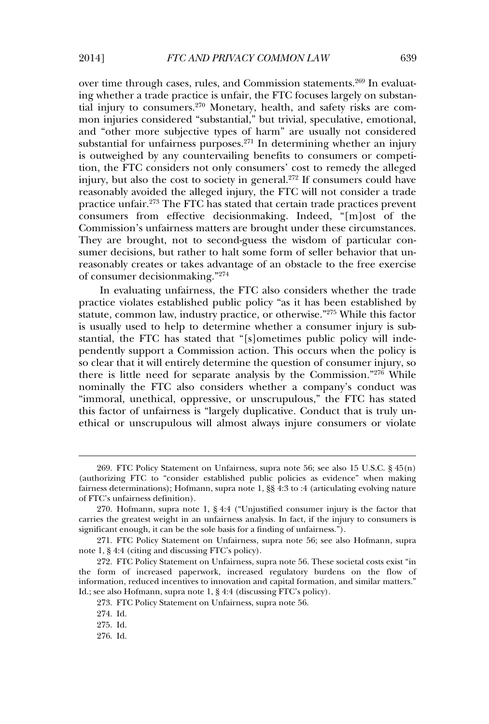over time through cases, rules, and Commission statements.<sup>269</sup> In evaluat-<br>ing whether a trade practice is unfair, the FTC focuses largely on substanthe time anongle cases, rates, and commission satisfactions. The clarities ing whether a trade practice is unfair, the FTC focuses largely on substantial injury to consumers.<sup>270</sup> Monetary, health, and safety risks are com man injury to consumers.<sup>270</sup> Monetary, health, and safety risks are common injuries considered "substantial." but trivial, speculative, emotional, and "other more subjective types of harm" are usually not considered<br>and "other more subjective types of harm" are usually not considered substantial for unfairness purposes.<br>and "other more subjective types of harm" are usually not considered<br>substantial for unfairness numeros  $\frac{271}{71}$  In determining with usually substantial for unfairness purposes.<sup>271</sup> In determining whether an injury is outweighed by any countervailing benefits to consumers or competi- $\frac{1}{2}$  but also the cost to society in general.<sup>272</sup> If consumers could have reasonably avoided the alleged injury, the FTC will not consider a trade reasonably avoided the alleged injury, the FTC will not consider a trade program that we calculate under the FTC will not constant the reasonably avoided the alleged injury, the FTC will not consider a trade prevention when  $\frac{273}{273}$ . The ETC has stated that earthin trade prevention around practice unfair.<sup>273</sup> The FTC has stated that certain trade practices prevent<br>consumers from effective decisionmaking. Indeed, "[m]ost of the consumers from effective decisionmaking. Indeed, "[m]ost of the They are brought, not to second-guess the wisdom of particular con-<br>They are brought, not to second-guess the wisdom of particular consummission's undiances matters are prought ander arese encampathers.<br>They are brought, not to second-guess the wisdom of particular con-<br>sumer decisions, but rather to halt some form of seller behavior that unreasonably creates or takes advantage of an obstacle to the free exercise reasonably creates or takes advantage of an obstacle to the free exercise  $\overline{\mathrm{I}}$ insumer decisionmaking." $^{274}$ % of consumer decision making.<sup>"274</sup><br>In evaluating unfairness, the FTC also considers whether the trade

practice violates established public policy "as it has been established by  $\frac{1}{275}$  While this factor statute, common law, industry practice, or otherwise.<sup>7275</sup> While this factor is usually used to help to determine whether a consumer injury is subis usually used to help to determine whether a consumer injury is subpermany about the perfect and the method is contained in the standard standard, the FTC has stated that "[s]ometimes public policy will independently support a Commission action. This occurs when the policy is station, the contract that it will entirely determine the question of consumer injury, so clear that it will entirely determine the question of consumer injury, so there is little need for separate analysis by the Commission."<sup>276</sup> While nominally the FTC also considers whether a company's conduct was<br>nominally the FTC also considers whether a company's conduct was nominally the FTC also considers whether a company's conduct was<br>"immoral, unethical, oppressive, or unscrupulous," the FTC has stated the this factor of unfairness is "largely duplicative. Conduct that is truly un-<br>this factor of unfairness is "largely duplicative. Conduct that is truly unethis factor of unfairness is "largely duplicative. Conduct that is truly untitled or unscrupulous will almost always injure consumers or violate

269. FTC Policy Statement on Unfairness,

supra note 56; see also 15 U.S.C. § 45(n) (authorizing FTC to "consider established public policies as evidence" when making fairness determinations); Hofmann, supra note 1, §§ 4:3 to :4 (articulating evolving nature fairness determinations); Hofm<br>of FTC's unfairness definition). of FTC's unfairness definition).

<sup>270.</sup> Hofmann, supra note 1,  $\S 4:4$  ("Unjustified consumer injury is the factor that carries the greatest weight in an unfairness analysis. In fact, if the injury to consumers is carries the greatest weight in an unfairness analysis. In fact, if the injusticant enough, it can be the sole basis for a finding of unfairness."). significant enough, it can be the sole basis for a finding of unfairness.").

significant enough, it can be the sole basis for a finding of unfairness.").<br>271. FTC Policy Statement on Unfairness, supra note 56; see also Hofmann, supra<br>note 1. § 4:4 (citing and discussing FTC's policy). note 1, § 4:4 (citing and discussing FTC's policy).

note 1, § 4:4 (citing and discussing FTC's policy).<br>272. FTC Policy Statement on Unfairness, supra note 56. These societal costs exist "in<br>the form of increased paperwork, increased regulatory burdens on the flow of the form of increased paperwork, increased regulatory burdens on the flow of Information, reduced incentives to innovation and capital formation, and similar matters."<br>Id.: see also Hofmann, supra note 1, § 4:4 (discussing FTC's policy). ee also Hofmann, supra note 1, § 4:4 (discussing FTC's p<br>273. FTC Policy Statement on Unfairness, supra note 56.

<sup>273.</sup> FTC Policy Statement on Unfairness, supra note 56.

<sup>274.</sup> Id.

<sup>276.</sup> Id.

<sup>276.</sup> Id.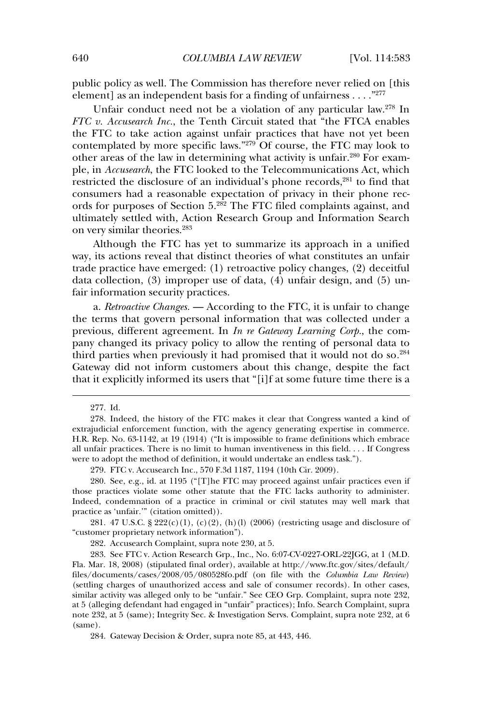public policy as well. The Commission has therefore never relied on [this<br>element] as an independent basis for a finding of unfairness . . . . ."<sup>277</sup> element] as an independent basis for a finding of unfairness . . . .  $\cdot$ <sup>277</sup> pendent basis for a finding of unfairness . . . . "<sup>277</sup><br>need not be a violation of any particular law.<sup>278</sup> In

Unfair conduct need not be a violation of any particular law.<sup>278</sup> In *FTC v. Accusearch Inc.*, the Tenth Circuit stated that "the FTCA enables FTC v. Accusearch Inc., the Tenth Circuit stated that "the FTCA enables the FTC to take action against unfair practices that have not vet been contemplated by more specific laws."<sup>279</sup> Of course, the FTC may look to  $\frac{1}{2}$  contemplated by more specific laws."<sup>279</sup> Of course, the FTC may look to other areas of the law in determining what activity is unfair.<sup>280</sup> For example and the *s* of the law in determining what activity is unfair.<sup>280</sup> For example, in *Accusearch*, the FTC looked to the Telecommunications Act, which restricted the disclosure of an individual's phone records,<sup>281</sup> to find that<br>restricted the disclosure of an individual's phone records,<sup>281</sup> to find that consumers had a reasonable expectation of privacy in their phone reconsumers had a reasonable expectation of privacy in their phone reconsumers had a reasonable expectation of privacy in their phone records for purposes of Section 5.<sup>282</sup> The FTC filed complaints against, and ords for purposes of Section 5.<sup>282</sup> The FTC filed complaints against, and ultimately settled with, Action Research Group and Information Search ultimately settled with, Action Research Group and Information Search  $\text{erv similar theories.}^{283}$ 

on very similar theories.<sup>283</sup><br>Although the FTC has yet to summarize its approach in a unified<br>way, its actions reveal that distinct theories of what constitutes an unfair trade practice have emerged: (1) retroactive policy changes, (2) deceitful  $d$  and  $d$  and  $d$  and  $d$  and  $d$  and  $d$  and  $d$  and  $d$  and  $d$  and  $d$  and  $d$  and  $d$  and  $d$  and  $d$   $d$ ) undata collection,  $(3)$  improper use of data,  $(4)$  unfair design, and  $(5)$  unnformation security practices.

Frait information security practices.<br>
a. *Retroactive Changes.* — According to the FTC, it is unfair to change<br>
the terms that govern personal information that was collected under a previous, different agreement. In *In re Gateway Learning Corp.*, the comprevious, different agreement. In In re Gateway Learning Corp., the company changed its privacy policy to allow the renting of personal data to third parties when previously it had promised that it would not do so.<sup>284</sup> Figure 3. Figure 1. Figure 1. Figure 1. Figure 1. Figure 1. Third parties when previously it had promised that it would not do so.<sup>284</sup><br>Gateway did not inform customers about this change, despite the fact that it explicitly informed its users that "filf at some future time there is a state it explicitly informed its users that "[i]f at some future time there is a

practice as 'unfair.'" (citation omitted)).<br>281. 47 U.S.C. § 222(c)(1), (c)(2), (h)(l) (2006) (restricting usage and disclosure of<br>"customer proprietary network information"). "customer proprietary network information"). omer proprietary network information").<br>282. Accusearch Complaint, supra note 230, at 5.

 FTC v. Action Research Grp., Inc., No. 6:07-CV-0227-ORL-22JGG, at 1 (M.D. Fla. Mar. 18, 2008) (stipulated final order), available at http://www.ftc.gov/sites/default/ Fla. Mar. 18, 2008) (stipulated final order), available at http://www.ftc.gov/sites/default/ Fla. Mar. 18, 2008) (stipulated final order), available at http://www.ftc.gov/sites/default/<br>files/documents/cases/2008/05/080528fo.pdf (on file with the *Columbia Law Review*)<br>(settling charges of unauthorized access and similar activity was alleged only to be "unfair." See CEO Grp. Complaint, supra note 232, similar activity was alleged only to be "unfair." See CEO Grp. Complaint, supra note 232, at 5 (alleging defendant had engaged in "unfair" practices); Info. Search Complaint, supra<br>note 232, at 5 (same); Integrity Sec. & Investigation Servs. Complaint, supra note 232, at 6 note 232, at 5 (same); Integrity Sec. & Investigation Servs. Complaint, supra note 232, at 6  $(same)$ .  $\mathbf{e}$ ). Gateway Decision  $\mathbf{e}$ 

284. Gateway Decision & Order, supra note 85, at 443, 446.

<sup>277.</sup> Id.277. Id.

<sup>277.</sup> Id.<br>278. Indeed, the history of the FTC makes it clear that Congress wanted a kind of<br>extrajudicial enforcement function, with the agency generating expertise in commerce. extrajudicial enforcement function, with the agency generating expertise in commerce.<br>H.R. Rep. No. 63-1142, at 19 (1914) ("It is impossible to frame definitions which embrace H.R. Rep. No. 63-1142, at 19 (1914) ("It is impossible to frame definitions which embrace<br>all unfair practices. There is no limit to human inventiveness in this field. . . . If Congress all unfair practices. There is no limit to human inventiveness in this field...<br>were to adopt the method of definition, it would undertake an endless task."). to adopt the method of definition, it would undertake an endless to 279. FTC v. Accusearch Inc., 570 F.3d 1187, 1194 (10th Cir. 2009).

<sup>279.</sup> FTC v. Accusearch Inc., 570 F.3d 1187, 1194 (10th Cir. 2009).

<sup>279.</sup> FTC v. Accusearch Inc., 570 F.3d 1187, 1194 (10th Cir. 2009).<br>280. See, e.g., id. at 1195 ("[T]he FTC may proceed against unfair practices even if<br>those practices violate some other statute that the FTC lacks authorit those practices violate some other statute that the FTC lacks authority to administer.<br>Indeed, condemnation of a practice in criminal or civil statutes may well mark that Indeed, condemnation of a practice is<br>practice as 'unfair.'" (citation omitted)). practice as 'unfair.'" (citation omitted)).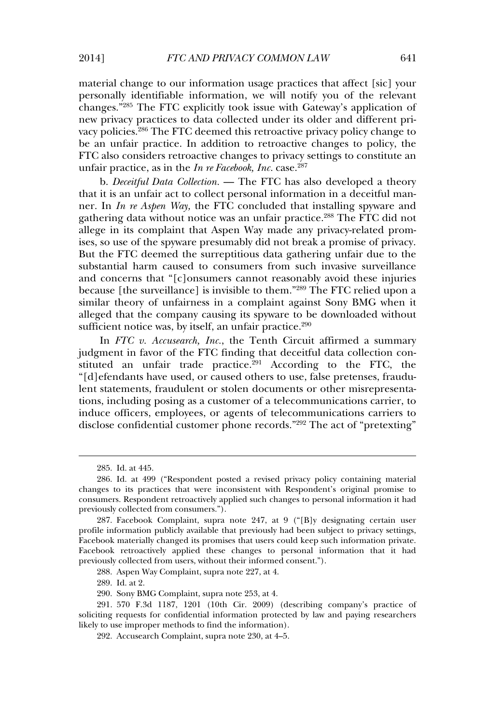material change to our information usage practices that affect [sic] your<br>personally identifiable information, we will notify you of the relevant  $\epsilon$  present change to our information, we will notify you of the relevant phenome  $\frac{285}{100}$ . The FTC explicitly took issue with Gateway's application of changes.<sup>"285</sup> The FTC explicitly took issue with Gateway's application of enarged the FTC expressive contraction of the FTC deemed this retroactive privacy policies.<sup>286</sup> The FTC deemed this retroactive privacy policy change to vacy policies.<sup>286</sup> The FTC deemed this retroactive privacy policy change to For pencion of the FTC also considers retroactive changes to policy, the FTC also considers retroactive changes to privacy settings to constitute an FTC also considers retroactive changes to privacy settings to constitute an also considers retroactive changes to privacy<br>ir practice, as in the *In re Facebook*, *Inc.* case.<sup>287</sup> unfair practice, as in the *In re Facebook*, *Inc.* case.<sup>287</sup><br>b. *Deceitful Data Collection*. — The FTC has also developed a theory

ner. In *In re Aspen Way*, the FTC concluded that installing spyware and that it is an unfair act to collect personal information in a deceitful manner. In *In re Aspen Way*, the FTC concluded that installing spyware and example in the term and the control present interesting the acceptance measurement.<br>The *In In re Aspen Way*, the FTC concluded that installing spyware and<br>gathering data without notice was an unfair practice.<sup>288</sup> The FTC gathering data without notice was an unfair practice.<sup>288</sup> The FTC did not giant is complaint that Aspen Way made any privacy-related promises, so use of the spyware presumably did not break a promise of privacy. ises, so use of the spyware presumably did not break a promise of privacy. But the FTC deemed the surreptitious data gathering unfair due to the and the concerns that "lelonsumers cannot reasonably avoid these injuries"<br>and concerns that "[c]onsumers cannot reasonably avoid these injuries because [the surveillance] is invisible to them."<sup>289</sup> The FTC relied upon a because [the surveillance] is invisible to them."289 The FTC relied upon a similar theory of unfairness in a complaint against Sony BMG when it alleged that the company causing its spyware to be downloaded without alleged that the company causing its spyware to be downloaded without  $\frac{1}{2}$ cient notice was, by itself, an unfair practice.<sup>290</sup> sufficient notice was, by itself, an unfair practice.<sup>290</sup><br>In *FTC v. Accusearch, Inc.*, the Tenth Circuit affirmed a summary

in the contribution, the contribution con-<br>stituted an unfair trade practice.<sup>291</sup> According to the FTC, the stituted an unfair trade practice. $291$  According to the FTC, the "[d]efendants have used, or caused others to use, false pretenses, frauduthe precisions carrier as a customer of a telecommunications carrier, to<br>tions, including posing as a customer of a telecommunications carrier, to tions, including posing as a customer of a telecommunications carrier, to  $\frac{d}{dt}$  disclose confidential customer phone records. The act of "pretexting" is disclose confidential quotemer phone records." $292$  The act of "pretexting" disclose confidential customer phone records."292 The act of "pretexting"

288. Aspen Way Complaint, supra note 227, at 4.

289. Id. at 2.

289. Id. at 2.<br>290. Sony BMG Complaint, supra note 253, at 4.

290. Sony BMG Complaint, supra note 253, at 4.<br>291. 570 F.3d 1187, 1201 (10th Cir. 2009) (describing company's practice of<br>soliciting requests for confidential information protected by law and paying researchers soliciting requests for confidential information protect<br>likely to use improper methods to find the information). to use improper methods to find the information).<br>292. Accusearch Complaint, supra note 230, at 4–5.

material change to

<sup>285.</sup> Id. at 445.285. Id. at 445.

<sup>285.</sup> Id. at 445.<br>286. Id. at 499 ("Respondent posted a revised privacy policy containing material<br>changes to its practices that were inconsistent with Respondent's original promise to changes to its practices that were inconsistent with Respondent's original promise to consumers. Respondent retroactively applied such changes to personal information it had consumers. Respondent retroactively appreviously collected from consumers."). previously collected from consumers.").

previously collected from consumers.").<br>
287. Facebook Complaint, supra note 247, at 9 ("[B]y designating certain user<br>
profile information publicly available that previously had been subject to privacy settings, profile information publicly available that previously had been subject to privacy settings, reduced in the Facebook materially changed its promises that users could keep such information private.<br>Facebook retroactively applied these changes to personal information that it had Facebook retroactively applied these changes to personal in<br>previously collected from users, without their informed consent."). ously collected from users, without their informe<br>288. Aspen Way Complaint, supra note 227, at 4.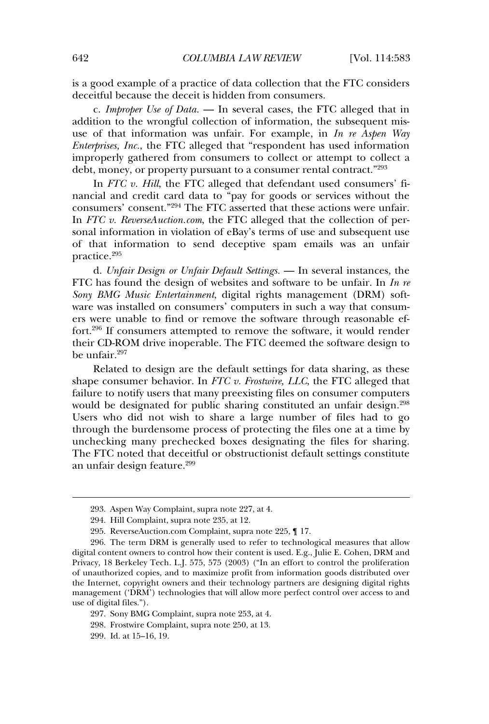is a good example of a practice of data collection that the FTC considers<br>deceitful because the deceit is hidden from consumers. deceitful because the deceit is hidden from consumers.

deceitful because the deceit is hidden from consumers.<br>
c. *Improper Use of Data*. — In several cases, the FTC alleged that in<br>
addition to the wrongful collection of information, the subsequent misaddition to the wrongful collection of information, the subsequent mis-In *Internation* Inc. In *Internation* was unfair. For example, in *In re Aspen Way*<br>*Enterprises, Inc.*, the FTC alleged that "respondent has used information *Enterprises, Inc.*, the FTC alleged that "respondent has used information improperly gathered from consumers to collect or attempt to collect a debt, money, or property pursuant to a consumer rental contract."<sup>293</sup><br>debt, money, or property pursuant to a consumer rental contract."<sup>293</sup> , money, or property pursuant to a consumer rental contract."<sup>293</sup><br>In *FTC v. Hill*, the FTC alleged that defendant used consumers' fi-

In FTC  $v$ . Hill, the FTC alleged that defendant used consumers' fi-In *FTC v. Hill*, the FTC alleged that defendant used consumers' financial and credit card data to "pay for goods or services without the consumers' consent."<sup>294</sup> The FTC asserted that these actions were unfair. In *FTC v* In FTC v. ReverseAuction.com, the FTC alleged that the collection of personal information in violation of eBay's terms of use and subsequent use of that information in violation of eBay's terms of use and subsequent use<br>of that information to send deceptive spam emails was an unfair of that information to send deceptive spam emails was an unfair tice. $295$ 

practice.<sup>295</sup><br>d. *Unfair Design or Unfair Default Settings*. — In several instances, the<br>FTC has found the design of websites and software to be unfair. In *In re Sony BMG Music Entertainment*, digital rights management (DRM) soft-*Sony BMG Music Entertainment*, digital rights management (DRM) softers were unable to find or remove the software through reasonable ef-<br>ers were unable to find or remove the software through reasonable effort.<sup>296</sup> If consumers attempted to remove the software through reasonable effort.<sup>296</sup> If consumers attempted to remove the software, it would render their CD-ROM drive inoperable. The FTC deemed the software design to<br>their CD-ROM drive inoperable. The FTC deemed the software design to their CD-ROM drive inoperable. The FTC deemed the software design to be unfair.<sup>297</sup>  $R_{\text{r}}^{297}$ 

Related to design are the default settings for data sharing, as these shape consumer behavior. In *FTC v. Frostwire, LLC*, the FTC alleged that shape consumer behavior. In FTC  $v$ . Frostwire, LLC, the FTC alleged that Figure Constant Common and Constitution, and States are a consumer computers<br>and the designated for public sharing constituted an unfair design.<sup>298</sup> Users who did not wish to share a large number of files had to go<br>Users who did not wish to share a large number of files had to go the burdens of the burdensome process of protecting the files one at a time by<br>through the burdensome process of protecting the files one at a time by Even the matrix has the state of mage transfer of medicing the state of get<br>through the burdensome process of protecting the files one at a time by<br>unchecking many prechecked boxes designating the files for sharing. unchecking many prechecked boxes designating the files for sharing. The FTC noted that deceitful or obstructionist default settings constitute an unfair design feature.<sup>299</sup>

293. Aspen Way Complaint, supra Maria Complaint, supra Maria Complaint, supra Maria Complaint, supra Maria Com

<sup>293.</sup> Aspen Way Complaint, supra note 227, at 4.<br>294. Hill Complaint, supra note 235, at 12.

<sup>294.</sup> Hill Complaint, supra note 235, at 12.

<sup>294.</sup> Hill Complaint, supra note 235, at 12.<br>295. ReverseAuction.com Complaint, supra note 225. ¶ 17.

<sup>295.</sup> ReverseAuction.com Complaint, supra note 225,  $\P$  17.<br>296. The term DRM is generally used to refer to technological measures that allow<br>digital content owners to control how their content is used. E.g., Julie E. Cohe digital content owners to control how their content is used. E.g., Julie E. Cohen, DRM and<br>Privacy, 18 Berkeley Tech. L.J. 575, 575 (2003) ("In an effort to control the proliferation Privacy, 18 Berkeley Tech. L.J. 575, 575 (2003) ("In an effort to control the proliferation<br>of unauthorized copies, and to maximize profit from information goods distributed over of unauthorized copies, and to maximize profit from information goods distributed over<br>the Internet, copyright owners and their technology partners are designing digital rights the Internet, copyright owners and their technology partners are designing digital rights<br>management ('DRM') technologies that will allow more perfect control over access to and management ('DRM') technologies that will allow more perfect control over access to and  $\overline{p}$  digital files."). of digital files.").<br>297. Sony BMG Complaint, supra note 253, at 4.

<sup>298.</sup> Frostwire Complaint, supra note 250, at 13.

<sup>299.</sup> Id. at 15-16, 19.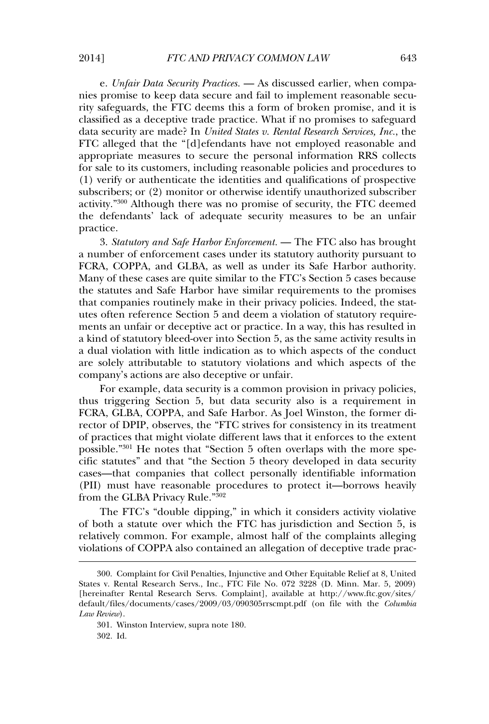*Unfair Data Security Practices.* — As discussed earlier, when compa-nies promise to keep data secure and fail to implement reasonable securitude of engine 2 and security rituation. The diseased carrier, when comparison is promise to keep data secure and fail to implement reasonable security safeguards, the FTC deems this a form of broken promise, and it is classified as a deceptive trade practice. What if no promises to safeguard as a deceptive trade practice. What if no promises to safeguard data security are made? In *United States v. Rental Research Services, Inc.*, the data security are made? In *United States v. Rental Research Services, Inc.*, the data security are made? In United States v. Rental Research Services, Inc., the and security are made. In equal states of radial rasses secure, river, are FTC alleged that the "[d] efendants have not employed reasonable and for sale to its customers, including reasonable policies and procedures to for sale to its customers, including reasonable policies and procedures to (1) verify or authenticate the identities and qualifications of prospective subscribers; or (2) monitor or otherwise identify unauthorized subscribers; or (2) monitor or otherwise identify unauthorized subscribers.  $\frac{1}{2}$  and  $\frac{1}{2}$  and  $\frac{1}{2}$  and  $\frac{1}{2}$  and  $\frac{1}{2}$  and  $\frac{1}{2}$  and  $\frac{1}{2}$  and  $\frac{1}{2}$  and  $\frac{1}{2}$  and  $\frac{1}{2}$  and  $\frac{1}{2}$  and  $\frac{1}{2}$  and  $\frac{1}{2}$  and  $\frac{1}{2}$  and  $\frac{1}{2}$  and  $\frac{1}{2}$  a activity."<sup>300</sup> Although there was no promise of security, the FTC deemed<br>the defendants' lack of adequate security measures to be an unfair the defendants' lack of adequate security measures to be an unfair tice.

practice.<br> *Statutory and Safe Harbor Enforcement*. — The FTC also has brought<br>
a number of enforcement cases under its statutory authority pursuant to a number of enforcement cases under its statutory authority pursuant to Many of these cases are quite similar to the FTC's Section 5 cases because<br>Many of these cases are quite similar to the FTC's Section 5 cases because Many of these cases are quite similar to the FTC's Section 5 cases because the statutes and Safe Harbor have similar requirements to the promises<br>that companies routinely make in their privacy policies. Indeed, the statnot summer and such that securities of the private companies routinely make in their privacy policies. Indeed, the statures often reference Section 5 and deem a violation of statutory requireutes often reference Section 5 and deem a violation of statutory requirea kind of statutory bleed-over into Section 5, as the same activity resulted in a kind of statutory bleed-over into Section 5, as the same activity results in a kind of statutory bleed-over into Section 5, as the same activity results in<br>a dual violation with little indication as to which aspects of the conduct a dual violation with little indication as to which aspects of the conduct a company's actions are also deceptive or unfair.<br>
company's actions are also deceptive or unfair. company's actions are also deceptive or unfair.

 $\frac{1}{10}$  for example, data security is a common provision in privacy policies, For enample, data seems, as a common provision in privacy pension,<br>thus triggering Section 5, but data security also is a requirement in<br>FCRA, GLBA, COPPA, and Safe Harbor. As Ioel Winston, the former director of DPIP, observes, the "FTC strives for consistency in its treatment<br>rector of DPIP, observes, the "FTC strives for consistency in its treatment of practices that might violate different laws that it enforces to the extent<br>of practices that might violate different laws that it enforces to the extent possible."301 He notes that "Section 5 often overlaps with the more specific  $\frac{1}{2}$  of process with the more specific more specific  $\frac{1}{2}$  and  $\frac{1}{2}$  and  $\frac{1}{2}$  and  $\frac{1}{2}$  and  $\frac{1}{2}$  and  $\frac{1}{2}$  and  $\$ cific statutes" and that "the Section 5 often overlaps with the more specific statutes" and that "the Section 5 theory developed in data security example in the cases—that companies that collect personally identifiable information cases—that companies that collect personally identifiable information cases—that companies that collect personally identifiable information (PII) must have reasonable procedures to protect it—borrows heavily<br>from the GLBA Privacy Rule."<sup>302</sup> from the GLBA Privacy Rule."302

from the GLBA Privacy Rule." ${}^{302}$ <br>The FTC's "double dipping," in which it considers activity violative<br>of both a statute over which the FTC has jurisdiction and Section 5, is relatively contact the FIC has jurisdiction and Section 5, is<br>relatively common. For example, almost half of the complaints alleging relatively common. For example, almost half of the complaints alleging violations of COPPA also contained an allegation of deceptive trade prac-

300. Complaint for Civil Penalties, Injunctive and Other Equitable

Relief at 8, United States v. Rental Research Servs., Inc., FTC File No. <sup>072</sup> 3228 (D. Minn. Mar. 5, 2009) States v. Rental Research Servs., Inc., FTC File No. 072 3228 (D. Minn. Mar. 5, 2009)<br>[hereinafter Rental Research Servs. Complaint], available at http://www.ftc.gov/sites/ [hereinafter Rental Research Servs. Complaint], available at http://www.ftc.gov/sites/ default/files/documents/cases/2009/03/090305rrscmpt.pdf (on file with the *Columbia* Law Review). Law Review). *Review*).<br>301. Winston Interview, supra note 180.

<sup>302.</sup> Id.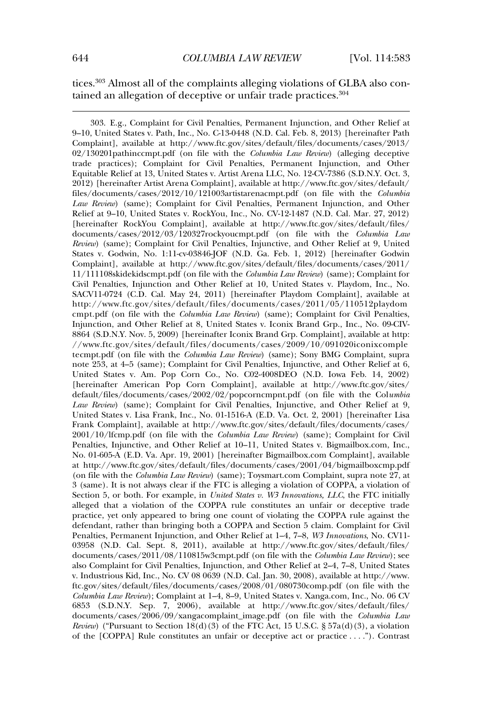## tices. $303$  Almost all of the complaints alleging violations of GLBA also contained an allegation of deceptive or unfair trade practices.<sup>304</sup>

303. E.g., Complaint for Civil Penalties, Permanent Injunction,

303. E.g., Complaint for Civil Penalties, Permanent Injunction, and Other Relief at<br>9–10. United States v. Path, Inc., No. C-13-0448 (N.D. Cal. Feb. 8, 2013) [hereinafter Path 9-10, United States v. Path, Inc., No. C-13-0448 (N.D. Cal. Feb. 8, 2013) [hereinafter Path 02/130201pathinccmpt.pdf (on file with the *Columbia Law Review*) (alleging deceptive 02/130201pathinccmpt.pdf (on file with the *Columbia Law Review*) (alleging deceptive<br>trade practices): Complaint for Civil Penalties, Permanent Injunction, and Other trade practices); Complaint for Civil Penalties, Permanent Injunction, and Other<br>Equitable Relief at 13, United States v. Artist Arena LLC, No. 12-CV-7386 (S.D.N.Y. Oct. 3, 2012) [hereinafter Artist Arena Complaint], available at http://www.ftc.gov/sites/default<br>2012) [hereinafter Artist Arena Complaint], available at http://www.ftc.gov/sites/default/ 2012) [hereinafter Artist Arena Complaint], available at http://www.ftc.gov/sites/default/ files/documents/cases/2012/10/121003artistarenacmpt.pdf (on file with the *Columbia Law Review*) (same); Complaint for Civil Penalties, Permanent Injunction, and Other Relief at 9–10, United States v. RockYou, Inc., No. CV-12-1487 (N.D. Cal. Mar. 27, 2012) [hereinafter RockYou Complaint], available at http://www.ftc.gov/sites/default/files/ [hereinafter RockYou Complaint], available at http://www.ftc.gov/sites/default/files/ *Columbia Law Review*) (same); Complaint for Civil Penalties, Injunctive, and Other Relief at 9, United Review) (same); Complaint for Civil Penalties, Injunctive, and Other Relief at 9, United<br>States v. Godwin, No. 1:11-cv-03846-IOF (N.D. Ga. Feb. 1, 2012) [hereinafter Godwin States v. Godwin, No. 1:11-cv-03846-JOF (N.D. Ga. Feb. 1, 2012) [hereinafter Godwin 11/111108skidekidscmpt.pdf (on file with the *Columbia Law Review*) (same); Complaint for 11/111108skidekidscmpt.pdf (on file with the *Columbia Law Review*) (same); Complaint for 11/111108skidekidscmpt.pdf (on file with the *Columbia Law Review*) (same); Complaint for<br>Civil Penalties, Injunction and Other Relief at 10, United States v. Playdom, Inc., No.<br>SACV11-0724 (C.D. Cal. May 24, 2011) [herein SACV11-0724 (C.D. Cal. May 24, 2011) [hereinafter Playdom Complaint], available at http://www.ftc.gov/sites/default/files/documents/cases/2011/05/110512playdom http://www.ftc.gov/sites/default/files/documents/cases/2011/05/110512playdom<br>cmpt.pdf (on file with the *Columbia Law Review*) (same); Complaint for Civil Penalties,<br>Injunction, and Other Relief at 8. United States v. Icon 1. Injunction, and Other Relief at 8, United States v. Iconix Brand Grp., Inc., No. 09-CIV-<br>8864 (S.D.N.Y. Nov. 5, 2009) [hereinafter Iconix Brand Grp. Complaint], available at http: 8864 (S.D.N.Y. Nov. 5, 2009) [hereinafter Iconix Brand Grp. Complaint], available at http: tecmpt.pdf (on file with the *Columbia Law Review*) (same); Sony BMG Complaint, supra tecmpt.pdf (on file with the *Columbia Law Review*) (same); Sony BMG Complaint, supra note 253, at 4–5 (same); Complaint for Civil Penalties, Injunctive, and Other Relief at 6,<br>United States v. Am. Pop Corn Co., No. C02-4008DEO (N.D. Iowa Feb. 14, 2002) United States v. Am. Pop Corn Co., No. C02-4008DEO (N.D. Iowa Feb. 14, 2002)<br>[hereinafter American Pop Corn Complaint], available at http://www.ftc.gov/sites/ [hereinafter American Pop Corn Complaint], available at http://www.ftc.gov/sites/ default/files/documents/cases/2002/02/popcorncmpnt.pdf (on file with the Columbia<br> *Law Review*) (same); Complaint for Civil Penalties, Injunctive, and Other Relief at 9, Law Review) (same); Complaint for Civil Penalties, Injunctive, and Other Relief at 9,<br>United States v. Lisa Frank, Inc., No. 01-1516-A (E.D. Va. Oct. 2, 2001) [hereinafter Lisa United States v. Lisa Frank, Inc., No. 01-1516-A (E.D. Va. Oct. 2, 2001) [hereinafter Lisa Frank Complaint], available at http://www.ftc.gov/sites/default/files/documents/cases/ Frank Complaint], available at http://www.ftc.gov/sites/default/files/documents/cases/<br>2001/10/Ifcmp.pdf (on file with the *Columbia Law Review*) (same); Complaint for Civil<br>Penalties, Injunctive, and Other Relief at 10–11 No. 01-605-A (E.D. Va. Apr. 19, 2001) [hereinafter Bigmailbox.com Complaint], available No. 01-605-A (E.D. Va. Apr. 19, 2001) [hereinafter Bigmailbox.com Complaint], available at http://www.ftc.gov/sites/default/files/documents/cases/2001/04/bigmailboxcmp.pdf<br>(on file with the *Columbia Law Review*) (same); Toysmart.com Complaint, supra note 27, at (on file with the *Columbia Law Review*) (same); Toysmart.com Complaint, supra note  $27$ , at  $3$  (same). It is not always clear if the FTC is alleging a violation of COPPA, a violation of 3 (same). It is not always clear if the FTC is alleging a violation of COPPA, a violation of 3 (same). It is not always clear if the FTC is alleging a violation of COPPA, a violation of Section 5, or both. For example, in *United States v. W3 Innovations, LLC*, the FTC initially alleged that a violation of the COP practice, yet only appeared to bring one count of violating the COPPA rule against the practice, yet only appeared to bring one count of violating the COPPA rule against the<br>defendant, rather than bringing both a COPPA and Section 5 claim. Complaint for Civil defendant, rather than bringing both a COPPA and Section 5 claim. Complaint for Civil *W3 Indoness (No. 1914)*<br>
1995 (No. 2013), defendant, rather than bringing both a COPPA and Section 5 claim. Complaint for Civil<br>
1995 Permanent Injunction, and Other Relief at 1–4, 7–8, *W3 Innovations*, No. CV11 03958 (N.D. Cal. Sept. 8, 2011), available at http://www.ftc.gov/sites/default/files/<br>documents/cases/2011/08/110815w3cmpt.pdf (on file with the *Columbia Law Review*); see documents/cases/2011/08/110815w3cmpt.pdf (on file with the *Columbia Law Review*); see<br>also Complaint for Civil Penalties, Injunction, and Other Relief at 2–4, 7–8, United States v. Industrious Kid, Inc., No. CV 08 0639 (N.D. Cal. Jan. 30, 2008), available at http://www. v. Industrious Kid, Inc., No. CV 08 0639 (N.D. Cal. Jan. 30, 2008), available at http://www. *Columbia Law Review*); Complaint at 1–4, 8–9, United States v. Xanga.com, Inc., No. 06 CV 6853 (S.D.N.Y. Sep. 7, 2006), available at http://www.ftc.gov/sites/default/files/ 6853 (S.D.N.Y. Sep. 7, 2006), available at http://www.ftc.gov/sites/default/files/ documents/cases/2006/09/xangacomplaint\_image.pdf (on file with the *Columbia Law* documents/cases/2006/09/xangacomplaint\_image.pdf (on file with the *Columbia Law*<br>*Review*) ("Pursuant to Section 18(d)(3) of the FTC Act, 15 U.S.C. § 57a(d)(3), a violation<br>of the [COPPA] Rule constitutes an unfair or dec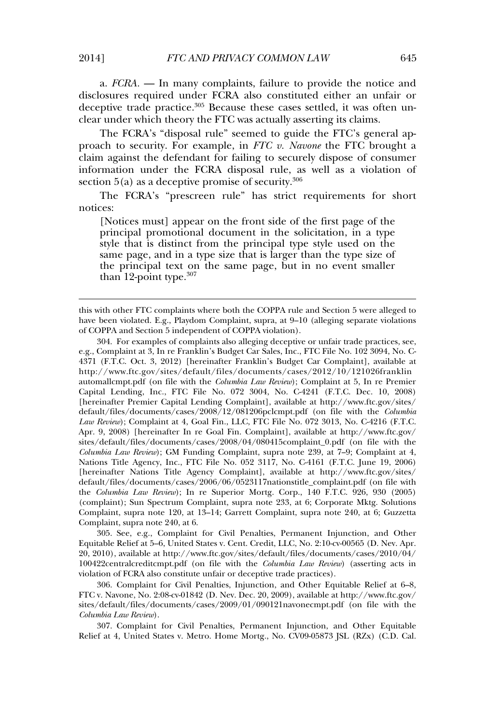*FCRA.* — In many complaints, failure to provide the notice and disclosures required under FCRA also constituted either an unfair or disclosures required under FCRA also constituted either an unfair or<br>deceptive trade practice.<sup>305</sup> Because these cases settled, it was often undeceptive trade practice.<sup>305</sup> Because these cases settled, it was often ununder which theory the FTC was actually asserting its claims.

clear under which theory the FTC was actually asserting its claims.<br>The FCRA's "disposal rule" seemed to guide the FTC's general ap-<br>proach to security. For example, in *FTC v. Navone* the FTC brought a proach to security. For example, in  $FTC$  v. Navone the FTC brought a Frame is seening. For manager, and the FCRA dispose of consumer<br>information under the FCRA disposal rule, as well as a violation of information under the FCRA disposal rule, as well as a violation of on  $5(a)$  as a deceptive promise of security.<sup>306</sup>

The FCRA's "prescreen rule" has strict requirements for short  $\frac{1}{1}$  and  $\frac{1}{1}$  appear on the first page of the first page of the first page of the first page of the first page of the first page of the first page of the first page of the first page of the first page of the fir

principal principal promotional document in the solid proportion in the solid proportion, in the solid problem in the solid problem. The solid problem is a type of the solid problem in the solid problem. The solid problem rivoltes must appear on the nont side of the mst page of the<br>principal promotional document in the solicitation, in a type<br>style that is distinct from the principal type style used on the principal promotional document in the solicitation, in a type<br>style that is distinct from the principal type style used on the<br>same page, and in a type size that is larger than the type size of style that is usunct from the principal type style used on the<br>same page, and in a type size that is larger than the type size of<br>the principal text on the same page, but in no event smaller same page, and m a<br>the principal text or<br>than 12-point type.<sup>307</sup>

of COPPA and Section 5 independent of COPPA violation).<br>304. For examples of complaints also alleging deceptive or unfair trade practices, see,<br>e.g., Complaint at 3. In re Franklin's Budget Car Sales. Inc., FTC File No. 10 e.g., Complaint at 3, In re Franklin's Budget Car Sales, Inc., FTC File No. 102 3094, No. C-<br>4371 (F.T.C. Oct. 3, 2012) [hereinafter Franklin's Budget Car Complaint], available at 4371 (F.T.C. Oct. 3, 2012) [hereinafter Franklin's Budget Car Complaint], available at http://www.ftc.gov/sites/default/files/documents/cases/2012/10/121026franklin *Columbia Law Review*); Complaint at 5, In re Premier Capital Lending, Inc., FTC File No. <sup>072</sup> 3004, No. C-4241 (F.T.C. Dec. 10, 2008) [hereinafter Premier Capital Lending Complaint], available at http://www.ftc.gov/sites/ [hereinafter Premier Capital Lending Complaint], available at http://www.ftc.gov/sites/<br>default/files/documents/cases/2008/12/081206pclcmpt.pdf (on file with the *Columbia* default/files/documents/cases/2008/12/081206pclcmpt.pdf (on file with the *Columbia* Law Review); Complaint at 4, Goal Fin., LLC, FTC File No. 072 3013, No. C-4216 (F.T.C.)<br>Apr. 9, 2008) [hereinafter In re Goal Fin. Complaint], available at http://www.ftc.gov/ Apr. 9, 2008) [hereinafter In re Goal Fin. Complaint], available at http://www.ftc.gov/ sites/default/files/documents/cases/2008/04/080415complaint\_0.pdf (on file with the *Columbia Law Review*); GM Funding Complaint, supra note 239, at 7-9; Complaint at 4, Columbia Law Review); GM Funding Complaint, supra note 239, at 7–9; Complaint at 4, Nations Title Agency, Inc., FTC File No. 052 3117, No. C-4161 (F.T.C. June 19, 2006) Nations Title Agency, Inc., FTC File No. 052 3117, No. C-4161 (F.T.C. June 19, 2006)  $\frac{1}{2}$  [hereinafter Nations Title Agency Complaint], available at http://www.ftc.gov/sites/ default/files/documents/cases/2006/06/0523117nationstitle\_complaint.pdf (on file with default/files/documents/cases/2006/06/0523117nationstitle\_complaint.pdf (on file with the *Columbia Law Review*); In re Superior Mortg. Corp., 140 F.T.C. 926, 930 (2005) (complaint); Sun Spectrum Complaint, supra note 233, at 6; Corporate Mktg. Solutions<br>Complaint, supra note 120, at 13–14; Garrett Complaint, supra note 240, at 6; Guzzetta Complaint, supra note 120, at<br>Complaint, supra note 240, at 6. Complaint, supra note 240, at 6.

<sup>5</sup> and Songhaint Songhaint for Civil Penalties, Permanent Injunction, and Other<br>Equitable Relief at 5–6. United States v. Cent. Credit, LLC, No. 2:10-cv-00565 (D. Nev. Apr. Equitable Relief at 5–6, United States v. Cent. Credit, LLC, No. 2:10-cv-00565 (D. Nev. Apr. 20, 2010), available at http://www.ftc.gov/sites/default/files/documents/cases/2010/04/<br>100422centralcreditcmpt.pdf (on file with the *Columbia Law Review*) (asserting acts in 100422centralcreditempt.pdf (on file with the *Columbia Law Revie*<br>violation of FCRA also constitute unfair or deceptive trade practices). violation of FCRA also constitute unfair or deceptive trade practices).

 FTC v. Navone, No. 2:08-cv-01842 (D. Nev. Dec. 20, 2009), available at http://www.ftc.gov/ FTC v. Navone, No. 2:08-cv-01842 (D. Nev. Dec. 20, 2009), available at http://www.ftc.gov/ *Columbia Law Review*). Columbia Law Review).

Relief at 4, United States v. Metro. Home Mortg., No. CV09-05873 JSL (RZx) (C.D. Cal.

this with other

<sup>—&</sup>lt;br>this with other FTC complaints where both the COPPA rule and Section 5 were alleged to<br>have been violated. E.g., Playdom Complaint, supra, at 9–10 (alleging separate violations have been violated. E.g., Playdom Complaint, supra, at 9–1<br>of COPPA and Section 5 independent of COPPA violation). of COPPA and Section 5 independent of COPPA violation).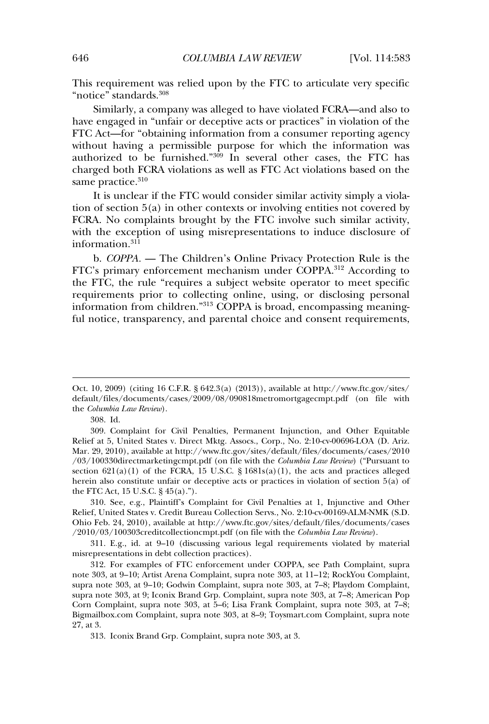articulate very settled to the standard controller in the Shin<br>This requirement was relied upon by the FTC to articulate very specific ice" standards.<sup>308</sup> "notice" standards.<sup>308</sup><br>Similarly, a company was alleged to have violated FCRA—and also to

FIRE ACT FIRE THE CONSUMERT OF THE CONSUMERT SERVICE STATE And the state and the FTC Act—for "obtaining information from a consumer reporting agency FTC Act—for "obtaining information from a consumer reporting agency authorized to be furnished."<sup>309</sup> In several other cases, the FTC has authorized to be furnished."<sup>309</sup> In several other cases, the FTC has charged both FCRA violations as well as FTC Act violations based on the  $\mathrm{F}$  practice. $^{310}$ 

same practice. $310$ <br>It is unclear if the FTC would consider similar activity simply a viola-<br>tion of section 5(a) in other contexts or involving entities not covered by tion of section  $5(a)$  in other contexts or involving entities not covered by FCRA. No complaints brought by the FTC involve such similar activity, information of using misrepresentations to induce disclosure of mation.<sup>311</sup>

information.<sup>311</sup><br>
b. *COPPA*. — The Children's Online Privacy Protection Rule is the<br>
FTC's primary enforcement mechanism under COPPA.<sup>312</sup> According to ETC's primary enforcement mechanism under COPPA.<sup>312</sup> According to<br>the FTC, the rule "requires a subject website operator to meet specific recomplements prior to collecting online, using, or disclosing personal requirements prior to collecting online, using, or disclosing personal  $\frac{1}{100}$  information from children. The children children.  $\frac{1}{2}$  or disclosing personal information from children." $\frac{313}{2}$  COPPA is broad, one opposes that ful notice, transparency, and parental choice and consent requirements,<br>ful notice, transparency, and parental choice and consent requirements.

Oct. 10, 2009) (citing 16 C.F.R. § 642.3(a) (2013)), available at http://www.ftc.gov/sites/

 $308.$  Ld.

 Relief, United States v. Credit Bureau Collection Servs., No. 2:10-cv-00169-ALM-NMK (S.D. Relief, United States v. Credit Bureau Collection Servs., No. 2:10-cv-00169-ALM-NMK (S.D.)<br>Ohio Feb. 24, 2010), available at http://www.ftc.gov/sites/default/files/documents/cases Ohio Feb. 24, 2010), available at http://www.ftc.gov/sites/default/files/documer<br>/2010/03/100303creditcollectioncmpt.pdf (on file with the *Columbia Law Review*). /2010/03/100303creditcollectioncmpt.pdf (on file with the Columbia Law Review).  $r$ equirements violated by material extending the violated by material material material material material material material extending various legal requirements violated by material material material material material ma

epresentations in debt collection practices).

misrepresentations in debt collection practices).<br>
312. For examples of FTC enforcement under COPPA, see Path Complaint, supra<br>
note 303, at 9–10: Artist Arena Complaint, supra note 303, at 11–12: RockYou Complaint. note 303, at 9–10; Artist Arena Complaint, supra note 303, at 11–12; RockYou Complaint,<br>supra note 303, at 9–10: Godwin Complaint, supra note 303, at 7–8: Playdom Complaint, supra note 303, at 9–10; Godwin Complaint, supra note 303, at 7–8; Playdom Complaint,<br>supra note 303, at 9: Iconix Brand Grp. Complaint, supra note 303, at 7–8; American Pop supra note 303, at 9; Iconix Brand Grp. Complaint, supra note 303, at 7-8; American Pop Corn Complaint, supra note 303, at 5–6; Lisa Frank Complaint, supra note 303, at 7–8;<br>Bigmailbox.com Complaint, supra note 303, at 8–9: Toysmart.com Complaint, supra note Bigmailbox.com Complaint, supra note 303, at 8-9; Toysmart.com Complaint, supra note  $13.$ 

Oct. 10, 2009) (citing 16 C.F.R. § 642.3(a) (2013)), available at http://www.ftc.gov/sites/ default/files/documents/cases/2009/08/090818metromortgagecmpt.pdf (on file with the *Columbia Law Review*). the Columbia Law Review).

Relief at 5, United States v. Direct Mktg. Assocs., Corp., No. 2:10-cv-00696-LOA (D. Ariz. Relief at 5, United States v. Direct Mktg. Assocs., Corp., No. 2:10-cv-00696-LOA (D. Ariz.<br>Mar. 29, 2010), available at http://www.ftc.gov/sites/default/files/documents/cases/2010 /03/100330directmarketingcmpt.pdf (on file with the *Columbia Law Review*) ("Pursuant to  $/03/100330$ directmarketingcmpt.pdf (on file with the *Columbia Law Review*) ("Pursuant to  $103/100330$ directmarketingcmpt.pdf (on file with the *Columbia Law Review*) ("Pursuant to section 621(a)(1) of the FCRA, 15 U.S.C. § 1681s(a)(1), the acts and practices alleged herein also constitute unfair or deceptive therein also constitute unfair or  $\epsilon$ <br>the FTC Act, 15 U.S.C.  $\frac{8}{45}$ (a)."). the FTC Act, 15 U.S.C.  $\S$  45(a).").

<sup>313.</sup> Iconix Brand Grp. Complaint, supra note 303, at 3.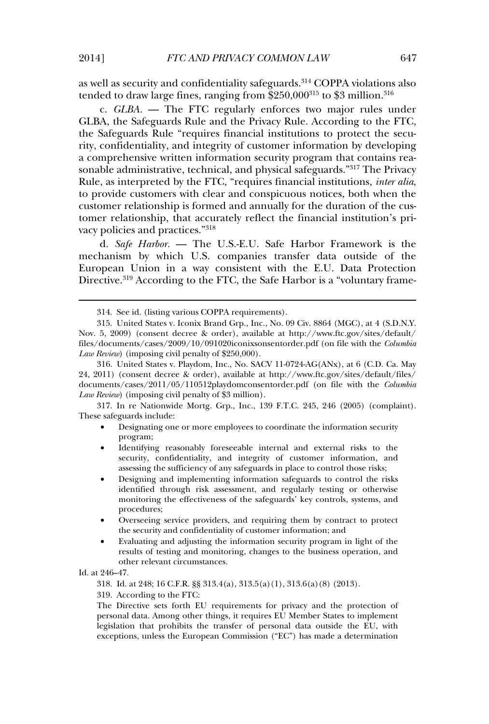as well as security and confidentiality safeguards.<sup>314</sup> COPPA violations also<br>tended to draw large fines, ranging from \$250,000<sup>315</sup> to \$3 million.<sup>316</sup> ed to draw large fines, ranging from  $$250,000^{315}$  to  $$3$  million.<sup>316</sup><br>c. *GLBA*. — The FTC regularly enforces two major rules under

c.  $GLBA$ .  $\longrightarrow$  The FTC regularly enforces two major rules under GLBA, the Safeguards Rule and the Privacy Rule. According to the FTC, GLBA, the Safeguards Rule and the Privacy Rule. According to the FTC, ries of the safeguards Rule "requires financial institutions to protect the security, confidentiality, and integrity of customer information by developing and since the comparison integrity and integrity of customer information by developing<br>a comprehensive written information security program that contains reasometherministrative, which information security program that contains real-<br>a complex example administrative, technical, and physical safeguards."317 The Privacy Rule, as interpreted by the FTC, "requires financial institutions, *inter alia*, Rule, as interpreted by the FTC, "requires financial institutions, *inter alia*, to provide customers with clear and conspicuous notices, both when the<br>to provide customers with clear and conspicuous notices, both when the customer relationship is formed and annually for the duration of the cus-<br>customer relationship is formed and annually for the duration of the custo provide sustaining that accurately individually for the duration of the cus-<br>tomer relationship, that accurately reflect the financial institution's privacuum vacuum vacuum practices."<br>vacy policies and practices."<sup>318</sup> vacy policies and practices."318 vacy policies and practices."<sup>318</sup><br>d. Safe Harbor. — The U.S.-E.U. Safe Harbor Framework is the

en Europe Francon The Electronic Electron in a mechanism by which U.S. companies transfer data outside of the European Union in a way consistent with the E.U. Data Protection<br>Directive.<sup>319</sup> According to the FTC, the Safe Harbor is a "voluntary frame-

Law Review) (imposing civil penalty of \$3 million).<br>
317. In re Nationwide Mortg. Grp., Inc., 139 F.T.C. 245, 246 (2005) (complaint).<br>
These safeguards include: • safeguards include:<br>• Designating one or more employees to coordinate the information security

- program;
- Identifying reasonably foreseeable internal and external risks to the security, confidentiality, and integrity of customer information, and security, confidentiality, and integrity of customer information, a<br>assessing the sufficiency of any safeguards in place to control those risks:
- Designing and implementing information safeguards to control the risks identified through risk assessment, and regularly testing or otherwise identified through risk assessment, and regularly testing or otherwise<br>monitoring the effectiveness of the safeguards' key controls, systems, and monitoring the effectiveness of the safeguards' key controls, systems, and procedures;
- procedures;<br>
 Overseeing service providers, and requiring them by contract to protect<br>
the security and confidentiality of customer information; and
- the security and confidentiality of customer information; and<br>
Figure 1 Evaluating and adjusting the information security program in light of the<br>
results of testing and monitoring, changes to the business operation, and results of testing and monitoring, changes to the business operation, and other relevant circumstances.

 $1246 - 47.$ 

313.4(a), 313.5(a)(1), 313.6(a)(8) (2013). 319. According to the FTC:

319. According to the FTC:

319. According to the FTC:<br>The Directive sets forth EU requirements for privacy and the protection of<br>personal data. Among other things, it requires EU Member States to implement personal data. Among other things, it requires EU Member States to implement<br>legislation that prohibits the transfer of personal data outside the EU, with legislation that prohibits the transfer of personal data outside the EU, with exceptions, unless the European Commission ("EC") has made a determination

<sup>314.</sup> See id. (listing various COPPA requirements).314. See id. (listing various COPPA requirements).

<sup>314.</sup> See id. (listing various COPPA requirements).<br>315. United States v. Iconix Brand Grp., Inc., No. 09 Civ. 8864 (MGC), at 4 (S.D.N.Y.<br>Nov. 5, 2009) (consent decree & order), available at http://www.ftc.gov/sites/default Nov. 5, 2009) (consent decree & order), available at http://www.ftc.gov/sites/default/<br>files/documents/cases/2009/10/091020iconixsonsentorder.pdf (on file with the *Columbia* files/documents/cases/2009/10/091020iconixsonsentorder.pdf (on file with the *Columbia* Law Review) (imposing civil penalty of  $$250,000$ ).  $50,000$ ).<br>No. SACV 11-0724-AG(ANx), at 6 (C.D. Ca. May

<sup>2011) (</sup>consent decree & order), available at http://www.ftc.gov/sites/default/files/ 24, 2011) (consent decree & order), available at http://www.ftc.gov/sites/default/files/ *Columbia Law Review*) (imposing civil penalty of \$3 million). Law Review) (imposing civil penalty of \$3 million).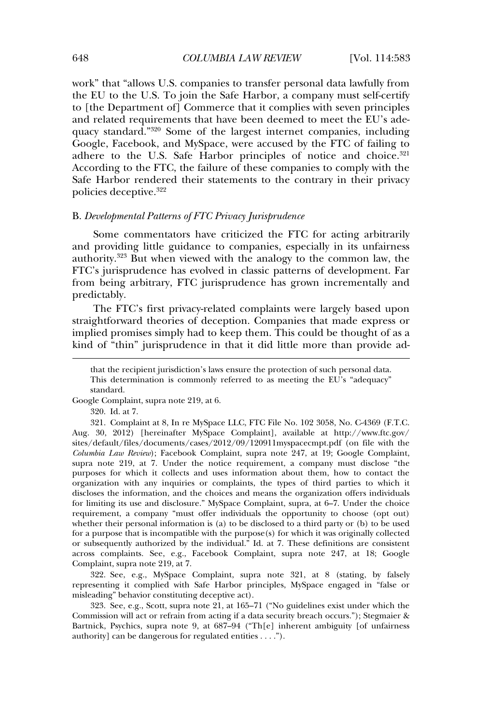work" that "allows U.S. companies to transfer personal data lawfully from<br>the EU to the U.S. To join the Safe Harbor, a company must self-certify the EU to the U.S. To join the Safe Harbor, a company must self-certify<br>to [the Department of] Commerce that it complies with seven principles and related requirements that have been deemed to meet the EU's ade-<br>and related requirements that have been deemed to meet the EU's adeguacy standard."<sup>320</sup> Some of the largest internet companies, including<br>quacy standard."<sup>320</sup> Some of the largest internet companies, including Google, Facebook, and MySpace, were accused by the FTC of failing to<br>Google, Facebook, and MySpace, were accused by the FTC of failing to qualey standard. Some of the hagest member companies, meating<br>Google, Facebook, and MySpace, were accused by the FTC of failing to<br>adhere to the U.S. Safe Harbor principles of notice and choice.<sup>321</sup> adhere to the U.S. Safe Harbor principles of notice and choice. $321$ According to the FTC, the failure of these companies to comply with the Safe Harbor rendered their statements to the contrary in their privacy<br>policies deceptive.<sup>322</sup> policies deceptive.<sup>322</sup>

#### *Developmental Patterns of FTC Privacy Jurisprudence*

that the recipient jurisdiction's laws ensure the protection

Some commentators have criticized the FTC for acting arbitrarily<br>and providing little guidance to companies, especially in its unfairness and providing little guidance to companies, especially in its unfairness<br>authority.<sup>323</sup> But when viewed with the analogy to the common law, the and providing that gandance to companies, especially in the analismess<br>authority.<sup>323</sup> But when viewed with the analogy to the common law, the<br>FTC's jurisprudence has evolved in classic patterns of development. Far from being arbitrary. FTC iurisprudence has grown incrementally and<br>from being arbitrary. FTC jurisprudence has grown incrementally and from being arbitrary, FTC jurisprudence has grown incrementally and predictably.  $\text{ictably.}$  first privacy-related complex were largely based upon  $\mathcal{L}$ 

The FTC's first privacy-related complaints were largely based upon<br>straightforward theories of deception. Companies that made express or straightforward theories of deception. Companies that made express or<br>implied promises simply had to keep them. This could be thought of as a implied promises simply had to keep them. This could be thought of as a kind of "thin" jurisprudence in that it did little more than provide ad-

 $320.$  Id. at  $7.$ 

 File No. 102 3058, No. C-4369 (F.T.C. 321. Complaint at 8, In re MySpace LLC, FTC File No. 102 3058, No. C-4369 (F.T.C.<br>30, 2012) [hereinafter MySpace Complaint], available at http://www.ftc.gov/ sites/default/files/documents/cases/2012/09/120911myspacecmpt.pdf (on file with the sites/default/files/documents/cases/2012/09/120911myspacecmpt.pdf (on file with the Columbia Law Review); Facebook Complaint, supra note 247, at 19; Google Complaint, supra note 219, at 7. Under the notice requirement, a company must disclose "the<br>purposes for which it collects and uses information about them, how to contact the purposes for which it collects and uses information about them, how to contact the purposes for which it collects and uses information about them, how to contact the organization with any inquiries or complaints, the types of third parties to which it discloses the information, and the choices and means discloses the information, and the choices and means the organization offers individuals<br>for limiting its use and disclosure." MySpace Complaint, supra, at 6–7. Under the choice for limiting its use and disclosure." MySpace Complaint, supra, at 6–7. Under the choice<br>requirement, a company "must offer individuals the opportunity to choose (opt out) requirement, a company "must offer individuals the opportunity to choose (opt out) whether their personal information is (a) to be disclosed to a third party or (b) to be used whether their personal information is (a) to be disclosed to a third party or (b) to be used<br>for a purpose that is incompatible with the purpose(s) for which it was originally collected for a purpose that is incompatible with the purpose(s) for which it was originally collected<br>or subsequently authorized by the individual." Id. at 7. These definitions are consistent or subsequently authorized by the individual." Id. at 7. These definitions are consistent across complaints. See, e.g., Facebook Complaint, supra note 247, at 18; Google<br>Complaint supra note 219 at 7. Complaint, supra note 219, at 7.

Complaint, supra note 219, at 7.<br>
322. See, e.g., MySpace Complaint, supra note 321, at 8 (stating, by falsely<br>
representing it complied with Safe Harbor principles. MySpace engaged in "false or representing it complied with Safe Harbor presenting it complied with Safe Harbor pr misleading" behavior constituting deceptive act).

misleading" behavior constituting deceptive act).<br>323. See, e.g., Scott, supra note 21, at 165–71 ("No guidelines exist under which the<br>Commission will act or refrain from acting if a data security breach occurs."); Stegma Explores Commission will act or refrain from acting if a data security breach occurs."); Stegmaier &<br>Bartnick, Psychics, supra note 9, at 687–94 ("Th[e] inherent ambiguity [of unfairness Bartnick, Psychics, supra note 9, at  $687-94$  ("Th[e] in authorityl can be dangerous for regulated entities ....").

that the recipient jurisdiction's laws ensure the protection of such personal data.<br>This determination is commonly referred to as meeting the EU's "adequacy" This determination is commonly referred to as meeting the EU's "adequacy" standard. standard.<br><sup>1</sup>le Complaint, supra note 219, at 6.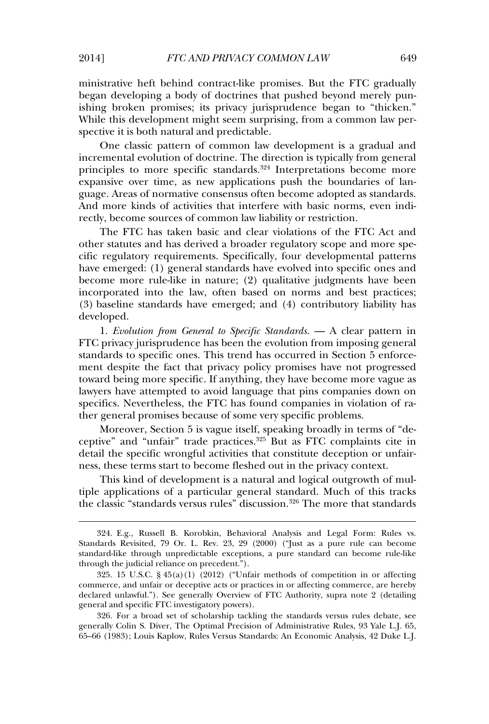ministrative heft behind contract-like promises. But the FTC gradually<br>began developing a body of doctrines that pushed beyond merely punbegan developing a body of doctrines that pushed beyond merely pun- $\frac{1}{\pi}$  ishing broken promises; its privacy jurisprudence began to "thicken." While this development might seem surprising, from a common law pertive it is both natural and predictable.

Incremental evolution of the direction is a gradual and one classic pattern of common law development is a gradual and principles to more specific standards. The direction is typically from general interpretation of doctrine. The direction is typically from general  $\mu$  principles to more specific standards.<sup>324</sup> Interpretations become more expansive over time, as new applications push the boundaries of lanexpansive over time, as new applications push the boundaries of language. Areas of normative consensus often become adopted as standards. expansive sizes three, as then approaches passes the securitative of the<br>guage. Areas of normative consensus often become adopted as standards.<br>And more kinds of activities that interfere with basic norms, even indiand more kinds of activities that interfere with basic norm<br>rectly, become sources of common law liability or restriction. rectly, become sources of common law liability or restriction.

rectly, become sources of common law liability or restriction.<br>The FTC has taken basic and clear violations of the FTC Act and<br>other statutes and has derived a broader regulatory scope and more speother statutes and has derived a broader regulatory scope and more speband standards and has derived a product regulatory scope and more specific regulatory requirements. Specifically, four developmental patterns become regarderly requirements, specifically, from developmental patterns have emerged: (1) general standards have evolved into specific ones and become more rule-like in nature: (2) qualitative indemnents have been incorporated into the law, often based on norms and best practices;<br>incorporated into the law, often based on norms and best practices; incorporated into the law, often based on norms and best practices; (3) baseline standards have emerged; and (4) contributory liability has loped. developed.<br>
1. Evolution from General to Specific Standards. — A clear pattern in

FIC privacy jurisprudence has been the evolution from imposing general<br>standards to specific ones. This trend has occurred in Section 5 enforcestandards to specific ones. This trend has occurred in Section 5 enforcetoward being more specific. If anything, they have become more vague as<br>toward being more specific. If anything, they have become more vague as lawyers have attempted to avoid language that pins companies down on<br>lawyers have attempted to avoid language that pins companies down on specifics. Nevertheless, the FTC has found companies in violation of ratherefore the discription is above any anguage and principal specifics. Nevertheless, the FTC has found companies in viol<br>ther general promises because of some very specific problems. ther general promises because of some very specific problems.

ther general promises because of some very specific problems.<br>Moreover, Section 5 is vague itself, speaking broadly in terms of "de-<br>centius" and "unfair" trade prestiges.<sup>325</sup> But as FTC complaints cite in detail the specific wrongful activities that constitute deception or unfair-<br>detail the specific wrongful activities that constitute deception or unfairness, these terms start to become fleshed out in the privacy context. ness, these terms start to become fleshed out in the privacy context. vacy context.<br>outgrowth of mul-

This kind of development is a natural and logical outgrowth of mulapplications of a particular general standard. Much of this tracks tiple applications of a particular general standard. Much of this tracks<br>the classic "standards versus rules" discussion.<sup>326</sup> The more that standards

324. E.G., Russell B. B. (1941). Russell B. B. (1941). Russell B. (1941). Russell B. (1941). Russell B. (1941

Korobkin, Behavioral Analysis and Legal Form: Rules vs. Standards Revisited, 79 Or. L. Rev. 23, 29 (2000) ("Just as a pure rule can become Standards Revisited, 79 Or. L. Rev. 23, 29 (2000) ("Just as a pure rule can become<br>standard-like through unpredictable exceptions, a pure standard can become rule-like standard-like through unpredictable exceptions, a pure standard can become rule-like agh the judicial reliance on precedent.").

through the judicial reliance on precedent.").<br>  $325. 15 \text{ U.S.C. }$  §  $45(a)(1)$  (2012) ("Unfair methods of competition in or affecting<br>
commerce, and unfair or deceptive acts or practices in or affecting commerce, are hereby declared unlawful."). See generally Overview of FTC Authority, supra note 2 (detailing<br>declared unlawful."). See generally Overview of FTC Authority, supra note 2 (detailing declared unlawful."). See generally Overview<br>general and specific FTC investigatory powers). general and specific FTC investigatory powers).

general and specific FTC investigatory powers).<br>
326. For a broad set of scholarship tackling the standards versus rules debate, see<br>
165. The Optimal Precision of Administrative Rules. 93 Yale L.J. 65–66 (1983); Louis Kaplow, Rules Versus Standards: An Economic Analysis, 42 Duke L.J.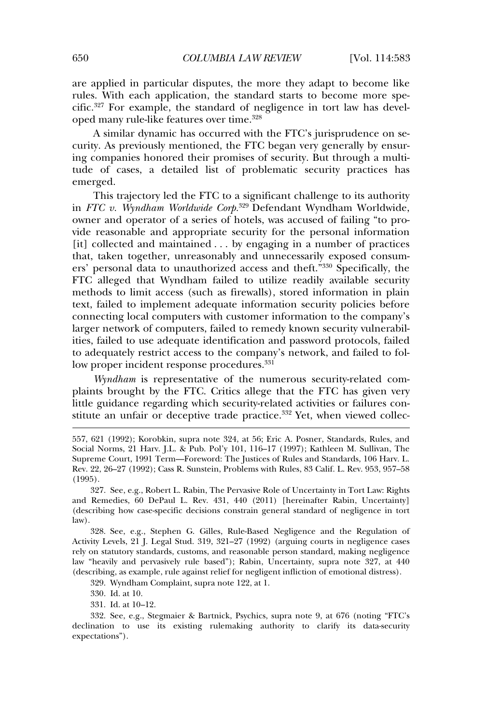are applied in particular disputes, the more they adapt to become like<br>rules. With each application, the standard starts to become more specific.<sup>327</sup> For example, the standard of negligence in tort law has devel-<br>cific.<sup>327</sup> For example, the standard of negligence in tort law has develcific.<sup>327</sup> For example, the standard of no<br>oped many rule-like features over time.<sup>328</sup> oped many rule-like features over time.<sup>328</sup> oped many rule-like features over time.<sup>328</sup> A similar dynamic has occurred with the FTC's jurisprudence on se-

For the companies honored their promises of security. But through a multi-<br>ing companies honored their promises of security. But through a multitude of cases, a detailed list of problematic security practices has<br>tude of cases, a detailed list of problematic security practices has tude of cases, a detailed list of problematic security practices has emerged.  $\text{pred.}$ 

 *FTC v. Wyndham Worldwide Corp.*<sup>329</sup> Defendant Wyndham Worldwide, in FTC v. Wyndham Worldwide Corp.<sup>329</sup> Defendant Wyndham Worldwide,<br>owner and operator of a series of hotels, was accused of failing "to prowhere and operator of a series of hotels, was accused of failing "to provide reasonable and appropriate security for the personal information Find that operator of a series of hotels, this accused of family to provide reasonable and appropriate security for the personal information it collected and maintained ... by engaging in a number of practices that, taken together, unreasonably and unnecessarily exposed consum-<br>that, taken together, unreasonably and unnecessarily exposed consumers' personal data to unauthorized access and theft."<sup>330</sup> Specifically, the<br>ers' personal data to unauthorized access and theft."<sup>330</sup> Specifically, the For a state of the unauthorized access and theft.<sup>330</sup> Specifically, the FTC alleged that Wyndham failed to utilize readily available security existence and the methods to limit access (such as firewalls), stored information in plain<br>methods to limit access (such as firewalls), stored information in plain the discrept of the interest of the contract contract of the security<br>methods to limit access (such as firewalls), stored information in plain<br>text, failed to implement adequate information security policies before connecting local complement adequate information security policies before<br>connecting local computers with customer information to the company's connecting local computers with customer information to the company's Interesting to the computers, failed to remedy known security vulnerabil-<br>ities, failed to use adequate identification and password protocols, failed ities, failed to use adequate identification and password protocols, failed restrict access to the company's network, and failed to fol-<br>to adequately restrict access to the company's network, and failed to fol-<br>low proper incident response procedures.<sup>331</sup>

*Wyndham* is representative of the numerous security-related com-<br>plaints brought by the FTC. Critics allege that the FTC has given very little guidance regarding which security-related activities or failures con-<br>little guidance regarding which security-related activities or failures constrikt an unfair or deceptive trade unity-related activities or failures constitute an unfair or deceptive trade practice.<sup>332</sup> Yet, when viewed collec-

Negligence and the Regulation of Search Cases (Negligence and the Regulation of Search Vegligence and the Regulation of Activity Levels, 21 J. Legal Stud. 319, 321–27 (1992) (arguing courts in negligence cases Activity Levels, 21 J. Legal Stud. 319, 321-27 (1992) (arguing courts in negligence cases rely on statutory standards, customs, and reasonable person standard, making negligence<br>law "heavily and pervasively rule based"); Rabin, Uncertainty, supra note 327, at 440 law "heavily and pervasively rule based"); Rabin, Uncertainty, supra note 327, at 4 (describing, as example, rule against relief for negligent infliction of emotional distress). 329. Wyndham Complaint, supra note 122, at 1.

329. Wyndham Complaint, supra note 122, at 1.

330. Id. at 10.

557,

331. Id. at 10–12.

 & Bartnick, Psychics, supra note 9, at 676 (noting "FTC's declination to use its existing rulemaking authority to clarify its data-security declination to use its existing rulemaking authority to clarify its data-security expectations").

621 (1992); Korobkin, supra note 324, at 56; Eric A. Posner, Standards, Rules, and Social Norms, <sup>21</sup> Harv. J.L. & Pub. Pol'y 101, 116–17 (1997); Kathleen M. Sullivan, The Social Norms, 21 Harv. J.L. & Pub. Pol'y 101, 116-17 (1997); Kathleen M. Sullivan, The Supreme Court, 1991 Term—Foreword: The Justices of Rules and Standards, 106 Hary. L.<br>Rev. 22, 26–27 (1992); Cass R. Sunstein, Problems with Rules, 83 Calif. L. Rev. 953, 957–58 Rev. 22, 26-27 (1992); Cass R. Sunstein, Problems with Rules, 83 Calif. L. Rev. 953, 957-58  $5)$ .

<sup>(1995).&</sup>lt;br>327. See, e.g., Robert L. Rabin, The Pervasive Role of Uncertainty in Tort Law: Rights<br>and Remedies, 60 DePaul L. Rev. 431, 440 (2011) [hereinafter Rabin, Uncertainty] and Remedies, 60 DePaul L. Rev. 431, 440 (2011) [hereinafter Rabin, Uncertainty]<br>(describing how case-specific decisions constrain general standard of negligence in tort (describing how case-specific decisions constrain general standard of negligence in tort  $\overline{3}$  $law$ ).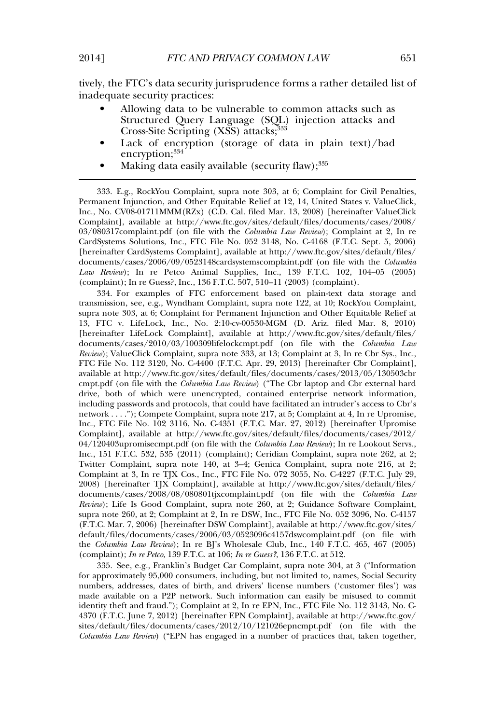tively, the FTC's data security jurisprudence forms a rather detailed list of inadequate security practices: inadequate security practices:

- structure, processes.<br>Allowing data to be vulnerable to common attacks such as Allowing data to be vulnerable to common attacks such as<br>Structured Query Language (SQL) injection attacks and<br>Cross-Site Scripting (XSS) attacks:<sup>333</sup> Cross-Site Scripting (XSS) attacks;<sup>333</sup><br>Lack of encryption (storage of data in plain text)/bad
- encryption;<sup>334</sup>
- Making data easily available (security flaw);<sup>335</sup>

 RockYou Complaint, supra note 303, at 6; Complaint for Civil Penalties, Permanent Injunction, and Other Equitable Relief at 12, 14, United States v. ValueClick, Permanent Injunction, and Other Equitable Relief at 12, 14, United States v. ValueClick, Inc., No. CV08-01711MMM(RZx) (C.D. Cal. filed Mar. 13, 2008) [hereinafter ValueClick Complaint], available at http://www.ftc.gov/sites/default/files/documents/cases/2008/<br>03/080317complaint.pdf (on file with the *Columbia Law Review*); Complaint at 2, In re 03/080317complaint.pdf (on file with the *Columbia Law Review*); Complaint at 2, In re<br>CardSystems Solutions, Inc., FTC File No. 052 3148, No. C-4168 (F.T.C. Sept. 5, 2006) CardSystems Solutions, Inc., FTC File No. 052 3148, No. C-4168 (F.T.C. Sept. 5, 2006) hereinafter CardSystems Complaint], available at http://www.ftc.gov/sites/default/files/ documents/cases/2006/09/0523148cardsystemscomplaint.pdf (on file with the *Columbia*<br> *Law Review*); In re Petco Animal Supplies, Inc., 139 F.T.C. 102, 104–05 (2005)  $Law\; Review$ ); In re Petco Animal Supplies, Inc., 139 F.T.C. 102, (complaint): In re Guess?, Inc., 136 F.T.C. 507, 510–11 (2003) (complaint). (complaint); In re Guess?, Inc., 136 F.T.C. 507, 510-11 (2003) (complaint).

(complaint); In re Guess?, Inc., 136 F.T.C. 507, 510–11 (2003) (complaint).<br>
334. For examples of FTC enforcement based on plain-text data storage and<br>
transmission, see, e.g., Wyndham Complaint, supra note 122, at 10: Ro transmission, see, e.g., Wyndham Complaint, supra note 122, at 10; RockYou Complaint, supra note 303, at 6; Complaint for Permanent Injunction and Other Equitable Relief at supra note 303, at 6; Complaint for Permanent Injunction and Other Equitable Relief at supra note 303, at 6; Complaint for Permanent Injunction and Other Equitable Relief at<br>13, FTC v. LifeLock, Inc., No. 2:10-cv-00530-MGM (D. Ariz. filed Mar. 8, 2010)<br>[hereinafter LifeLock Complaint], available at http://ww [hereinafter LifeLock Complaint], available at http://www.ftc.gov/sites/default/files/ documents/cases/2010/03/100309lifelockcmpt.pdf (on file with the *Columbia Law*<br>*Review*); ValueClick Complaint, supra note 333, at 13; Complaint at 3, In re Cbr Sys., Inc., Review); ValueClick Complaint, supra note 333, at 13; Complaint at 3, In re Cbr Sys., Inc., FTC File No. 112 3120, No. C-4400 (F.T.C. Apr. 29, 2013) [hereinafter Cbr Complaint]. FTC File No. 112 3120, No. C-4400 (F.T.C. Apr. 29, 2013) [hereinafter Cbr Complaint], available at http://www.ftc.gov/sites/default/files/documents/cases/2013/05/130503cbr<br>cmpt.pdf (on file with the *Columbia Law Review*) ("The Cbr laptop and Cbr external hard cmpt.pdf (on file with the *Columbia Law Review*) ("The Cbr laptop and Cbr external hard cmpt.pdf (on file with the *Columbia Law Review*) ("The Cbr laptop and Cbr external hard<br>drive, both of which were unencrypted, contained enterprise network information,<br>including passwords and protocols, that could have f including passwords and protocols, that could have facilitated an intruder's access to Cbr's network . . . ."); Compete Complaint, supra note 217, at 5; Complaint at 4, In re Upromise,<br>Inc., FTC File No. 102 3116, No. C-4351 (F.T.C. Mar. 27, 2012) [hereinafter Upromise Inc., FTC File No. 102 3116, No. C-4351 (F.T.C. Mar. 27, 2012) [hereinafter Upromise Complaint], available at http://www.ftc.gov/sites/default/files/documents/cases/2012/ *Complaint*], available at http://www.ftc.gov/sites/default/files/documents/cases/2012/04/120403upromisecmpt.pdf (on file with the *Columbia Law Review*); In re Lookout Servs., Inc., 151 F.T.C. 532, 535 (2011) (complaint): Inc., 151 F.T.C. 532, 535 (2011) (complaint); Ceridian Complaint, supra note 262, at 2; Twitter Complaint, supra note 140, at 3–4; Genica Complaint, supra note 216, at 2;<br>Complaint at 3, In re TIX Cos., Inc., FTC File No. 072 3055, No. C-4227 (F.T.C. July 29, Complaint at 3, In re TJX Cos., Inc., FTC File No. 072 3055, No. C-4227 (F.T.C. July 29,  $2008$ ) [hereinafter TJX Complaint], available at http://www.ftc.gov/sites/default/files/ documents/cases/2008/08/080801tjxcomplaint.pdf (on file with the *Columbia Law* documents/cases/2008/08/080801tjxcomplaint.pdf (on file with the *Columbia Law*<br>*Review*); Life Is Good Complaint, supra note 260, at 2; Guidance Software Complaint,<br>supra note 260, at 2: Complaint at 2, In re DSW, Inc., F supra note 260, at 2; Complaint at 2, In re DSW, Inc., FTC File No. 052 3096, No. C-4157<br>(F.T.C. Mar. 7, 2006) [hereinafter DSW Complaint], available at http://www.ftc.gov/sites/ (F.T.C. Mar. 7, 2006) [hereinafter DSW Complaint], available at http://www.ftc.gov/sites/ default/files/documents/cases/2006/03/0523096c4157dswcomplaint.pdf (on file with the *Columbia Law Review*); In re BJ's Wholesale Club, Inc., 140 F.T.C. 465, 467 (2005) (complaint); *In re Petco*, 139 F.T.C. at 106; *In re Guess?*, 136 F.T.C. at 512. (complaint); *In re Petco*, 139 F.T.C. at 106; *In re Guess*?, 136 F.T.C. at 512.

(complaint); *In re Petco*, 139 F.T.C. at 106; *In re Guess?*, 136 F.T.C. at 512.<br>335. See, e.g., Franklin's Budget Car Complaint, supra note 304, at 3 ("Information<br>for approximately 95.000 consumers, including, but not numbers, addresses, dates of birth, and drivers' license numbers ('customer files') was mateurs and all the set of birth, and drivers' license numbers ('customer files') was<br>made available on a P2P network. Such information can easily be misused to commit made available on a P2P network. Such information can easily be misused to commit<br>identity theft and fraud."): Complaint at 2, In re EPN, Inc., FTC File No. 112 3143, No. Cidentity theft and fraud."); Complaint at 2, In re EPN, Inc., FTC File No. 112 3143, No. C-<br>4370 (F.T.C. June 7, 2012) [hereinafter EPN Complaint], available at http://www.ftc.gov/ 4370 (F.T.C. June 7, 2012) [hereinafter EPN Complaint], available at http://www.ftc.gov/ sites/default/files/documents/cases/2012/10/121026epncmpt.pdf (on file with the *Columbia Law Review*) ("EPN has engaged in a number of practices that, taken together,

333. E.g.,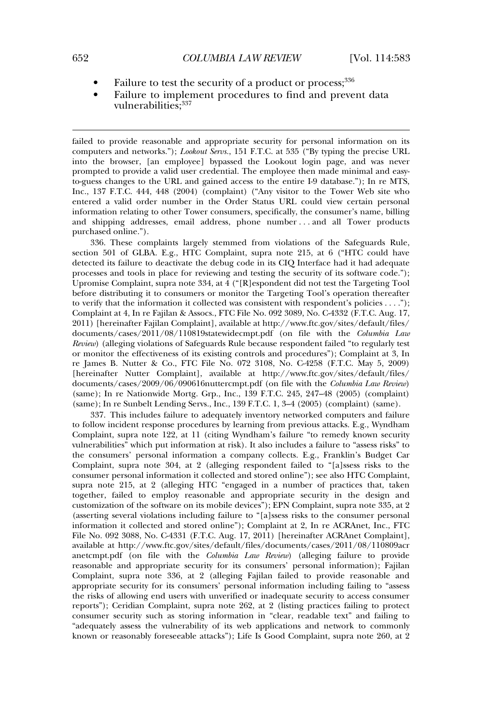- Failure to test the security of a product or process;<sup>336</sup> •
- Failure to test the security of a product or process;<sup>336</sup><br>Failure to implement procedures to find and prevent data vulnerabilities: 337

failed to provide reasonable and appropriate security for personal information on its failed to provide reasonable and appropriate security for personal information on its computers and networks."); *Lookout Servs.*, 151 F.T.C. at 535 ("By typing the precise URL into the browser. [an employee] bypassed the into the browser, [an employee] bypassed the Lookout login page, and was never<br>prompted to provide a valid user credential. The employee then made minimal and easyprompted to provide a valid user credential. The employee then made minimal and easy-<br>to-guess changes to the URL and gained access to the entire I-9 database."): In re MTS, Inc., 137 F.T.C. 444, 448 (2004) (complaint) ("Any visitor to the Tower Web site who<br>Inc., 137 F.T.C. 444, 448 (2004) (complaint) ("Any visitor to the Tower Web site who Inc., 137 F.T.C. 444, 448 (2004) (complaint) ("Any visitor to the Tower Web site who entered a valid order number in the Order Status URL could view certain personal information relating to other Tower consumers, specifically, the consumer's name, billing information relating to other Tower consumers, specifically, the consumer's name, billing<br>and shipping addresses, email address, phone number . . . and all Tower products and shipping addresses, email address, phone number...and all Tower products  $\frac{3}{3}$ hased online.").

336. These complaints largely stemmed from violations of the Safeguards Rule, section 501 of GLBA. E.g., HTC Complaint, supra note 215, at 6 ("HTC could have section 501 of GLBA. E.g., HTC Complaint, supra note 215, at 6 ("HTC could have<br>detected its failure to deactivate the debug code in its CIO Interface had it had adequate detected its failure to deactivate the debug code in its CIO Interface had it had adequate detected its failure to deactivate the debug code in its CIQ Interface had it had adequate<br>processes and tools in place for reviewing and testing the security of its software code.");<br>Upromise Complaint, supra note 334, at ty distribution of the distribution of the distribution of the Targeting Tool.<br>Defore distributing it to consumers or monitor the Targeting Tool's operation thereafter before distributing it to consumers or monitor the Targeting Tool's operation thereafter<br>to verify that the information it collected was consistent with respondent's policies . . . ."); to verify that the information it collected was consistent with respondent's policies . . . .");<br>Complaint at 4, In re Fajilan & Assocs., FTC File No. 092 3089, No. C-4332 (F.T.C. Aug. 17, Complaint at 4, In re Fajilan & Assocs., FTC File No. 092 3089, No. C-4332 (F.T.C. Aug. 17,  $2011$ ) [hereinafter Fajilan Complaint], available at http://www.ftc.gov/sites/default/files/ documents/cases/2011/08/110819statewidecmpt.pdf (on file with the *Columbia Law*<br>*Review*) (alleging violations of Safeguards Rule because respondent failed "to regularly test Review) (alleging violations of Safeguards Rule because respondent failed "to regularly test<br>or monitor the effectiveness of its existing controls and procedures"); Complaint at 3, In or monitor the effectiveness of its existing controls and procedures"); Complaint at 3, In<br>re James B. Nutter & Co., FTC File No. 072 3108, No. C-4258 (F.T.C. May 5, 2009) re James B. Nutter & Co., FTC File No. 072 3108, No. C-4258 (F.T.C. May 5, 2009)<br>[hereinafter Nutter Complaint], available at http://www.ftc.gov/sites/default/files/ documents/cases/2009/06/090616nuttercmpt.pdf (on file with the *Columbia Law Review*)  $\alpha$  documents/cases/2009/06/090616nuttercmpt.pdf (on file with the *Columbia Law Review*) documents/cases/2009/06/090616nuttercmpt.pdf (on file with the *Columbia Law Review*) (same); In re Nationwide Mortg. Grp., Inc., 139 F.T.C. 245, 247–48 (2005) (complaint) (same): In re Sunbelt Lending Servs., Inc., 139 F.  $333$  (same); In re Sunbelt Lending Servs., Inc., 139 F.T.C. 1, 3-4 (2005) (complaint) (same).

337. This includes failure to adequately inventory networked computers and failure to follow incident response procedures by learning from previous attacks. E.g., Wyndham to follow incident response procedures by learning from previous attacks. E.g., Wyndham<br>Complaint, supra note 122, at 11 (citing Wyndham's failure "to remedy known security Complaint, supra note 122, at 11 (citing Wyndham's failure "to remedy known security<br>vulnerabilities" which put information at risk). It also includes a failure to "assess risks" to the consumers' personal information at risk). It also includes a failure to "assess risks" to the consumers' personal information a company collects. E.g., Franklin's Budget Car the consumers' personal information a company collects. E.g., Franklin's Budget Car consumer personal information it collected and stored online"); see also HTC Complaint, superties the 215, at 2 (alleging HTC "engaged in a number of practices that, taken<br>supra note 215, at 2 (alleging HTC "engaged in a number of practices that, taken supra note 215, at 2 (alleging HTC "engaged in a number of practices that, taken together, failed to employ reasonable and appropriate security in the design and customization of the software on its mobile devices"); EPN Complaint, supra note 335, at 2 (asserting several violations including failure to "[a]ssess risks to the consumer personal (asserting several violations including failure to "[a]ssess risks to the consumer personal<br>information it collected and stored online"): Complaint at 2, In re ACRAnet, Inc., FTC File No. 092 3088, No. C-4331 (F.T.C. Aug. 17, 2011) [hereinafter ACRAnet Complaint], File No. 092 3088, No. C-4331 (F.T.C. Aug. 17, 2011) [hereinafter ACRAnet Complaint], available at http://www.ftc.gov/sites/default/files/documents/cases/2011/08/110809acr available at http://www.ftc.gov/sites/default/files/documents/cases/2011/08/110809acr<br>anetcmpt.pdf (on file with the *Columbia Law Review*) (alleging failure to provide<br>reasonable and appropriate security for its consumers reasonable and appropriate security for its consumers' personal information); Fajilan<br>Complaint, supra note 336, at 2 (alleging Fajilan failed to provide reasonable and Complaint, supra note 336, at 2 (alleging Fajilan failed to provide reasonable and<br>appropriate security for its consumers' personal information including failing to "assess appropriate security for its consumers' personal information including failing to "assess<br>the risks of allowing end users with unverified or inadequate security to access consumer the risks of allowing end users with unverified or inadequate security to access consumer<br>reports"): Ceridian Complaint, supra note 262, at 2 (listing practices failing to protect reports"); Ceridian Complaint, supra note 262, at 2 (listing practices failing to protect<br>consumer security such as storing information in "clear, readable text" and failing to "adequately assess the vulnerability of its web applications and network to commonly known or reasonably foreseeable attacks"); Life Is Good Complaint, supra note 260, at <sup>2</sup>

failed to provide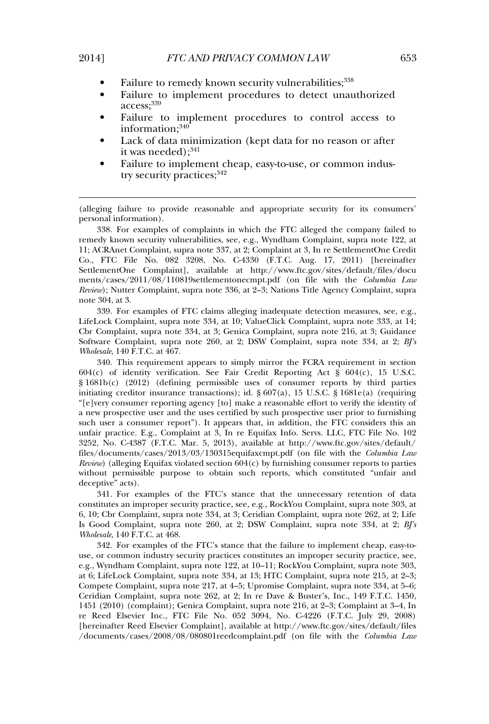- to remedy known security vulnerabilities:<sup>338</sup> •Failure to remedy known security vulnerabilities;<sup>338</sup><br>Failure to implement procedures to detect unauthorized
- Failure to implement procedures to detect unauthorized access: 339 Failure to implement procedures to detect and<br>access;<sup>339</sup><br>Failure to implement procedures to control access to
- $\bullet$ information;<sup>340</sup>
- information;<sup>340</sup><br>Lack of data minimization (kept data for no reason or after<br>it was needed):<sup>341</sup>
- Eack of data *minimature (Kept data for no reason of after*<br>it was needed),<sup>341</sup><br>Failure to implement cheap, easy-to-use, or common indus-<br>try security practices:<sup>342</sup>

<u>reasonable</u><br>The appropriate security for its consumers' (alleging failure to provide reasonable and appropriate security for its consumers'  $\overline{5}$  nal information). personal information).<br>338. For examples of complaints in which the FTC alleged the company failed to

remedy known security vulnerabilities, see, e.g., Wyndham Complaint, supra note 122, at<br>11: ACRAnet Complaint, supra note 337, at 2: Complaint at 3, In re SettlementOne Credit 11; ACRAnet Complaint, supra note 337, at 2; Complaint at 3, In re SettlementOne Credit<br>Co., FTC File No. 082 3208, No. C-4330 (F.T.C. Aug. 17, 2011) [hereinafter SettlementOne Complaint], available at http://www.ftc.gov/sites/default/files/docu SettlementOne Complaint], available at http://www.ftc.gov/sites/default/files/docu ments/cases/2011/08/110819settlementonecmpt.pdf (on file with the *Columbia Law*<br>*Review*); Nutter Complaint, supra note 336, at 2–3; Nations Title Agency Complaint, supra Review); Nutter Complaint, supra note 336, at 2–3; Nations Title Agency Complaint, supra 304, at 3. For examples of FTC claims alleging inadequate detection measures, see, e.g.,  $\frac{339}{4}$ .

339. For examples of FTC claims alleging inadequate detection measures, see, e.g., LifeLock Complaint, supra note 334, at 10; ValueClick Complaint, supra note 333, at 14; Cbr Complaint, supra note 334, at 3; Genica Complai Software Complaint, supra note 260, at 2; DSW Complaint, supra note 334, at 2; *BJ's* Software Complaint, supra note 260, at 2; DSW Complaint, supra note 334, at 2; *BJ's* Wholesale, 140 F.T.C. at 467.

Wholesale, 140 F.T.C. at 467.<br>  $340$ . This requirement appears to simply mirror the FCRA requirement in section<br>  $604(c)$  of identity verification. See Fair Credit Reporting Act § 604(c), 15 U.S.C.  $604(c)$  of identity verification. See Fair Credit Reporting Act  $\S$  604(c), 15 U.S.C.<br> $\S 1681b(c)$  (2012) (defining permissible uses of consumer reports by third parties  $\frac{1681b(c)}{2012}$  (defining permissible uses of consumer reports by third parties<br>initiating creditor insurance transactions); id.  $\frac{8607(a)}{15}$  U.S.C.  $\frac{81681e(a)}{15}$  (requiring initiating creditor insurance transactions); id.  $\S 607(a)$ , 15 U.S.C.  $\S 1681e(a)$  (requiring "[e]very consumer reporting agency [to] make a reasonable effort to verify the identity of a new prospective user and the uses certified by such prospective user prior to furnishing a new prospective user and the uses certified by such prospective user prior to furnishing<br>such user a consumer report"). It appears that, in addition, the FTC considers this an such user a consumer report"). It appears that, in addition, the FTC considers this an<br>unfair practice. E.g., Complaint at 3. In re Equifax Info. Servs. LLC, FTC File No. 102 unfair practice. E.g., Complaint at 3, In re Equifax Info. Servs. LLC, FTC File No. 102<br>3252, No. C-4387 (F.T.C. Mar. 5, 2013), available at http://www.ftc.gov/sites/default/ files/documents/cases/2013/03/130315equifaxcmpt.pdf (on file with the *Columbia Law* files/documents/cases/2013/03/130315equifax cmpt.pdf (on file with the *Columbia Law Review*) (alleging Equifax violated section  $604(c)$  by furnishing consumer reports to parties without permissible purpose to obtain such reports, which constituted "unfair and without permissible purpose to obtain such reports, which constituted "unfair and ptive" acts).

deceptive" acts).<br>
341. For examples of the FTC's stance that the unnecessary retention of data<br>
constitutes an improper security practice, see, e.g., RockYou Complaint, supra note 303, at constitutes an improper security practice, see, e.g., RockYou Complaint, supra note 303, at Is Good Complaint, supra note 260, at 2; DSW Complaint, supra note 334, at 2; *BJ's* Is Good Complaint, supra note 260, at 2; DSW Complaint, supra note 334, at 2; *BJ's* Wholesale, 140 F.T.C. at 468.  $F = 140 \text{ F}$ . T.C. at  $468$ .<br>For examples of the FTC's stance that the failure to implement cheap, easy-to-

342. For examples of the FTC's stance that the failure to implement cheap, easy-to-<br>or common industry security practices constitutes an improper security practice, see, use, or common industry security practices constitutes an improper security practice, see,<br>e.g., Wyndham Complaint, supra note 122, at 10–11; RockYou Complaint, supra note 303, e.g., Wyndham Complaint, supra note 122, at 10–11; RockYou Complaint, supra note 303,<br>at 6: LifeLock Complaint, supra note 334, at 13: HTC Complaint, supra note 215, at 2–3; at 6; LifeLock Complaint, supra note 334, at 13; HTC Complaint, supra note 215, at 2–3;<br>Compete Complaint, supra note 217, at 4–5; Upromise Complaint, supra note 334, at 5–6; Compete Complaint, supra note 217, at 4–5; Upromise Complaint, supra note 334, at 5–6;<br>Ceridian Complaint, supra note 262, at 2; In re Dave & Buster's, Inc., 149 F.T.C. 1450, 1451 (2010) (complaint, supra note 262, at 2; In re Dave & Buster's, Inc., 149 F.T.C. 1450, Complaint at 3–4, Inc., 149 F.T.C. 1450, 1451 (2010) (complaint); Genica Complaint, supra note 216, at 2–3; Complaint at 3–4, In<br>re Reed Elsevier Inc., FTC File No. 052 3094, No. C-4226 (F.T.C. July 29, 2008) re Reed Elsevier Inc., FTC File No. 052 3094, No. C-4226 (F.T.C. July 29, 2008) [hereinafter Reed Elsevier Complaint], available at http://www.ftc.gov/sites/default/files /documents/cases/2008/08/080801reedcomplaint.pdf (on file with the *Columbia Law* 

(alleging failure to provide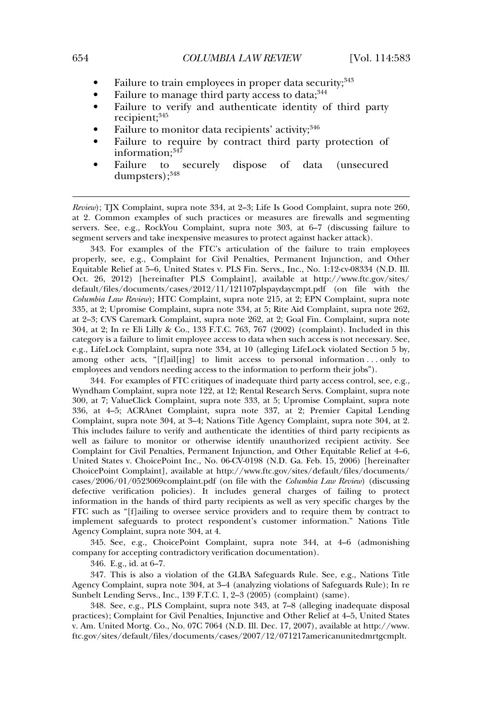- to train employees in proper data security:<sup>343</sup> •Failure to train employees in proper data secu:<br>Failure to manage third party access to data:<sup>344</sup>
- •
- Failure to manage third party access to data;<sup>344</sup><br>Failure to verify and authenticate identity of third party  $\bullet$ recipient; 345
- Failure to monitor data recipients' activity;<sup>346</sup> •
- Failure to monitor data recipients' activity;<sup>346</sup><br>Failure to require by contract third party protection of Failure to securely dispose of data (unsecured<br>Failure to securely dispose of data (unsecured information; $347$ <br>Failure to securely
- $\rm{dumpsters)}{:}^{348}$

*Review*); TJX Complaint, supra note 334, at 2–3; Life Is Good Complaint, supra note 260, at 2. Common examples of such practices or measures are firewalls and segmenting servers. See, e.g., RockYou Complaint, supra note 303, at 6–7 (discussing failure to servers. See, e.g., RockYou Complaint, supra note 303, at 6–7 (discussing<br>segment servers and take inexpensive measures to protect against hacker attack). ent servers and take inexpensive measures to protect against hacker attack).<br>343. For examples of the FTC's articulation of the failure to train employees

343. For examples of the FTC's articulation of the failure to train employees<br>properly, see, e.g., Complaint for Civil Penalties, Permanent Injunction, and Other properly, see, e.g., Complaint for Civil Penalties, Permanent Injunction, and Other<br>Equitable Relief at 5–6, United States v. PLS Fin. Servs., Inc., No. 1:12-cv-08334 (N.D. Ill. requitable Relief at 5–6, United States v. PLS Fin. Servs., Inc., No. 1:12-cv-08334 (N.D. Ill.<br>Oct. 26, 2012) [hereinafter PLS Complaint], available at http://www.ftc.gov/sites/ Oct. 26, 2012) [hereinafter PLS Complaint], available at http://www.ftc.gov/sites/ *Columbia Law Review*); HTC Complaint, supra note 215, at 2; EPN Complaint, supra note Columbia Law Review); HTC Complaint, supra note 215, at 2; EPN Complaint, supra note 335, at 2; Upromise Complaint, supra note 334, at 5; Rite Aid Complaint, supra note 262,<br>at 2–3: CVS Caremark Complaint, supra note 262, at 2: Goal Fin. Complaint, supra note 304, at 2; In re Eli Lilly & Co., 133 F.T.C. 763, 767 (2002) (complaint). Included in this 304, at 2; In re Eli Lilly & Co., 133 F.T.C. 763, 767 (2002) (complaint). Included in this category is a failure to limit employee access to data when such access is not necessary. See, e. Category is a failure to limit employee access to data when such access is not necessary. See, e.g., LifeLock Complaint, supra note 334, at 10 (alleging LifeLock violated Section 5 by, e.g., LifeLock Complaint, supra note 334, at 10 (alleging LifeLock violated Section 5 by, among other acts, "[f]ail[ing] to limit access to personal information ... only to employees and vendors needing access to the information to personal information ...<br>employees and vendors needing access to the information to perform their jobs"). oyees and vendors needing access to the information to perform their jobs").<br>344. For examples of FTC critiques of inadequate third party access control, see, e.g.,

Wyndham Complaint, supra note 122, at 12; Rental Research Servs. Complaint, supra note Wyndham Complaint, supra note 122, at 12; Rental Research Servs. Complaint, supra note 300, at 7; ValueClick Complaint, supra note 333, at 5; Upromise Complaint, supra note 300, at 7; ValueClick Complaint, supra note 333, at 5; Upromise Complaint, supra note 336, at 4–5; ACRAnet Complaint, supra note 337, at 2; Premier Capital Lending Complaint, supra note 304, at 3–4; Nations Title Agency Co Complaint, supra note 304, at 3–4; Nations Title Agency Complaint, supra note 304, at 2.<br>This includes failure to verify and authenticate the identities of third party recipients as This includes failure to verify and authenticate the identities of third party recipients as<br>well as failure to monitor or otherwise identify unauthorized recipient activity. See well as failure to monitor or otherwise identify unauthorized recipient activity. See<br>Complaint for Civil Penalties, Permanent Injunction, and Other Equitable Relief at 4–6, Complaint for Civil Penalties, Permanent Injunction, and Other Equitable Relief at 4–6, United States v. ChoicePoint Inc., No. 06-CV-0198 (N.D. Ga. Feb. 15, 2006) [hereinafter ChoicePoint Complaint], available at http://www.ftc.gov/sites/default/files/documents/ *ChoicePoint Complaint*], available at http://www.ftc.gov/sites/default/files/documents/<br>cases/2006/01/0523069complaint.pdf (on file with the *Columbia Law Review*) (discussing<br>defective verification policies). It includes defective verification policies). It includes general charges of failing to protect<br>information in the hands of third party recipients as well as very specific charges by the FTC such as "[f]ailing to oversee service providers and to require them by contract to FTC such as "[f]ailing to oversee service providers and to require them by contract to implement safeguards to protect respondent's customer information." Nations Title implement safeguards to protect resp<br>Agency Complaint, supra note 304, at 4. Agency Complaint, supra note 304, at 4.

345. See, e.g., ChoicePoint Complaint, supra note 344, at  $4-6$  (admonishing company for accepting contradictory verification documentation). company for accepting contradictory verification documentation).

 $346.$  E.g., id. at  $6-7.$ 

 a violation of the GLBA Safeguards Rule. See, e.g., Nations Title Agency Complaint, supra note 304, at 3–4 (analyzing violations of Safeguards Rule); In re Agency Complaint, supra note 304, at 3–4 (analyzing violations of Safegua<br>Sunbelt Lending Servs., Inc., 139 F.T.C. 1, 2–3 (2005) (complaint) (same). Sunbelt Lending Servs., Inc., 139 F.T.C. 1, 2-3 (2005) (complaint) (same).

Sunbelt Lending Servs., Inc., 139 F.T.C. 1, 2–3 (2005) (complaint) (same).<br>348. See, e.g., PLS Complaint, supra note 343, at 7–8 (alleging inadequate disposal<br>practices): Complaint for Civil Penalties. Injunctive and Other practices); Complaint for Civil Penalties, Injunctive and Other Relief at 4–5, United States<br>v. Am. United Mortg. Co., No. 07C 7064 (N.D. Ill. Dec. 17, 2007), available at http://www. v. Am. United Mortg. Co., No. 07C 7064 (N.D. Ill. Dec. 17, 2007), available at http://www. ftc.gov/sites/default/files/documents/cases/2007/12/071217americanunitedmrtgcmplt.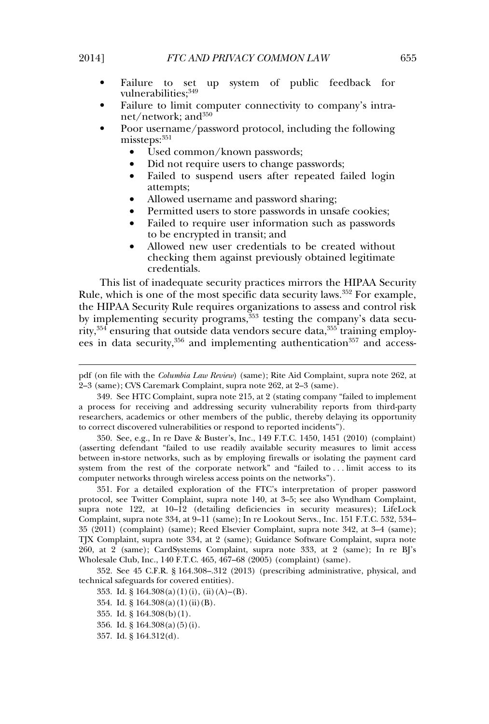- to set up system of public feedback for Failure to set up system of public feedback for vulnerabilities;<sup>349</sup> Failure to set up system of passic recussion in valuerabilities;<sup>349</sup><br>Failure to limit computer connectivity to company's intra-
- net/network; and<sup>350</sup>  $P_{\text{intra}}$  is  $P_{\text{intra}}$  to  $P_{\text{out}}$  and  $P_{\text{out}}$  is  $P_{\text{out}}$  is  $P_{\text{out}}$  and  $P_{\text{out}}$  is  $P_{\text{out}}$  is  $P_{\text{out}}$  and  $P_{\text{out}}$  is  $P_{\text{out}}$  is  $P_{\text{out}}$  is  $P_{\text{out}}$  in  $P_{\text{out}}$  is  $P_{\text{out}}$  is  $P_{\text{out}}$  in  $P_{\text{out}}$
- $mistseps: <sup>351</sup>$ 
	- Used common/known passwords;
	- Did not require users to change passwords;
	- Did not require users to change passwords;<br>• Failed to suspend users after repeated failed login attempts; • Failed to suspend users after repeated<br>attempts;<br>• Allowed username and password sharing;
	-
	- Allowed username and password sharing;<br>• Permitted users to store passwords in unsafe cookies;
	- Permitted users to store passwords in unsafe cookies;<br>• Failed to require user information such as passwords Failed to require user information such as passwords to be encrypted in transit; and
- Allowed new user credentials to be created without<br>
 Allowed new user credentials to be created without<br>
checking them against previously obtained legitimate checking them against previously obtained legitimate credentials.

credentials.<br>
This list of inadequate security practices mirrors the HIPAA Security<br>
Rule, which is one of the most specific data security laws.<sup>352</sup> For example. the HIPAA Security Rule requires organizations to assess and control risk<br>the HIPAA Security Rule requires organizations to assess and control risk by implementing security Rule requires organizations to assess and control risk<br>by implementing security programs,<sup>353</sup> testing the company's data securive in the country can be quite a symmetric of the company's desired in  $\frac{355}{100}$  training security programs,  $\frac{355}{100}$  training employ- $\frac{1}{2}$  erg in data security,<sup>356</sup> and implementing authentication<sup>357</sup> and access-<br>ees in data security.<sup>356</sup> and implementing authentication<sup>357</sup> and access-

to correct discovered vulnerabilities or respond to reported incidents").<br>
350. See, e.g., In re Dave & Buster's, Inc., 149 F.T.C. 1450, 1451 (2010) (complaint)<br>
(asserting defendant "failed to use readily available securi (asserting defendant "failed to use readily available security measures to limit access<br>between in-store networks, such as by employing firewalls or isolating the payment card between in-store networks, such as by employing firewalls or isolating the payment card<br>system from the rest of the corporate network" and "failed to . . limit access to its system from the rest of the corporate network" and "failed to.<br>computer networks through wireless access points on the networks"). computer networks through wireless access points on the networks").

% computer networks through wireless access points on the networks").<br>351. For a detailed exploration of the FTC's interpretation of proper password<br>protocol, see Twitter Complaint, supra note 140, at 3–5; see also Wyndham protocol, see Twitter Complaint, supra note 140, at 3–5; see also Wyndham Complaint,<br>supra note 122, at 10–12 (detailing deficiencies in security measures): LifeLock supra note 122, at 10–12 (detailing deficiencies in security measures); LifeLock<br>Complaint, supra note 334, at 9–11 (same): In re Lookout Servs., Inc. 151 F.T.C. 532, 534– 35 (2011) (complaint) (same); Reed Elsevier Complaint, supra note 342, at 3–4 (same); 35 (2011) (complaint) (same); Reed Elsevier Complaint, supra note 342, at 3-4 (same); 260, TJX Complaint, supra note 334, at 2 (same); Guidance Software Complaint, supra note<br>260, at 2 (same): CardSystems Complaint, supra note 333, at 2 (same): In re BI's Wholesale Club, Inc., 140 F.T.C. 465, 467–68 (2005) (complaint) (same). Wholesale Club, Inc., 140 F.T.C. 465, 467-68 (2005) (complaint) (same).

Wholesale Club, Inc., 140 F.T.C. 465, 467–68 (2005) (complaint) (same).<br>352. See 45 C.F.R. § 164.308–.312 (2013) (prescribing administrative, physical, and<br>technical safeguards for covered entities). ical safeguards for covered entities).<br>353. Id. § 164.308(a)(1)(i), (ii)(A)–(B).

- 353. Id. § 164.308(a)(1)(i),(ii)<br>354. Id. § 164.308(a)(1)(ii)(B).
- 354. Id. § 164.308(a)(1)(<br>355. Id. § 164.308(b)(1).
- 355. Id. § 164.308(b)(1).<br>356. Id. § 164.308(a)(5)(i).
- 356. Id. § 164.308(a)(<br>357. Id. § 164.312(d).

pada <u>pada tersebut (on file with the se</u>

*Columbia Law Review*) (same); Rite Aid Complaint, supra note 262, at 2–3 (same); CVS Caremark Complaint, supra note 262, at 2–3 (same). 2–3 (same); CVS Caremark Complaint, supra note 262, at 2–3 (same).

<sup>349.</sup> See HTC Complaint, supra note 215, at 2 (stating company "failed to implement a process for receiving and addressing security vulnerability reports from third-party<br>researchers, academics or other members of the public, thereby delaying its opportunity to correct discovered vulnerabilities or respond to reported incidents"). to correct discovered vulnerabilities or respond to reported incidents").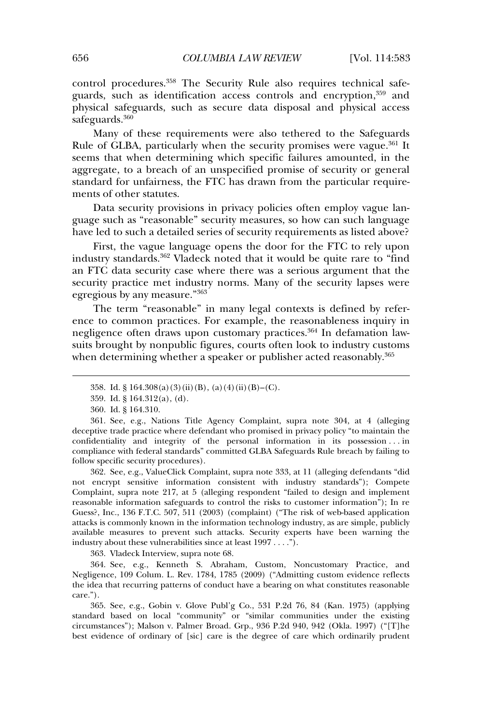control procedures.<sup>358</sup> The Security Rule also requires technical safe-<br>guards, such as identification access controls and encryption.<sup>359</sup> and physical safeguards, such as identification access controls and encryption,<sup>359</sup> and<br>physical safeguards, such as secure data disposal and physical access physical safeguards, such as secure data disposal and physical access  $\text{mards.}^{360}$ 

Many of these requirements were also tethered to the Safeguards<br>Rule of GLBA, particularly when the security promises were vague.<sup>361</sup> It Rule of GLBA, particularly when the security promises were vague.<sup>361</sup> It aggregate of  $\epsilon$  and  $\epsilon$  procedurely measured promises of security promises once any general security or general security or general security of security or general security of security of security or general security of standard for unfairness, the FTC has drawn from the particular require-<br>standard for unfairness, the FTC has drawn from the particular requirestandard for unfairness, the FTC has drawn from the particular requirets of other statutes.

ments of other statutes.<br>
Data security provisions in privacy policies often employ vague language<br>
guage such as "reasonable" security measures, so how can such language have led to such a detailed series of security requirements as listed above?<br>have led to such a detailed series of security requirements as listed above? have led to such a detailed series of security requirements as listed above?

First, the vague language opens the door for the FTC to rely upon<br>industry standards.<sup>362</sup> Vladeck noted that it would be quite rare to "find an FTC data security case where there was a serious argument that the<br>an FTC data security case where there was a serious argument that the security practice met industry norms. Many of the security lapses were<br>security practice met industry norms. Many of the security lapses were egregious by any measure."363<br>egregious by any measure."363 egregious by any measure." $363$ 

egregious by any measure."<sup>363</sup><br>The term "reasonable" in many legal contexts is defined by refer-<br>ence to common practices. For example, the reasonableness inquiry in ence to common practices. For example, the reasonableness inquiry in negligence often draws upon customary practices.<sup>364</sup> In defamation lawsure to comment produces for emarging the conductive and any<br>negligence often draws upon customary practices.<sup>364</sup> In defamation law-<br>suits brought by nonpublic figures, courts often look to industry customs when determining whether a speaker or publisher acted reasonably.<sup>365</sup><br>when determining whether a speaker or publisher acted reasonably.<sup>365</sup>

358. Id. §

 333, at 11 (alleging defendants "did not encrypt sensitive information consistent with industry standards"); Compete not encrypt sensitive information consistent with industry standards"); Compete<br>Complaint, supra note 217, at 5 (alleging respondent "failed to design and implement Complaint, supra note 217, at 5 (alleging respondent "failed to design and implement<br>reasonable information safeguards to control the risks to customer information"); In re reasonable information safeguards to control the risks to customer information"); In re<br>Guess?, Inc., 136 F.T.C. 507, 511 (2003) (complaint) ("The risk of web-based application Guess?, Inc., 136 F.T.C. 507, 511 (2003) (complaint) ("The risk of web-based application attacks is commonly known in the information technology industry, as are simple, publicly attacks is commonly known in the information technology industry, as are simple, publicly available measures to prevent such attacks. Security experts have been warning the available measures to prevent such attacks. Security exp<br>industry about these vulnerabilities since at least 1997 . . . ."). stry about these vulnerabilities since at<br>363. Vladeck Interview, supra note 68.

363. Vladeck Interview, supra note 68.

363. Vladeck Interview, supra note 68.<br>364. See. e.g., Kenneth S. Abraham. Custom. Noncustomary Practice, and Negligence, 109 Colum. L. Rev. 1784, 1785 (2009) ("Admitting custom evidence reflects<br>the idea that recurring patterns of conduct have a bearing on what constitutes reasonable the idea that recurring patterns of conduct have a bearing on what constitutes reasonable  $\left($ ").

care.").<br>365. See, e.g., Gobin v. Glove Publ'g Co., 531 P.2d 76, 84 (Kan. 1975) (applying<br>standard based on local "community" or "similar communities under the existing standard based on local "community" or "similar communities under the existing<br>circumstances"); Malson v. Palmer Broad. Grp., 936 P.2d 940, 942 (Okla. 1997) ("[T]he circumstances"); Malson v. Palmer Broad. Grp., 936 P.2d 940, 942 (Okla. 1997) ("[T]he<br>best evidence of ordinary of [sic] care is the degree of care which ordinarily prudent

164.308(a)(3)(ii)(B), (a)(4)(ii)(B)–(C). 359. Id. § 164.312(a), (d).

<sup>359.</sup> Id. § 164.312<br>360. Id. § 164.310.

<sup>360.</sup> Id. § 164.310.

Agency Complaint, supra note 304, at <sup>4</sup> (alleging deceptive trade practice where defendant who promised in privacy policy "to maintain the deceptive trade practice where defendant who promised in privacy policy "to maintain the confidentiality and integrity of the personal information in its possession ... in confidentiality and integrity of the personal information in its possession...in<br>compliance with federal standards" committed GLBA Safeguards Rule breach by failing to compliance with federal standards"<br>follow specific security procedures). follow specific security procedures).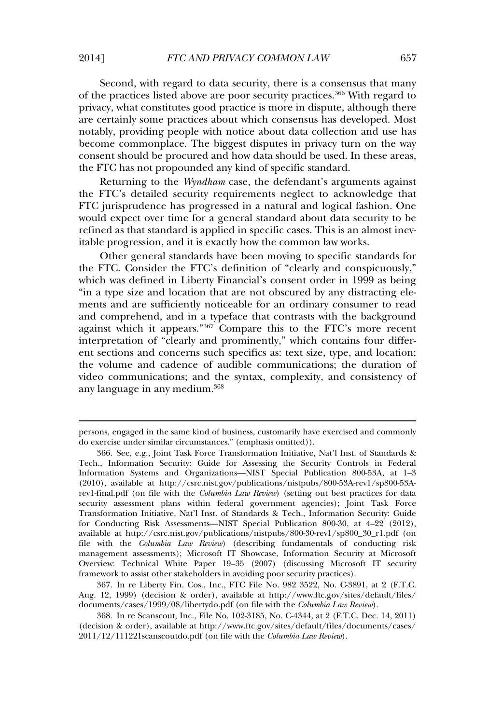second, with regard to data security, there is a consensus that many<br>of the practices listed above are poor security practices.<sup>366</sup> With regard to private the practices listed above are poor security practices.<sup>366</sup> With regard to privacy, what constitutes good practice is more in dispute, although there privacy, what constitutes good practice is more in dispute, although there provide, while constitute good provide a more in dispute, analogue and use are certainly some practices about which consensus has developed. Most are commonly some practices asset which consensus has acceleped from consent should be procured and how data should be used. In these areas,<br>consent should be procured and how data should be used. In these areas, Ecosine common<br>process and how data should be used.<br>the FTC has not propounded any kind of specific standard. the FTC has not propounded any kind of specific standard. the FTC has not propounded any kind of specific standard.<br>Returning to the *Wyndham* case, the defendant's arguments against

FIGURESS CONSULTER FIGURES IN A NATURAL AND SERVERS IN A NATURAl AND INCOMENDATION CONSUMER THE STATE OF THE STATE OF THE STATE OF THE STATE OF THE STATE OF THE STATE OF THE STATE OF THE STATE OF THE STATE OF THE STATE OF FTC jurisprudence has progressed in a natural and logical fashion. One<br>would expect over time for a general standard about data security to be would expect over time for a general standard about data security to be If the progression and it is exactly how the common law works.<br>
Solid progression, and it is exactly how the common law works. itable progression, and it is exactly how the common law works.

itable progression, and it is exactly how the common law works.<br>Other general standards have been moving to specific standards for<br>the FTC. Consider the FTC's definition of "clearly and conspicuously." the FTC. Consider the FTC's definition of "clearly and conspicuously," me TTC. Constant the TTC. Commission creatify and complements),<br>"in a type size and location that are not obscured by any distracting ele-"in a type size and location that are not obscured by any distracting eleand are sufficiently noticeable for an ordinary consumer to read<br>and comprehend, and in a typeface that contrasts with the background and comprehend, and in a typeface that contrasts with the background<br>against which it appears  $\frac{367}{2}$  Compare this to the FTC's more recent aria comprenently, and m a vyperate that contains which are successfulned<br>against which it appears."<sup>367</sup> Compare this to the FTC's more recent enterpretation of "clearly and prominently," which contains four different sections and concerns such specifics as: text size, type, and location; example and concerns such specifics as: text size, type, and location;<br>the volume and cadence of audible communications; the duration of the volume and cadence of audible communications; the duration of and the syntaxial and consistency of products and consistency of productions; the duration of video communications: and the syntax, complexity, and consistency of any language in any medium.<sup>368</sup>

Aug. 12, 1999) (decision & order), available at http://www.ftc.gov/sites/default/files/<br>documents/cases/1999/08/libertydo.pdf (on file with the *Columbia Law Review*). documents/cases/1999/08/libertydo.pdf (on file with the *Columbia Law Review*).

persons, engaged in the same kind of business, customarily have exercised and commonlypersons, engaged in the same kind of business, customarily have exercised and commonly<br>do exercise under similar circumstances." (emphasis omitted)). do exercise under similar circumstances." (emphasis omitted)).

to exercise under similar circumstances." (emphasis omitted)).<br>366. See, e.g., Joint Task Force Transformation Initiative, Nat'l Inst. of Standards &<br>Tech., Information Security: Guide for Assessing the Security Controls i Tech., Information Security: Guide for Assessing the Security Controls in Federal Information Systems and Organizations—NIST Special Publication 800-53A, at 1–3 Information Systems and Organizations-NIST Special Publication 800-53A, at 1-3 (2010), available at http://csrc.nist.gov/publications/nistpubs/800-53A-rev1/sp800-53A-rev1-final.pdf (on file with the *Columbia Law Review*) (setting out best practices for data rev1-final.pdf (on file with the *Columbia Law Review*) (setting out best practices for data<br>security assessment plans within federal government agencies): Joint Task Force security assessment plans within federal government agencies); Joint Task Force<br>Transformation Initiative, Nat'l Inst. of Standards & Tech., Information Security: Guide Transformation Initiative, Nat'l Inst. of Standards & Tech., Information Security: Guide for Conducting Risk Assessments—NIST Special Publication 800-30, at 4–22 (2012), available at http://csrc.nist.gov/publications/nistpubs/800-30-rev1/sp800\_30\_r1.pdf (on available at http://csrc.nist.gov/publications/nistpubs/800-30-rev1/sp800\_30\_r1.pdf (on *Columbia Law Review*) (describing fundamentals of conducting risk<br>file with the *Columbia Law Review*) (describing fundamentals of conducting risk<br>management assessments): Microsoft IT Showcase, Information Security at Mi management assessments); Microsoft IT Showcase, Information Security at Microsoft<br>Overview: Technical White Paper 19–35 (2007) (discussing Microsoft IT security Framework to assist other stakeholders in avoiding poor security practices).<br>Framework to assist other stakeholders in avoiding poor security practices). framework to assist other stakeholders in avoiding poor security practices). framework to assist other stakeholders in avoiding poor security practices).<br>367. In re Liberty Fin. Cos., Inc., FTC File No. 982 3522, No. C-3891, at 2 (F.T.C.

documents/cases/1999/08/libertydo.pdf (on file with the *Columbia Law Review*).<br>
368. In re Scanscout, Inc., File No. 102-3185, No. C-4344, at 2 (F.T.C. Dec. 14, 2011)<br>
(decision & order), available at http://www.ftc.gov/s (decision & order), available at http://www.ftc.gov/sites/default/files/<br>2011/12/111221scanscoutdo.pdf (on file with the *Columbia Law Review*).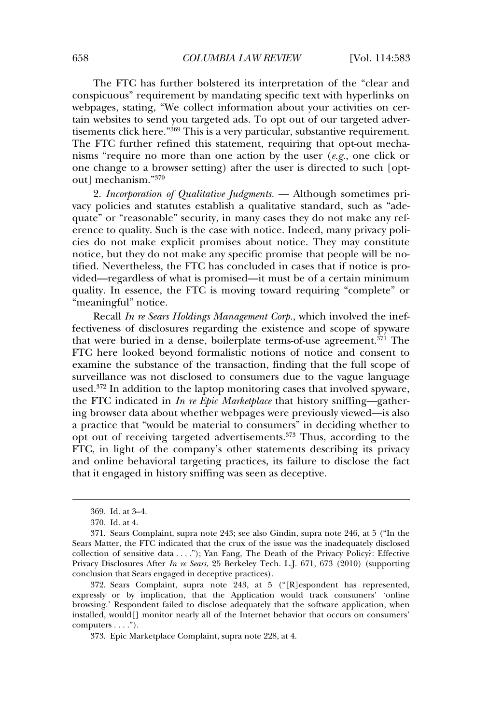The FTC has further bolstered its interpretation of the "clear and conspicuous" requirement by mandating specific text with hyperlinks on conspicuous" requirement by mandating specific text with hyperlinks on the suppressed integration by mandating specific contract in permits on cer-<br>webpages, stating, "We collect information about your activities on cer-<br>tain websites to send you targeted ads. To opt out of our targeted adver tain websites to send you targeted ads. To opt out of our targeted adverhere. Such the FTC furtherment and the FTC further on the further refinements click here."<sup>369</sup> This is a very particular, substantive requirement. notate the network of the set of the set of the set of the set of the FTC further refined this statement, requiring that opt-out mechanisms "require no more than one action by the user (*e.g.*, one click or  $\sum_{n=1}^{\infty}$  change to a browser setting) after the user is directed to such [opt-<br>one change to a browser setting) after the user is directed to such [optone change to a browser setting) after the user is directed to such [optmechanism."370

out] mechanism."<sup>370</sup><br> *I. Incorporation of Qualitative Judgments.* — Although sometimes pri-<br>
vacy policies and statutes establish a qualitative standard, such as "adevacy policies and statutes establish a qualitative standard, such as "adequate" or "reasonable" security, in many cases they do not make any refexplicit the case with notice. Indeed, many privacy policies do not make explicit promises about notice. They may constitute notice, but they do not make any specific promises that people will be no-<br>notice, but they do not make any specific promise that people will be nothe distribution of the matter of the matter of the matter of the motion in the contribution of the motified. Nevertheless, the FTC has concluded in cases that if notice is protified. Nevertheless, the FTC has concluded in cases that if notice is proquality. In essence, the FTC is moving toward requiring "complete" or quality. In essence, the FTC is moving toward requiring "complete" or quality. In essence, the FTC is moving toward requiring "complete" or ingful" notice.

*In re Sears Holdings Management Corp.*, which involved the ineffectiveness of disclosures regarding the existence and scope of spyware fectiveness of disclosures regarding the existence and scope of spyware Fectiveness of disclosures regarding the existence and scope of spyware<br>that were buried in a dense, boilerplate terms-of-use agreement.<sup>371</sup> The<br>FTC here looked beyond formalistic notions of notice and consent to FTC here looked beyond formalistic notions of notice and consent to examine the substance of the transaction, finding that the full scope of surveillance was not disclosed to consumers due to the vague language was and disclosed to consumers due to the vague language the FTC indicated in *In re Epic Marketplace* that history sniffing—gather-<br>the FTC indicated in *In re Epic Marketplace* that history sniffing—gatherthe FTC indicated in *In re Epic Marketplace* that history sniffing—gather-<br>ing browser data about whether webpages were previously viewed—is also ing browser data about whether webpages were previously viewed—is also ing browser data about whether webpages were previously viewed—is also<br>a practice that "would be material to consumers" in deciding whether to<br>ont out of receiving targeted educationments.<sup>373</sup> Thus, according to the opt out of receiving targeted advertisements.<sup>373</sup> Thus, according to the FTC, in light of the company's other statements describing its privacy<br>and online behavioral targeting practices, its failure to disclose the fact and online behavioral targeting practices, its failure to<br>that it engaged in history sniffing was seen as deceptive.

372. Sears Complaint, supra note 243, at  $\frac{5}{5}$  ("[R]espondent has represented, expressly or by implication, that the Application would track consumers' 'online expressly or by implication, that the Application would track consumers' 'online browsing.' Respondent failed to disclose adequately that the software application, when<br>installed, would[] monitor nearly all of the Internet behavior that occurs on consumers' installed, would [] monitor nearly all of the Internet behavior that occurs on consumers'  $323.$  Eq. ( $\ldots$ ).

373. Epic Marketplace Complaint, supra note 228, at 4.

<sup>369.</sup> Id. at 3–4. Id. at 3–4. Id. at 3–4. Id. at 3–4. Id. at 3–4. Id. at 3–4. Id. at 3–4. Id. at 3–4. Id. at 3– 369. Id. at 3-4.

 $370.$  Id. at 4.

Gindin, supra note 246, at 5 ("In the Sears Matter, the FTC indicated that the crux of the issue was the inadequately disclosed Sears Matter, the FTC indicated that the crux of the issue was the inadequately disclosed collection of sensitive data . . . ."); Yan Fang, The Death of the Privacy Policy?: Effective collection of sensitive data . . . ."); Yan Fang, The Death of the Privacy Policy?: Effective<br>Privacy Disclosures After *In re Sears*, 25 Berkeley Tech. L.J. 671, 673 (2010) (supporting Privacy Disclosures After *In re Sears*, 25 Berkeley Teconclusion that Sears engaged in deceptive practices). conclusion that Sears engaged in deceptive practices).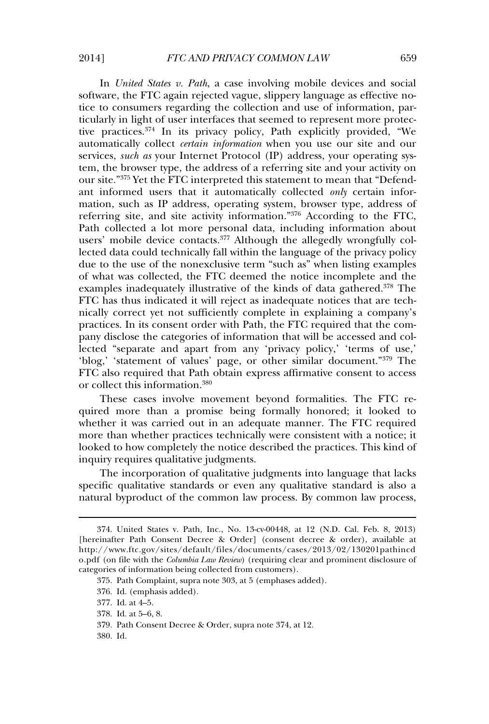In *United States v. Path*, a case involving mobile devices and social<br>software, the FTC again rejected vague, slippery language as effective nothe consumers regarding the collection and use of information, par-<br>tice to consumers regarding the collection and use of information, partice to consumers regarding the collection and use of information, particularly in light of user interfaces that seemed to represent more protecticularly in light of user interfaces that seemed to represent more protective practices.<sup>374</sup> In its privacy policy. Path explicitly provided, "We abundary in aging and aber interfaces and sections to represent more proceed<br>tive practices.<sup>374</sup> In its privacy policy, Path explicitly provided, "We<br>automatically collect *certain information* when you use our site and o services, *such as your Internet Protocol* (IP) address, your operating sys-<br>services, *such as* your Internet Protocol (IP) address, your operating system, the browser type, the address of a referring site and your activity on the browser type, the address of a referring site and your activity on our site."375 Yet the FTC interpreted this statement to mean that "Defend-<br>our site."<sup>375</sup> Yet the FTC interpreted this statement to mean that "Defendand your site.<sup>7375</sup> Yet the FTC interpreted this statement to mean that "Defend-<br>ant informed users that it automatically collected *only* certain inforand informed users that it automatically collected *only* certain information, such as IP address, operating system, browser type, address of referring site, and site activity information."<sup>376</sup> According to the FTC, referring site, and site activity information." $376$  According to the FTC, mation, such as it attances, operating system, 376 According to the FTC,<br>referring site, and site activity information.<sup>376</sup> According to the FTC,<br>Path collected a lot more personal data, including information about<br>users' Lear conceded a for more personal data, metaling information about<br>users' mobile device contacts.<sup>377</sup> Although the allegedly wrongfully col-<br>lected data could technically fall within the language of the privacy policy lected data could technically fall within the language of the privacy policy of what was collected, the FTC deemed the notice incomplete and the solid what was collected, the FTC deemed the notice incomplete and the examples inadequately illustrative of the kinds of data gathered.<sup>378</sup> The examples inadequately illustrative of the kinds of data gathered.<sup>378</sup> The examples inadequately illustrative of the kinds of data gathered.<sup>378</sup> The enamples matequately masculate of the tands of data gashered. The<br>FTC has thus indicated it will reject as inadequate notices that are tech-<br>nically correct vet not sufficiently complete in explaining a company's product that the material contract the material complete in explaining a company's practices. In its consent order with Path, the FTC required that the comparticles. In its consent order with Path, the FTC required that the com-<br>pany disclose the categories of information that will be accessed and colpany disclose the categories of information that will be accessed and colpany absence the categories of information that will be accessed and corrected "separate and apart from any 'privacy policy,' 'terms of use,'<br>'blog.' 'statement of values' page, or other similar document."<sup>379</sup> The Follog, 'statement of values' page, or other similar document."<sup>379</sup> The<br>FTC also required that Path obtain express affirmative consent to access FTC also required that Path obtain express affirmative consent to access bllect this information. $^{380}$ 

or collect this information.<sup>380</sup><br>These cases involve movement beyond formalities. The FTC re-<br>quired more than a promise being formally honored; it looked to quired more than a promise being formally honored; it looked to<br>whether it was carried out in an adequate manner. The FTC required more than whether it was carried out in an adequate manner. The FTC required more than whether practices technically were consistent with a notice; it more than whether practices technically were consistent with a notice; it increased to how completely the notice described the practices. This kind of inquiry requires qualitative iudgments. inquiry requires qualitative judgments.

 $\overline{\phantom{a}}$  The incorporation of qualitative judgments into language that lacks specific qualitative standards or even any qualitative standard is also a natural byproduct of the common law process. By common law process,

374. United States v. Path, Inc., No. 2014. United States v. Path, Inc., No. 2014. United States v. Path, Inc.,

13-cv-00448, at 12 (N.D. Cal. Feb. 8, 2013) [hereinafter Path Consent Decree & Order] (consent decree & order), available at [hereinafter Path Consent Decree & Order] (consent decree & order), available at http://www.ftc.gov/sites/default/files/documents/cases/2013/02/130201pathincd http://www.ftc.gov/sites/default/files/documents/cases/2013/02/130201pathincd<br>o.pdf (on file with the *Columbia Law Review*) (requiring clear and prominent disclosure of<br>categories of information being collected from custo categories of information being collected from customers). tories of information being collected from customers).<br>375. Path Complaint, supra note 303, at 5 (emphases added).

<sup>376.</sup> Id. (emphasis added).

 $377.$  Id. at  $4-5.$ 

 $378.$  Id. at  $5-6, 8$ .

<sup>378.</sup> Id. at 5–6, 8.<br>379. Path Consent Decree & Order, supra note 374, at 12.

<sup>380.</sup> Id.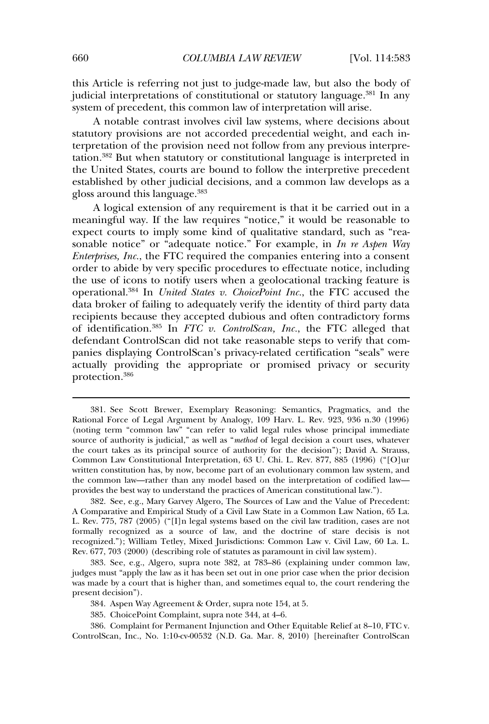this Article is referring not just to judge-made law, but also the body of<br>indicial interpretations of constitutional or statutory language.<sup>381</sup> In any she is the contracted to the precedent of constitutional or statutory language.<sup>381</sup> In any system of precedent, this common law of interpretation will arise. system of precedent, this common law of interpretation will arise.

system of precedent, this common law of interpretation will arise.<br>A notable contrast involves civil law systems, where decisions about<br>statutory provisions are not accorded precedential weight, and each interm is the mass of the provisions are not accorded precedential weight, and each interpretation of the provision need not follow from any previous interpreterpretation of the provision need not follow from any previous interpre-<br>tation.<sup>382</sup> But when statutory or constitutional language is interpreted in the United States, courts are bound to follow the interpretive precedent<br>the United States, courts are bound to follow the interpretive precedent the United States, courts are bound to follow the interpretive precedent established by other judicial decisions, and a common law develops as a gloss around this language.<sup>383</sup> gloss around this language.<sup>383</sup>

gloss around this language.<sup>383</sup><br>A logical extension of any requirement is that it be carried out in a<br>meaningful way. If the law requires "notice." it would be reasonable to meaningful way. If the law requires "notice," it would be reasonable to expect courts to imply some kind of qualitative standard, such as "rea-*Inferiore Collis Companies in Figure 1.1.12 of quantum of summanis, such us four sonable notice*" or "adequate notice." For example, in *In re Aspen Way Enterprises, Inc.*, the FTC required the companies entering into a order to abide by very specific procedures to effectuate notice, including<br>order to abide by very specific procedures to effectuate notice, including the use of icons to notify users when a geolocational tracking feature is<br>the use of icons to notify users when a geolocational tracking feature is of the use of icons to notify users when a geolocational tracking feature is<br>operational.<sup>384</sup> In *United States v. ChoicePoint Inc.*, the FTC accused the data broker of failing to adequately verify the identity of third party data<br>data broker of failing to adequately verify the identity of third party data data broker of failing to adequately verify the identity of third party data of identification.<sup>385</sup> In *FTC v. ControlScan, Inc.*, the FTC alleged that defendant ControlScan did not take reasonable steps to verify that com-<br>defendant ControlScan did not take reasonable steps to verify that comdefendant ControlScan did not take reasonable steps to verify that companies displaying ControlScan's privacy-related certification "seals" were<br>actually providing the appropriate or promised privacy or security actually providing the appropriate or promised privacy or security protection.<sup>386</sup>

.<br>382. See, e.g., Mary Garvey Algero, The Sources of Law and the Value of Precedent:<br>A Comparative and Empirical Study of a Civil Law State in a Common Law Nation, 65 La. L. Rev. 775, 787 (2005) ("[I]n legal systems based on the civil law tradition, cases are not L. Rev. 775, 787 (2005) ("[I]n legal systems based on the civil law tradition, cases are not formally recognized as a source of law, and the doctrine of stare decisis is not formally recognized as a source of law, and the doctrine of stare decisis is not recognized."): William Tetley, Mixed Jurisdictions: Common Law v. Civil Law, 60 La. L. recognized."); William Tetley, Mixed Jurisdictions: Common Law v. Civil Law, (<br>Rev. 677, 703 (2000) (describing role of statutes as paramount in civil law system). .<br>383. See, e.g., Algero, supra note 382, at 783–86 (explaining under common law,<br>383. See, e.g., Algero, supra note 382, at 783–86 (explaining under common law,

383. See, e.g., Algero, supra note 382, at 783–86 (explaining under common law, indees must "apply the law as it has been set out in one prior case when the prior decision judges must "apply the law as it has been set out in one prior case when the prior decision<br>was made by a court that is higher than, and sometimes equal to, the court rendering the was made by a court that is higher than, and sometimes equal to, the court rendering the  $\frac{3}{8}$  and  $\frac{3}{8}$  are  $\frac{3}{8}$ . ent decision").<br>384. Aspen Way Agreement & Order, supra note 154, at 5.

385. ChoicePoint Complaint, supra note 344, at 4–6.

386. Complaint for Permanent Injunction and Other Equitable Relief at 8–10, FTC v.<br>ControlScan, Inc., No. 1:10-cv-00532 (N.D. Ga. Mar. 8, 2010) [hereinafter ControlScan

381. See Scott<br>381. See Scott Scott

Brewer, Exemplary Reasoning: Semantics, Pragmatics, and the Rational Force of Legal Argument by Analogy, 109 Harv. L. Rev. 923, 936 n.30 (1996) Rational Force of Legal Argument by Analogy, 109 Harv. L. Rev. 923, 936 n.30 (1996) Rational Force of Legal Argument by Analogy, 109 Harv. L. Rev. 923, 936 n.30 (1996) (noting term "common law" "can refer to valid legal rules whose principal immediate source of authority is judicial," as well as "*method* source of authority is judicial," as well as "*method* of legal decision a court uses, whatever<br>the court takes as its principal source of authority for the decision"): David A. Strauss, the court takes as its principal source of authority for the decision"); David A. Strauss,<br>Common Law Constitutional Interpretation, 63 U. Chi. L. Rev. 877, 885 (1996) ("[O]ur Common Law Constitutional Interpretation, 63 U. Chi. L. Rev. 877, 885 (1996) ("[O]ur<br>written constitution has, by now, become part of an evolutionary common law system, and written constitution has, by now, become part of an evolutionary common law system, and<br>the common law—rather than any model based on the interpretation of codified law the common law—rather than any model based on the interpretation of codified provides the best way to understand the practices of American constitutional law."). 382. See, e.g., Mary Garvey Algero, The Sources of Law and the Value of Precedent:<br>382. See, e.g., Mary Garvey Algero, The Sources of Law and the Value of Precedent: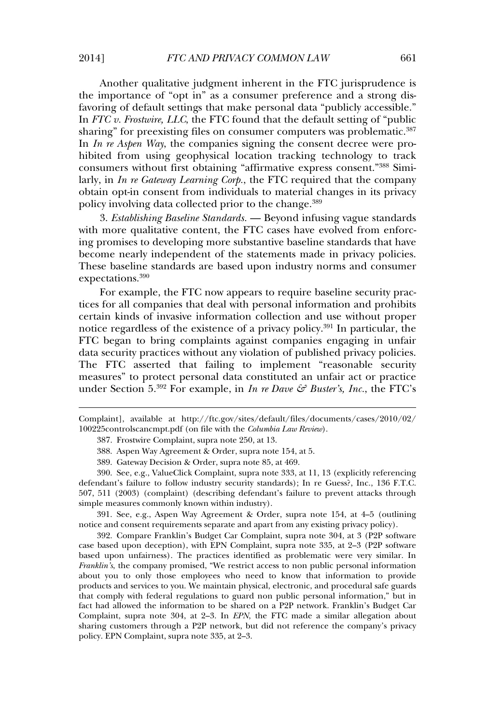Another qualitative judgment inherent in the FTC jurisprudence is<br>the importance of "opt in" as a consumer preference and a strong disfavoring of default settings that make personal data "publicly accessible."<br>
favoring of default settings that make personal data "publicly accessible." In *FIC v. Frostwire, LLC*, the FTC found that the default setting of "public"<br>In *FTC v. Frostwire, LLC*, the FTC found that the default setting of "public In FTC v. Frostwire, LLC, the FTC found that the default setting of "public" In *I*<sub>1</sub> c or *I*<sub>2</sub> columnation, the consent and the decrease setting of public sharing" for preexisting files on consumer computers was problematic.<sup>387</sup> In *I*<sub>n</sub> *i*<sub>n</sub> *n i*<sub>2</sub> Aspen Way, the companies signing the In In re Aspen Way, the companies signing the consent decree were proconsumers without first obtaining "affirmative express consent."<sup>388</sup> Simi-<br>consumers without first obtaining "affirmative express consent."<sup>388</sup> Similarly, in *In re Gateway Learning Corp.*, the FTC required that the company obtained which the establishing annually express consent. Such<br>larly, in *In re Gateway Learning Corp.*, the FTC required that the company<br>obtain opt-in consent from individuals to material changes in its privacy obtain opt-in consent from individuals to material changes in its privacy  $\alpha$  involving data collected prior to the change. $^{389}$ policy involving data collected prior to the change.<sup>389</sup><br>3. *Establishing Baseline Standards*. — Beyond infusing vague standards

in the more qualitative content, the FTC cases have evolved from enforcing promises to developing more substantive baseline standards that have become nearly independent of the statements made in privacy policies.<br>become nearly independent of the statements made in privacy policies. become nearly independent of the statements made in privacy policies. These baseline standards are based upon industry norms and consumer  $\text{rctations.}^{390}$ 

For example, the FTC now appears to require baseline security practices for all companies that deal with personal information and prohibits certain kinds of invasive information collection and use without properties certain kinds of invasive information collection and use without proper certain kinds of invasive information collection and use without proper<br>position properties regardless of the ovietness of a privacy policy.<sup>391</sup> In particular, the FIFTLE BETTLE CONSERVED TO BE SERVED THE UPPER THE SERVED OF PLACE.<br>FTC began to bring complaints against companies engaging in unfair FTC began to bring complaints against companies engaging in unfair<br>data security practices without any violation of published privacy policies. data security practices without any violation of published privacy policies. measures to protect the protection of personal data constitution of personal personal personal constant that failing to implement "reasonable security measures" to protect personal data constituted an unfair act or practice<br>under Section 5.<sup>392</sup> For example, in *In re Dave & Buster's, Inc.*, the FTC's

- 387. Frostwire Complaint, supra note 250, at 13.<br>388. Aspen Way Agreement & Order, supra note 154, at 5.<br>389. Gateway Decision & Order, supra note 85, at 469.
- 389. Gateway Decision & Order, supra note 85, at 469.

389. Gateway Decision & Order, supra note 85, at 469.<br>390. See, e.g., ValueClick Complaint, supra note 333, at 11, 13 (explicitly referencing  $\frac{1}{200}$  defendant's failure to follow industry security standards); In re Guess?, Inc., 136 F.T.C. 507, 511 (2003) (complaint) (describing defendant's failure to prevent attacks through<br>simple measures commonly known within industry). simple measures commonly known within industry).

simple measures commonly known within industry).<br>
391. See, e.g., Aspen Way Agreement & Order, supra note 154, at 4–5 (outlining<br>
notice and consent requirements separate and apart from any existing privacy policy). 392. Compare Franklin's Budget Car Complaint, supra note 304, at 3 (P2P software

392. Compare Franklin's Budget Car Complaint, supra note 304, at 3 (P2P software case based upon deception), with EPN Complaint, supra note 335, at 2–3 (P2P software case based upon deception), with EPN Complaint, supra note  $335$ , at  $2-3$  (P2P software based upon unfairness). The practices identified as problematic were very similar. In based upon unfairness). The practices identified as problematic were very similar. In *Franklin's*, the company promised, "We restrict access to non public personal information about you to only those employees who need to about you to only those employees who need to know that information to provide<br>products and services to you. We maintain physical, electronic, and procedural safe guards products and services to you. We maintain physical, electronic, and procedural safe guards<br>that comply with federal regulations to guard non public personal information." but in fact had allowed the informations to guard non public personal information," but in fact had allowed the information to be shared on a P2P network. Franklin's Budget Car fact had allowed the information to be shared on a P2P network. Franklin's Budget Car fact had allowed the information to be shared on a P2P network. Franklin's Budget Car<br>Complaint, supra note 304, at 2–3. In *EPN*, the FTC made a similar allegation about<br>sharing customers through a P2P network, but did no sharing customers through a P2P network, by<br>policy. EPN Complaint, supra note 335, at 2–3.

 $\overline{\phantom{a}}$  and  $\overline{\phantom{a}}$  are https://ftc.gov/sites/documents/cases/2010/02/2010/02/2010/02/2010 100225controlscancmpt.pdf (on file with the *Columbia Law Review*). 100225controlscancmpt.pdf (on file with the *Columbia Law Review*).

<sup>387.</sup> Frostwire Complaint, supra note 250, at 13.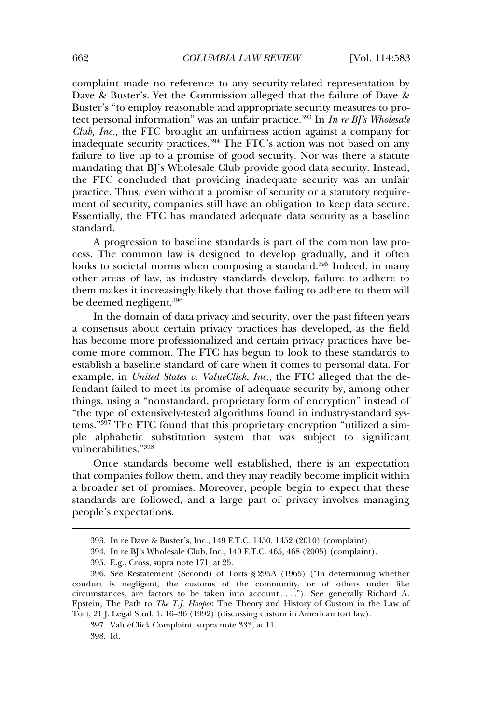complaint made no reference to any security-related representation by<br>Dave & Buster's. Yet the Commission alleged that the failure of Dave & Buster's "to employ reasonable and appropriate security measures to pro-<br>Buster's "to employ reasonable and appropriate security measures to protect personal information" was an unfair practice.<sup>393</sup> In *In re BJ's Wholesale colub tect personal information*" was an unfair practice.<sup>393</sup> In *In re BI's Wholesale*  $\frac{C_{lib}}{C_{lib}}$ , Inc., the FTC brought an unfairness action against a company for inadequate security practices.<sup>394</sup> The FTC's action was not based on any failure to live up to a promise of good security. Nor was there a statute<br>failure to live up to a promise of good security. Nor was there a statute mate place seems, practices. The TTC's determined has not stated on any failure to live up to a promise of good security. Nor was there a statute mandating that BI's Wholesale Club provide good data security. Instead, the FTC concluded that providing inadequate security was an unfair<br>the FTC concluded that providing inadequate security was an unfair provide good data security. Instead,<br>the FTC concluded that providing inadequate security was an unfair<br>practice. Thus, even without a promise of security or a statutory requirement of security, companies still have an obligation to keep data secure. Fractice. Thus, even mandated promise or security or a suitates, require<br>ment of security, companies still have an obligation to keep data secure.<br>Essentially, the FTC has mandated adequate data security as a baseline Essentially, the FTC has mandated adequate data security as a baseline standard.  $\mathbf{d}$  and  $\mathbf{d}$ 

A progression to baseline standards is part of the common law pro-Looks to societal norms when composing a standard.<sup>395</sup> Indeed, in many<br>looks to societal norms when composing a standard.<sup>395</sup> Indeed, in many other areas of law, as industry standards develop, failure to adhere to<br>other areas of law, as industry standards develop, failure to adhere to the makes it increasingly likely that those failing to adhere to them makes it increasingly likely that those failing to adhere to them will be deemed negligent.<sup>396</sup><br>be deemed negligent.<sup>396</sup> be deemed negligent.<sup>396</sup> be deemed negligent. $396$ <br>In the domain of data privacy and security, over the past fifteen years

 $h_{\text{max}}$  are becoming to the privacy more certain privacy practices has developed, as the field come more professionalized and certain privacy practices have become more common. The FTC has begun to look to these standards to establish a baseline standard of care when it comes to personal data. For establish a baseline standard of care when it comes to personal data. For extrablish a baseline standard of care when it comes to personal data. For example, in *United States v. ValueClick, Inc.*, the FTC alleged that the deexample, in United States v. ValueClick, Inc., the FTC alleged that the dethings, using a "nonstandard, promise of adequate security by, among other things, using a "nonstandard, proprietary form of encryption" instead of things, using a "nonstandard, proprietary form of encryption" instead of "the type of extensively-tested algorithms found in industry-standard sys $t_{\text{th}}$  tems. The extensively-tested algorithms found in industry-standard sys-<br> $t_{\text{cm}}$  and  $t_{\text{cm}}$  and  $t_{\text{cm}}$  are constant that this proprietary encryption "utilized a simtems." $397$  The FTC found that this proprietary encryption "utilized a simple alphabetic substitution system that was subject to significant  $\mathsf{crabilities."}^{398}$ 

vulnerabilities."<sup>398</sup><br>Once standards become well established, there is an expectation<br>that companies follow them, and they may readily become implicit within and the broader set of promises. Moreover, people begin to expect that these a broader set of promises. Moreover, people begin to expect that these<br>standards are followed, and a large part of privacy involves managing standards are followed, and a large part of privacy involves managing people's expectations.

393. In re Dave

& Buster's, Inc., 149 F.T.C. 1450, 1452 (2010) (complaint). 394. In re BJ's Wholesale Club, Inc., 140 F.T.C. 465, 468 (2005) (complaint).

<sup>394.</sup> In re BJ's Wholesale Club, Inc., 1<br>395. E.g., Cross, supra note 171, at 25.

<sup>395.</sup> E.g., Cross, supra note 171, at 25.

Restatement (Second) of Torts § 295A (1965) ("In determining whether conduct is negligent, the customs of the community, or of others under like conduct is negligent, the customs of the community, or of others under like<br>circumstances, are factors to be taken into account ...,"). See generally Richard A. circumstances, are factors to be taken into account ...."). See generally Richard A. Epstein, The Path to *The T.J. Hooper*: The Theory and History of Custom in the Law of Epstein, The Path to *The T.J. Hooper*: The Theory and History of Custom in the Tort. 21 J. Legal Stud. 1, 16–36 (1992) (discussing custom in American tort law). 397. ValueClick Complaint, supra note 333, at 11.

<sup>397.</sup> ValueClick Complaint, supra note 333, at 11.

<sup>398.</sup> Id.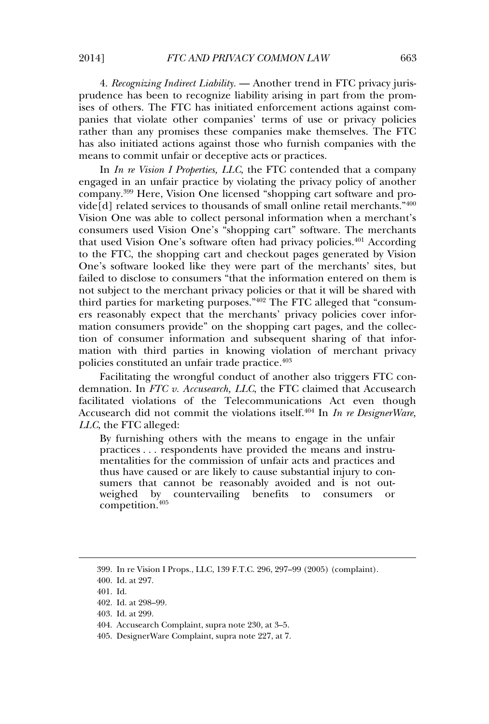*Recognizing Indirect Liability.* — Another trend in FTC privacy juris-prudence has been to recognize liability arising in part from the promprudence has been to recognize liability arising in part from the prompractice that seem to reesging masing arising in part from the premises of others. The FTC has initiated enforcement actions against companies that violate other companies' terms of use or privacy policies rather than any promises these companies make themselves. The FTC<br>rather than any promises these companies make themselves. The FTC has also initiated actions against those who furnish companies with the FTC<br>has also initiated actions against those who furnish companies with the means to commit unfair or deceptive acts or practices.<br>means to commit unfair or deceptive acts or practices. means to commit unfair or deceptive acts or practices. means to commit unfair or deceptive acts or practices.<br>In *In re Vision I Properties, LLC*, the FTC contended that a company

engaged in an unfair practice by violating the privacy policy of another company.<sup>399</sup> Here, Vision One licensed "shopping cart software and provide [d] related services to thousands of small online retail merchants."<sup>400</sup><br>vide [d] related services to thousands of small online retail merchants."<sup>400</sup> vide<sup>[d]</sup> related services to thousands of small online retail merchants." $400$ consumers the consumers of the merchants of shall carter communications.  $t$  consumers used Vision One's "shopping cart" software. The merchants<br>that used Vision One's software often had privacy policies.<sup>401</sup> According that used Vision One's software often had privacy policies.<sup>401</sup> According<br>to the FTC, the shopping cart and checkout pages generated by Vision One's software looked like they were part of the merchants' sites, but One's software looked like they were part of the merchants' sites, but Find to disclose to consumers "that the information entered on them is<br>not subject to the merchant privacy policies or that it will be shared with that it will be shared with the merchant privacy policies or that it will be shared with third parties for morketing purposes." $402$  The FTC alleged that "consumers reasonably expect that the merchants' privacy policies that "consum-<br>ers reasonably expect that the merchants' privacy policies cover information consumers provide" on the shopping cart pages and the collection consumers provide" on the shopping cart pages, and the collecmation consumers provide" on the shopping cart pages, and the collection of consumer information and subsequent sharing of that inforpolicies constituted an unfair trade practice.<sup>403</sup><br>policies constituted an unfair trade practice.<sup>403</sup> policies constituted an unfair trade practice.<sup>403</sup> policies constituted an unfair trade practice.<sup>403</sup><br>Facilitating the wrongful conduct of another also triggers FTC con-

Facilitating the wrongful conduct of another also triggers FTC condemnation. In *FTC* v. Accusearch, LLC, the FTC claimed that Accusearch Facilitated violations of the Telecommunications Act even though<br>Accusearch did not commit the violations itself.<sup>404</sup> In In a Designat<sup>IV</sup>ance *International Commit the violations itself.<sup>404</sup> In <i>In re DesignerWare,*<br> *LLC*, the FTC alleged:  $LLC$ , the FTC alleged: , the FTC alleged:<br>By furnishing others with the means to engage in the unfair

practices  $\ldots$  respondents have provided the means and instrupractices... respondents have provided the means and misute-<br>mentalities for the commission of unfair acts and practices and<br>thus have caused or are likely to cause substantial injury to consumers that cannot be reasonably avoided and is not out-<br>sumers that cannot be reasonably avoided and is not outsumers that cannot be reasonably avoided and is not outweighed by countervailing benefits to consumers competition.<sup>405</sup>

399. In region I proposed the Vision I proposed the Vision I proposed the Vision I proposed the Vision I propos<br>Setting the Vision I proposed the Vision I proposed the Vision I proposed the Vision I proposed the Vision I p

403. Id. at 299.<br>404. Accusearch Complaint, supra note 230, at 3–5.<br>405. DesignerWare Complaint, supra note 227, at 7.

<sup>399.</sup> In re Vision I Props., LLC, 139 F.T.C. 296, 297–99 (2005) (complaint).

<sup>400.</sup> Id. at 297.

<sup>401.</sup> Id.

<sup>402.</sup> Id. at 298-99.

<sup>403.</sup> Id. at 299.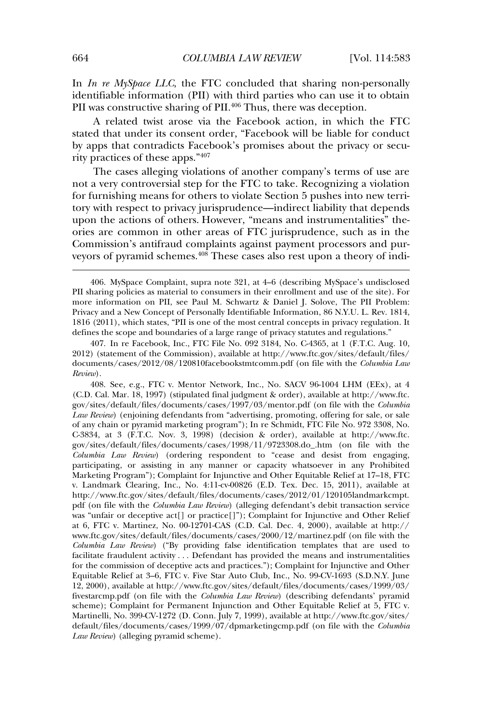In *In re MySpace LLC*, the FTC concluded that sharing non-personally<br>identifiable information (PII) with third parties who can use it to obtain In the engage case, the TTC constructed that sharing help<br>identifiable information (PII) with third parties who can use it<br>PII was constructive sharing of PII.<sup>406</sup> Thus, there was deception. PII was constructive sharing of PII. $406$  Thus, there was deception. PII was constructive sharing of PII.<sup>406</sup> Thus, there was deception.<br>A related twist arose via the Facebook action, in which the FTC

by apps that contradicts Facebook's promises about the privacy or secu-<br>by apps that contradicts Facebook's promises about the privacy or secuby apps that contradicts Face<br>rity practices of these apps."<sup>407</sup> rity practices of these apps." $407$ rity practices of these apps."<sup>407</sup><br>The cases alleging violations of another company's terms of use are

for the cases anging treations of another company of terms of the archive are<br>not a very controversial step for the FTC to take. Recognizing a violation<br>for furnishing means for others to violate Section 5 pushes into new tory with respect to privacy jurisprudence—indirect liability that depends<br>for furnishing means for others to violate Section 5 pushes into new terri-<br>tory with respect to privacy iurisprudence—indirect liability that depe For rainising means for others to whate seeder e-passies the field term<br>tory with respect to privacy jurisprudence—indirect liability that depends<br>upon the actions of others. However, "means and instrumentalities" theupon the actions of others. However, "means and instrumentalities" theories are common in other areas of FTC jurisprudence, such as in the  $\frac{1}{2}$  commission's antifraud complaints again.<br>
www.seformanid schemes.<sup>408</sup> These cases veyors of pyramid schemes.<sup>408</sup> These cases also rest upon a theory of indi-

 $\mathcal{A}$  , at 406. MySpace Complaint, supra note 321, at 4–6 (describing  $M$ 

Heview).<br>108. See, e.g., FTC v. Mentor Network, Inc., No. SACV 96-1004 LHM (EEx), at 4<br>(C.D. Cal. Mar. 18, 1997) (stipulated final judgment & order), available at http://www.ftc. (C.D. Cal. Mar. 18, 1997) (stipulated final judgment & order), available at http://www.ftc. gov/sites/default/files/documents/cases/1997/03/mentor.pdf (on file with the *Columbia*<br>*Law Review*) (enjoining defendants from "advertising, promoting, offering for sale, or sale *Law Review*) (enjoining defendants from "advertising, promoting, offering for sale, or sale<br>of any chain or pyramid marketing program"): In re Schmidt, FTC File No. 972 3308, No. of any chain or pyramid marketing program"); In re Schmidt, FTC File No. 972 3308, No.<br>C-3834, at 3 (F.T.C. Nov. 3, 1998) (decision & order), available at http://www.ftc. C-3834, at 3 (F.T.C. Nov. 3, 1998) (decision & order), available at http://www.ftc. *Columbia Law Review*) (ordering respondent to "cease and desist from engaging, *Columbia Law Review*) (ordering respondent to "cease and desist from engaging, participating, or assisting in any manner or capacity whatsoever in any Prohibited participating, or assisting in any manner or capacity whatsoever in any Prohibited<br>Marketing Program"): Complaint for Injunctive and Other Equitable Relief at 17–18, FTC v. Landmark Clearing, Inc., No. 4:11-cv-00826 (E.D. Tex. Dec. 15, 2011), available at v. Landmark Clearing, Inc., No. 4:11-cv-00826 (E.D. Tex. Dec. 15, 2011), available at http://www.ftc.gov/sites/default/files/documents/cases/2012/01/120105landmarkcmpt. http://www.ftc.gov/sites/default/files/documents/cases/2012/01/120105landmarkcmpt.<br>pdf (on file with the *Columbia Law Review*) (alleging defendant's debit transaction service<br>was "unfair or deceptive act[] or practice[1") at 6, FTC v. Martinez, No. 00-12701-CAS (C.D. Cal. Dec. 4, 2000), available at http:// at 6, FTC v. Martinez, No. 00-12701-CAS (C.D. Cal. Dec. 4, 2000), available at http:// *Columbia Law Review*) ("By providing false identification templates that are used to *Columbia Law Review*) ("By providing false identification templates that are used to facilitate fraudulent activity ... Defendant has provided the means and instrumentalities facilitate fraudulent activity . . . Defendant has provided the means and instrumentalities<br>for the commission of deceptive acts and practices."); Complaint for Injunctive and Other for the commission of deceptive acts and practices."); Complaint for Injunctive and Other<br>Equitable Relief at 3–6, FTC v. Five Star Auto Club, Inc., No. 99-CV-1693 (S.D.N.Y. June Equitable Relief at 3-6, FTC v. Five Star Auto Club, Inc., No. 99-CV-1693 (S.D.N.Y. June fivestarcmp.pdf (on file with the *Columbia Law Review*) (describing defendants' pyramid fivestarcmp.pdf (on file with the *Columbia Law Review*) (describing defendants' pyramid<br>scheme): Complaint for Permanent Injunction and Other Equitable Relief at 5, FTC v. scheme); Complaint for Permanent Injunction and Other Equitable Relief at 5, FTC v.<br>Martinelli, No. 399-CV-1272 (D. Conn. July 7, 1999), available at http://www.ftc.gov/sites/ Martinelli, No. 399-CV-1272 (D. Conn. July 7, 1999), available at http://www.ftc.gov/sites/ default/files/documents/cases/1999/07/dpmarketingcmp.pdf (on file with the *Columbia Law Review*) (alleging pyramid scheme).

<sup>406.</sup> MySpace Complaint, supra note 321, at 4–6 (describing MySpace's undisclosed PII sharing policies as material to consumers in their enrollment and use of the site). For<br>more information on PII, see Paul M. Schwartz & Daniel I. Solove. The PII Problem: more information on PII, see Paul M. Schwartz & Daniel J. Solove, The PII Problem:<br>Privacy and a New Concept of Personally Identifiable Information, 86 N.Y.U. L. Rev. 1814, Privacy and a New Concept of Personally Identifiable Information, 86 N.Y.U. L. Rev. 1814,<br>1816 (2011), which states, "PII is one of the most central concepts in privacy regulation. It 1816 (2011), which states, "PII is one of the most central concepts in privacy regulations."<br>defines the scope and boundaries of a large range of privacy statutes and regulations." defines the scope and boundaries of a large range of privacy statutes and regulations."

defines the scope and boundaries of a large range of privacy statutes and regulations."<br>407. In re Facebook, Inc., FTC File No. 092 3184, No. C-4365, at 1 (F.T.C. Aug. 10,<br>2012) (statement of the Commission), available at 2012) (statement of the Commission), available at http://www.ftc.gov/sites/default/files/ documents/cases/2012/08/120810facebookstmtcomm.pdf (on file with the *Columbia Law*<br>*Review*). Review).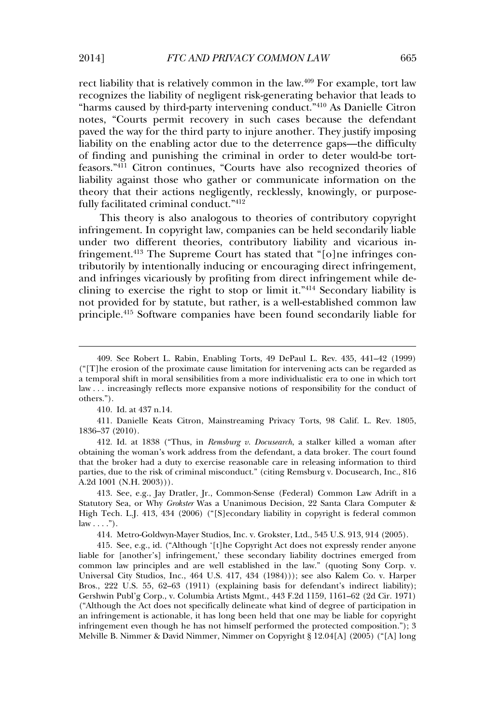rect liability that is relatively common in the law. $409$  For example, tort law  $\frac{1}{100}$  and  $\frac{1}{100}$  interventing between the conduction of the conduction of the lability of negligent risk-generating behavior that leads to notes, "Courts permit recovery in such cases because the defendant party methods of the party in such cases because the defendant<br>notes, "Courts permit recovery in such cases because the defendant<br>naved the way for the third party to injure another. They justify imposing liability on the enabling actor due to the deterrence gaps—the difficulty in the enabling actor due to the deterrence gaps—the difficulty liability on the enabling actor due to the deterrence gaps—the difficulty finding and punishing the criminal in order to deter would-be tort-<br>feasors.<sup>"411</sup> Citron continues. "Courts have also recognized theories of Liability against those who gather or communicate information on the lability against those who gather or communicate information on the theory that their actions negligently, recklessly, knowingly, or purpose-<br>theory that their actions negligently, recklessly, knowingly, or purposetheory that their actions negligently, recklessly, knowingly, or purposefacilitated criminal conduct." $412$ 

fully facilitated criminal conduct."<sup>412</sup><br>This theory is also analogous to theories of contributory copyright<br>infringement. In copyright law, companies can be held secondarily liable infringement. In copyright law, companies can be held secondarily liable  $f(x) = \frac{1}{2} \int_{0}^{x} \int_{0}^{x} \int_{0}^{x} \int_{0}^{x} \int_{0}^{x} \int_{0}^{x} \int_{0}^{x} \int_{0}^{x} \int_{0}^{x} \int_{0}^{x} \int_{0}^{x} \int_{0}^{x} \int_{0}^{x} \int_{0}^{x} \int_{0}^{x} \int_{0}^{x} \int_{0}^{x} \int_{0}^{x} \int_{0}^{x} \int_{0}^{x} \int_{0}^{x} \int_{0}^{x} \int_{0}^{x} \int_{0}^{x} \int_{0}^{x} \int_{0}^{x} \$ the tributorily by intentionally inducing or encouraging direct infringement.<br>tributorily by intentionally inducing or encouraging direct infringement. and infringes vicariously inducing or encouraging direct infringement,<br>and infringes vicariously by profiting from direct infringement while declining to exercise the right to stop or limit it."<sup>414</sup> Secondary liability is not unity the controller provided for by statute, but rather, is a well-established common law<br>not provided for by statute, but rather, is a well-established common law principle.<sup>415</sup> Software companies have been found secondarily liable for principle.<sup>415</sup> Software companies have been found secondarily liable for

 $\overline{\phantom{a}}$  . See Robert L. Rabin, E. Rabin, E. Rabin, E. Rabin, E. Rabin, E. Rabin, E. Rabin, E. Rabin, E. Rabin, E. Rabin, E. Rabin, E. Rabin, E. Rabin, E. Rabin, E. Rabin, E. Rabin, E. Rabin, E. Rabin, E. Rabin, E. Rab

1836–37 (2010).<br>412. Id. at 1838 ("Thus, in *Remsburg v. Docusearch*, a stalker killed a woman after<br>obtaining the woman's work address from the defendant, a data broker. The court found obtaining the woman's work address from the defendant, a data broker. The court found<br>that the broker had a duty to exercise reasonable care in releasing information to third that the broker had a duty to exercise reasonable care in releasing information to third parties, due to the risk of criminal misconduct." (citing Remsburg v. Docusearch, Inc., 816  $1001$  (N.H.  $2003$ ))).

A.2d 1001 (N.H. 2003))).<br>413. See, e.g., Jay Dratler, Jr., Common-Sense (Federal) Common Law Adrift in a<br>Statutory Sea, or Why *Grokster* Was a Unanimous Decision, 22 Santa Clara Computer & Statutory Sea, or Why *Grokster* Was a Unanimous Decision, 22 Santa Clara Computer &<br>High Tech. L.J. 413, 434 (2006) ("[S]econdary liability in copyright is federal common High Tech<br>law . . . . ").  $\frac{1}{2}$ . Metro-Goldwyn-Mayer Studios, Inc. v. Groeping, Inc. v. Groeping, Inc. 913, 913, 914 (2005).

414. Metro-Goldwyn-Mayer Studios, Inc. v. Grokster, Ltd., 545 U.S. 913, 914 (2005).<br>415. See, e.g., id. ("Although '[t]he Copyright Act does not expressly render anyone

415. See, e.g., id. ("Although '[t]he Copyright Act does not expressly render anyone liable for [another's] infringement,' these secondary liability doctrines emerged from liable for [another's] infringement,' these secondary liability doctrines emerged from<br>common law principles and are well established in the law." (quoting Sony Corp. v. common law principles and are well established in the law." (quoting Sony Corp. v. Universal City Studios, Inc., 464 U.S. 417, 434 (1984))); see also Kalem Co. v. Harper<br>Bros., 222 U.S. 55, 62–63 (1911) (explaining basis for defendant's indirect liability); Bros., 222 U.S. 55, 62–63 (1911) (explaining basis for defendant's indirect liability);<br>Gershwin Publ'g Corp., v. Columbia Artists Mgmt., 443 F.2d 1159, 1161–62 (2d Cir. 1971) Gershwin Publ'g Corp., v. Columbia Artists Mgmt., 443 F.2d 1159, 1161–62 (2d Cir. 1971)<br>("Although the Act does not specifically delineate what kind of degree of participation in ("Although the Act does not specifically delineate what kind of degree of participation in<br>an infringement is actionable, it has long been held that one may be liable for copyright an infringement is actionable, it has long been held that one may be liable for copyright<br>infringement even though he has not himself performed the protected composition."): 3 infringement even though he has not himself performed the protected composition."); 3<br>Melville B. Nimmer & David Nimmer, Nimmer on Copyright § 12.04[A] (2005) ("[A] long

Torts, <sup>49</sup> DePaul L. Rev. 435, 441–42 (1999) ("[T]he erosion of the proximate cause limitation for intervening acts can be regarded as ("[T]he erosion of the proximate cause limitation for intervening acts can be regarded as<br>a temporal shift in moral sensibilities from a more individualistic era to one in which tort a temporal shift in moral sensibilities from a more individualistic era to one in which tort law ... increasingly reflects more expansive notions of responsibility for the conduct of  $law \dots$  increasingly reflects more expansive notions of responsibility for the conduct of  $(\text{rs.}^n)$ .

<sup>410.</sup> Id. at  $437 \text{ n.}14$ .

<sup>411.</sup> Danielle Keats Citron, Mainstreaming Privacy Torts, 98 Calif. L. Rev. 1805,  $-37(2010)$ .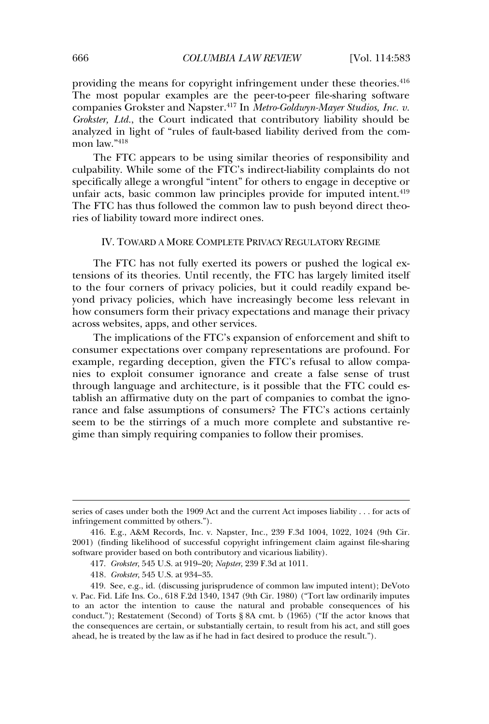$t_0$  froviding the means for copyright infringement under these theories.<sup>416</sup> The most popular examples are the peer-to-peer file-sharing software<br>The most popular examples are the peer-to-peer file-sharing software *Metro-Goldwyn-Mayer Studios, Inc. v. Grokster, Ltd.*, the Court indicated that contributory liability should be Example the Countries of the Court indicated that contributory liability should be analyzed in light of "rules of fault-based liability derived from the comanalyzed in light of "rules of fault-based liability derived from the com $law.$ "<sup>418</sup> mon law."<sup>418</sup><br>The FTC appears to be using similar theories of responsibility and

specifically allege a wrongful "intent" for others to engage in deceptive or specifically allege a wrongful "intent" for others to engage in deceptive or specifically allege a wrongful "intent" for others to engage in deceptive or The FTC has the common law principles provide for imputed intent<sup>419</sup> The FTC has thus followed the common<br>ries of liability toward more indirect ones. ries of liability toward more indirect ones.

# TOWARD A MORE COMPLETE PRIVACY REGULATORY REGIME

TV. TOWARD A MOKE COMPLETE FRIVACY REGULATORY REGIME<br>The FTC has not fully exerted its powers or pushed the logical ex-<br>tensions of its theories. Until recently, the FTC has largely limited itself tensions of its theories. Until recently, the FTC has largely limited itself<br>to the four corners of privacy policies, but it could readily expand be-France of the correction of privacy policies, but it could readily expand be-<br>vond privacy policies, which have increasingly become less relevant in yond privacy policies, which have increasingly become less relevant in Figure 1992, and their privacy expectations and manage their privacy<br>across websites, apps, and other services. across websites, apps, and other services. across websites, apps, and other services.<br>The implications of the FTC's expansion of enforcement and shift to

The implications of the FTC's expansion of enforcement and shift to consumer expectations over company representations are profound. For example, regarding deception, given the FTC's refusal to allow compa-<br>nies to exploit consumer ignorance and create a false sense of trust thangue, regarding deception, given the TTCs related to different completions to exploit consumer ignorance and create a false sense of trust through language and architecture, is it possible that the FTC could esthrough language and architecture, is it possible that the FTC could es-<br>tablish an affirmative duty on the part of companies to combat the ignotablish an affirmative duty on the part of companies to combat the ignoseem to be the stirring of a much more complete and substantial more complete and false assumptions of consumers? The FTC's actions certainly gime than simply and simply requiring companies to follow their promises.

series of cases

series of cases under both the 1909 Act and the current Act imposes liability . . . for acts of<br>infringement committed by others."). infringement committed by others.").

infringement committed by others.").<br>116. E.g., A&M Records, Inc. v. Napster, Inc., 239 F.3d 1004, 1022, 1024 (9th Cir.<br>2001) (finding likelihood of successful copyright infringement claim against file-sharing software provider based on both contributory and vicarious liability). 417. *Grokster*, 545 U.S. at 919–20; *Napster*, 239 F.3d at 1011.

<sup>417.</sup> Grokster, 545 U.S. at 919-20; Napster, 239 F.3d at 1011. 417. *Grokster*, 545 U.S. at 919–20; *Napster*, 239 F.3d at 1011.<br>418. *Grokster*, 545 U.S. at 934–35.

<sup>418.</sup> *Grokster*, 545 U.S. at 934–35.<br>419. See, e.g., id. (discussing jurisprudence of common law imputed intent); DeVoto<br>y. Pac. Fid. Life Ins. Co., 618 F.2d 1340, 1347 (9th Cir. 1980) ("Tort law ordinarily imputes v. Pac. Fid. Life Ins. Co., 618 F.2d 1340, 1347 (9th Cir. 1980) ("Tort law ordinarily imputes<br>to an actor the intention to cause the natural and probable consequences of his to an actor the intention to cause the natural and probable consequences of his conduct."): Restatement (Second) of Torts § 8A cmt. b (1965) ("If the actor knows that conduct."); Restatement (Second) of Torts § 8A cmt. b (1965) ("If the actor knows that the consequences are certain, or substantially certain, to result from his act, and still goes the consequences are certain, or substantially certain, to result from his act, and ahead, he is treated by the law as if he had in fact desired to produce the result.").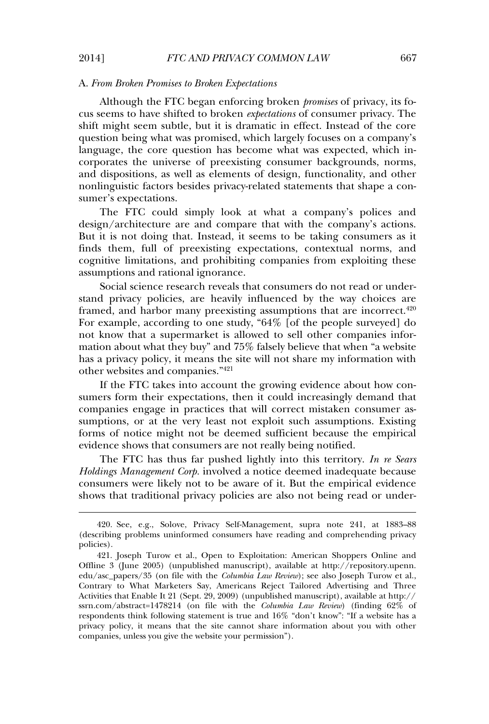$\frac{1}{2}$ 

### From Broken Promises to Broken Expectations

A. *From Broken Promises to Broken Expectations*<br>Although the FTC began enforcing broken *promises* of privacy, its fo-<br>cus seems to have shifted to broken *expectations* of consumer privacy. The shift might seem subtle, but it is dramatic in effect. Instead of the core<br>shift might seem subtle, but it is dramatic in effect. Instead of the core Figures of the state state of stream in the interest of statement of the correction being what was promised, which largely focuses on a company's language, the core question has become what was expected, which in-<br>language, the core question has become what was expected, which inquestion being that this promised, timen targer, rocalled on a company standard anguage, the core question has become what was expected, which incorporates the universe of preexisting consumer backgrounds, norms, anguage, are ever question has become what was expected, which in<br>corporates the universe of preexisting consumer backgrounds, norms,<br>and dispositions, as well as elements of design, functionality, and other and dispositions, as well as elements of design, functionality, and other nonlinguistic factors besides privacy-related statements that shape a con- $\overrightarrow{rs}$  expectations.

sumer's expectations.<br>
The FTC could simply look at what a company's polices and<br>
design/architecture are and compare that with the company's actions. design/architecture are and compare that with the company's actions.<br>But it is not doing that. Instead, it seems to be taking consumers as it But it is not doing that. Instead, it seems to be taking consumers as it exploited a new desing main masses of collections, contextual norms, and finds them, full of preexisting expectations, contextual norms, and cognitive limitations, and prohibiting companies from exploiting these mptions and rational ignorance.

assumptions and rational ignorance.<br>
Social science research reveals that consumers do not read or under-<br>
stand privacy policies, are heavily influenced by the way choices are stand privacy policies, are heavily influenced by the way choices are Framed, and harbor many preexisting assumptions that are incorrect.<sup>420</sup> for example, according to one study, " $64\%$  [of the people surveyed] do For example, according to one study, "64% [of the people surveyed] do mation about what a supermarket is allowed to sell other companies information about what they buy" and 75% falsely believe that when "a website mation about what they buy" and 75% falsely believe that when "a website has a privacy policy, it means the site will not share my information with other websites and companies." $421$ other websites and companies."<sup>421</sup>

If the FTC takes into account the growing evidence about how concomparison their expectations, then it could increasingly demand that sumers form their expectations, their research mercalingly demand that<br>companies engage in practices that will correct mistaken consumer as-<br>sumptions. Or at the very least not exploit such assumptions. Existing forms of notice might not be deemed sufficient because the empirical<br>forms of notice might not be deemed sufficient because the empirical forms of notice might not be deemed sufficient because the empirical  $\overline{\text{F}}$  ence shows that consumers are not really being notified.

The FTC has thus far pushed lightly into this territory. In re Sears The FTC has thus far pushed lightly into this territory. *In re Sears Holdings Management Corp.* involved a notice deemed inadequate because consumers were likely not to be aware of it. But the empirical evidence shows that traditional privacy policies are also not being read or under-<br>shows that traditional privacy policies are also not being read or under-

Solove, Privacy Self-Management, supra note 241, at 1883–88 (describing problems uninformed consumers have reading and comprehending privacy (describing problems uninformed consumers have reading and comprehending privacy  $\frac{1}{2}$ .  $\frac{1}{2}$ policies).<br>
21 (June 2005) (421, Joseph Turow et al., Open to Exploitation: American Shoppers Online and

Offline 3 (June 2005) (unpublished manuscript), available at http://repository.upenn.<br>edu/asc\_papers/35 (on file with the *Columbia Law Review*); see also Joseph Turow et al., edu/asc\_papers/35 (on file with the *Columbia Law Review*); see also Joseph Turow et al.,<br>Contrary to What Marketers Say, Americans Reject Tailored Advertising and Three Activities that Enable It 21 (Sept. 29, 2009) (unpublished manuscript), available at http:// Activities that Enable It 21 (Sept. 29, 2009) (unpublished manuscript), available at http://<br>ssrn.com/abstract=1478214 (on file with the *Columbia Law Review*) (finding 62% of ssrn.com/abstract=1478214 (on file with the *Columbia Law Review*) (finding 62% of respondents think following statement is true and  $16\%$  "don't know": "If a website has a respondents think following statement is true and 16% "don't know": "If a website has a<br>privacy policy, it means that the site cannot share information about you with other privacy policy, it means that the site cannot share informanies, unless you give the website your permission").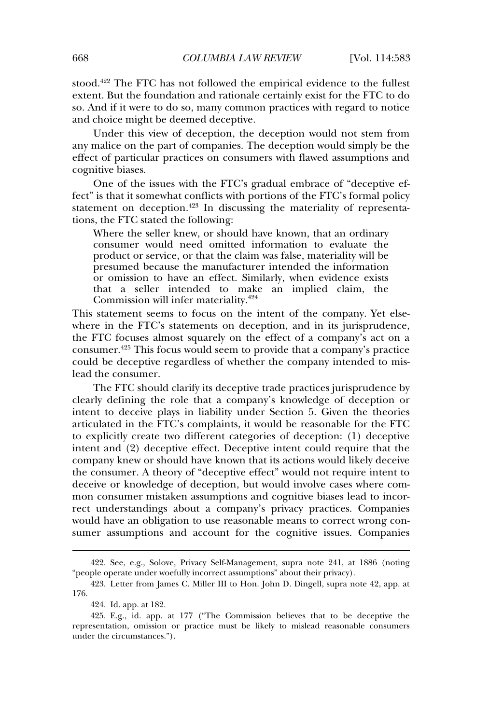stood.<sup>422</sup> The FTC has not followed the empirical evidence to the fullest<br>extent. But the foundation and rationale certainly exist for the FTC to do solidation. The ring has not followed the empirical entances is the ranked<br>extent. But the foundation and rationale certainly exist for the FTC to do<br>so. And if it were to do so, many common practices with regard to notice so. And if it were to do so, many commonly and choice might be deemed deceptive. and choice might be deemed deceptive.

and choice might be deemed deceptive.<br>
Under this view of deception, the deception would not stem from<br>
any malice on the part of companies. The deception would simply be the any malice on the part of companies. The deception would simply be the effect of particular practices on consumers with flawed assumptions and itive biases.

cognitive biases.<br>
One of the issues with the FTC's gradual embrace of "deceptive ef-<br>
fect" is that it somewhat conflicts with portions of the FTC's formal policy statement on deceptive determines of the FTC's procedure of the FTC's formal policy<br>statement on deception.<sup>423</sup> In discussing the materiality of representathe FTC state is subsequent to the statement on deception.<sup>423</sup> In distances the FTC stated the following: tions, the FTC stated the following:

s, the FTC stated the following:<br>
Where the seller knew, or should have known, that an ordinary<br>
consumer would need omitted information to evaluate the product or sener knew, or should have known, that all ordinary<br>consumer would need omitted information to evaluate the<br>product or service, or that the claim was false, materiality will be product or service, or that the claim was false, materiality will be<br>product or service, or that the claim was false, materiality will be<br>presumed because the manufacturer intended the information presumed because the manufacturer intended the information presumed because the manufacturer intended the miormation<br>or omission to have an effect. Similarly, when evidence exists of omission to have an effect. Similarly, when evidence exists<br>that a seller intended to make an implied claim, the<br>Commission will infer materiality.<sup>424</sup> Commission will infer materiality.<sup>424</sup> Commission will infer materiality. $4^{24}$ <br>This statement seems to focus on the intent of the company. Yet else-

the statement some to rock on the intent of the company's receive<br>where in the FTC's statements on deception, and in its jurisprudence,<br>the FTC focuses almost squarely on the effect of a company's act on a consumer and  $\overline{25}$  consumers would seem to provide the effect of a company's act on a company's  $\overline{25}$ . consumer.<sup> $425$ </sup> This focus would seem to provide that a company's practice could be deceptive regardless of whether the company intended to mislead the consumer. lead the consumer.<br>The FTC should clarify its deceptive trade practices iurisprudence by

Intert to deceive during the deceptive made practices gamp practice by<br>clearly defining the role that a company's knowledge of deception or<br>intent to deceive plays in liability under Section 5. Given the theories articulated in the FTC's complaints, it would be reasonable for the FTC<br>articulated in the FTC's complaints, it would be reasonable for the FTC to explicitly create two different categories of deception: (1) deceptive<br>to explicitly create two different categories of deception: (1) deceptive Interaction and the TTCs complaints, it would be reasonable for the TTCs<br>to explicitly create two different categories of deception: (1) deceptive<br>intent and (2) deceptive effect. Deceptive intent could require that the intent and  $(2)$  deceptive effect. Deceptive intent could require that the the company knew or should have known that its actions would likely deceive<br>the consumer. A theory of "deceptive effect" would not require intent to deceive or knowledge of deceptive effect" would not require intent to<br>deceive or knowledge of deception, but would involve cases where common consumer mistaken assumptions and cognitive biases lead to incor-<br>mon consumer mistaken assumptions and cognitive biases lead to incorrecette of intertage of deception, such hours interto cases interestent<br>mon consumer mistaken assumptions and cognitive biases lead to incor-<br>rect understandings about a company's privacy practices. Companies would have an obligation to use reasonable means to correct wrong con-<br>would have an obligation to use reasonable means to correct wrong consumer assumptions and account for the cognitive issues. Companies<br>sumer assumptions and account for the cognitive issues. Companies

 $\frac{1}{2}$ 

Solove, Privacy Self-Management, supra note 241, at 1886 (noting "people operate under woefully incorrect assumptions" about their privacy). "people operate under woefully incorrect assumptions" about their privacy).

<sup>176.</sup>423. Letter from James C. Miller III to Hon. John D. Dingell, supra note 42, app. at  $\frac{1}{2}$ 176. 424. Id. app. at 182.

<sup>424.</sup> Id. app. at 182.<br>425. E.g., id. app. at 177 ("The Commission believes that to be deceptive the<br>representation. omission or practice must be likely to mislead reasonable consumers representation, omission or practice must be likely to mislead reasonable consumers under the circumstances.").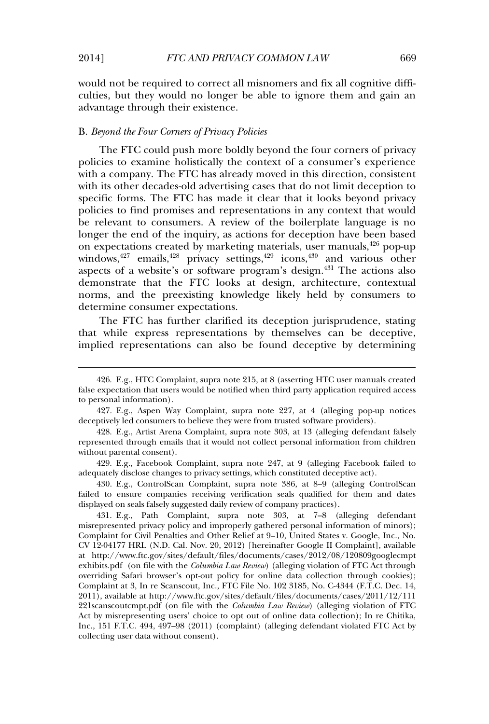$\frac{1}{2}$ 

where  $\mathcal{L}_{\mathcal{A}}$  are correct all misnomers and fix all correct all  $\mathcal{L}_{\mathcal{A}}$  and fix all contributions and fix all contributions and fix all contributions are compared to the contributions of  $\mathcal{L}_{\mathcal{A}}$ 

would not be required to correct all misnomers and fix all cognitive diffiwould not be required to correct all misnomers and fix all cognitive difficulties, but they would no longer be able to ignore them and gain an advantage an ough and emsence

## Beyond the Four Corners of Privacy Policies

B. Beyond the Four Corners of Privacy Policies<br>The FTC could push more boldly beyond the four corners of privacy<br>policies to examine holistically the context of a consumer's experience policies to examine holistically the context of a consumer's experience with a company. The FTC has already moved in this direction, consistent<br>with its other decades-old advertising cases that do not limit deception to specific forms. The FTC has already moved in and alreaded, conditioned<br>specific forms. The FTC has made it clear that it looks beyond privacy positive to find promises and representations in any context that would<br>policies to find promises and representations in any context that would policies to find promises and representations in any context that would longer the end of the inquiry, as actions for deception have been based<br>longer the end of the inquiry, as actions for deception have been based  $\frac{1}{20}$  on expectations created by materials, user the solutions for deception have been based<br>longer the trials, user manuals,  $\frac{426}{20}$  pop-up where the state is a constant of the set of the state of the state of the state of the state of the state of  $v_{\rm max}$  is an analyze of the state of the state of the state of the state of the state of the state of the stat on expectations created by marketing materials, user manuals,<sup>426</sup> pop-up<br>windows,<sup>427</sup> emails,<sup>428</sup> privacy settings,<sup>429</sup> icons,<sup>430</sup> and various other<br>aspects of a website's or software program's design.<sup>431</sup> The actio aspects of a website's or software program's design. $431$  The actions also norms, and the preexisting knowledge likely held by consumers to determine consumer expectations.<br>determine consumer expectations. determine consumer expectations.

The FTC has further clarified its deception jurisprudence, stating that while express representations by themselves can be deceptive, implied representations can also be found deceptive by determining

HTC Complaint, supra note 215, at 8 (asserting HTC user manuals created false expectation that users would be notified when third party application required access false expectation that users would be notified when third party application required access  $\frac{1}{2}$  are not information).

<sup>427.</sup> E.g., Aspen Way Complaint, supra note  $227$ , at 4 (alleging pop-up notices deceptively led consumers to believe they were from trusted software providers). deceptively led consumers to believe they were from trusted software providers).

deceptively led consumers to believe they were from trusted software providers).<br>428. E.g., Artist Arena Complaint, supra note 303, at 13 (alleging defendant falsely<br>represented through emails that it would not collect per represented through emails that it would not collect personal information from children but parental consent).

without parental consent).<br>429. E.g., Facebook Complaint, supra note 247, at 9 (alleging Facebook failed to<br>adequately disclose changes to privacy settings, which constituted deceptive act). adequately disclose changes to privacy settings, which constituted deceptive act).

failed to ensure companies receiving verification seals qualified for them and dates failed to ensure companies receiving verification seals qualified for them and dates ayed on seals falsely suggested daily review of company practices).

displayed on seals falsely suggested daily review of company practices).<br>431. E.g., Path Complaint, supra note 303, at 7–8 (alleging defendant<br>misrepresented privacy policy and improperly gathered personal information of m misrepresented privacy policy and improperly gathered personal information of minors);<br>Complaint for Civil Penalties and Other Relief at 9–10. United States v. Google, Inc., No. Complaint for Civil Penalties and Other Relief at 9–10, United States v. Google, Inc., No.<br>CV 12-04177 HRL (N.D. Cal. Nov. 20, 2012) [hereinafter Google II Complaint], available CV 12-04177 HRL (N.D. Cal. Nov. 20, 2012) [hereinafter Google II Complaint], available at http://www.ftc.gov/sites/default/files/documents/cases/2012/08/120809googlecmpt<br>exhibits.pdf (on file with the *Columbia Law Review*) (alleging violation of FTC Act through exhibits.pdf (on file with the *Columbia Law Review*) (alleging violation of FTC Act through<br>overriding Safari browser's opt-out policy for online data collection through cookies); overriding Safari browser's opt-out policy for online data collection through cookies);<br>Complaint at 3, In re Scanscout, Inc., FTC File No. 102 3185, No. C-4344 (F.T.C. Dec. 14, 2011), available at http://www.ftc.gov/sites/default/files/documents/cases/2011/12/111 2011), available at http://www.ftc.gov/sites/default/files/documents/cases/2011/12/111<br>221scanscoutcmpt.pdf (on file with the *Columbia Law Review*) (alleging violation of FTC 221scanscoutcmpt.pdf (on file with the *Columbia Law Review*) (alleging violation of FTC<br>Act by misrepresenting users' choice to opt out of online data collection): In re Chitika, Inc., 151 F.T.C. 494, 497–98 (2011) (complaint) (alleging defendant violated FTC Act by Inc., 151 F.T.C. 494,  $\overline{497-98}$  (2011) (collecting user data without consent).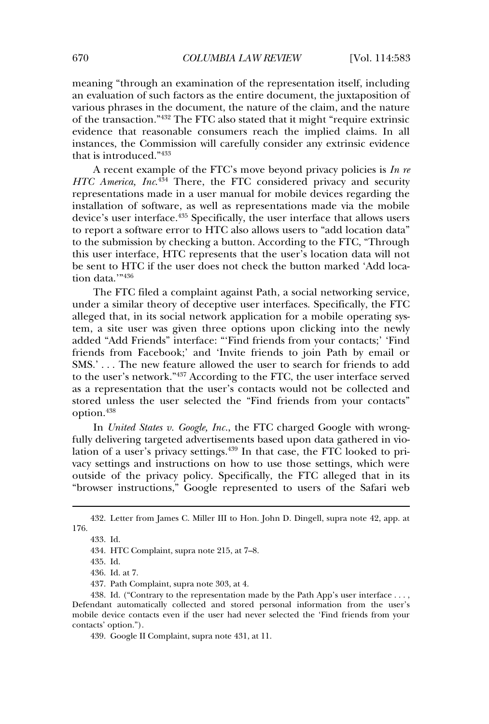meaning "through an examination of the representation itself, including<br>meaning "through an examination of the representation itself, including reduces an evaluation of such factors as the entire document, the juxtaposition of various phrases in the document, the nature of the claim, and the nature  $\frac{d}{dt}$  of the transaction of the transmission. The transmission of the calibration of the transaction  $\frac{n+2}{2}$ . The FTC also stated that it might "require extrinsic extracted private in the assessment, the nature of the claim, and the nature<br>of the transaction.<sup>7432</sup> The FTC also stated that it might "require extrinsic<br>evidence that reasonable consumers reach the implied claims. In al evidence that reasonable consumers reach the implied claims. In all<br>instances, the Commission will carefully consider any extrinsic evidence instances, the Commission will carefully consider any extrinsic evidence  $\sum_{n=1}^{\infty}$  is introduced." $^{433}$ 

<sup>9433</sup><br>
pple of the FTC's move beyond privacy policies is *In re*<br>
<sup>434</sup> There, the FTC considered privacy and security A recent example of the FTC's move beyond privacy policies is *In re*<br>*HTC America, Inc.*<sup>434</sup> There, the FTC considered privacy and security<br>representations made in a user manual for mobile devices regarding the representations made in a user manual for mobile devices regarding the  $\frac{d}{dt}$  is user interface. As well as representations made via the mobile installation of software, as well as representations made via the mobile the report and the representation in the models<br>to report a software error to HTC also allows users to "add location data" to report a software error to HTC also allows users to "add location data"<br>to the submission by checking a button. According to the FTC, "Through to the submission by checking a button. According to the FTC, "Through this user interface. HTC represents that the user's location data will not this user interface, HTC represents that the user's location data will not time the sent to H1  $\text{data.}^{\prime\prime\prime 436}$ 

The FTC filed a complaint against Path, a social networking service, alleged that the that are exampled to determine a similar theory of deceptive user interfaces. Specifically, the FTC alleged that, in its social network application for a mobile operating sysand a site user was given three options upon clicking into the newly<br>added "Add Friends" interface: "'Find friends from your contacts:' 'Find friends from Facebook:' and 'Invite friends from your contacts;' 'Find<br>friends from Facebook:' and 'Invite friends to join Path by email or SMS.'... The new feature allowed the user to search for friends to add<br>SMS.'... The new feature allowed the user to search for friends to add to the user's network." The user to see the user that  $\frac{1}{2}$  and  $\frac{1}{2}$  and  $\frac{1}{2}$  and  $\frac{1}{2}$  and  $\frac{1}{2}$  and  $\frac{1}{2}$  and  $\frac{1}{2}$  and  $\frac{1}{2}$  and  $\frac{1}{2}$  and  $\frac{1}{2}$  and  $\frac{1}{2}$  and  $\frac{1}{2}$  and as a representation that the user's contacts would not be collected and<br>as a representation that the user's contacts would not be collected and state and streamental three-ranged and the user is discussed and<br>as a representation that the user's contacts would not be collected and<br>stored unless the user selected the "Find friends from your contacts" stored unless the user selected the "Find friends from your contacts"  $m.438$ 

option.<sup>438</sup><br>In *United States v. Google, Inc.*, the FTC charged Google with wrong-<br>fully delivering targeted advertisements based upon data gathered in vio-In the state of a user's privacy settings.<sup>439</sup> In that case, the FTC changed coogle wan wrong<br>that delivering targeted advertisements based upon data gathered in vio-<br>lation of a user's privacy settings, <sup>439</sup> In that case, the FTC looked to prioutside of the discrete privacy policings. See the finite case, the FTC resolved to privacy settings and instructions on how to use those settings, which were outside of the privacy policy. Specifically, the FTC alleged that in its "browser instructions," Google represented to users of the Safari web

432. Letter from James C. Letter from James C. Letter from James C. Letter from James C. Letter from James C.

439. Google II Complaint, supra note 431, at 11.

<sup>432.</sup> Letter from James C. Miller III to Hon. John D. Dingell, supra note 42, app. at 176.

 $433.$  Id.

<sup>433.</sup> Id.<br>434. HTC Complaint, supra note 215. at 7–8.

<sup>435.</sup> Id.

<sup>436.</sup> Id. at  $7.$ 

<sup>436.</sup> Id. at 7.<br>437. Path Complaint, supra note 303. at 4.

<sup>437.</sup> Path Complaint, supra note 303, at 4.<br>438. Id. ("Contrary to the representation made by the Path App's user interface . . . ,<br>Defendant automatically collected and stored personal information from the user's Defendant automatically collected and stored personal information from the user's<br>mobile device contacts even if the user had never selected the 'Find friends from your mobile device contacts' option."). contacts' option.").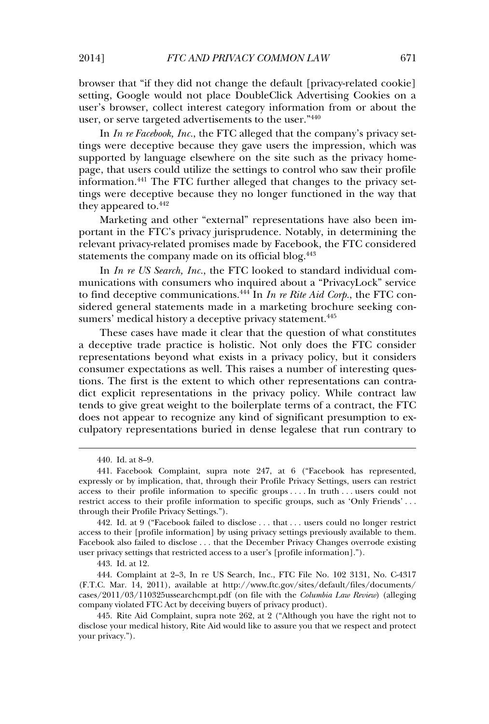the default [privacy-related cookie]<br>Setting, Google would not place DoubleClick Advertising Cookies on a setting, Google would not place DoubleClick Advertising Cookies on a user's browser, collect interest category information from or about the user. or serve targeted advertisements to the user."<sup>440</sup> user, or serve targeted advertisements to the user."440

User, or serve targeted advertisements to the user."<sup>440</sup><br>In *In re Facebook, Inc.*, the FTC alleged that the company's privacy set-<br>tings were deceptive because they gave users the impression, which was supported by language elsewhere on the site such as the privacy home-<br>supported by language elsewhere on the site such as the privacy homeexperience the settings and the settings the interpretation, indicated by language elsewhere on the site such as the privacy home-<br>page, that users could utilize the settings to control who saw their profile  $\frac{1}{2}$  The FTC further alleged that control who say their profile<br>page, that users could utilize the settings to control who say their profile<br>information.<sup>441</sup> The ETC further alleged that shapes to the privacy setinformation.<sup>441</sup> The FTC further alleged that changes to the privacy settings were deceptive because they no longer functioned in the way that appeared to. $442$ they appeared to.<sup>442</sup><br>Marketing and other "external" representations have also been im-

portant in the FTC's privacy jurisprudence. Notably, in determining the statements the company made on its official blog.<sup>443</sup><br>statements the company made on its official blog.<sup>443</sup> statements the company made on its official blog.<sup>443</sup> **INCRED SEARCH SEARCH STANDER IN THE COMMON STANDARY SEARCH STANDARY In** *In te US Search, Inc.***, the FTC looked to standard individual com-**

 $\frac{1}{100}$  is the find deceptive communications  $\frac{44}{100}$  In  $\frac{1}{100}$  in  $\frac{1}{100}$  in  $\frac{1}{100}$  in  $\frac{1}{100}$  in  $\frac{1}{100}$  in  $\frac{1}{100}$  in  $\frac{1}{100}$  in  $\frac{1}{100}$  in  $\frac{1}{100}$  in  $\frac{1}{100}$  in  $\frac{1}{$ *In Rive* 83 states, *Inc.*, the FTC rosted to state and ratifically service<br> *In In te Rite Aid Corp.*, the FTC con-<br> *Sidered general statements made in a marketing brochure seeking con*sidered general statements made in a marketing broch<br>sumers' medical history a deceptive privacy statement.<sup>445</sup> sumers' medical history a deceptive privacy statement.<sup>445</sup>

sumers' medical history a deceptive privacy statement.<sup>445</sup><br>These cases have made it clear that the question of what constitutes<br>a deceptive trade practice is holistic. Not only does the FTC consider a deceptive trade practice is holistic. Not only does the FTC consider representations beyond what exists in a privacy policy, but it considers consumer expectations as well. This raises a number of interesting ques-<br>consumer expectations as well. This raises a number of interesting quesconsumer expectations as well. This raises a number of interesting questions. The first is the extent to which other representations can contrathe terms to give great weight to the boilerplate terms of a contract, the FTC tends to give great weight to the boilerplate terms of a contract, the FTC tends to give great weight to the boilerplate terms of a contract, the FTC culpatory representations buried in dense legalese that run contrary to ex-<br>culpatory representations buried in dense legalese that run contrary to

through their Profile Privacy Settings.").<br>
442. Id. at 9 ("Facebook failed to disclose . . . that . . . users could no longer restrict<br>
access to their [profile information] by using privacy settings previously available access to their [profile information] by using privacy settings previously available to them.<br>Facebook also failed to disclose . . . that the December Privacy Changes overrode existing Facebook also failed to disclose . . . that the December Privacy Changes over<br>user privacy settings that restricted access to a user's [profile information]."). user privacy settings that restricted access to a user's [profile information].").

443. Id. at 12.

443. Id. at 12.<br>444. Complaint at 2–3. In re US Search, Inc., FTC File No. 102 3131, No. C-4317 (F.T.C. Mar. 14, 2011), available at http://www.ftc.gov/sites/default/files/documents/<br>cases/2011/03/110325ussearchcmpt.pdf (on file with the *Columbia Law Review*) (alleging cases/2011/03/110325ussearchcmpt.pdf (on file with the *Columb*<br>company violated FTC Act by deceiving buyers of privacy product). company violated FTC Act by deceiving buyers of privacy product).

% company violated FTC Act by deceiving buyers of privacy product).<br>445. Rite Aid Complaint, supra note 262, at 2 ("Although you have the right not to<br>disclose your medical history. Rite Aid would like to assure you that w disclose your medical history, Rite Aid would like to assure you that we respect and protect your privacy.").

 $\frac{4}{3}$ 440. Id. at  $8-9$ .

<sup>440.</sup> Id. at 8–9.<br>441. Facebook Complaint, supra note 247, at 6 ("Facebook has represented, expressly or by implication, that, through their Profile Privacy Settings, users can restrict expressly or by implication, that, through their Profile Privacy Settings, users can restrict access to their profile information to specific groups.... In truth... users could not restrict access to their profile information to specific groups, such as 'Only Friends' ... restrict access to their profile informat<br>through their Profile Privacy Settings."). through their Profile Privacy Settings.").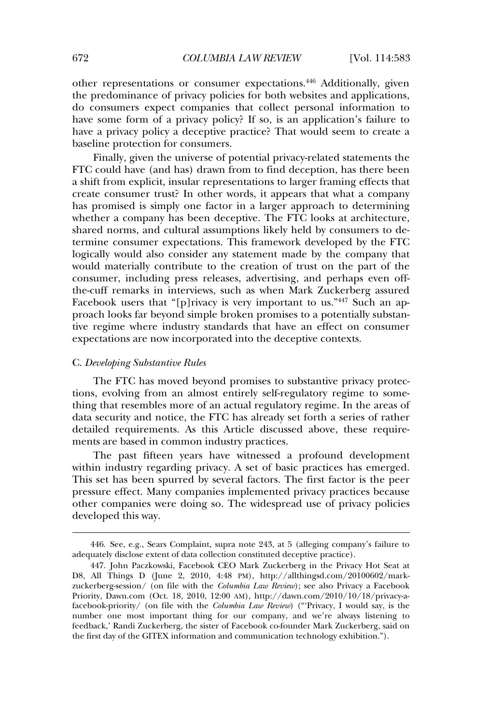other representations or consumer expectations.<sup>446</sup> Additionally, given<br>the predominance of privacy policies for both websites and applications. the predominance of privacy policies for both websites and applications, have some form of a privacy policies for sour websites and approaches,<br>do consumers expect companies that collect personal information to<br>have some form of a privacy policy? If so, is an application's failure to have some form of a privacy policy? If so, is an application's failure to have a privacy policy a deceptive practice? That would seem to create a have a privacy policy a deceptive practice? That would seem to create a  $\lim_{\epsilon \to 0}$  protection for consumers.

baseline protection for consumers.<br>Finally, given the universe of potential privacy-related statements the<br>FTC could have (and has) drawn from to find deception, has there been FTC could have (and has) drawn from to find deception, has there been create consumer trust? In other words, it appears that what a company<br>create consumer trust? In other words, it appears that what a company has promised is simply one factor in a larger approach to determining<br>has promised is simply one factor in a larger approach to determining whether a company has been deceptive. The FTC looks at architecture,<br>whether a company has been deceptive. The FTC looks at architecture, shared norms, and cultural assumptions likely held by consumers to de-<br>shared norms, and cultural assumptions likely held by consumers to dethe consumer and cultural assumptions likely held by consumers to determine consumer expectations. This framework developed by the FTC termine consumer expectations. This framework developed by the FTC would also consider any statement made by the company that consumer, including press releases, advertising, and perhaps even off-<br>consumer, including press releases, advertising, and perhaps even offthe cuff remarks in interviews, such as when Mark Zuckerberg assured<br>the-cuff remarks in interviews, such as when Mark Zuckerberg assured Facebook users that "[p]rivacy is very important to us."<sup>447</sup> Such an ap-<br>Facebook users that "[p]rivacy is very important to us."<sup>447</sup> Such an approcess far between the temperature in the simple broken promises to a potentially substantially substantially substantially substantially substantially substantially substantially substantially. the contract of the contract of the constant of the contract of the providence providence industry standards that have an effect on consumer expectations are now incorporated into the deceptive contexts. expectations are now incorporated into the deceptive contexts.

### $D$ *eveloping Substantive Rules*

 $\frac{4}{\sqrt{2}}$ 

C. *Developing Substantive Rules*<br>The FTC has moved beyond promises to substantive privacy protec-<br>tions, evolving from an almost entirely self-regulatory regime to sometions, evolving from an almost entirely self-regulatory regime to some-<br>thing that resembles more of an actual regulatory regime. In the areas of thing that resembles more of an actual regulatory regime. In the areas of data security and notice, the FTC has already set forth a series of rather<br>detailed requirements. As this Article discussed above, these requiredetailed requirements. As this Article discussed above, these require $t$ s are based in common industry practices.

ments are based in common industry practices.<br>
The past fifteen years have witnessed a profound development<br>
within industry regarding privacy. A set of basic practices has emerged. within industry regarding privacy. A set of basic practices has emerged. pressure effect. Many companies implemented privacy practices that energy in<br>pressure effect. Many companies implemented privacy practices because other companies were doing so. The widespread use of privacy policies<br>other companies were doing so. The widespread use of privacy policies other companies were doing so. The widespread use of privacy policies developed this way.

Sears Complaint, supra note 243, at 5 (alleging company's failure to adequately disclose extent of data collection constituted deceptive practice). adequately disclose extent of data collection constituted deceptive practice).

adequately disclose extent of data collection constituted deceptive practice).<br>447. John Paczkowski, Facebook CEO Mark Zuckerberg in the Privacy Hot Seat at<br>D8. All Things D (June 2, 2010, 4:48 PM), http://allthingsd.com/2 D8, All Things D (June 2, 2010, 4:48 PM), http://allthingsd.com/20100602/mark-zuckerberg-session/ (on file with the *Columbia Law Review*); see also Privacy a Facebook zuckerberg-session/ (on file with the *Columbia Law Review*); see also Privacy a Facebook<br>Priority, Dawn.com (Oct. 18, 2010, 12:00 AM), http://dawn.com/2010/10/18/privacy-a-Priority, Dawn.com (Oct. 18, 2010, 12:00 AM), http://dawn.com/2010/10/18/privacy-a-<br>facebook-priority/ (on file with the *Columbia Law Review*) ("Privacy, I would say, is the facebook-priority/ (on file with the *Columbia Law Review*) ("Privacy, I would say, is the number one most important thing for our company, and we're always listening to feedback,' Randi Zuckerberg, the sister of Facebook co-founder Mark Zuckerberg, said on the first day of the GITEX information and communication technology exhibition.").<br>The first day of the GITEX information and communication technology exhibition.").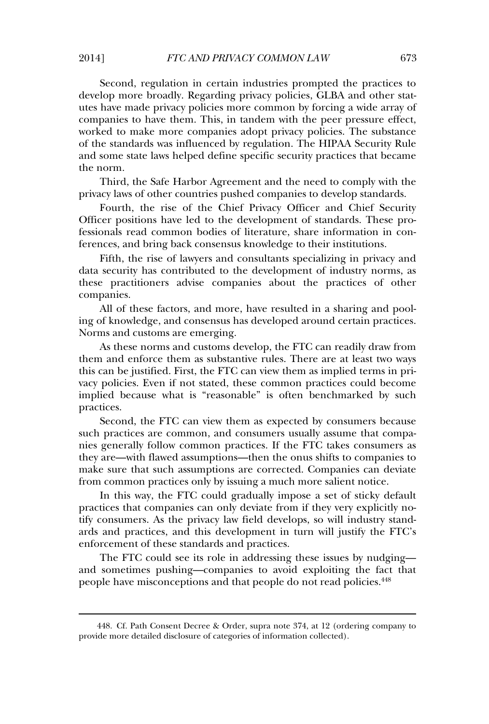Second, regulation in certain industries prompted the practices to develop more broadly. Regarding privacy policies, GLBA and other statdevelop more broadly. Regarding privacy policies, GLBA and other statures have made privacy policies more common by forcing a wide array of cover the control of the matter of the periodic process. The companies to have them. This, in tandem with the peer pressure effect, also have make privacy policies more common by rording a male array or<br>companies to have them. This, in tandem with the peer pressure effect,<br>worked to make more companies adopt privacy policies. The substance For the standards was influenced by regulation. The HIPAA Security Rule<br>of the standards was influenced by regulation. The HIPAA Security Rule And some state laws helped define specific security practices that became and some state laws helped define specific security practices that became and some state laws helped define specific security practices that became  $\sum_{i=1}^{\infty}$ 

the norm.<br>
Third, the Safe Harbor Agreement and the need to comply with the<br>
privacy laws of other countries pushed companies to develop standards. privacy laws of other countries pushed companies to develop standards.

Fourth, the rise of the Chief Privacy Officer and Chief Security Officer positions have led to the development of standards. These pro-Ferences, and bring back consensus knowledge to their institutions.<br>ferences, and bring back consensus knowledge to their institutions. ferences, and bring back consensus knowledge to their institutions. ferences, and bring back consensus knowledge to their institutions.<br>Fifth, the rise of lawyers and consultants specializing in privacy and

these practitioners advise companies about the practices of other these practitioners advise companies about the practices of other panies.

 factors, and more, have resulted in a sharing and pool-ing of knowledge, and consensus has developed around certain practices. norms and customs are emerging.<br>Norms and customs are emerging. Norms and customs are emerging.

Norms and customs are emerging.<br>As these norms and customs develop, the FTC can readily draw from<br>them and enforce them as substantive rules. There are at least two ways them and enforce them as substantive rules. There are at least two ways<br>this can be justified. First, the FTC can view them as implied terms in pri-Figure 1.1 and the contract them as substantine rates. There are at reast the naps<br>this can be justified. First, the FTC can view them as implied terms in pri-<br>vacy policies. Even if not stated, these common practices coul and can be gasanted those are the can now dren as implied terms in privacy policies. Even if not stated, these common practices could become implied because what is "reasonable" is often benchmarked by such implied because what is "reasonable" is often benchmarked by such practices.  $s$  the FTC can view them as expected by consumers by consumers by consumers by consumers by consumers by consumers by consumers by consumers by consumers by consumers by consumers by consumers by consumers by consumers b

second, the FTC can view them as expected by consumers because such practices are common, and consumers usually assume that compathey are understanding and the state of the areas as they are—with flawed assumptions—then the onus shifts to companies to make sure with flawed assumptions—then the onus shifts to companies to make sure that such assumptions are corrected. Companies can deviate from common practices only by issuing a much more salient notice. from common practices only by issuing a much more salient notice.

from common practices only by issuing a much more salient notice.<br>In this way, the FTC could gradually impose a set of sticky default<br>practices that companies can only deviate from if they very explicitly nothe master of the privacy law field develops, so will industry stand-<br>tify consumers. As the privacy law field develops, so will industry stand-FIRENCE AND COMPARTIES CAN DISPONDED TO AND THE ARRY CONSUMERS. As the privacy law field develops, so will industry standards and practices, and this development in turn will justify the FTC's enforcement of these standards and practices. enforcement of these standards and practices. enforcement of these standards and practices.<br>The FTC could see its role in addressing these issues by nudging—

and sometimes pushing—companies to avoid exploiting the fact that people have misconceptions and that people do not read policies.<sup>448</sup>

448. Charles Conservation (1984). Charles Conservation (1984). Charles Conservation (1984). Charles Conservation (

Order, supra note 374, at <sup>12</sup> (ordering company to provide more detailed disclosure of categories of information collected).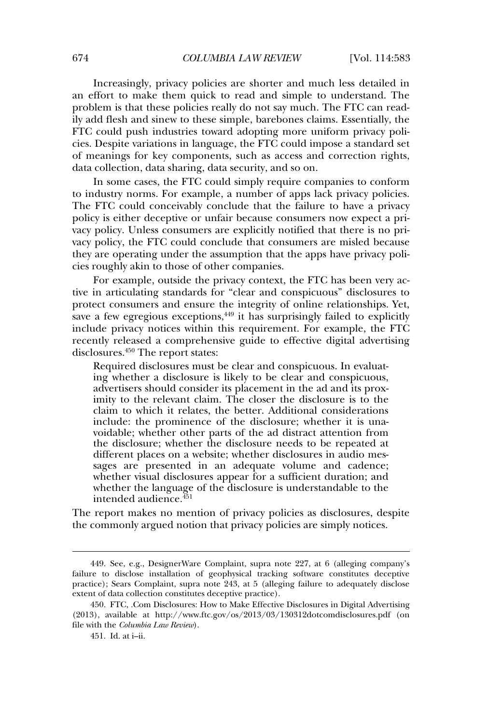Increasingly, privacy policies are shorter and much less detailed in<br>an effort to make them quick to read and simple to understand. The an effort to make them quick to read and simple to understand. The problem is that these policies really do not say much. The FTC can read-Frostein is and dress penetes really do not ally indentified the earl readily add flesh and sinew to these simple, barebones claims. Essentially, the FTC could push industries toward adopting more uniform privacy policies. Despite variations in language, the FTC could impose a standard set<br>cies. Despite variations in language, the FTC could impose a standard set For extra pash materials collard deeping more different privacy pencies. Despite variations in language, the FTC could impose a standard set of meanings for key components, such as access and correction rights. deat 2 depted tandately in anguage, the 110 codia in<br>of meanings for key components, such as access an<br>data collection, data sharing, data security, and so on. data collection, data sharing, data security, and so on.

data collection, data sharing, data security, and so on.<br>
In some cases, the FTC could simply require companies to conform<br>
to industry norms. For example, a number of apps lack privacy policies. The FTC could conceivably conclude that the failure to have a privacy<br>The FTC could conceivably conclude that the failure to have a privacy The FTC could conceivably conclude that the failure to have a privacy policy is either deceptive or unfair because consumers now expect a privacy policy. Unless consumers are explicitly notified that there is no privacy policy. Unless consumers are explicitly notified that there is no privacy policy, the FTC could conclude that consumers are misled because they policy, the FTC could conclude that consumers are misled because<br>they are operating under the assumption that the apps have privacy policies roughly also to the assumption that<br>cies roughly akin to those of other companies. cies roughly akin to those of other companies.

For example, outside the privacy context, the FTC has been very active in articulating standards for "clear and conspicuous" disclosures to tive in articulating standards for "clear and conspicuous" disclosures to saye in the calculating standards for even the integrity of online relationships. Yet, protect consumers and ensure the integrity of online relationships. Yet, From a decorating sumatrial for their and employees a disclosures to<br>protect consumers and ensure the integrity of online relationships. Yet,<br>save a few egregious exceptions,<sup>449</sup> it has surprisingly failed to explicitly<br>i ence a consequent energy released a comprehensive guide to effective digital advertising<br>recently released a comprehensive guide to effective digital advertising example person states: where<br>recently released a comprehen  $\overline{\text{cos}}$  areas.<sup>450</sup> The report states:

osures.<sup>450</sup> The report states:<br>Required disclosures must be clear and conspicuous. In evaluat-<br>ing whether a disclosure is likely to be clear and conspicuous. ing whether a disclosure is likely to be clear and conspicuous, advertisers should consider its placement in the ad and its proxadvertisers should consider its placement in the ad and its prox-<br>imity to the relevant claim. The closer the disclosure is to the<br>claim to which it relates, the better. Additional considerations claim to which it relates, the better. Additional considerations include: the prominence of the disclosure; whether it is unathe disclosure; whether of the disclosure; whether it is dia-<br>voidable; whether other parts of the ad distract attention from<br>the disclosure: whether the disclosure needs to be repeated at the disclosure; whether the disclosure needs to be repeated at voluable, whether blick parts of the automatical attention from<br>the disclosure; whether the disclosure needs to be repeated at<br>different places on a website; whether disclosures in audio mes-<br>sages are presented in an adeq amerent places on a website, whether disclosures in additions-<br>sages are presented in an adequate volume and cadence;<br>whether visual disclosures appear for a sufficient duration: and sages are presented in an adequate volume and eadence,<br>whether visual disclosures appear for a sufficient duration; and<br>whether the language of the disclosure is understandable to the whether the language of the disclosure is understandable to the intended audience.<sup>451</sup>

intended audience. $451$ <br>The report makes no mention of privacy policies as disclosures, despite<br>the commonly argued notion that privacy policies are simply notices.

 $\mathcal{A}_{\mathcal{A}}$  , at 6 (alleging complaint, supporting complaint, supporting company) at 6 (alleging company)  $\mathcal{A}_{\mathcal{A}}$ 

<sup>449.</sup> See, e.g., DesignerWare Complaint, supra note 227, at 6 (alleging company's failure to disclose installation of geophysical tracking software constitutes deceptive<br>practice): Sears Complaint, supra note 243, at 5 (alleging failure to adequately disclose practice); Sears Complaint, supra note  $243$ , at  $5$  (allegent of data collection constitutes deceptive practice). extent of data collection constitutes deceptive practice).

extent of data collection constitutes deceptive practice).<br>450. FTC, Com Disclosures: How to Make Effective Disclosures in Digital Advertising<br>(2013), available at http://www.ftc.gov/os/2013/03/130312dotcomdisclosures.pdf file with the *Columbia Law Review*). file with the *Columbia Law Review*).

<sup>451.</sup> Id. at i-ii.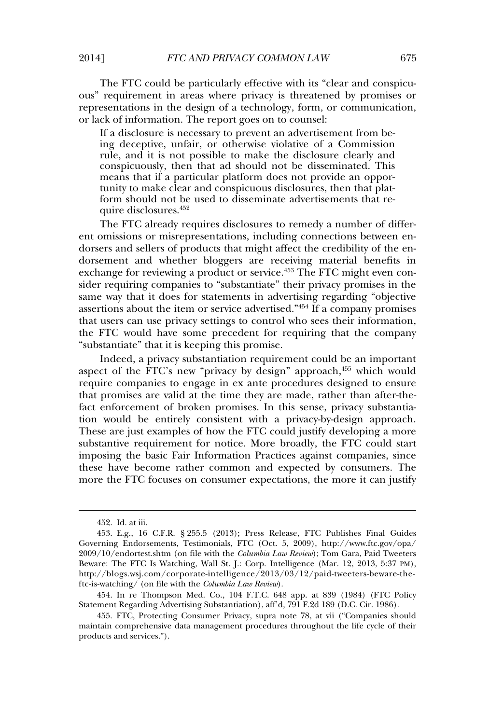The FTC could be particularly effective with its "clear and conspicu-<br>ous" requirement in areas where privacy is threatened by promises or ous" requirement in areas where privacy is threatened by promises or ous requirement in these where privacy is directed by promises of<br>representations in the design of a technology, form, or communication,<br>or lack of information. The report goes on to counsel: or lack of information. The report goes on to counsel:

ck of information. The report goes on to counsel:<br>If a disclosure is necessary to prevent an advertisement from be-<br>ing deceptive, unfair, or otherwise violative of a Commission in a disclosure is necessary to prevent an advertisement from be-<br>ing deceptive, unfair, or otherwise violative of a Commission<br>rule, and it is not possible to make the disclosure clearly and rule, and it is not possible to make the disclosure clearly and<br>conspicuously, then that ad should not be disseminated. This conspicuously, then that ad should not be disseminated. This tonspicuously, their that an should not be disseminated. This<br>means that if a particular platform does not provide an oppor-<br>tunity to make clear and conspicuous disclosures, then that platform should not be used to disseminate advertisements that re-<br>form should not be used to disseminate advertisements that reform should not be used to disseminate advertisements that re- $\frac{1}{2}$  and  $\frac{1}{2}$  and  $\frac{1}{2}$  and  $\frac{1}{2}$  are media number of disclosures.  $\frac{452}{2}$ 

The FTC already requires disclosures to remedy a number of different omissions or misrepresentations, including connections between enent omissions or misrepresentations, including connections between en-<br>dorsers and sellers of products that might affect the credibility of the endorsers and sellers of products that might affect the credibility of the en-<br>dorsement and whether bloggers are receiving material benefits in exchange for reviewing a product or service.<sup>453</sup> The FTC might even con-<br>exchange for reviewing a product or service.<sup>453</sup> The FTC might even conexchange for reviewing a product or service.<sup>453</sup> The FTC might even consider requiring companies to "substantiate" their privacy promises in the same way that it does for statements in advertising regarding "objective" same way that it does for statements in advertising regarding "objective From a comparison of the statements in advertising regarding "objective<br>assertions about the item or service advertised."<sup>454</sup> If a company promises<br>that users can use privacy settings to control who sees their information that users can use privacy settings to control who sees their information, The FTC would have some precedent for requiring that the company<br>"substantiate" that it is keeping this promise. "substantiate" that it is keeping this promise.

Indeed, a privacy substantiation requirement could be an important approach of the  $ETC'$ s new "privacy by design" approach, $455$  which would require companies to engage in ex ante procedures designed to ensure<br>require companies to engage in ex ante procedures designed to ensure require companies to engage in ex ante procedures designed to ensure. that promises are valid at the time they are made, rather than after-thethe procedure of the constant with the consistent with a privacy-by-design approach. These are just examples of how the FTC could justify developing a more<br>These are just examples of how the FTC could justify developing a more These are just examples of how the FTC could justify developing a more These are just examples of how the FTC could justify developing a more substantive requirement for notice. More broadly, the FTC could start these have become rather common and expected by consumers. The<br>these have become rather common and expected by consumers. The these have become rather common and expected by consumers. The more the FTC focuses on consumer expectations, the more it can justify

 $\frac{1}{2}$ 452. Id. at iii.

255.5 (2013); Press Release, FTC Publishes Final Guides Governing Endorsements, Testimonials, FTC (Oct. 5, 2009), http://www.ftc.gov/opa/ Governing Endorsements, Testimonials, FTC (Oct. 5, 2009), http://www.ftc.gov/opa/<br>2009/10/endortest.shtm (on file with the *Columbia Law Review*); Tom Gara, Paid Tweeters 2009/10/endortest.shtm (on file with the *Columbia Law Review*); Tom Gara, Paid Tweeters<br>Beware: The FTC Is Watching, Wall St. J.: Corp. Intelligence (Mar. 12, 2013, 5:37 PM), Beware: The FTC Is Watching, Wall St. J.: Corp. Intelligence (Mar. 12, 2013, 5:37 PM), http://blogs.wsj.com/corporate-intelligence/2013/03/12/paid-tweeters-beware-the-//blogs.wsj.com/corporate-intelligence/2013/03/12/paid-tweeters-beward high (on file with the *Columbia Law Review*).

ftc-is-watching/ (on file with the *Columbia Law Review*).<br>454. In re Thompson Med. Co., 104 F.T.C. 648 app. at 839 (1984) (FTC Policy<br>Statement Regarding Advertising Substantiation), aff'd, 791 F.2d 189 (D.C. Cir. 1986). ment Regarding Advertising Substantiation), aff d, 791 F.2d 189 (D.C. Cir. 1986).<br>455. FTC, Protecting Consumer Privacy, supra note 78, at vii ("Companies should

<sup>455.</sup> FTC, Protecting Consumer Privacy, supra note 78, at vii ("Companies should maintain comprehensive data management procedures throughout the life cycle of their maintain comprehensive data management procedures throughout the life cycle of their products and services.").